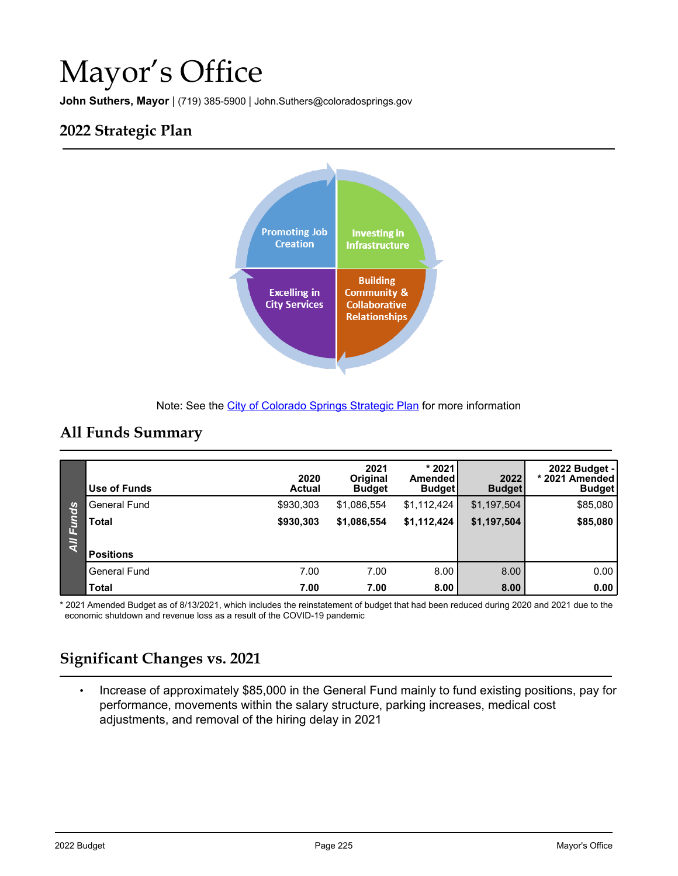# Mayor's Office

**John Suthers, Mayor** | (719) 385-5900 | John.Suthers@coloradosprings.gov

#### **2022 Strategic Plan**



Note: See the [City of Colorado Springs Strategic Plan](#page--1-0) for more information

#### **All Funds Summary**

|                | Use of Funds        | 2020<br><b>Actual</b> | 2021<br><b>Original</b><br><b>Budget</b> | $*2021$<br><b>Amended</b><br><b>Budget</b> | 2022<br><b>Budget</b> | 2022 Budget -<br>* 2021 Amended<br><b>Budget</b> |
|----------------|---------------------|-----------------------|------------------------------------------|--------------------------------------------|-----------------------|--------------------------------------------------|
|                | General Fund        | \$930,303             | \$1,086,554                              | \$1,112,424                                | \$1,197,504           | \$85,080                                         |
| <b>Funds</b>   | Total               | \$930,303             | \$1,086,554                              | \$1,112,424                                | \$1,197,504           | \$85,080                                         |
| $\overline{4}$ | <b>Positions</b>    |                       |                                          |                                            |                       |                                                  |
|                | <b>General Fund</b> | 7.00                  | 7.00                                     | 8.00                                       | 8.00                  | 0.00                                             |
|                | Total               | 7.00                  | 7.00                                     | 8.00                                       | 8.00                  | 0.00                                             |

\* 2021 Amended Budget as of 8/13/2021, which includes the reinstatement of budget that had been reduced during 2020 and 2021 due to the economic shutdown and revenue loss as a result of the COVID-19 pandemic

### **Significant Changes vs. 2021**

• Increase of approximately \$85,000 in the General Fund mainly to fund existing positions, pay for performance, movements within the salary structure, parking increases, medical cost adjustments, and removal of the hiring delay in 2021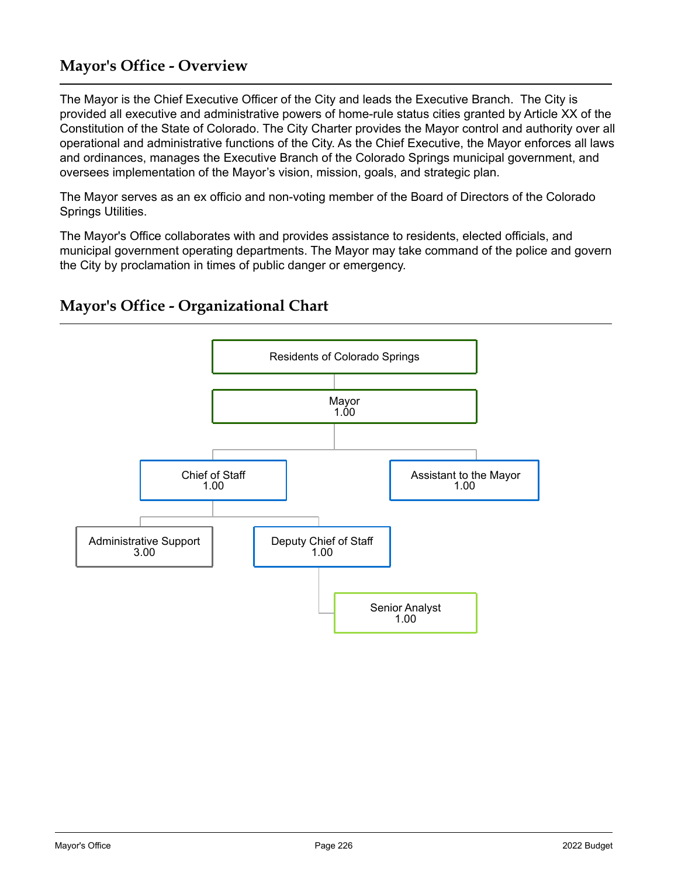#### **Mayor's Office - Overview**

The Mayor is the Chief Executive Officer of the City and leads the Executive Branch. The City is provided all executive and administrative powers of home-rule status cities granted by Article XX of the Constitution of the State of Colorado. The City Charter provides the Mayor control and authority over all operational and administrative functions of the City. As the Chief Executive, the Mayor enforces all laws and ordinances, manages the Executive Branch of the Colorado Springs municipal government, and oversees implementation of the Mayor's vision, mission, goals, and strategic plan.

The Mayor serves as an ex officio and non-voting member of the Board of Directors of the Colorado Springs Utilities.

The Mayor's Office collaborates with and provides assistance to residents, elected officials, and municipal government operating departments. The Mayor may take command of the police and govern the City by proclamation in times of public danger or emergency.



#### **Mayor's Office - Organizational Chart**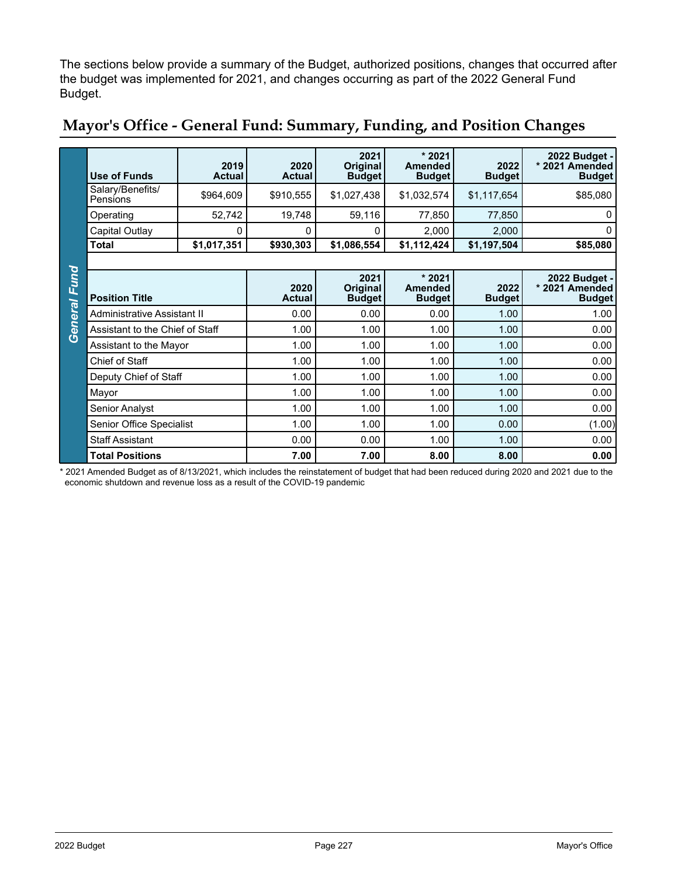The sections below provide a summary of the Budget, authorized positions, changes that occurred after the budget was implemented for 2021, and changes occurring as part of the 2022 General Fund Budget.

|         | Use of Funds                    | 2019<br><b>Actual</b> | 2020<br><b>Actual</b> | 2021<br><b>Original</b><br><b>Budget</b> | $*2021$<br><b>Amended</b><br><b>Budget</b> | 2022<br><b>Budget</b> | 2022 Budget -<br>* 2021 Amended<br><b>Budget</b> |
|---------|---------------------------------|-----------------------|-----------------------|------------------------------------------|--------------------------------------------|-----------------------|--------------------------------------------------|
|         | Salary/Benefits/<br>Pensions    | \$964,609             | \$910,555             | \$1,027,438                              | \$1,032,574                                | \$1,117,654           | \$85,080                                         |
|         | Operating                       | 52,742                | 19,748                | 59,116                                   | 77,850                                     | 77,850                | 0                                                |
|         | Capital Outlay                  | 0                     | 0                     | $\mathbf 0$                              | 2,000                                      | 2,000                 | 0                                                |
|         | <b>Total</b>                    | \$1,017,351           | \$930,303             | \$1,086,554                              | \$1,112,424                                | \$1,197,504           | \$85,080                                         |
|         |                                 |                       |                       |                                          |                                            |                       |                                                  |
| Fund    | <b>Position Title</b>           |                       | 2020<br><b>Actual</b> | 2021<br>Original<br><b>Budget</b>        | $*2021$<br><b>Amended</b><br><b>Budget</b> | 2022<br><b>Budget</b> | 2022 Budget -<br>* 2021 Amended<br><b>Budget</b> |
| General | Administrative Assistant II     |                       | 0.00                  | 0.00                                     | 0.00                                       | 1.00                  | 1.00                                             |
|         | Assistant to the Chief of Staff |                       | 1.00                  | 1.00                                     | 1.00                                       | 1.00                  | 0.00                                             |
|         | Assistant to the Mayor          |                       | 1.00                  | 1.00                                     | 1.00                                       | 1.00                  | 0.00                                             |
|         | Chief of Staff                  |                       | 1.00                  | 1.00                                     | 1.00                                       | 1.00                  | 0.00                                             |
|         | Deputy Chief of Staff           |                       | 1.00                  | 1.00                                     | 1.00                                       | 1.00                  | 0.00                                             |
|         | Mayor                           |                       | 1.00                  | 1.00                                     | 1.00                                       | 1.00                  | 0.00                                             |
|         | Senior Analyst                  |                       | 1.00                  | 1.00                                     | 1.00                                       | 1.00                  | 0.00                                             |
|         | Senior Office Specialist        |                       | 1.00                  | 1.00                                     | 1.00                                       | 0.00                  | (1.00)                                           |
|         | <b>Staff Assistant</b>          |                       | 0.00                  | 0.00                                     | 1.00                                       | 1.00                  | 0.00                                             |
|         | <b>Total Positions</b>          |                       | 7.00                  | 7.00                                     | 8.00                                       | 8.00                  | 0.00                                             |

### **Mayor's Office - General Fund: Summary, Funding, and Position Changes**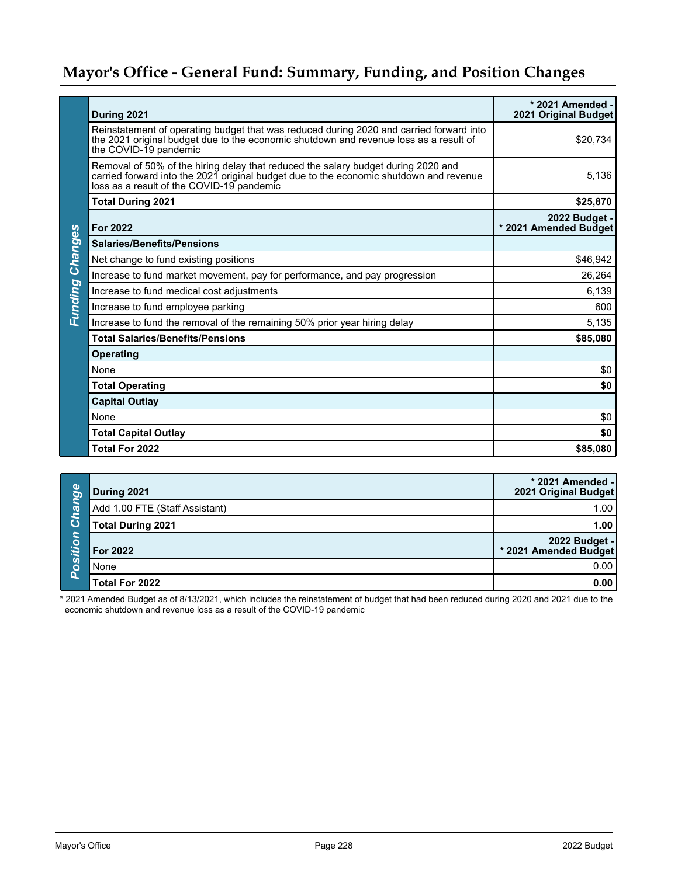# **Mayor's Office - General Fund: Summary, Funding, and Position Changes**

|                | During 2021                                                                                                                                                                                                              | * 2021 Amended -<br>2021 Original Budget |
|----------------|--------------------------------------------------------------------------------------------------------------------------------------------------------------------------------------------------------------------------|------------------------------------------|
|                | Reinstatement of operating budget that was reduced during 2020 and carried forward into<br>the 2021 original budget due to the economic shutdown and revenue loss as a result of<br>the COVID-19 pandemic                | \$20,734                                 |
|                | Removal of 50% of the hiring delay that reduced the salary budget during 2020 and<br>carried forward into the 2021 original budget due to the economic shutdown and revenue<br>loss as a result of the COVID-19 pandemic | 5,136                                    |
|                | <b>Total During 2021</b>                                                                                                                                                                                                 | \$25,870                                 |
|                | For 2022                                                                                                                                                                                                                 | 2022 Budget -<br>* 2021 Amended Budget   |
| Changes        | <b>Salaries/Benefits/Pensions</b>                                                                                                                                                                                        |                                          |
|                | Net change to fund existing positions                                                                                                                                                                                    | \$46.942                                 |
|                | Increase to fund market movement, pay for performance, and pay progression                                                                                                                                               | 26,264                                   |
|                | Increase to fund medical cost adjustments                                                                                                                                                                                | 6,139                                    |
| <b>Eunding</b> | Increase to fund employee parking                                                                                                                                                                                        | 600                                      |
|                | Increase to fund the removal of the remaining 50% prior year hiring delay                                                                                                                                                | 5,135                                    |
|                | <b>Total Salaries/Benefits/Pensions</b>                                                                                                                                                                                  | \$85,080                                 |
|                | <b>Operating</b>                                                                                                                                                                                                         |                                          |
|                | None                                                                                                                                                                                                                     | \$0                                      |
|                | <b>Total Operating</b>                                                                                                                                                                                                   | \$0                                      |
|                | <b>Capital Outlay</b>                                                                                                                                                                                                    |                                          |
|                | None                                                                                                                                                                                                                     | \$0                                      |
|                | <b>Total Capital Outlay</b>                                                                                                                                                                                              | \$0                                      |
|                | Total For 2022                                                                                                                                                                                                           | \$85,080                                 |

| <b>Change</b>    | During 2021                    | * 2021 Amended -<br>2021 Original Budget |
|------------------|--------------------------------|------------------------------------------|
|                  | Add 1.00 FTE (Staff Assistant) | 1.00                                     |
|                  | <b>Total During 2021</b>       | 1.00                                     |
| ition<br>SO<br>n | <b>For 2022</b>                | - 2022 Budget<br>2021 Amended Budget     |
|                  | None                           | 0.00                                     |
|                  | Total For 2022                 | 0.00                                     |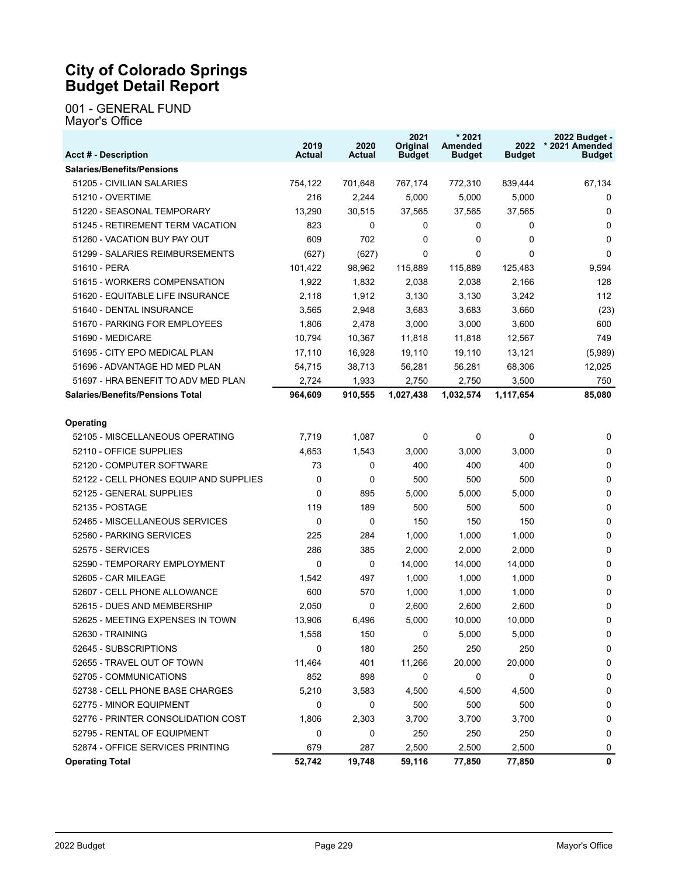#### **City of Colorado Springs Budget Detail Report**

#### 001 - GENERAL FUND Mayor's Office

| <b>Acct # - Description</b>             | 2019<br>Actual | 2020<br>Actual | 2021<br>Original<br><b>Budget</b> | $*2021$<br>Amended<br><b>Budget</b> | 2022<br><b>Budget</b> | 2022 Budget -<br>* 2021 Amended<br><b>Budget</b> |
|-----------------------------------------|----------------|----------------|-----------------------------------|-------------------------------------|-----------------------|--------------------------------------------------|
| <b>Salaries/Benefits/Pensions</b>       |                |                |                                   |                                     |                       |                                                  |
| 51205 - CIVILIAN SALARIES               | 754,122        | 701,648        | 767,174                           | 772,310                             | 839,444               | 67,134                                           |
| 51210 - OVERTIME                        | 216            | 2,244          | 5,000                             | 5,000                               | 5,000                 | 0                                                |
| 51220 - SEASONAL TEMPORARY              | 13,290         | 30,515         | 37,565                            | 37,565                              | 37,565                | 0                                                |
| 51245 - RETIREMENT TERM VACATION        | 823            | 0              | 0                                 | 0                                   | 0                     | 0                                                |
| 51260 - VACATION BUY PAY OUT            | 609            | 702            | 0                                 | 0                                   | 0                     | 0                                                |
| 51299 - SALARIES REIMBURSEMENTS         | (627)          | (627)          | 0                                 | 0                                   | $\mathbf{0}$          | $\Omega$                                         |
| 51610 - PERA                            | 101,422        | 98,962         | 115,889                           | 115,889                             | 125,483               | 9,594                                            |
| 51615 - WORKERS COMPENSATION            | 1,922          | 1,832          | 2,038                             | 2,038                               | 2,166                 | 128                                              |
| 51620 - EQUITABLE LIFE INSURANCE        | 2,118          | 1,912          | 3,130                             | 3,130                               | 3,242                 | 112                                              |
| 51640 - DENTAL INSURANCE                | 3,565          | 2,948          | 3,683                             | 3,683                               | 3,660                 | (23)                                             |
| 51670 - PARKING FOR EMPLOYEES           | 1,806          | 2,478          | 3,000                             | 3,000                               | 3,600                 | 600                                              |
| 51690 - MEDICARE                        | 10,794         | 10,367         | 11,818                            | 11,818                              | 12,567                | 749                                              |
| 51695 - CITY EPO MEDICAL PLAN           | 17,110         | 16,928         | 19,110                            | 19,110                              | 13,121                | (5,989)                                          |
| 51696 - ADVANTAGE HD MED PLAN           | 54,715         | 38,713         | 56,281                            | 56,281                              | 68,306                | 12,025                                           |
| 51697 - HRA BENEFIT TO ADV MED PLAN     | 2,724          | 1,933          | 2,750                             | 2,750                               | 3,500                 | 750                                              |
| <b>Salaries/Benefits/Pensions Total</b> | 964,609        | 910,555        | 1,027,438                         | 1,032,574                           | 1,117,654             | 85,080                                           |
| Operating                               |                |                |                                   |                                     |                       |                                                  |
| 52105 - MISCELLANEOUS OPERATING         | 7,719          | 1,087          | 0                                 | 0                                   | 0                     | 0                                                |
| 52110 - OFFICE SUPPLIES                 | 4,653          | 1,543          | 3,000                             | 3,000                               | 3,000                 | 0                                                |
| 52120 - COMPUTER SOFTWARE               | 73             | 0              | 400                               | 400                                 | 400                   | 0                                                |
| 52122 - CELL PHONES EQUIP AND SUPPLIES  | 0              | 0              | 500                               | 500                                 | 500                   | 0                                                |
| 52125 - GENERAL SUPPLIES                | 0              | 895            | 5,000                             | 5,000                               | 5,000                 | 0                                                |
| 52135 - POSTAGE                         | 119            | 189            | 500                               | 500                                 | 500                   | 0                                                |
| 52465 - MISCELLANEOUS SERVICES          | 0              | 0              | 150                               | 150                                 | 150                   | 0                                                |
| 52560 - PARKING SERVICES                | 225            | 284            | 1,000                             | 1,000                               | 1,000                 | 0                                                |
| 52575 - SERVICES                        | 286            | 385            | 2,000                             | 2,000                               | 2,000                 | 0                                                |
| 52590 - TEMPORARY EMPLOYMENT            | 0              | 0              | 14,000                            | 14,000                              | 14,000                | 0                                                |
| 52605 - CAR MILEAGE                     | 1,542          | 497            | 1,000                             | 1,000                               | 1,000                 | 0                                                |
| 52607 - CELL PHONE ALLOWANCE            | 600            | 570            | 1,000                             | 1,000                               | 1,000                 | 0                                                |
| 52615 - DUES AND MEMBERSHIP             | 2,050          | 0              | 2,600                             | 2,600                               | 2,600                 | 0                                                |
| 52625 - MEETING EXPENSES IN TOWN        | 13,906         | 6,496          | 5,000                             | 10,000                              | 10,000                | 0                                                |
| 52630 - TRAINING                        | 1,558          | 150            | 0                                 | 5,000                               | 5,000                 | 0                                                |
| 52645 - SUBSCRIPTIONS                   | 0              | 180            | 250                               | 250                                 | 250                   | 0                                                |
| 52655 - TRAVEL OUT OF TOWN              | 11,464         | 401            | 11,266                            | 20,000                              | 20,000                | 0                                                |
| 52705 - COMMUNICATIONS                  | 852            | 898            | 0                                 | 0                                   | 0                     | 0                                                |
| 52738 - CELL PHONE BASE CHARGES         | 5,210          | 3,583          | 4,500                             | 4,500                               | 4,500                 | 0                                                |
| 52775 - MINOR EQUIPMENT                 | 0              | 0              | 500                               | 500                                 | 500                   | 0                                                |
| 52776 - PRINTER CONSOLIDATION COST      | 1,806          | 2,303          | 3,700                             | 3,700                               | 3,700                 | 0                                                |
| 52795 - RENTAL OF EQUIPMENT             | 0              | 0              | 250                               | 250                                 | 250                   | 0                                                |
| 52874 - OFFICE SERVICES PRINTING        | 679            | 287            | 2,500                             | 2,500                               | 2,500                 | 0                                                |
| <b>Operating Total</b>                  | 52,742         | 19,748         | 59,116                            | 77,850                              | 77,850                | 0                                                |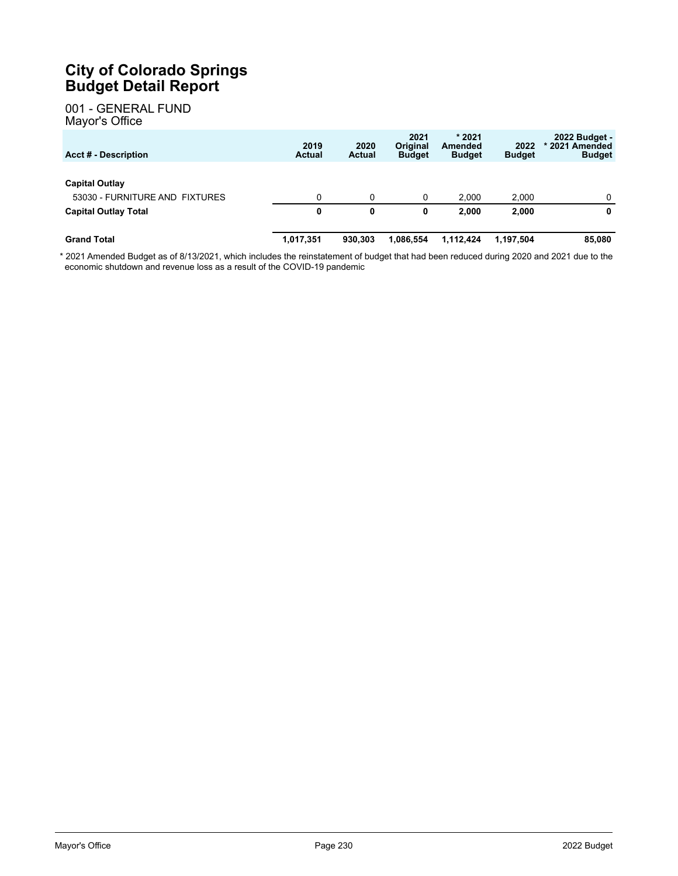#### **City of Colorado Springs Budget Detail Report**

#### 001 - GENERAL FUND Mayor's Office

| <b>Acct # - Description</b>    | 2019<br>Actual | 2020<br>Actual | 2021<br><b>Original</b><br><b>Budget</b> | $*2021$<br>Amended<br><b>Budget</b> | 2022<br><b>Budget</b> | 2022 Budget -<br>* 2021 Amended<br><b>Budget</b> |
|--------------------------------|----------------|----------------|------------------------------------------|-------------------------------------|-----------------------|--------------------------------------------------|
|                                |                |                |                                          |                                     |                       |                                                  |
| <b>Capital Outlay</b>          |                |                |                                          |                                     |                       |                                                  |
| 53030 - FURNITURE AND FIXTURES | 0              | 0              | 0                                        | 2,000                               | 2,000                 | $\Omega$                                         |
| <b>Capital Outlay Total</b>    | 0              | 0              | 0                                        | 2.000                               | 2.000                 | $\bf{0}$                                         |
|                                |                |                |                                          |                                     |                       |                                                  |
| <b>Grand Total</b>             | 1,017,351      | 930,303        | 1,086,554                                | 1,112,424                           | 1,197,504             | 85,080                                           |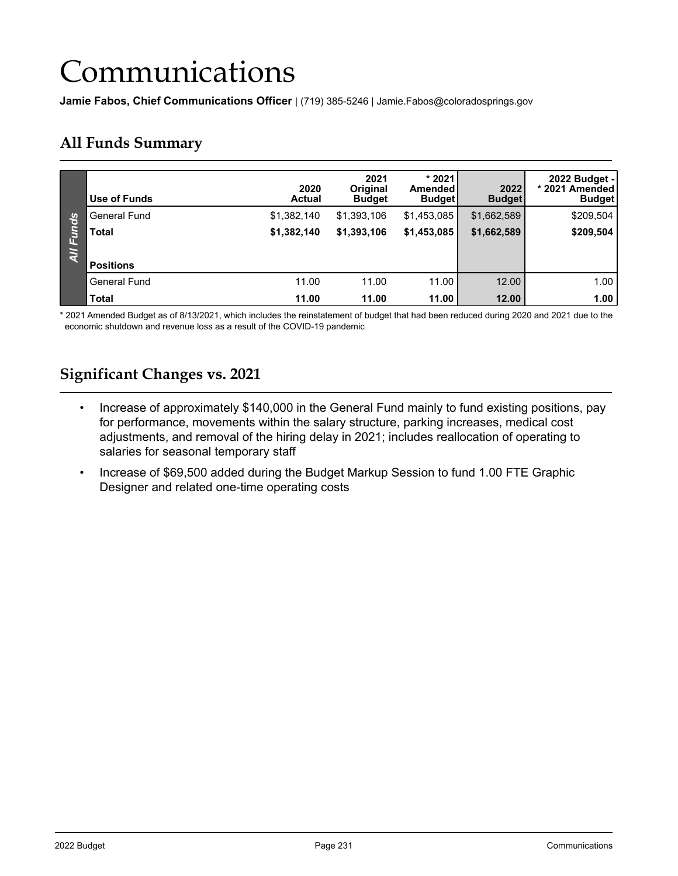# Communications

**Jamie Fabos, Chief Communications Officer** | (719) 385-5246 | Jamie.Fabos@coloradosprings.gov

#### **All Funds Summary**

|                | Use of Funds     | 2020<br><b>Actual</b> | 2021<br>Original<br><b>Budget</b> | $*2021$<br><b>Amended</b><br><b>Budget</b> | 2022<br><b>Budget</b> | 2022 Budget -<br>* 2021 Amended<br><b>Budget</b> |
|----------------|------------------|-----------------------|-----------------------------------|--------------------------------------------|-----------------------|--------------------------------------------------|
|                | General Fund     | \$1,382,140           | \$1,393,106                       | \$1,453,085                                | \$1,662,589           | \$209,504                                        |
| <b>Funds</b>   | Total            | \$1,382,140           | \$1,393,106                       | \$1,453,085                                | \$1,662,589           | \$209,504                                        |
| $\overline{4}$ | <b>Positions</b> |                       |                                   |                                            |                       |                                                  |
|                | General Fund     | 11.00                 | 11.00                             | 11.00                                      | 12.00                 | 1.00                                             |
|                | <b>Total</b>     | 11.00                 | 11.00                             | 11.00                                      | 12.00                 | 1.00                                             |

\* 2021 Amended Budget as of 8/13/2021, which includes the reinstatement of budget that had been reduced during 2020 and 2021 due to the economic shutdown and revenue loss as a result of the COVID-19 pandemic

#### **Significant Changes vs. 2021**

- Increase of approximately \$140,000 in the General Fund mainly to fund existing positions, pay for performance, movements within the salary structure, parking increases, medical cost adjustments, and removal of the hiring delay in 2021; includes reallocation of operating to salaries for seasonal temporary staff
- Increase of \$69,500 added during the Budget Markup Session to fund 1.00 FTE Graphic Designer and related one-time operating costs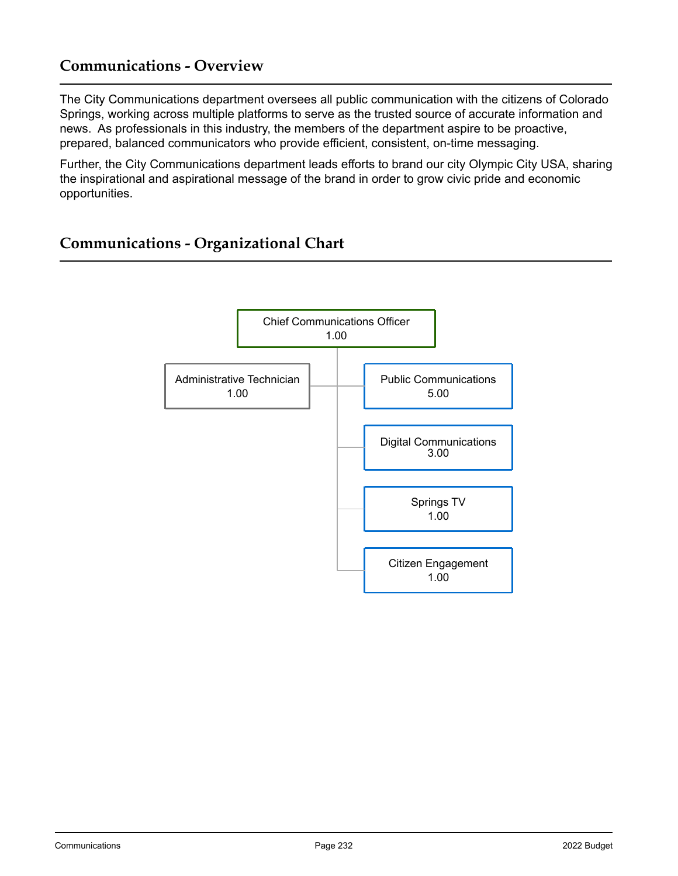#### **Communications - Overview**

The City Communications department oversees all public communication with the citizens of Colorado Springs, working across multiple platforms to serve as the trusted source of accurate information and news. As professionals in this industry, the members of the department aspire to be proactive, prepared, balanced communicators who provide efficient, consistent, on-time messaging.

Further, the City Communications department leads efforts to brand our city Olympic City USA, sharing the inspirational and aspirational message of the brand in order to grow civic pride and economic opportunities.

#### **Communications - Organizational Chart**

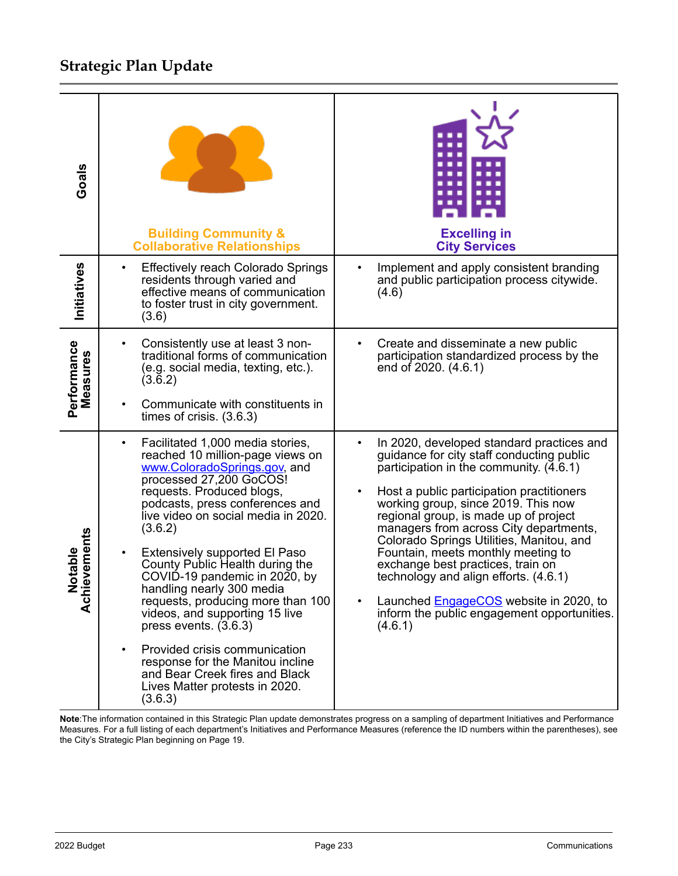# **Strategic Plan Update**

| Goals                             | <b>Building Community &amp;</b><br><b>Collaborative Relationships</b>                                                                                                                                                                                                                                                                                                                                                                                                                                                                                                                                                                                                            | <b>Excelling in</b><br><b>City Services</b>                                                                                                                                                                                                                                                                                                                                                                                                                                                                                                                                                    |
|-----------------------------------|----------------------------------------------------------------------------------------------------------------------------------------------------------------------------------------------------------------------------------------------------------------------------------------------------------------------------------------------------------------------------------------------------------------------------------------------------------------------------------------------------------------------------------------------------------------------------------------------------------------------------------------------------------------------------------|------------------------------------------------------------------------------------------------------------------------------------------------------------------------------------------------------------------------------------------------------------------------------------------------------------------------------------------------------------------------------------------------------------------------------------------------------------------------------------------------------------------------------------------------------------------------------------------------|
| Initiatives                       | <b>Effectively reach Colorado Springs</b><br>$\bullet$<br>residents through varied and<br>effective means of communication<br>to foster trust in city government.<br>(3.6)                                                                                                                                                                                                                                                                                                                                                                                                                                                                                                       | Implement and apply consistent branding<br>$\bullet$<br>and public participation process citywide.<br>(4.6)                                                                                                                                                                                                                                                                                                                                                                                                                                                                                    |
| Performance<br>Measures           | Consistently use at least 3 non-<br>$\bullet$<br>traditional forms of communication<br>(e.g. social media, texting, etc.).<br>(3.6.2)<br>Communicate with constituents in<br>$\bullet$<br>times of crisis. $(3.6.3)$                                                                                                                                                                                                                                                                                                                                                                                                                                                             | Create and disseminate a new public<br>participation standardized process by the<br>end of 2020. (4.6.1)                                                                                                                                                                                                                                                                                                                                                                                                                                                                                       |
| evements<br>otable<br>≊<br>≯<br>∢ | Facilitated 1,000 media stories,<br>$\bullet$<br>reached 10 million-page views on<br>www.ColoradoSprings.gov, and<br>processed 27,200 GoCOS!<br>requests. Produced blogs,<br>podcasts, press conferences and<br>live video on social media in 2020.<br>(3.6.2)<br>Extensively supported El Paso<br>$\bullet$<br>County Public Health during the<br>COVID-19 pandemic in 2020, by<br>handling nearly 300 media<br>requests, producing more than 100<br>videos, and supporting 15 live<br>press events. $(3.6.3)$<br>Provided crisis communication<br>$\bullet$<br>response for the Manitou incline<br>and Bear Creek fires and Black<br>Lives Matter protests in 2020.<br>(3.6.3) | In 2020, developed standard practices and<br>$\bullet$<br>guidance for city staff conducting public<br>participation in the community. (4.6.1)<br>Host a public participation practitioners<br>٠<br>working group, since 2019. This now<br>regional group, is made up of project<br>managers from across City departments,<br>Colorado Springs Utilities, Manitou, and<br>Fountain, meets monthly meeting to<br>exchange best practices, train on<br>technology and align efforts. (4.6.1)<br>Launched EngageCOS website in 2020, to<br>inform the public engagement opportunities.<br>(4.6.1) |

**Note**:The information contained in this Strategic Plan update demonstrates progress on a sampling of department Initiatives and Performance Measures. For a full listing of each department's Initiatives and Performance Measures (reference the ID numbers within the parentheses), see the City's Strategic Plan beginning on Page 19.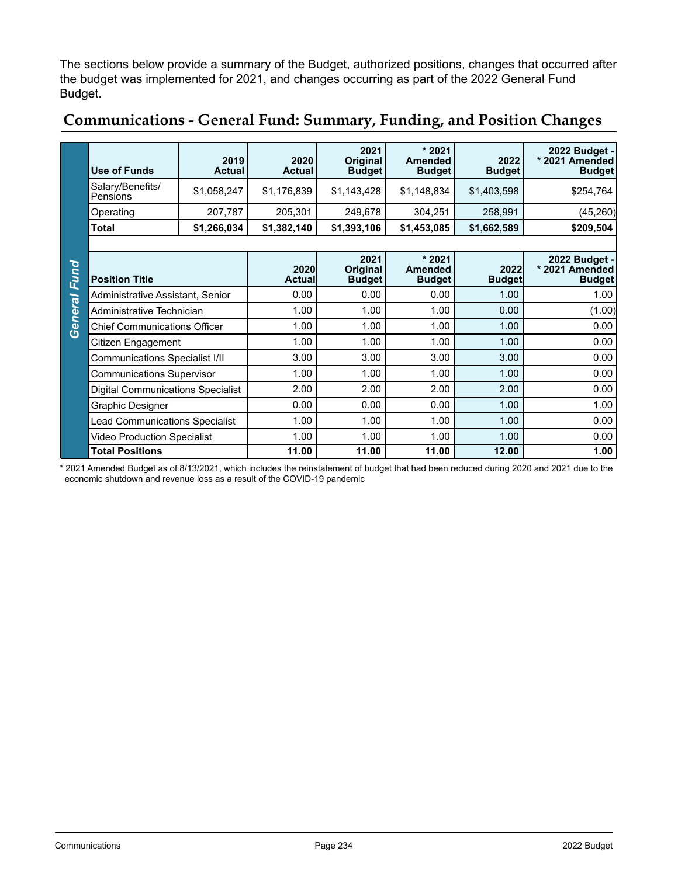The sections below provide a summary of the Budget, authorized positions, changes that occurred after the budget was implemented for 2021, and changes occurring as part of the 2022 General Fund Budget.

|         | <b>Use of Funds</b>                      | 2019<br><b>Actual</b> | 2020<br><b>Actual</b>        | 2021<br><b>Original</b><br><b>Budget</b> | $*2021$<br><b>Amended</b><br><b>Budget</b> | 2022<br><b>Budget</b> | 2022 Budget -<br>* 2021 Amended<br><b>Budget</b> |
|---------|------------------------------------------|-----------------------|------------------------------|------------------------------------------|--------------------------------------------|-----------------------|--------------------------------------------------|
|         | Salary/Benefits/<br>Pensions             | \$1,058,247           | \$1,176,839                  | \$1,143,428                              | \$1,148,834                                | \$1,403,598           | \$254,764                                        |
|         | Operating                                | 207,787               | 205,301                      | 249,678                                  | 304,251                                    | 258,991               | (45, 260)                                        |
|         | <b>Total</b>                             | \$1,266,034           | \$1,382,140                  | \$1,393,106                              | \$1,453,085                                | \$1,662,589           | \$209,504                                        |
|         |                                          |                       |                              |                                          |                                            |                       |                                                  |
| Fund    | <b>Position Title</b>                    |                       | <b>2020</b><br><b>Actual</b> | 2021<br>Original<br><b>Budget</b>        | $*2021$<br>Amended<br><b>Budget</b>        | 2022<br><b>Budget</b> | 2022 Budget -<br>* 2021 Amended<br><b>Budget</b> |
|         | Administrative Assistant, Senior         |                       | 0.00                         | 0.00                                     | 0.00                                       | 1.00                  | 1.00                                             |
| General | Administrative Technician                |                       | 1.00                         | 1.00                                     | 1.00                                       | 0.00                  | (1.00)                                           |
|         | <b>Chief Communications Officer</b>      |                       | 1.00                         | 1.00                                     | 1.00                                       | 1.00                  | 0.00                                             |
|         | Citizen Engagement                       |                       | 1.00                         | 1.00                                     | 1.00                                       | 1.00                  | 0.00                                             |
|         | <b>Communications Specialist I/II</b>    |                       | 3.00                         | 3.00                                     | 3.00                                       | 3.00                  | 0.00                                             |
|         | <b>Communications Supervisor</b>         |                       | 1.00                         | 1.00                                     | 1.00                                       | 1.00                  | 0.00                                             |
|         | <b>Digital Communications Specialist</b> |                       | 2.00                         | 2.00                                     | 2.00                                       | 2.00                  | 0.00                                             |
|         | Graphic Designer                         |                       | 0.00                         | 0.00                                     | 0.00                                       | 1.00                  | 1.00                                             |
|         | <b>Lead Communications Specialist</b>    |                       | 1.00                         | 1.00                                     | 1.00                                       | 1.00                  | 0.00                                             |
|         | Video Production Specialist              |                       | 1.00                         | 1.00                                     | 1.00                                       | 1.00                  | 0.00                                             |
|         | <b>Total Positions</b>                   |                       | 11.00                        | 11.00                                    | 11.00                                      | 12.00                 | 1.00                                             |

#### **Communications - General Fund: Summary, Funding, and Position Changes**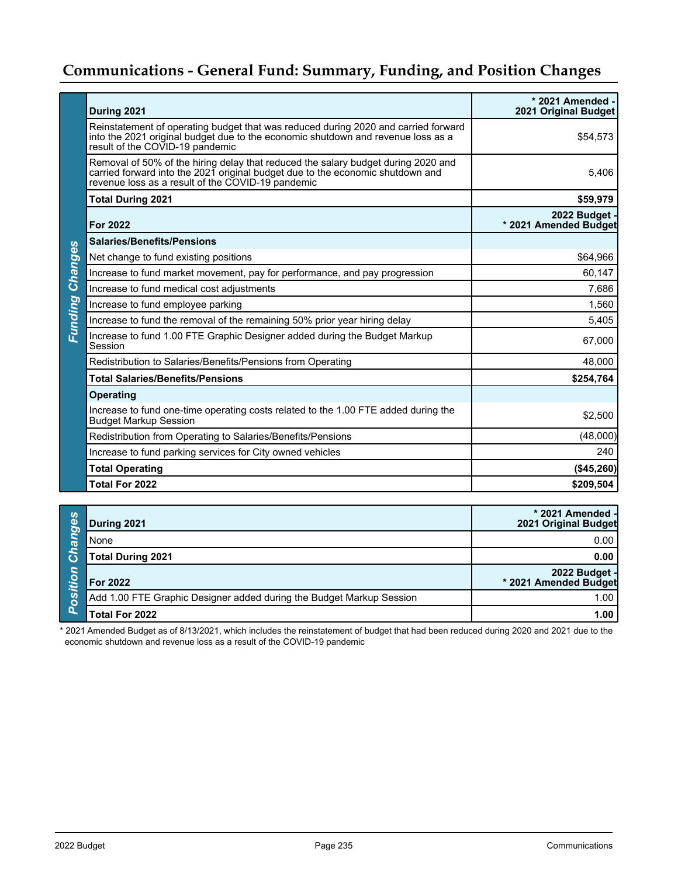# **Communications - General Fund: Summary, Funding, and Position Changes**

|                 |                                                                                                                                                                                                                          | 2021 Original Budget                   |
|-----------------|--------------------------------------------------------------------------------------------------------------------------------------------------------------------------------------------------------------------------|----------------------------------------|
|                 | Reinstatement of operating budget that was reduced during 2020 and carried forward<br>into the 2021 original budget due to the economic shutdown and revenue loss as a<br>result of the COVID-19 pandemic                | \$54,573                               |
|                 | Removal of 50% of the hiring delay that reduced the salary budget during 2020 and<br>carried forward into the 2021 original budget due to the economic shutdown and<br>revenue loss as a result of the COVID-19 pandemic | 5,406                                  |
|                 | <b>Total During 2021</b>                                                                                                                                                                                                 | \$59,979                               |
|                 | <b>For 2022</b>                                                                                                                                                                                                          | 2022 Budget -<br>* 2021 Amended Budget |
|                 | <b>Salaries/Benefits/Pensions</b>                                                                                                                                                                                        |                                        |
| Funding Changes | Net change to fund existing positions                                                                                                                                                                                    | \$64,966                               |
|                 | Increase to fund market movement, pay for performance, and pay progression                                                                                                                                               | 60,147                                 |
|                 | Increase to fund medical cost adjustments                                                                                                                                                                                | 7,686                                  |
|                 | Increase to fund employee parking                                                                                                                                                                                        | 1,560                                  |
|                 | Increase to fund the removal of the remaining 50% prior year hiring delay                                                                                                                                                | 5,405                                  |
|                 | Increase to fund 1.00 FTE Graphic Designer added during the Budget Markup<br>Session                                                                                                                                     | 67,000                                 |
|                 | Redistribution to Salaries/Benefits/Pensions from Operating                                                                                                                                                              | 48,000                                 |
|                 | <b>Total Salaries/Benefits/Pensions</b>                                                                                                                                                                                  | \$254,764                              |
|                 | <b>Operating</b>                                                                                                                                                                                                         |                                        |
|                 | Increase to fund one-time operating costs related to the 1.00 FTE added during the<br><b>Budget Markup Session</b>                                                                                                       | \$2,500                                |
|                 | Redistribution from Operating to Salaries/Benefits/Pensions                                                                                                                                                              | (48,000)                               |
|                 | Increase to fund parking services for City owned vehicles                                                                                                                                                                | 240                                    |
|                 | <b>Total Operating</b>                                                                                                                                                                                                   | (\$45,260)                             |
|                 | Total For 2022                                                                                                                                                                                                           | \$209,504                              |

| ges                   | During 2021                                                          | * 2021 Amended -<br>2021 Original Budget |
|-----------------------|----------------------------------------------------------------------|------------------------------------------|
| $\boldsymbol{\omega}$ | None                                                                 | 0.00                                     |
|                       | <b>Total During 2021</b>                                             | 0.00                                     |
| O                     | <b>For 2022</b>                                                      | 2022 Budget -<br>* 2021 Amended Budget   |
| ဖြ                    | Add 1.00 FTE Graphic Designer added during the Budget Markup Session | 1.00                                     |
|                       | Total For 2022                                                       | 1.00                                     |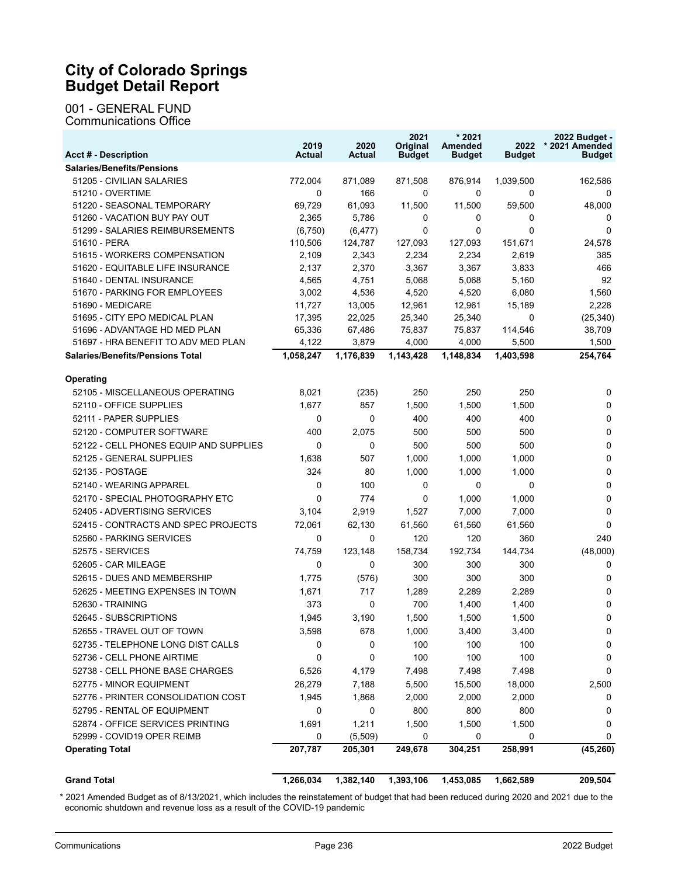#### **City of Colorado Springs Budget Detail Report**

#### 001 - GENERAL FUND Communications Office

| <b>Acct # - Description</b>             | 2019<br>Actual | 2020<br>Actual | 2021<br>Original<br><b>Budget</b> | $*2021$<br><b>Amended</b><br>Budget | 2022<br><b>Budget</b> | 2022 Budget -<br>* 2021 Amended<br><b>Budget</b> |
|-----------------------------------------|----------------|----------------|-----------------------------------|-------------------------------------|-----------------------|--------------------------------------------------|
| <b>Salaries/Benefits/Pensions</b>       |                |                |                                   |                                     |                       |                                                  |
| 51205 - CIVILIAN SALARIES               | 772,004        | 871,089        | 871,508                           | 876,914                             | 1,039,500             | 162,586                                          |
| <b>51210 - OVERTIME</b>                 | 0              | 166            | $\Omega$                          | 0                                   | 0                     | 0                                                |
| 51220 - SEASONAL TEMPORARY              | 69,729         | 61,093         | 11,500                            | 11,500                              | 59,500                | 48,000                                           |
| 51260 - VACATION BUY PAY OUT            | 2,365          | 5,786          | 0                                 | 0                                   | 0                     | 0                                                |
| 51299 - SALARIES REIMBURSEMENTS         | (6,750)        | (6, 477)       | 0                                 | 0                                   | $\Omega$              | $\Omega$                                         |
| 51610 - PERA                            | 110,506        | 124,787        | 127,093                           | 127,093                             | 151,671               | 24,578                                           |
| 51615 - WORKERS COMPENSATION            | 2,109          | 2,343          | 2,234                             | 2,234                               | 2,619                 | 385                                              |
| 51620 - EQUITABLE LIFE INSURANCE        | 2,137          | 2,370          | 3,367                             | 3,367                               | 3,833                 | 466                                              |
| 51640 - DENTAL INSURANCE                | 4,565          | 4,751          | 5,068                             | 5,068                               | 5,160                 | 92                                               |
| 51670 - PARKING FOR EMPLOYEES           | 3,002          | 4,536          | 4,520                             | 4,520                               | 6,080                 | 1,560                                            |
| 51690 - MEDICARE                        | 11,727         | 13,005         | 12,961                            | 12,961                              | 15,189                | 2,228                                            |
| 51695 - CITY EPO MEDICAL PLAN           | 17,395         | 22,025         | 25,340                            | 25,340                              | 0                     | (25, 340)                                        |
| 51696 - ADVANTAGE HD MED PLAN           | 65,336         | 67,486         | 75,837                            | 75,837                              | 114,546               | 38,709                                           |
| 51697 - HRA BENEFIT TO ADV MED PLAN     | 4,122          | 3,879          | 4,000                             | 4,000                               | 5,500                 | 1,500                                            |
| <b>Salaries/Benefits/Pensions Total</b> | 1,058,247      | 1,176,839      | 1,143,428                         | 1,148,834                           | 1,403,598             | 254,764                                          |
| <b>Operating</b>                        |                |                |                                   |                                     |                       |                                                  |
| 52105 - MISCELLANEOUS OPERATING         | 8,021          | (235)          | 250                               | 250                                 | 250                   | 0                                                |
| 52110 - OFFICE SUPPLIES                 | 1,677          | 857            | 1,500                             | 1,500                               | 1,500                 | 0                                                |
| 52111 - PAPER SUPPLIES                  | 0              | $\Omega$       | 400                               | 400                                 | 400                   | 0                                                |
| 52120 - COMPUTER SOFTWARE               | 400            | 2,075          | 500                               | 500                                 | 500                   | 0                                                |
| 52122 - CELL PHONES EQUIP AND SUPPLIES  | 0              | 0              | 500                               | 500                                 | 500                   | 0                                                |
| 52125 - GENERAL SUPPLIES                | 1,638          | 507            | 1,000                             | 1,000                               | 1,000                 | 0                                                |
| 52135 - POSTAGE                         | 324            | 80             | 1,000                             | 1,000                               | 1,000                 | 0                                                |
| 52140 - WEARING APPAREL                 | 0              | 100            | 0                                 | 0                                   | 0                     | 0                                                |
| 52170 - SPECIAL PHOTOGRAPHY ETC         | 0              | 774            | 0                                 | 1,000                               | 1,000                 | 0                                                |
| 52405 - ADVERTISING SERVICES            | 3,104          | 2,919          | 1,527                             | 7,000                               | 7,000                 | 0                                                |
| 52415 - CONTRACTS AND SPEC PROJECTS     | 72,061         | 62,130         | 61,560                            | 61,560                              | 61,560                | 0                                                |
| 52560 - PARKING SERVICES                | 0              | 0              | 120                               | 120                                 | 360                   | 240                                              |
| 52575 - SERVICES                        | 74,759         | 123,148        | 158,734                           | 192,734                             | 144,734               | (48,000)                                         |
| 52605 - CAR MILEAGE                     | 0              | 0              | 300                               | 300                                 | 300                   | 0                                                |
| 52615 - DUES AND MEMBERSHIP             | 1,775          | (576)          | 300                               | 300                                 | 300                   | 0                                                |
| 52625 - MEETING EXPENSES IN TOWN        | 1,671          | 717            | 1,289                             | 2,289                               | 2,289                 | 0                                                |
| 52630 - TRAINING                        | 373            | $\Omega$       | 700                               | 1,400                               | 1,400                 | 0                                                |
| 52645 - SUBSCRIPTIONS                   | 1,945          | 3,190          | 1,500                             | 1,500                               | 1,500                 | $\Omega$                                         |
| 52655 - TRAVEL OUT OF TOWN              | 3,598          | 678            | 1,000                             | 3,400                               | 3,400                 | 0                                                |
| 52735 - TELEPHONE LONG DIST CALLS       | 0              | 0              | 100                               | 100                                 | 100                   | 0                                                |
| 52736 - CELL PHONE AIRTIME              | $\mathbf 0$    | 0              | 100                               | 100                                 | 100                   | 0                                                |
| 52738 - CELL PHONE BASE CHARGES         | 6,526          | 4,179          | 7,498                             | 7,498                               | 7,498                 | 0                                                |
| 52775 - MINOR EQUIPMENT                 | 26,279         | 7,188          | 5,500                             | 15,500                              | 18,000                | 2,500                                            |
| 52776 - PRINTER CONSOLIDATION COST      | 1,945          | 1,868          | 2,000                             | 2,000                               | 2,000                 | 0                                                |
| 52795 - RENTAL OF EQUIPMENT             | 0              | 0              | 800                               | 800                                 | 800                   | 0                                                |
| 52874 - OFFICE SERVICES PRINTING        | 1,691          | 1,211          | 1,500                             | 1,500                               | 1,500                 | 0                                                |
| 52999 - COVID19 OPER REIMB              | 0              | (5,509)        | 0                                 | 0                                   | 0                     | 0                                                |
| <b>Operating Total</b>                  | 207,787        | 205,301        | 249,678                           | 304,251                             | 258,991               | (45, 260)                                        |
| <b>Grand Total</b>                      | 1,266,034      | 1,382,140      | 1,393,106                         | 1,453,085                           | 1,662,589             | 209,504                                          |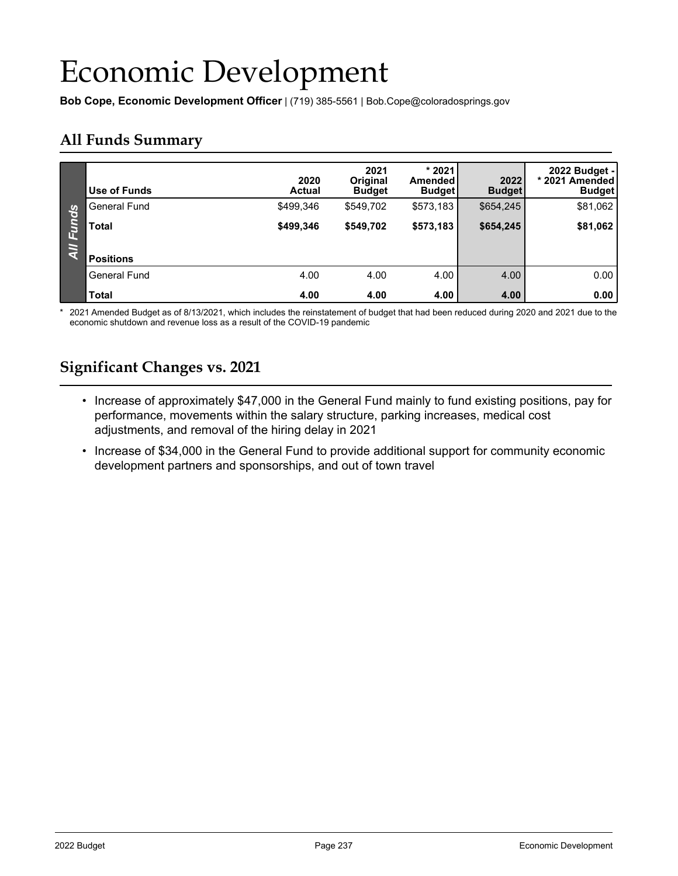# Economic Development

**Bob Cope, Economic Development Officer** | (719) 385-5561 | Bob.Cope@coloradosprings.gov

#### **All Funds Summary**

|              | Use of Funds        | 2020<br><b>Actual</b> | 2021<br><b>Original</b><br><b>Budget</b> | $*2021$<br>Amended<br><b>Budget</b> | 2022<br><b>Budget</b> | 2022 Budget -<br>* 2021 Amended<br><b>Budget</b> |
|--------------|---------------------|-----------------------|------------------------------------------|-------------------------------------|-----------------------|--------------------------------------------------|
|              | <b>General Fund</b> | \$499,346             | \$549,702                                | \$573,183                           | \$654,245             | \$81,062                                         |
| <b>Funds</b> | <b>Total</b>        | \$499,346             | \$549,702                                | \$573,183                           | \$654,245             | \$81,062                                         |
| 57           | <b>Positions</b>    |                       |                                          |                                     |                       |                                                  |
|              | <b>General Fund</b> | 4.00                  | 4.00                                     | 4.00                                | 4.00                  | 0.00                                             |
|              | <b>Total</b>        | 4.00                  | 4.00                                     | 4.00                                | 4.00                  | 0.00                                             |

\* 2021 Amended Budget as of 8/13/2021, which includes the reinstatement of budget that had been reduced during 2020 and 2021 due to the economic shutdown and revenue loss as a result of the COVID-19 pandemic

#### **Significant Changes vs. 2021**

- Increase of approximately \$47,000 in the General Fund mainly to fund existing positions, pay for performance, movements within the salary structure, parking increases, medical cost adjustments, and removal of the hiring delay in 2021
- Increase of \$34,000 in the General Fund to provide additional support for community economic development partners and sponsorships, and out of town travel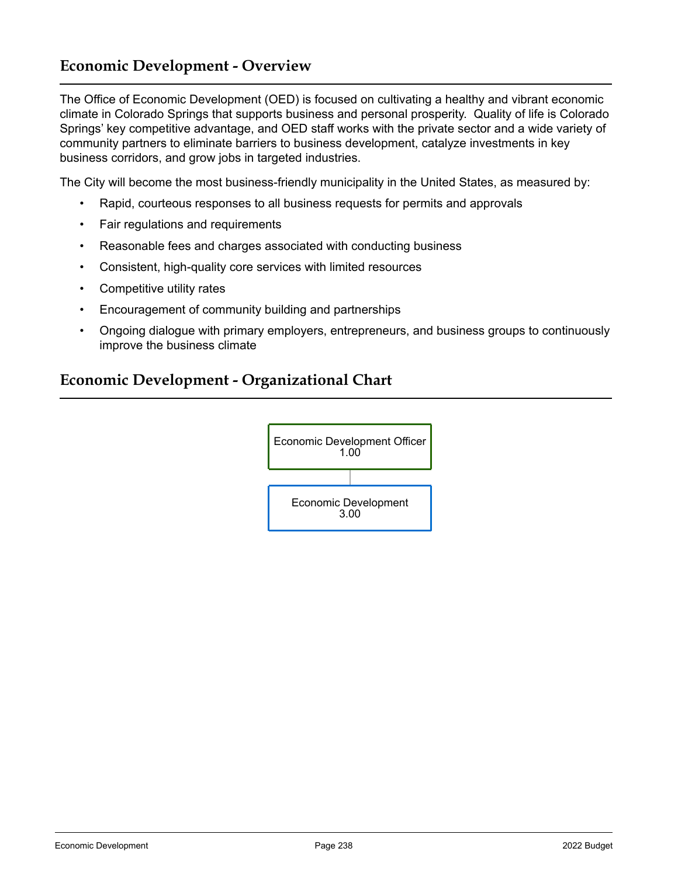#### **Economic Development - Overview**

The Office of Economic Development (OED) is focused on cultivating a healthy and vibrant economic climate in Colorado Springs that supports business and personal prosperity. Quality of life is Colorado Springs' key competitive advantage, and OED staff works with the private sector and a wide variety of [community partners](http://www.denvergov.org/oed/DenverOfficeofEconomicDevelopment/AboutUs/Partnerships/tabid/440288/Default.aspx) to eliminate barriers to business development, catalyze investments in key business corridors, and grow jobs in targeted industries.

The City will become the most business-friendly municipality in the United States, as measured by:

- Rapid, courteous responses to all business requests for permits and approvals
- Fair regulations and requirements
- Reasonable fees and charges associated with conducting business
- Consistent, high-quality core services with limited resources
- Competitive utility rates
- Encouragement of community building and partnerships
- Ongoing dialogue with primary employers, entrepreneurs, and business groups to continuously improve the business climate

#### **Economic Development - Organizational Chart**

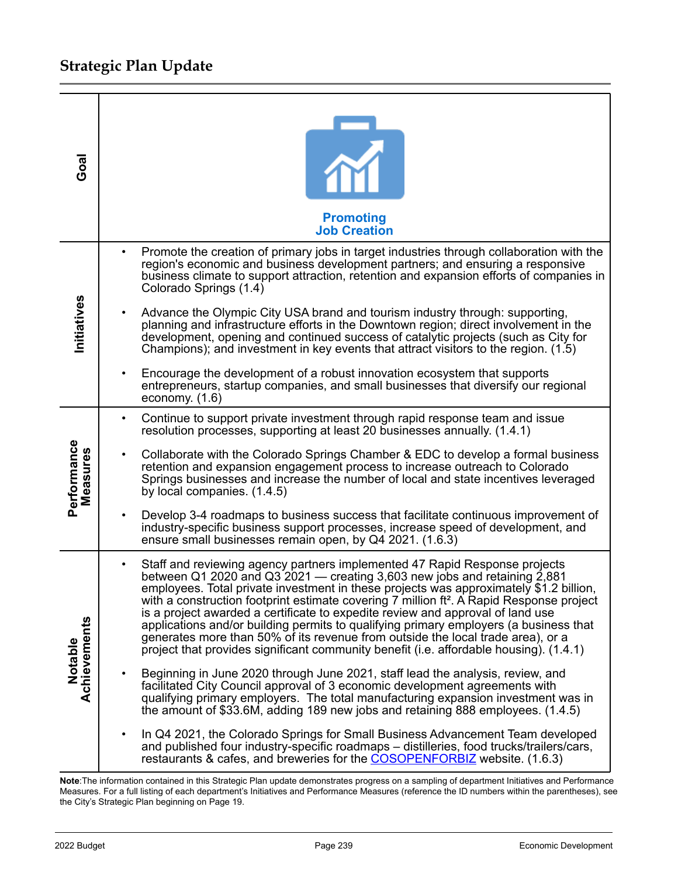| Goal                    | <b>Promoting</b><br><b>Job Creation</b>                                                                                                                                                                                                                                                                                                                                                                                                                                                                                                                                                                                                                                                                                          |
|-------------------------|----------------------------------------------------------------------------------------------------------------------------------------------------------------------------------------------------------------------------------------------------------------------------------------------------------------------------------------------------------------------------------------------------------------------------------------------------------------------------------------------------------------------------------------------------------------------------------------------------------------------------------------------------------------------------------------------------------------------------------|
|                         | Promote the creation of primary jobs in target industries through collaboration with the<br>$\bullet$<br>region's economic and business development partners; and ensuring a responsive<br>business climate to support attraction, retention and expansion efforts of companies in<br>Colorado Springs (1.4)                                                                                                                                                                                                                                                                                                                                                                                                                     |
| Initiatives             | Advance the Olympic City USA brand and tourism industry through: supporting,<br>$\bullet$<br>planning and infrastructure efforts in the Downtown region; direct involvement in the<br>development, opening and continued success of catalytic projects (such as City for<br>Champions); and investment in key events that attract visitors to the region. (1.5)                                                                                                                                                                                                                                                                                                                                                                  |
|                         | Encourage the development of a robust innovation ecosystem that supports<br>$\bullet$<br>entrepreneurs, startup companies, and small businesses that diversify our regional<br>economy. $(1.6)$                                                                                                                                                                                                                                                                                                                                                                                                                                                                                                                                  |
|                         | Continue to support private investment through rapid response team and issue<br>$\bullet$<br>resolution processes, supporting at least 20 businesses annually. (1.4.1)                                                                                                                                                                                                                                                                                                                                                                                                                                                                                                                                                           |
| Performance<br>Measures | Collaborate with the Colorado Springs Chamber & EDC to develop a formal business<br>$\bullet$<br>retention and expansion engagement process to increase outreach to Colorado<br>Springs businesses and increase the number of local and state incentives leveraged<br>by local companies. (1.4.5)                                                                                                                                                                                                                                                                                                                                                                                                                                |
|                         | Develop 3-4 roadmaps to business success that facilitate continuous improvement of<br>$\bullet$<br>industry-specific business support processes, increase speed of development, and<br>ensure small businesses remain open, by Q4 2021. (1.6.3)                                                                                                                                                                                                                                                                                                                                                                                                                                                                                  |
|                         | Staff and reviewing agency partners implemented 47 Rapid Response projects<br>$\bullet$<br>between Q1 2020 and Q3 2021 $-$ creating 3,603 new jobs and retaining 2,881<br>employees. Total private investment in these projects was approximately \$1.2 billion,<br>with a construction footprint estimate covering 7 million ft <sup>2</sup> . A Rapid Response project<br>is a project awarded a certificate to expedite review and approval of land use<br>applications and/or building permits to qualifying primary employers (a business that<br>generates more than 50% of its revenue from outside the local trade area), or a<br>project that provides significant community benefit (i.e. affordable housing). (1.4.1) |
| Achievements<br>Notable | Beginning in June 2020 through June 2021, staff lead the analysis, review, and<br>$\bullet$<br>facilitated City Council approval of 3 economic development agreements with<br>qualifying primary employers. The total manufacturing expansion investment was in<br>the amount of \$33.6M, adding 189 new jobs and retaining 888 employees. (1.4.5)                                                                                                                                                                                                                                                                                                                                                                               |
|                         | In Q4 2021, the Colorado Springs for Small Business Advancement Team developed<br>$\bullet$<br>and published four industry-specific roadmaps – distilleries, food trucks/trailers/cars,<br>restaurants & cafes, and breweries for the COSOPENFORBIZ website. (1.6.3)                                                                                                                                                                                                                                                                                                                                                                                                                                                             |

**Note**:The information contained in this Strategic Plan update demonstrates progress on a sampling of department Initiatives and Performance Measures. For a full listing of each department's Initiatives and Performance Measures (reference the ID numbers within the parentheses), see the City's Strategic Plan beginning on Page 19.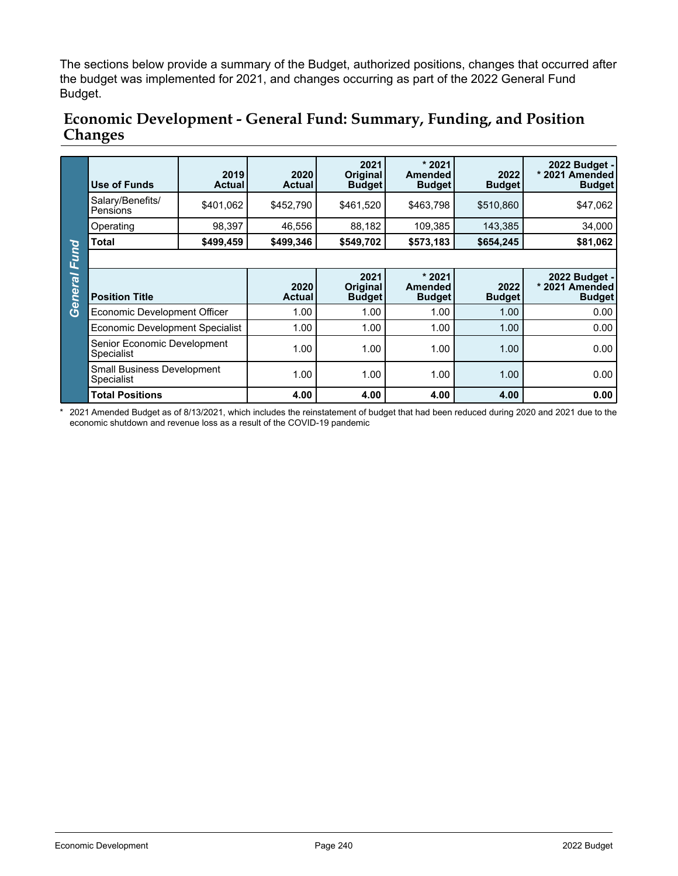The sections below provide a summary of the Budget, authorized positions, changes that occurred after the budget was implemented for 2021, and changes occurring as part of the 2022 General Fund Budget.

#### **Economic Development - General Fund: Summary, Funding, and Position Changes**

|         | Use of Funds                                           | 2019<br><b>Actual</b> | 2020<br><b>Actual</b> | 2021<br>Original<br><b>Budget</b> | $*2021$<br><b>Amended</b><br><b>Budget</b> | 2022<br><b>Budget</b> | 2022 Budget -<br>* 2021 Amended<br><b>Budget</b> |  |
|---------|--------------------------------------------------------|-----------------------|-----------------------|-----------------------------------|--------------------------------------------|-----------------------|--------------------------------------------------|--|
|         | Salary/Benefits/<br>Pensions                           | \$401,062             | \$452,790             | \$461,520                         | \$463,798                                  | \$510,860             | \$47,062                                         |  |
|         | Operating                                              | 98,397                | 46,556                | 88,182                            | 109,385                                    | 143,385               | 34,000                                           |  |
|         | <b>Total</b>                                           | \$499,459             | \$499,346             | \$549,702                         | \$573,183                                  | \$654,245             | \$81,062                                         |  |
| Fund    |                                                        |                       |                       |                                   |                                            |                       |                                                  |  |
| General | <b>Position Title</b>                                  |                       | 2020<br><b>Actual</b> | 2021<br>Original<br><b>Budget</b> | $*2021$<br><b>Amended</b><br><b>Budget</b> | 2022<br><b>Budget</b> | 2022 Budget -<br>* 2021 Amended<br><b>Budget</b> |  |
|         | Economic Development Officer                           |                       | 1.00                  | 1.00                              | 1.00                                       | 1.00                  | 0.00                                             |  |
|         | <b>Economic Development Specialist</b>                 |                       | 1.00                  | 1.00                              | 1.00                                       | 1.00                  | 0.00                                             |  |
|         | Senior Economic Development<br>Specialist              |                       | 1.00                  | 1.00                              | 1.00                                       | 1.00                  | 0.00                                             |  |
|         | <b>Small Business Development</b><br><b>Specialist</b> |                       | 1.00                  | 1.00                              | 1.00                                       | 1.00                  | 0.00                                             |  |
|         | <b>Total Positions</b>                                 |                       | 4.00                  | 4.00                              | 4.00                                       | 4.00                  | 0.00                                             |  |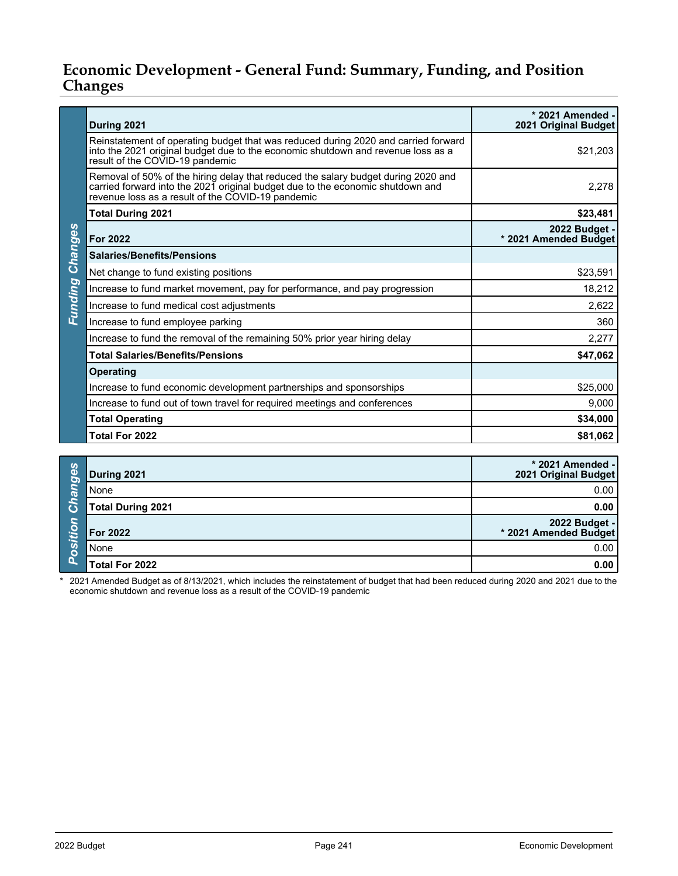#### **Economic Development - General Fund: Summary, Funding, and Position Changes**

| During 2021                                                                                                                                                                                                              | * 2021 Amended -<br>2021 Original Budget |
|--------------------------------------------------------------------------------------------------------------------------------------------------------------------------------------------------------------------------|------------------------------------------|
| Reinstatement of operating budget that was reduced during 2020 and carried forward<br>into the 2021 original budget due to the economic shutdown and revenue loss as a<br>result of the COVID-19 pandemic                | \$21,203                                 |
| Removal of 50% of the hiring delay that reduced the salary budget during 2020 and<br>carried forward into the 2021 original budget due to the economic shutdown and<br>revenue loss as a result of the COVID-19 pandemic | 2.278                                    |
| <b>Total During 2021</b>                                                                                                                                                                                                 | \$23,481                                 |
| For 2022                                                                                                                                                                                                                 | 2022 Budget -<br>* 2021 Amended Budget   |
| <b>Salaries/Benefits/Pensions</b>                                                                                                                                                                                        |                                          |
| Net change to fund existing positions                                                                                                                                                                                    | \$23,591                                 |
| Increase to fund market movement, pay for performance, and pay progression                                                                                                                                               | 18,212                                   |
| Increase to fund medical cost adjustments                                                                                                                                                                                | 2,622                                    |
| Increase to fund employee parking                                                                                                                                                                                        | 360                                      |
| Increase to fund the removal of the remaining 50% prior year hiring delay                                                                                                                                                | 2,277                                    |
| <b>Total Salaries/Benefits/Pensions</b>                                                                                                                                                                                  | \$47,062                                 |
| <b>Operating</b>                                                                                                                                                                                                         |                                          |
| Increase to fund economic development partnerships and sponsorships                                                                                                                                                      | \$25,000                                 |
| Increase to fund out of town travel for required meetings and conferences                                                                                                                                                | 9,000                                    |
| <b>Total Operating</b>                                                                                                                                                                                                   | \$34,000                                 |
| <b>Total For 2022</b>                                                                                                                                                                                                    | \$81,062                                 |
|                                                                                                                                                                                                                          | $*2024$ Amondod                          |
|                                                                                                                                                                                                                          |                                          |

| n<br>$\boldsymbol{\omega}$<br>ğ | During 2021              | * 2021 Amended -<br>2021 Original Budget |
|---------------------------------|--------------------------|------------------------------------------|
| <u>ier</u>                      | None                     | 0.00                                     |
|                                 | <b>Total During 2021</b> | 0.00                                     |
| $\circ$<br>15                   | <b>For 2022</b>          | 2022 Budget -<br>* 2021 Amended Budget   |
| SO                              | None                     | 0.00                                     |
|                                 | Total For 2022           | 0.00                                     |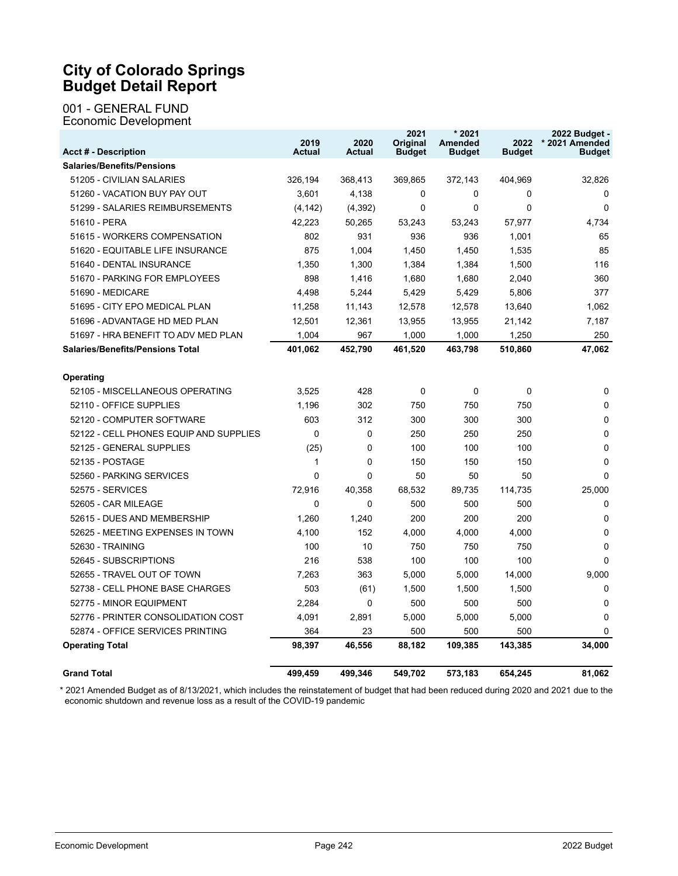#### **City of Colorado Springs Budget Detail Report**

#### 001 - GENERAL FUND Economic Development

| Louisino Development                    | 2019          | 2020     | 2021<br>Original | $*2021$<br>Amended | 2022          | 2022 Budget -<br>* 2021 Amended |
|-----------------------------------------|---------------|----------|------------------|--------------------|---------------|---------------------------------|
| <b>Acct # - Description</b>             | <b>Actual</b> | Actual   | <b>Budget</b>    | <b>Budget</b>      | <b>Budget</b> | <b>Budget</b>                   |
| <b>Salaries/Benefits/Pensions</b>       |               |          |                  |                    |               |                                 |
| 51205 - CIVILIAN SALARIES               | 326,194       | 368,413  | 369,865          | 372,143            | 404,969       | 32,826                          |
| 51260 - VACATION BUY PAY OUT            | 3,601         | 4,138    | 0                | 0                  | 0             | 0                               |
| 51299 - SALARIES REIMBURSEMENTS         | (4, 142)      | (4, 392) | 0                | $\mathbf 0$        | $\Omega$      | $\mathbf 0$                     |
| 51610 - PERA                            | 42,223        | 50,265   | 53,243           | 53,243             | 57,977        | 4.734                           |
| 51615 - WORKERS COMPENSATION            | 802           | 931      | 936              | 936                | 1,001         | 65                              |
| 51620 - EQUITABLE LIFE INSURANCE        | 875           | 1,004    | 1,450            | 1,450              | 1,535         | 85                              |
| 51640 - DENTAL INSURANCE                | 1,350         | 1,300    | 1,384            | 1,384              | 1,500         | 116                             |
| 51670 - PARKING FOR EMPLOYEES           | 898           | 1,416    | 1,680            | 1,680              | 2,040         | 360                             |
| 51690 - MEDICARE                        | 4,498         | 5,244    | 5,429            | 5,429              | 5,806         | 377                             |
| 51695 - CITY EPO MEDICAL PLAN           | 11,258        | 11,143   | 12,578           | 12,578             | 13,640        | 1,062                           |
| 51696 - ADVANTAGE HD MED PLAN           | 12,501        | 12,361   | 13,955           | 13,955             | 21,142        | 7,187                           |
| 51697 - HRA BENEFIT TO ADV MED PLAN     | 1,004         | 967      | 1,000            | 1,000              | 1,250         | 250                             |
| <b>Salaries/Benefits/Pensions Total</b> | 401,062       | 452,790  | 461,520          | 463,798            | 510,860       | 47,062                          |
| Operating                               |               |          |                  |                    |               |                                 |
| 52105 - MISCELLANEOUS OPERATING         | 3,525         | 428      | 0                | $\mathbf 0$        | $\mathbf 0$   | $\mathbf 0$                     |
| 52110 - OFFICE SUPPLIES                 | 1,196         | 302      | 750              | 750                | 750           | $\Omega$                        |
| 52120 - COMPUTER SOFTWARE               | 603           | 312      | 300              | 300                | 300           | $\mathbf 0$                     |
| 52122 - CELL PHONES EQUIP AND SUPPLIES  | 0             | 0        | 250              | 250                | 250           | 0                               |
| 52125 - GENERAL SUPPLIES                | (25)          | 0        | 100              | 100                | 100           | $\mathbf 0$                     |
| 52135 - POSTAGE                         | 1             | 0        | 150              | 150                | 150           | 0                               |
| 52560 - PARKING SERVICES                | 0             | 0        | 50               | 50                 | 50            | $\Omega$                        |
| 52575 - SERVICES                        | 72,916        | 40,358   | 68,532           | 89,735             | 114,735       | 25,000                          |
| 52605 - CAR MILEAGE                     | $\Omega$      | 0        | 500              | 500                | 500           | $\mathbf 0$                     |
| 52615 - DUES AND MEMBERSHIP             | 1,260         | 1,240    | 200              | 200                | 200           | $\mathbf 0$                     |
| 52625 - MEETING EXPENSES IN TOWN        | 4,100         | 152      | 4,000            | 4,000              | 4,000         | $\Omega$                        |
| 52630 - TRAINING                        | 100           | 10       | 750              | 750                | 750           | $\mathbf 0$                     |
| 52645 - SUBSCRIPTIONS                   | 216           | 538      | 100              | 100                | 100           | $\mathbf 0$                     |
| 52655 - TRAVEL OUT OF TOWN              | 7,263         | 363      | 5,000            | 5,000              | 14,000        | 9,000                           |
| 52738 - CELL PHONE BASE CHARGES         | 503           | (61)     | 1,500            | 1,500              | 1,500         | 0                               |
| 52775 - MINOR EQUIPMENT                 | 2,284         | 0        | 500              | 500                | 500           | 0                               |
| 52776 - PRINTER CONSOLIDATION COST      | 4,091         | 2,891    | 5,000            | 5,000              | 5,000         | $\mathbf 0$                     |
| 52874 - OFFICE SERVICES PRINTING        | 364           | 23       | 500              | 500                | 500           | $\mathbf{0}$                    |
| <b>Operating Total</b>                  | 98,397        | 46,556   | 88,182           | 109,385            | 143,385       | 34,000                          |
| <b>Grand Total</b>                      | 499,459       | 499,346  | 549,702          | 573,183            | 654,245       | 81,062                          |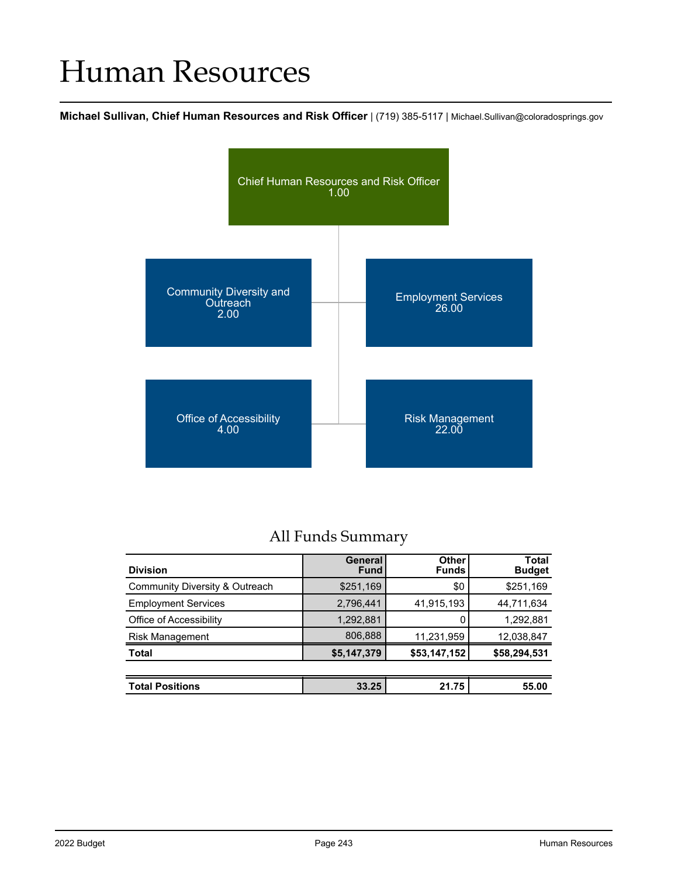# Human Resources

**Michael Sullivan, Chief Human Resources and Risk Officer** | (719) 385-5117 | Michael.Sullivan@coloradosprings.gov



### All Funds Summary

| <b>Division</b>                | <b>General</b><br><b>Fund</b> | <b>Other</b><br><b>Funds</b> | Total<br><b>Budget</b> |
|--------------------------------|-------------------------------|------------------------------|------------------------|
| Community Diversity & Outreach | \$251,169                     | \$0                          | \$251,169              |
| <b>Employment Services</b>     | 2,796,441                     | 41,915,193                   | 44,711,634             |
| Office of Accessibility        | 1,292,881                     |                              | 1,292,881              |
| <b>Risk Management</b>         | 806,888                       | 11,231,959                   | 12,038,847             |
| <b>Total</b>                   | \$5,147,379                   | \$53,147,152                 | \$58,294,531           |
|                                |                               |                              |                        |
| <b>Total Positions</b>         | 33.25                         | 21.75                        | 55.00                  |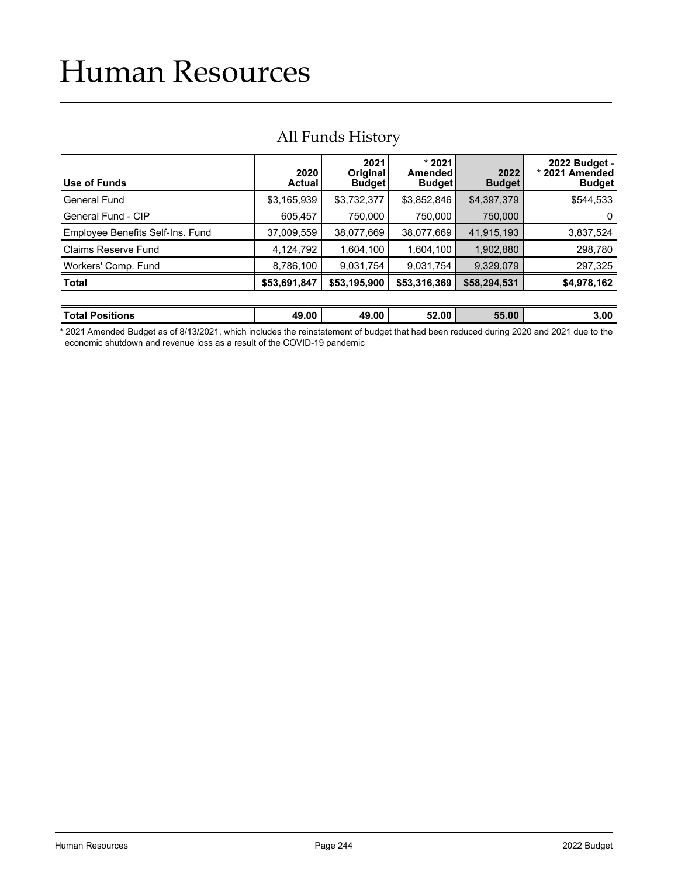# Human Resources

# All Funds History

| Use of Funds                     | 2020<br><b>Actual</b> | 2021<br>Original<br><b>Budget</b> | $*2021$<br><b>Amended</b><br><b>Budget</b> | 2022<br><b>Budget</b> | 2022 Budget -<br>* 2021 Amended<br><b>Budget</b> |
|----------------------------------|-----------------------|-----------------------------------|--------------------------------------------|-----------------------|--------------------------------------------------|
| General Fund                     | \$3,165,939           | \$3,732,377                       | \$3,852,846                                | \$4,397,379           | \$544,533                                        |
| General Fund - CIP               | 605,457               | 750,000                           | 750,000                                    | 750,000               | 0                                                |
| Employee Benefits Self-Ins. Fund | 37,009,559            | 38,077,669                        | 38,077,669                                 | 41,915,193            | 3,837,524                                        |
| Claims Reserve Fund              | 4,124,792             | 1,604,100                         | 1,604,100                                  | 1,902,880             | 298,780                                          |
| Workers' Comp. Fund              | 8,786,100             | 9,031,754                         | 9,031,754                                  | 9,329,079             | 297,325                                          |
| Total                            | \$53,691,847          | \$53,195,900                      | \$53,316,369                               | \$58,294,531          | \$4,978,162                                      |
|                                  |                       |                                   |                                            |                       |                                                  |
| <b>Total Positions</b>           | 49.00                 | 49.00                             | 52.00                                      | 55.00                 | 3.00                                             |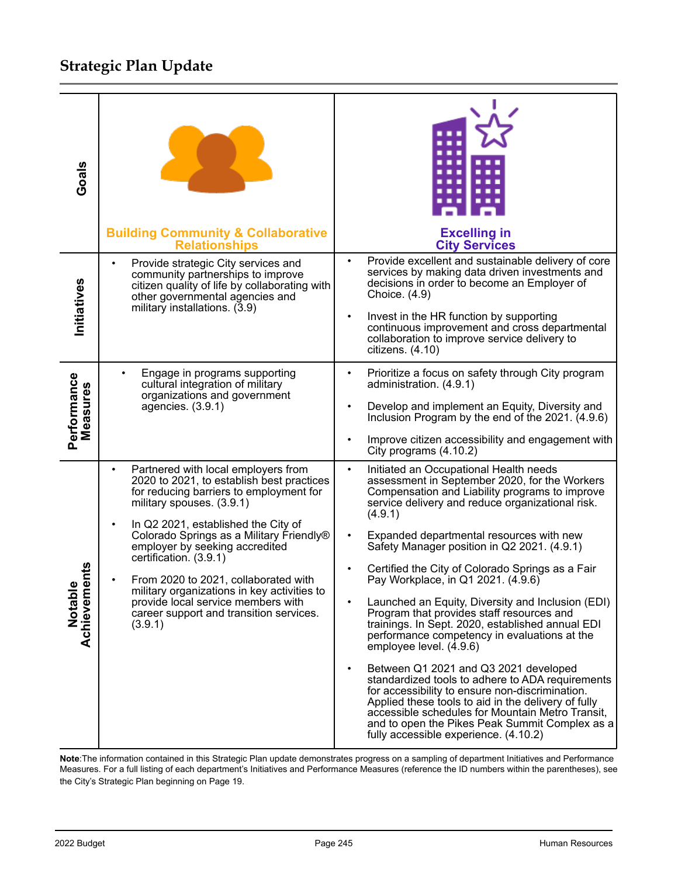# **Strategic Plan Update**

| Goals                                  | <b>Building Community &amp; Collaborative</b><br><b>Relationships</b>                                                                                                                                                                                                                                                                                                                                                                                                                                   | <b>Excelling in</b><br><b>City Services</b>                                                                                                                                                                                                                                                                                                                                                                                                                                                                                                                                                                                                                                                                                                                                                                                                                                                                                                                                          |
|----------------------------------------|---------------------------------------------------------------------------------------------------------------------------------------------------------------------------------------------------------------------------------------------------------------------------------------------------------------------------------------------------------------------------------------------------------------------------------------------------------------------------------------------------------|--------------------------------------------------------------------------------------------------------------------------------------------------------------------------------------------------------------------------------------------------------------------------------------------------------------------------------------------------------------------------------------------------------------------------------------------------------------------------------------------------------------------------------------------------------------------------------------------------------------------------------------------------------------------------------------------------------------------------------------------------------------------------------------------------------------------------------------------------------------------------------------------------------------------------------------------------------------------------------------|
| Initiatives                            | Provide strategic City services and<br>community partnerships to improve<br>citizen quality of life by collaborating with<br>other governmental agencies and<br>military installations. (3.9)                                                                                                                                                                                                                                                                                                           | Provide excellent and sustainable delivery of core<br>$\bullet$<br>services by making data driven investments and<br>decisions in order to become an Employer of<br>Choice. (4.9)<br>Invest in the HR function by supporting<br>continuous improvement and cross departmental<br>collaboration to improve service delivery to<br>citizens. (4.10)                                                                                                                                                                                                                                                                                                                                                                                                                                                                                                                                                                                                                                    |
| Performance<br>Measures                | Engage in programs supporting<br>$\bullet$<br>cultural integration of military<br>organizations and government<br>agencies. (3.9.1)                                                                                                                                                                                                                                                                                                                                                                     | Prioritize a focus on safety through City program<br>٠<br>administration. (4.9.1)<br>Develop and implement an Equity, Diversity and<br>$\bullet$<br>Inclusion Program by the end of the 2021. (4.9.6)<br>Improve citizen accessibility and engagement with<br>$\bullet$<br>City programs (4.10.2)                                                                                                                                                                                                                                                                                                                                                                                                                                                                                                                                                                                                                                                                                    |
| ents<br>ω<br><b>Notabl</b><br>Achievem | Partnered with local employers from<br>2020 to 2021, to establish best practices<br>for reducing barriers to employment for<br>military spouses. (3.9.1)<br>In Q2 2021, established the City of<br>$\bullet$<br>Colorado Springs as a Military Friendly®<br>employer by seeking accredited<br>certification. (3.9.1)<br>From 2020 to 2021, collaborated with<br>military organizations in key activities to<br>provide local service members with<br>career support and transition services.<br>(3.9.1) | Initiated an Occupational Health needs<br>assessment in September 2020, for the Workers<br>Compensation and Liability programs to improve<br>service delivery and reduce organizational risk.<br>(4.9.1)<br>Expanded departmental resources with new<br>Safety Manager position in Q2 2021. (4.9.1)<br>Certified the City of Colorado Springs as a Fair<br>Pay Workplace, in Q1 2021. (4.9.6)<br>Launched an Equity, Diversity and Inclusion (EDI)<br>Program that provides staff resources and<br>trainings. In Sept. 2020, established annual EDI<br>performance competency in evaluations at the<br>employee level. (4.9.6)<br>Between Q1 2021 and Q3 2021 developed<br>standardized tools to adhere to ADA requirements<br>for accessibility to ensure non-discrimination.<br>Applied these tools to aid in the delivery of fully<br>accessible schedules for Mountain Metro Transit,<br>and to open the Pikes Peak Summit Complex as a<br>fully accessible experience. (4.10.2) |

**Note**:The information contained in this Strategic Plan update demonstrates progress on a sampling of department Initiatives and Performance Measures. For a full listing of each department's Initiatives and Performance Measures (reference the ID numbers within the parentheses), see the City's Strategic Plan beginning on Page 19.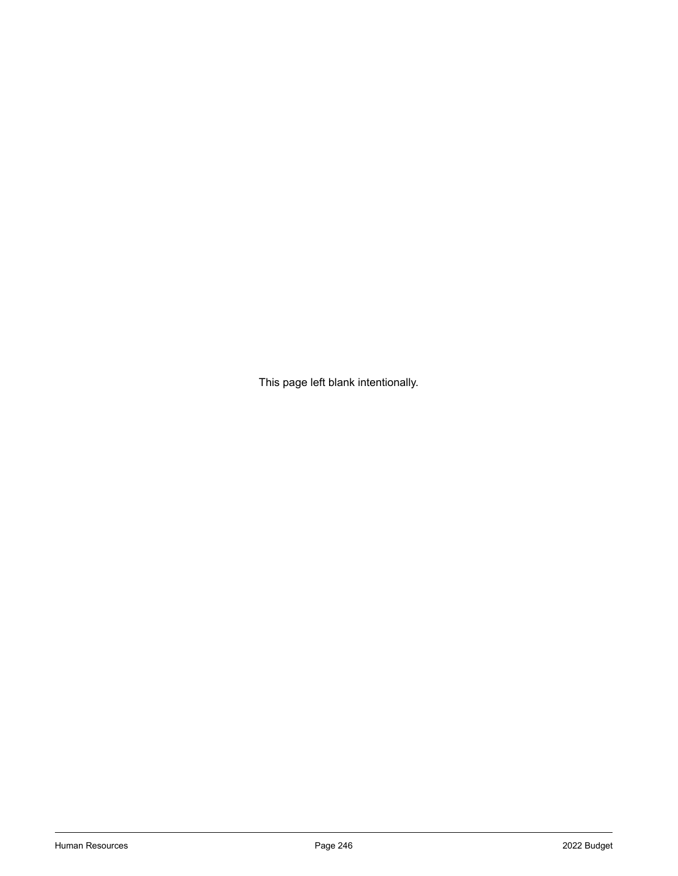This page left blank intentionally.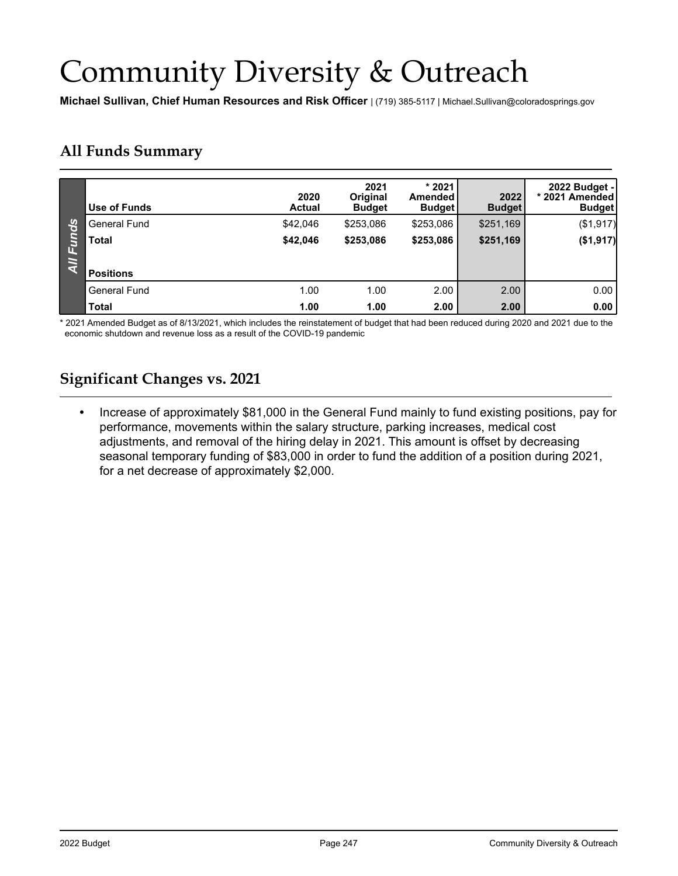# Community Diversity & Outreach

**Michael Sullivan, Chief Human Resources and Risk Officer** | (719) 385-5117 | Michael.Sullivan@coloradosprings.gov

### **All Funds Summary**

|                | Use of Funds        | 2020<br><b>Actual</b> | 2021<br>Original<br><b>Budget</b> | $*2021$<br>Amended<br><b>Budget</b> | 2022<br><b>Budget</b> | 2022 Budget -<br>* 2021 Amended<br><b>Budget</b> |
|----------------|---------------------|-----------------------|-----------------------------------|-------------------------------------|-----------------------|--------------------------------------------------|
| 8p             | <b>General Fund</b> | \$42,046              | \$253,086                         | \$253,086                           | \$251,169             | (\$1,917)                                        |
| <b>NULI</b>    | <b>Total</b>        | \$42,046              | \$253,086                         | \$253,086                           | \$251,169             | (\$1,917)                                        |
| $\overline{M}$ | <b>Positions</b>    |                       |                                   |                                     |                       |                                                  |
|                | <b>General Fund</b> | 1.00                  | 1.00                              | 2.00                                | 2.00                  | 0.00                                             |
|                | <b>Total</b>        | 1.00                  | 1.00                              | 2.00                                | 2.00                  | 0.00                                             |

\* 2021 Amended Budget as of 8/13/2021, which includes the reinstatement of budget that had been reduced during 2020 and 2021 due to the economic shutdown and revenue loss as a result of the COVID-19 pandemic

### **Significant Changes vs. 2021**

**•** Increase of approximately \$81,000 in the General Fund mainly to fund existing positions, pay for performance, movements within the salary structure, parking increases, medical cost adjustments, and removal of the hiring delay in 2021. This amount is offset by decreasing seasonal temporary funding of \$83,000 in order to fund the addition of a position during 2021, for a net decrease of approximately \$2,000.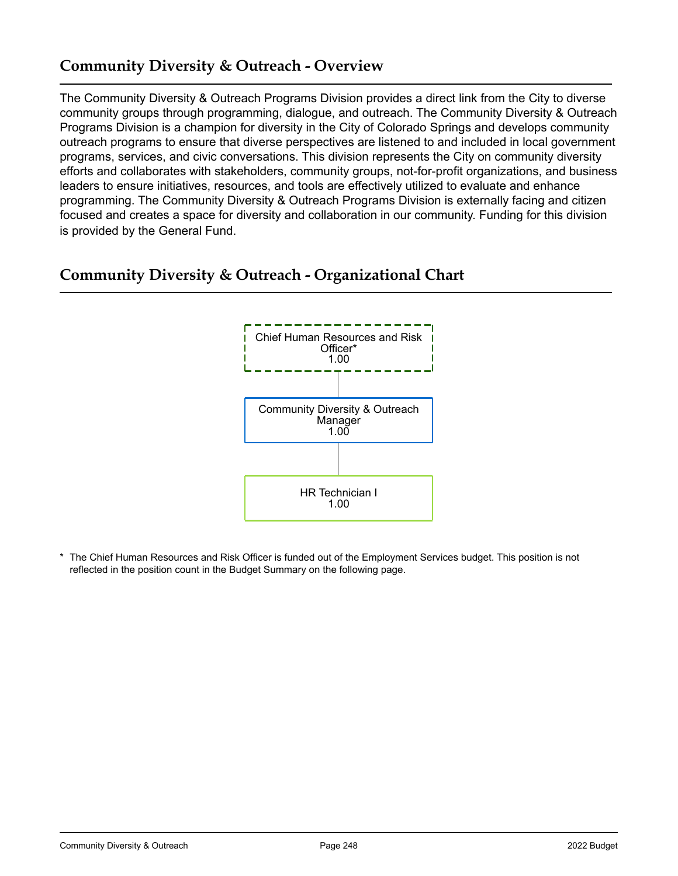#### **Community Diversity & Outreach - Overview**

The Community Diversity & Outreach Programs Division provides a direct link from the City to diverse community groups through programming, dialogue, and outreach. The Community Diversity & Outreach Programs Division is a champion for diversity in the City of Colorado Springs and develops community outreach programs to ensure that diverse perspectives are listened to and included in local government programs, services, and civic conversations. This division represents the City on community diversity efforts and collaborates with stakeholders, community groups, not-for-profit organizations, and business leaders to ensure initiatives, resources, and tools are effectively utilized to evaluate and enhance programming. The Community Diversity & Outreach Programs Division is externally facing and citizen focused and creates a space for diversity and collaboration in our community. Funding for this division is provided by the General Fund. 

#### **Community Diversity & Outreach - Organizational Chart**



\* The Chief Human Resources and Risk Officer is funded out of the Employment Services budget. This position is not reflected in the position count in the Budget Summary on the following page.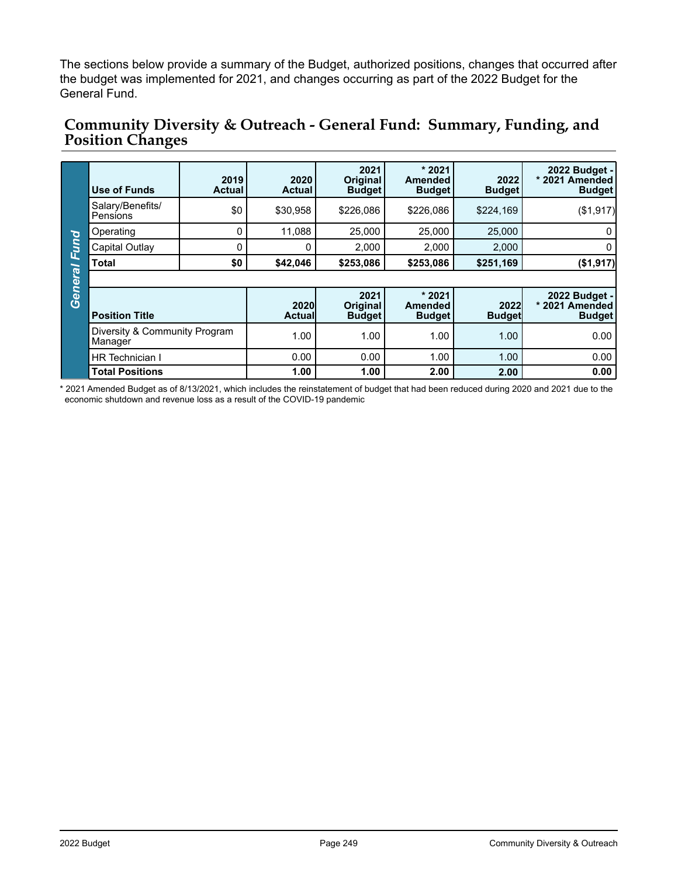The sections below provide a summary of the Budget, authorized positions, changes that occurred after the budget was implemented for 2021, and changes occurring as part of the 2022 Budget for the General Fund.

#### **Community Diversity & Outreach - General Fund: Summary, Funding, and Position Changes**

|             | <b>Use of Funds</b>                      | 2019<br><b>Actual</b> | 2020<br><b>Actual</b>        | 2021<br>Original<br><b>Budget</b> | $*2021$<br><b>Amended</b><br><b>Budget</b> | 2022<br><b>Budget</b> | 2022 Budget -<br>* 2021 Amended<br><b>Budget</b> |  |  |
|-------------|------------------------------------------|-----------------------|------------------------------|-----------------------------------|--------------------------------------------|-----------------------|--------------------------------------------------|--|--|
|             | Salary/Benefits/<br>Pensions             | \$0                   | \$30,958                     | \$226,086                         | \$226,086                                  | \$224,169             | (\$1,917)                                        |  |  |
|             | Operating                                |                       | 11,088                       | 25,000                            | 25,000                                     | 25,000                | 0                                                |  |  |
| <b>Fund</b> | Capital Outlay                           |                       | O                            | 2,000                             | 2,000                                      | 2,000                 | 0                                                |  |  |
|             | <b>Total</b>                             | \$0                   | \$42,046                     | \$253,086                         | \$253,086                                  | \$251,169             | (\$1,917)                                        |  |  |
|             |                                          |                       |                              |                                   |                                            |                       |                                                  |  |  |
| General     | <b>Position Title</b>                    |                       | <b>2020</b><br><b>Actual</b> | 2021<br>Original<br><b>Budget</b> | $*2021$<br><b>Amended</b><br><b>Budget</b> | 2022<br><b>Budget</b> | 2022 Budget -<br>* 2021 Amended<br><b>Budget</b> |  |  |
|             | Diversity & Community Program<br>Manager |                       | 1.00                         | 1.00                              | 1.00                                       | 1.00                  | 0.00                                             |  |  |
|             | <b>HR</b> Technician I                   |                       | 0.00                         | 0.00                              | 1.00                                       | 1.00                  | 0.00                                             |  |  |
|             | <b>Total Positions</b>                   |                       | 1.00                         | 1.00                              | 2.00                                       | 2.00                  | 0.00                                             |  |  |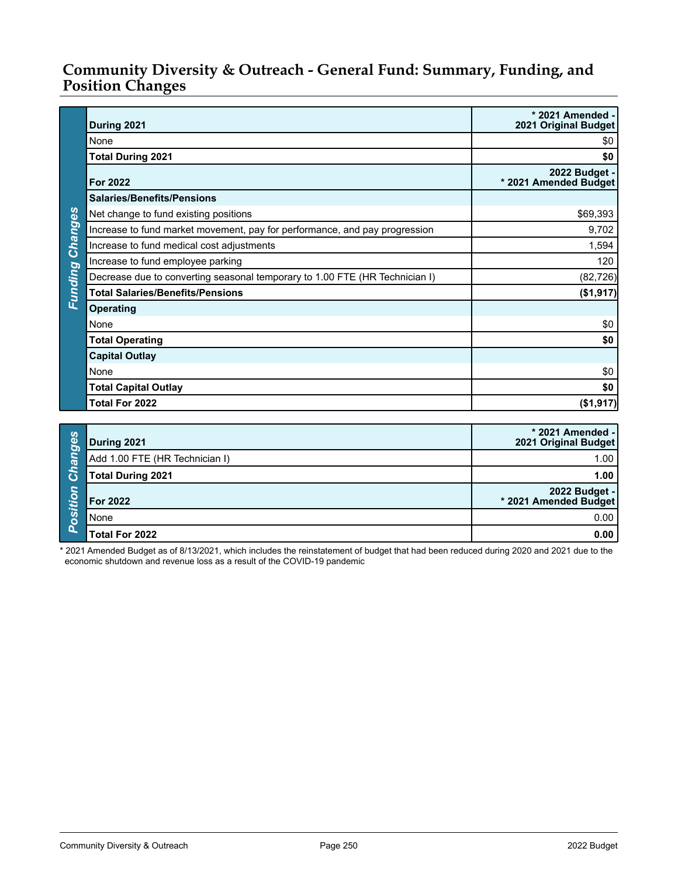#### **Community Diversity & Outreach - General Fund: Summary, Funding, and Position Changes**

|         | During 2021                                                                 | * 2021 Amended -<br>2021 Original Budget |
|---------|-----------------------------------------------------------------------------|------------------------------------------|
|         | None                                                                        | \$0                                      |
|         | <b>Total During 2021</b>                                                    | \$0                                      |
|         | For 2022                                                                    | 2022 Budget -<br>* 2021 Amended Budget   |
|         | <b>Salaries/Benefits/Pensions</b>                                           |                                          |
|         | Net change to fund existing positions                                       | \$69,393                                 |
| Changes | Increase to fund market movement, pay for performance, and pay progression  | 9,702                                    |
|         | Increase to fund medical cost adjustments                                   | 1,594                                    |
|         | Increase to fund employee parking                                           | 120                                      |
|         | Decrease due to converting seasonal temporary to 1.00 FTE (HR Technician I) | (82, 726)                                |
| Funding | <b>Total Salaries/Benefits/Pensions</b>                                     | (\$1,917)                                |
|         | <b>Operating</b>                                                            |                                          |
|         | None                                                                        | \$0                                      |
|         | <b>Total Operating</b>                                                      | \$0                                      |
|         | <b>Capital Outlay</b>                                                       |                                          |
|         | None                                                                        | \$0                                      |
|         | <b>Total Capital Outlay</b>                                                 | \$0                                      |
|         | <b>Total For 2022</b>                                                       | (\$1,917)                                |

| <u>hanges</u> | During 2021                    | * 2021 Amended -<br>2021 Original Budget |
|---------------|--------------------------------|------------------------------------------|
|               | Add 1.00 FTE (HR Technician I) | 1.00                                     |
| Ő             | <b>Total During 2021</b>       | 1.00                                     |
| c<br>itiol    | For 2022                       | 2022 Budget -<br>* 2021 Amended Budget   |
| <b>POSI</b>   | None                           | 0.00                                     |
|               | <b>Total For 2022</b>          | 0.00                                     |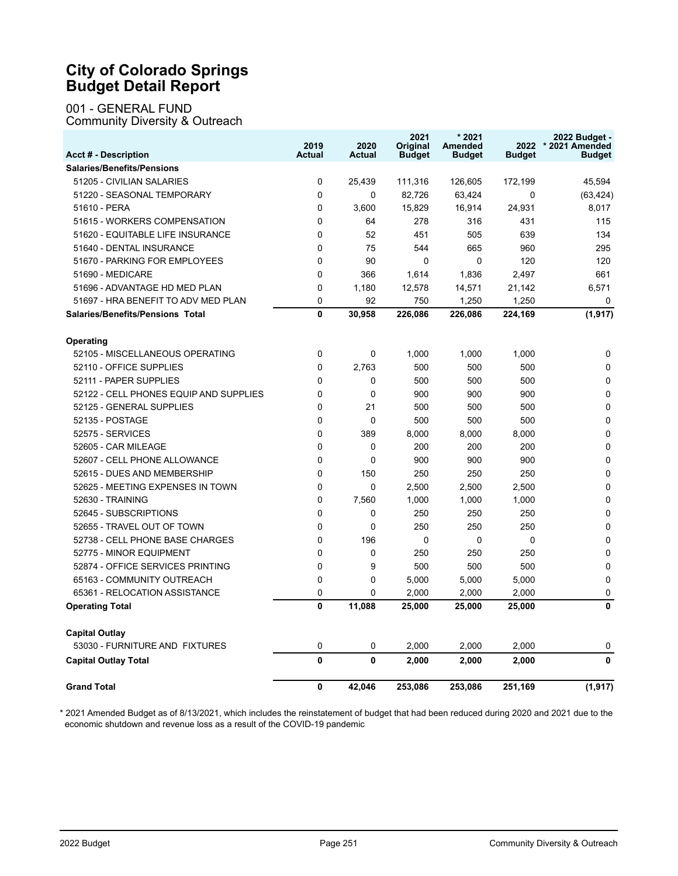#### **City of Colorado Springs Budget Detail Report**

#### 001 - GENERAL FUND

Community Diversity & Outreach

| <b>Acct # - Description</b>             | 2019<br>Actual | 2020<br>Actual | 2021<br>Original<br><b>Budget</b> | $*2021$<br><b>Amended</b><br><b>Budget</b> | 2022<br><b>Budget</b> | 2022 Budget -<br>* 2021 Amended<br><b>Budget</b> |
|-----------------------------------------|----------------|----------------|-----------------------------------|--------------------------------------------|-----------------------|--------------------------------------------------|
| <b>Salaries/Benefits/Pensions</b>       |                |                |                                   |                                            |                       |                                                  |
| 51205 - CIVILIAN SALARIES               | 0              | 25,439         | 111,316                           | 126,605                                    | 172,199               | 45,594                                           |
| 51220 - SEASONAL TEMPORARY              | $\Omega$       | $\Omega$       | 82,726                            | 63,424                                     | $\Omega$              | (63, 424)                                        |
| 51610 - PERA                            | $\Omega$       | 3,600          | 15,829                            | 16,914                                     | 24,931                | 8,017                                            |
| 51615 - WORKERS COMPENSATION            | $\mathbf 0$    | 64             | 278                               | 316                                        | 431                   | 115                                              |
| 51620 - EQUITABLE LIFE INSURANCE        | $\mathbf 0$    | 52             | 451                               | 505                                        | 639                   | 134                                              |
| 51640 - DENTAL INSURANCE                | $\mathbf{0}$   | 75             | 544                               | 665                                        | 960                   | 295                                              |
| 51670 - PARKING FOR EMPLOYEES           | $\Omega$       | 90             | $\Omega$                          | $\Omega$                                   | 120                   | 120                                              |
| 51690 - MEDICARE                        | $\mathbf 0$    | 366            | 1,614                             | 1,836                                      | 2,497                 | 661                                              |
| 51696 - ADVANTAGE HD MED PLAN           | $\Omega$       | 1,180          | 12,578                            | 14,571                                     | 21,142                | 6,571                                            |
| 51697 - HRA BENEFIT TO ADV MED PLAN     | 0              | 92             | 750                               | 1,250                                      | 1,250                 | 0                                                |
| <b>Salaries/Benefits/Pensions Total</b> | $\mathbf{0}$   | 30,958         | 226,086                           | 226,086                                    | 224,169               | (1, 917)                                         |
| <b>Operating</b>                        |                |                |                                   |                                            |                       |                                                  |
| 52105 - MISCELLANEOUS OPERATING         | $\mathbf 0$    | 0              | 1,000                             | 1,000                                      | 1,000                 | 0                                                |
| 52110 - OFFICE SUPPLIES                 | $\mathbf 0$    | 2,763          | 500                               | 500                                        | 500                   | 0                                                |
| 52111 - PAPER SUPPLIES                  | $\Omega$       | 0              | 500                               | 500                                        | 500                   | 0                                                |
| 52122 - CELL PHONES EQUIP AND SUPPLIES  | $\mathbf 0$    | 0              | 900                               | 900                                        | 900                   | 0                                                |
| 52125 - GENERAL SUPPLIES                | $\mathbf 0$    | 21             | 500                               | 500                                        | 500                   | $\mathbf 0$                                      |
| 52135 - POSTAGE                         | $\mathbf{0}$   | $\Omega$       | 500                               | 500                                        | 500                   | 0                                                |
| 52575 - SERVICES                        | $\Omega$       | 389            | 8,000                             | 8,000                                      | 8,000                 | $\mathbf{0}$                                     |
| 52605 - CAR MILEAGE                     | $\mathbf 0$    | 0              | 200                               | 200                                        | 200                   | $\mathbf 0$                                      |
| 52607 - CELL PHONE ALLOWANCE            | $\mathbf 0$    | 0              | 900                               | 900                                        | 900                   | 0                                                |
| 52615 - DUES AND MEMBERSHIP             | $\Omega$       | 150            | 250                               | 250                                        | 250                   | 0                                                |
| 52625 - MEETING EXPENSES IN TOWN        | $\Omega$       | 0              | 2,500                             | 2,500                                      | 2,500                 | $\mathbf 0$                                      |
| 52630 - TRAINING                        | 0              | 7,560          | 1,000                             | 1,000                                      | 1,000                 | $\mathbf 0$                                      |
| 52645 - SUBSCRIPTIONS                   | $\mathbf 0$    | 0              | 250                               | 250                                        | 250                   | 0                                                |
| 52655 - TRAVEL OUT OF TOWN              | $\mathbf 0$    | 0              | 250                               | 250                                        | 250                   | $\mathbf 0$                                      |
| 52738 - CELL PHONE BASE CHARGES         | 0              | 196            | 0                                 | 0                                          | $\mathbf 0$           | $\mathbf 0$                                      |
| 52775 - MINOR EQUIPMENT                 | $\Omega$       | 0              | 250                               | 250                                        | 250                   | $\mathbf{0}$                                     |
| 52874 - OFFICE SERVICES PRINTING        | $\mathbf 0$    | 9              | 500                               | 500                                        | 500                   | $\mathbf 0$                                      |
| 65163 - COMMUNITY OUTREACH              | $\mathbf 0$    | 0              | 5,000                             | 5,000                                      | 5,000                 | $\mathbf 0$                                      |
| 65361 - RELOCATION ASSISTANCE           | 0              | 0              | 2,000                             | 2,000                                      | 2,000                 | 0                                                |
| <b>Operating Total</b>                  | $\mathbf{0}$   | 11,088         | 25,000                            | 25,000                                     | 25,000                | $\mathbf{0}$                                     |
| <b>Capital Outlay</b>                   |                |                |                                   |                                            |                       |                                                  |
| 53030 - FURNITURE AND FIXTURES          | 0              | 0              | 2,000                             | 2,000                                      | 2,000                 | 0                                                |
| <b>Capital Outlay Total</b>             | $\mathbf{0}$   | $\mathbf{0}$   | 2,000                             | 2,000                                      | 2,000                 | $\mathbf{0}$                                     |
| <b>Grand Total</b>                      | $\bf{0}$       | 42.046         | 253,086                           | 253,086                                    | 251,169               | (1, 917)                                         |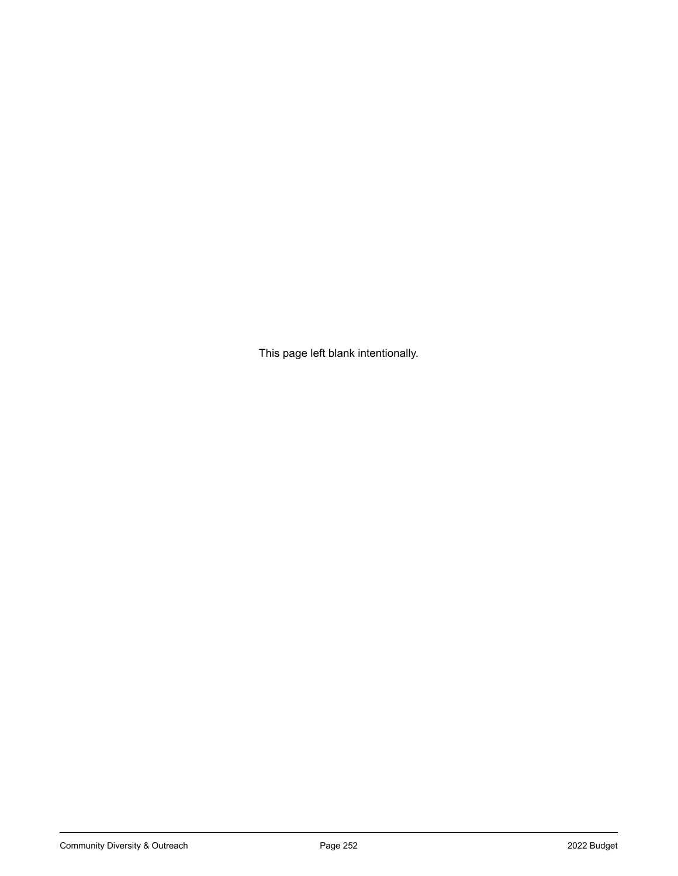This page left blank intentionally.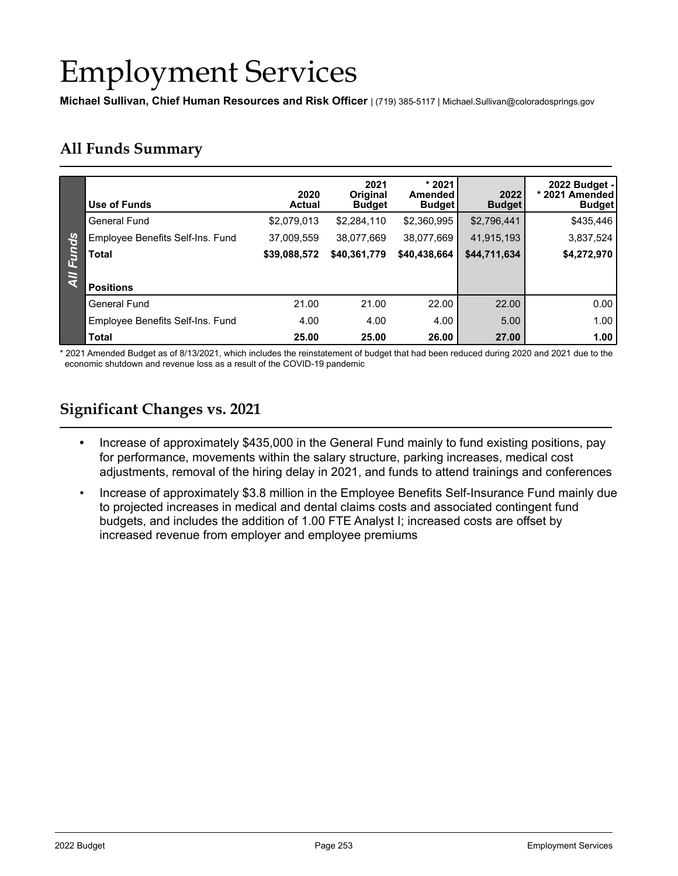# Employment Services

**Michael Sullivan, Chief Human Resources and Risk Officer** | (719) 385-5117 | Michael.Sullivan@coloradosprings.gov

#### **All Funds Summary**

|                | Use of Funds                     | 2020<br><b>Actual</b> | 2021<br><b>Original</b><br><b>Budget</b> | $*2021$<br><b>Amended</b><br><b>Budget</b> | 2022<br><b>Budget</b> | <b>2022 Budget -</b><br>* 2021 Amended<br><b>Budget</b> |
|----------------|----------------------------------|-----------------------|------------------------------------------|--------------------------------------------|-----------------------|---------------------------------------------------------|
|                | General Fund                     | \$2,079,013           | \$2,284,110                              | \$2,360,995                                | \$2,796,441           | \$435,446                                               |
|                | Employee Benefits Self-Ins. Fund | 37.009.559            | 38,077,669                               | 38,077,669                                 | 41,915,193            | 3,837,524                                               |
| Funds          | <b>Total</b>                     | \$39,088,572          | \$40,361,779                             | \$40,438,664                               | \$44,711,634          | \$4,272,970                                             |
| $\overline{M}$ |                                  |                       |                                          |                                            |                       |                                                         |
|                | <b>Positions</b>                 |                       |                                          |                                            |                       |                                                         |
|                | General Fund                     | 21.00                 | 21.00                                    | 22.00                                      | 22.00                 | 0.00                                                    |
|                | Employee Benefits Self-Ins. Fund | 4.00                  | 4.00                                     | 4.00                                       | 5.00                  | 1.00                                                    |
|                | <b>Total</b>                     | 25.00                 | 25.00                                    | 26.00                                      | 27.00                 | 1.00                                                    |

\* 2021 Amended Budget as of 8/13/2021, which includes the reinstatement of budget that had been reduced during 2020 and 2021 due to the economic shutdown and revenue loss as a result of the COVID-19 pandemic

#### **Significant Changes vs. 2021**

- **•** Increase of approximately \$435,000 in the General Fund mainly to fund existing positions, pay for performance, movements within the salary structure, parking increases, medical cost adjustments, removal of the hiring delay in 2021, and funds to attend trainings and conferences
- Increase of approximately \$3.8 million in the Employee Benefits Self-Insurance Fund mainly due to projected increases in medical and dental claims costs and associated contingent fund budgets, and includes the addition of 1.00 FTE Analyst I; increased costs are offset by increased revenue from employer and employee premiums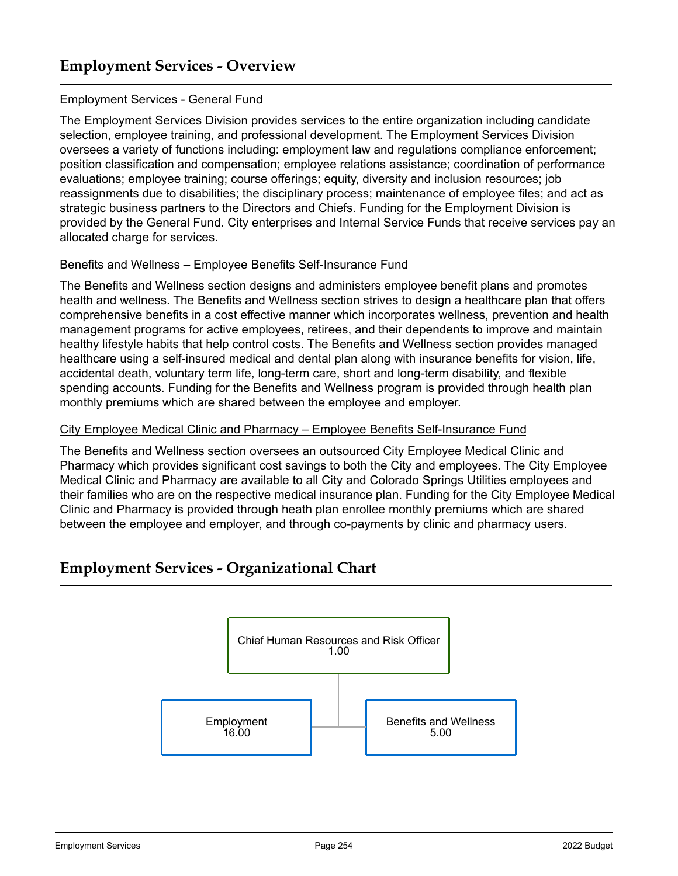#### Employment Services - General Fund

The Employment Services Division provides services to the entire organization including candidate selection, employee training, and professional development. The Employment Services Division oversees a variety of functions including: employment law and regulations compliance enforcement; position classification and compensation; employee relations assistance; coordination of performance evaluations; employee training; course offerings; equity, diversity and inclusion resources; job reassignments due to disabilities; the disciplinary process; maintenance of employee files; and act as strategic business partners to the Directors and Chiefs. Funding for the Employment Division is provided by the General Fund. City enterprises and Internal Service Funds that receive services pay an allocated charge for services.

#### Benefits and Wellness – Employee Benefits Self-Insurance Fund

The Benefits and Wellness section designs and administers employee benefit plans and promotes health and wellness. The Benefits and Wellness section strives to design a healthcare plan that offers comprehensive benefits in a cost effective manner which incorporates wellness, prevention and health management programs for active employees, retirees, and their dependents to improve and maintain healthy lifestyle habits that help control costs. The Benefits and Wellness section provides managed healthcare using a self-insured medical and dental plan along with insurance benefits for vision, life, accidental death, voluntary term life, long-term care, short and long-term disability, and flexible spending accounts. Funding for the Benefits and Wellness program is provided through health plan monthly premiums which are shared between the employee and employer.

#### City Employee Medical Clinic and Pharmacy – Employee Benefits Self-Insurance Fund

The Benefits and Wellness section oversees an outsourced City Employee Medical Clinic and Pharmacy which provides significant cost savings to both the City and employees. The City Employee Medical Clinic and Pharmacy are available to all City and Colorado Springs Utilities employees and their families who are on the respective medical insurance plan. Funding for the City Employee Medical Clinic and Pharmacy is provided through heath plan enrollee monthly premiums which are shared between the employee and employer, and through co-payments by clinic and pharmacy users.

#### **Employment Services - Organizational Chart**

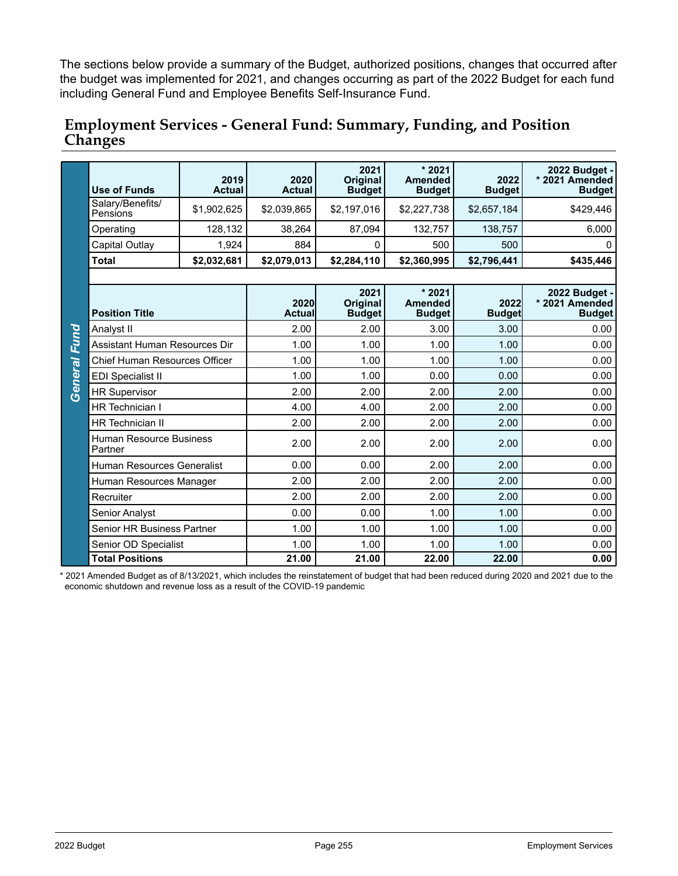The sections below provide a summary of the Budget, authorized positions, changes that occurred after the budget was implemented for 2021, and changes occurring as part of the 2022 Budget for each fund including General Fund and Employee Benefits Self-Insurance Fund.

#### **Employment Services - General Fund: Summary, Funding, and Position Changes**

|                     | <b>Use of Funds</b>                | 2019<br><b>Actual</b> | 2020<br><b>Actual</b> | 2021<br><b>Original</b><br><b>Budget</b> | $*2021$<br><b>Amended</b><br><b>Budget</b> | 2022<br><b>Budget</b> | 2022 Budget -<br>* 2021 Amended<br><b>Budget</b> |  |  |
|---------------------|------------------------------------|-----------------------|-----------------------|------------------------------------------|--------------------------------------------|-----------------------|--------------------------------------------------|--|--|
|                     | Salary/Benefits/<br>Pensions       | \$1,902,625           | \$2,039,865           | \$2,197,016                              | \$2,227,738                                | \$2,657,184           | \$429,446                                        |  |  |
|                     | Operating                          | 128,132               | 38,264                | 87,094                                   | 132,757                                    | 138,757               | 6,000                                            |  |  |
|                     | Capital Outlay                     | 1,924                 | 884                   | 0                                        | 500                                        | 500                   | 0                                                |  |  |
|                     | <b>Total</b>                       | \$2,032,681           | \$2,079,013           | \$2,284,110                              | \$2,360,995                                | \$2,796,441           | \$435,446                                        |  |  |
|                     |                                    |                       |                       |                                          |                                            |                       |                                                  |  |  |
|                     | <b>Position Title</b>              |                       | 2020<br><b>Actual</b> | 2021<br><b>Original</b><br><b>Budget</b> | $*2021$<br><b>Amended</b><br><b>Budget</b> | 2022<br><b>Budget</b> | 2022 Budget -<br>* 2021 Amended<br><b>Budget</b> |  |  |
|                     | Analyst II                         |                       | 2.00                  | 2.00                                     | 3.00                                       | 3.00                  | 0.00                                             |  |  |
| <b>General Fund</b> | Assistant Human Resources Dir      |                       | 1.00                  | 1.00                                     | 1.00                                       | 1.00                  | 0.00                                             |  |  |
|                     | Chief Human Resources Officer      |                       | 1.00                  | 1.00                                     | 1.00                                       | 1.00                  | 0.00                                             |  |  |
|                     | <b>EDI Specialist II</b>           |                       | 1.00                  | 1.00                                     | 0.00                                       | 0.00                  | 0.00                                             |  |  |
|                     | <b>HR Supervisor</b>               |                       | 2.00                  | 2.00                                     | 2.00                                       | 2.00                  | 0.00                                             |  |  |
|                     | <b>HR</b> Technician I             |                       | 4.00                  | 4.00                                     | 2.00                                       | 2.00                  | 0.00                                             |  |  |
|                     | <b>HR</b> Technician II            |                       | 2.00                  | 2.00                                     | 2.00                                       | 2.00                  | 0.00                                             |  |  |
|                     | Human Resource Business<br>Partner |                       | 2.00                  | 2.00                                     | 2.00                                       | 2.00                  | 0.00                                             |  |  |
|                     | <b>Human Resources Generalist</b>  |                       | 0.00                  | 0.00                                     | 2.00                                       | 2.00                  | 0.00                                             |  |  |
|                     | Human Resources Manager            |                       | 2.00                  | 2.00                                     | 2.00                                       | 2.00                  | 0.00                                             |  |  |
|                     | Recruiter                          |                       | 2.00                  | 2.00                                     | 2.00                                       | 2.00                  | 0.00                                             |  |  |
|                     | <b>Senior Analyst</b>              |                       | 0.00                  | 0.00                                     | 1.00                                       | 1.00                  | 0.00                                             |  |  |
|                     | Senior HR Business Partner         |                       | 1.00                  | 1.00                                     | 1.00                                       | 1.00                  | 0.00                                             |  |  |
|                     | Senior OD Specialist               |                       | 1.00                  | 1.00                                     | 1.00                                       | 1.00                  | 0.00                                             |  |  |
|                     | <b>Total Positions</b>             |                       | 21.00                 | 21.00                                    | 22.00                                      | 22.00                 | 0.00                                             |  |  |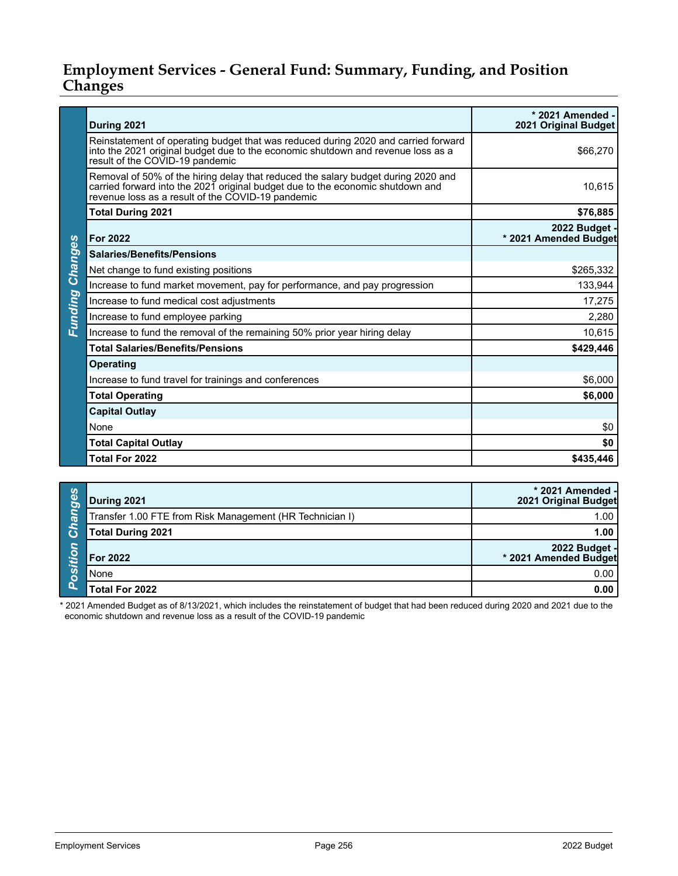#### **Employment Services - General Fund: Summary, Funding, and Position Changes**

|                        | During 2021                                                                                                                                                                                                              | * 2021 Amended -<br>2021 Original Budget |
|------------------------|--------------------------------------------------------------------------------------------------------------------------------------------------------------------------------------------------------------------------|------------------------------------------|
|                        | Reinstatement of operating budget that was reduced during 2020 and carried forward<br>into the 2021 original budget due to the economic shutdown and revenue loss as a<br>result of the COVID-19 pandemic                | \$66,270                                 |
|                        | Removal of 50% of the hiring delay that reduced the salary budget during 2020 and<br>carried forward into the 2021 original budget due to the economic shutdown and<br>revenue loss as a result of the COVID-19 pandemic | 10,615                                   |
|                        | <b>Total During 2021</b>                                                                                                                                                                                                 | \$76,885                                 |
|                        | <b>For 2022</b>                                                                                                                                                                                                          | 2022 Budget -<br>* 2021 Amended Budget   |
| <b>Funding Changes</b> | <b>Salaries/Benefits/Pensions</b>                                                                                                                                                                                        |                                          |
|                        | Net change to fund existing positions                                                                                                                                                                                    | \$265,332                                |
|                        | Increase to fund market movement, pay for performance, and pay progression                                                                                                                                               | 133,944                                  |
|                        | Increase to fund medical cost adjustments                                                                                                                                                                                | 17,275                                   |
|                        | Increase to fund employee parking                                                                                                                                                                                        | 2,280                                    |
|                        | Increase to fund the removal of the remaining 50% prior year hiring delay                                                                                                                                                | 10,615                                   |
|                        | <b>Total Salaries/Benefits/Pensions</b>                                                                                                                                                                                  | \$429,446                                |
|                        | <b>Operating</b>                                                                                                                                                                                                         |                                          |
|                        | Increase to fund travel for trainings and conferences                                                                                                                                                                    | \$6,000                                  |
|                        | <b>Total Operating</b>                                                                                                                                                                                                   | \$6,000                                  |
|                        | <b>Capital Outlay</b>                                                                                                                                                                                                    |                                          |
|                        | None                                                                                                                                                                                                                     | \$0                                      |
|                        | <b>Total Capital Outlay</b>                                                                                                                                                                                              | \$0                                      |
|                        | Total For 2022                                                                                                                                                                                                           | \$435,446                                |

| ges        | During 2021                                              | * 2021 Amended -<br>2021 Original Budget |
|------------|----------------------------------------------------------|------------------------------------------|
| an         | Transfer 1.00 FTE from Risk Management (HR Technician I) | 1.00                                     |
|            | <b>Total During 2021</b>                                 | 1.00                                     |
| itio       | <b>For 2022</b>                                          | 2022 Budget -<br>* 2021 Amended Budget   |
| <b>POS</b> | l None                                                   | 0.00                                     |
|            | Total For 2022                                           | 0.00                                     |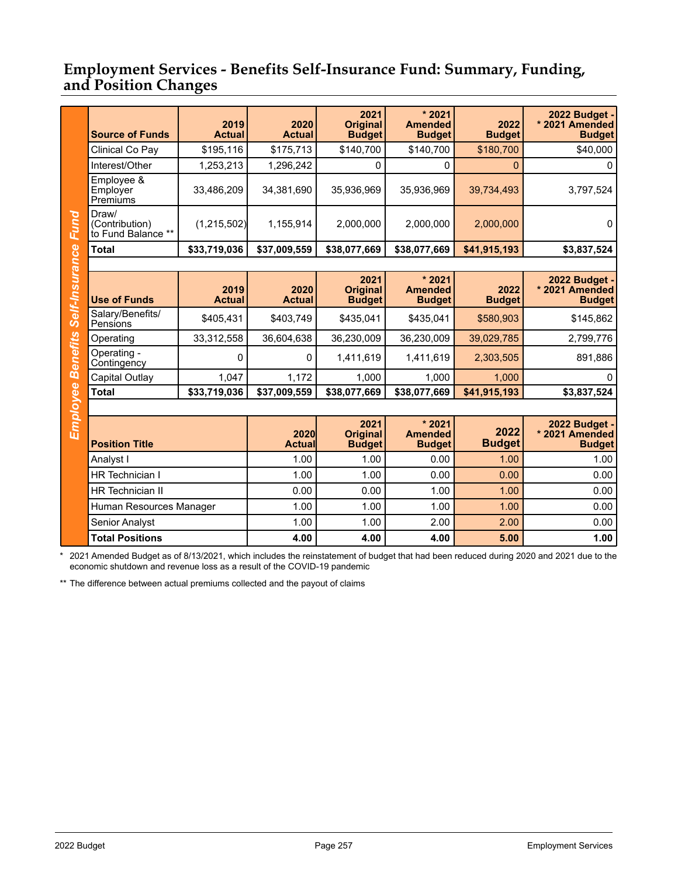#### **Employment Services - Benefits Self-Insurance Fund: Summary, Funding, and Position Changes**

|                 | <b>Source of Funds</b>                        | 2019<br><b>Actual</b> | 2020<br><b>Actual</b> | 2021<br><b>Original</b><br><b>Budget</b> | $*2021$<br><b>Amended</b><br><b>Budget</b> | 2022<br><b>Budget</b> | 2022 Budget -<br>* 2021 Amended<br><b>Budget</b> |
|-----------------|-----------------------------------------------|-----------------------|-----------------------|------------------------------------------|--------------------------------------------|-----------------------|--------------------------------------------------|
|                 | Clinical Co Pay                               | \$195,116             | \$175,713             | \$140,700                                | \$140,700                                  | \$180,700             | \$40,000                                         |
|                 | Interest/Other                                | 1,253,213             | 1,296,242             | 0                                        | 0                                          | 0                     | 0                                                |
|                 | Employee &<br>Employer<br>Premiums            | 33,486,209            | 34,381,690            | 35.936.969                               | 35.936.969                                 | 39,734,493            | 3,797,524                                        |
| Fund            | Draw/<br>(Contribution)<br>to Fund Balance ** | (1,215,502)           | 1,155,914             | 2,000,000                                | 2,000,000                                  | 2,000,000             | 0                                                |
|                 | <b>Total</b>                                  | \$33,719,036          | \$37,009,559          | \$38,077,669                             | \$38,077,669                               | \$41,915,193          | \$3,837,524                                      |
|                 |                                               |                       |                       |                                          |                                            |                       |                                                  |
| Self-Insurance  | <b>Use of Funds</b>                           | 2019<br><b>Actual</b> | 2020<br><b>Actual</b> | 2021<br><b>Original</b><br><b>Budget</b> | $*2021$<br><b>Amended</b><br><b>Budget</b> | 2022<br><b>Budget</b> | 2022 Budget -<br>* 2021 Amended<br><b>Budget</b> |
|                 | Salary/Benefits/<br>Pensions                  | \$405,431             | \$403,749             | \$435,041                                | \$435,041                                  | \$580,903             | \$145,862                                        |
|                 | Operating                                     | 33,312,558            | 36,604,638            | 36,230,009                               | 36,230,009                                 | 39,029,785            | 2,799,776                                        |
| <b>Benefits</b> | Operating -<br>Contingency                    | $\Omega$              | 0                     | 1,411,619                                | 1,411,619                                  | 2,303,505             | 891,886                                          |
|                 | Capital Outlay                                | 1,047                 | 1,172                 | 1,000                                    | 1,000                                      | 1,000                 | $\mathbf{0}$                                     |
|                 | <b>Total</b>                                  | \$33,719,036          | \$37,009,559          | \$38,077,669                             | \$38,077,669                               | \$41,915,193          | \$3,837,524                                      |
|                 |                                               |                       |                       |                                          |                                            |                       |                                                  |
| Employee        | <b>Position Title</b>                         |                       | 2020<br><b>Actual</b> | 2021<br><b>Original</b><br><b>Budget</b> | $*2021$<br><b>Amended</b><br><b>Budget</b> | 2022<br><b>Budget</b> | 2022 Budget -<br>* 2021 Amended<br><b>Budget</b> |
|                 | Analyst I                                     |                       | 1.00                  | 1.00                                     | 0.00                                       | 1.00                  | 1.00                                             |
|                 | <b>HR</b> Technician I                        |                       | 1.00                  | 1.00                                     | 0.00                                       | 0.00                  | 0.00                                             |
|                 | <b>HR Technician II</b>                       |                       | 0.00                  | 0.00                                     | 1.00                                       | 1.00                  | 0.00                                             |
|                 | Human Resources Manager                       |                       | 1.00                  | 1.00                                     | 1.00                                       | 1.00                  | 0.00                                             |
|                 | Senior Analyst                                |                       | 1.00                  | 1.00                                     | 2.00                                       | 2.00                  | 0.00                                             |
|                 | <b>Total Positions</b>                        |                       | 4.00                  | 4.00                                     | 4.00                                       | 5.00                  | 1.00                                             |

2021 Amended Budget as of 8/13/2021, which includes the reinstatement of budget that had been reduced during 2020 and 2021 due to the economic shutdown and revenue loss as a result of the COVID-19 pandemic

\*\* The difference between actual premiums collected and the payout of claims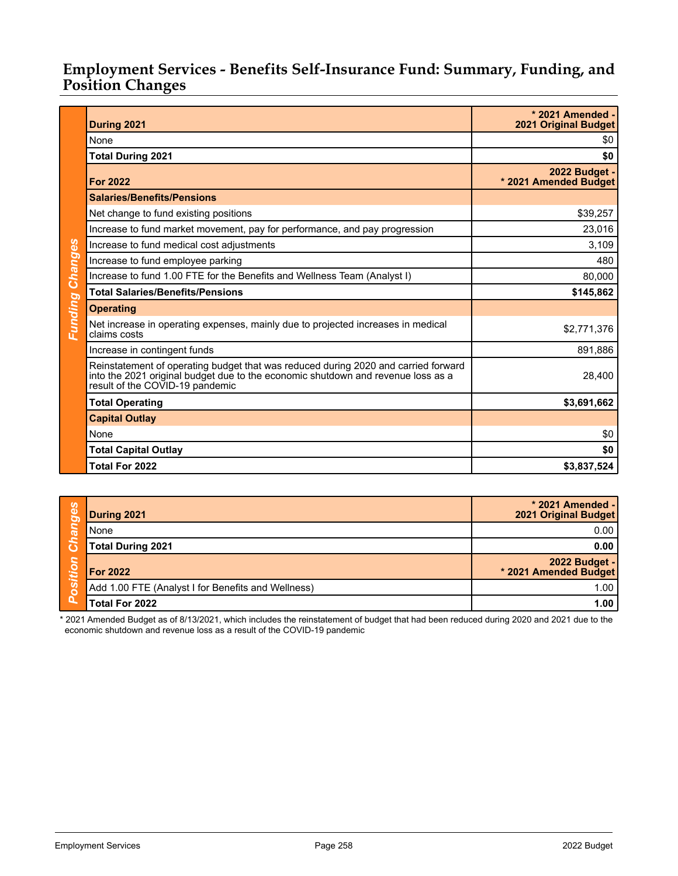#### **Employment Services - Benefits Self-Insurance Fund: Summary, Funding, and Position Changes**

|               | During 2021                                                                                                                                                                                               | * 2021 Amended -<br>2021 Original Budget |  |  |
|---------------|-----------------------------------------------------------------------------------------------------------------------------------------------------------------------------------------------------------|------------------------------------------|--|--|
|               | None                                                                                                                                                                                                      | \$0                                      |  |  |
|               | <b>Total During 2021</b>                                                                                                                                                                                  | \$0                                      |  |  |
|               | <b>For 2022</b>                                                                                                                                                                                           | 2022 Budget -<br>* 2021 Amended Budget   |  |  |
|               | <b>Salaries/Benefits/Pensions</b>                                                                                                                                                                         |                                          |  |  |
|               | Net change to fund existing positions                                                                                                                                                                     | \$39,257                                 |  |  |
|               | Increase to fund market movement, pay for performance, and pay progression                                                                                                                                | 23,016                                   |  |  |
|               | Increase to fund medical cost adjustments                                                                                                                                                                 | 3,109                                    |  |  |
| Changes       | Increase to fund employee parking                                                                                                                                                                         | 480                                      |  |  |
|               | Increase to fund 1.00 FTE for the Benefits and Wellness Team (Analyst I)                                                                                                                                  | 80,000                                   |  |  |
|               | <b>Total Salaries/Benefits/Pensions</b>                                                                                                                                                                   | \$145,862                                |  |  |
|               | <b>Operating</b>                                                                                                                                                                                          |                                          |  |  |
| <b>Bujpun</b> | Net increase in operating expenses, mainly due to projected increases in medical<br>claims costs                                                                                                          | \$2,771,376                              |  |  |
|               | Increase in contingent funds                                                                                                                                                                              | 891,886                                  |  |  |
|               | Reinstatement of operating budget that was reduced during 2020 and carried forward<br>into the 2021 original budget due to the economic shutdown and revenue loss as a<br>result of the COVID-19 pandemic | 28,400                                   |  |  |
|               | <b>Total Operating</b>                                                                                                                                                                                    | \$3,691,662                              |  |  |
|               | <b>Capital Outlay</b>                                                                                                                                                                                     |                                          |  |  |
|               | None                                                                                                                                                                                                      | \$0                                      |  |  |
|               | <b>Total Capital Outlay</b>                                                                                                                                                                               | \$0                                      |  |  |
|               | <b>Total For 2022</b>                                                                                                                                                                                     | \$3,837,524                              |  |  |

| ges      | During 2021                                        | * 2021 Amended -<br>2021 Original Budget |
|----------|----------------------------------------------------|------------------------------------------|
| <b>G</b> | None                                               | 0.00                                     |
|          | <b>Total During 2021</b>                           | 0.00                                     |
| itio     | <b>For 2022</b>                                    | 2022 Budget -<br>* 2021 Amended Budget   |
| 8        | Add 1.00 FTE (Analyst I for Benefits and Wellness) | 1.00                                     |
|          | Total For 2022                                     | 1.00                                     |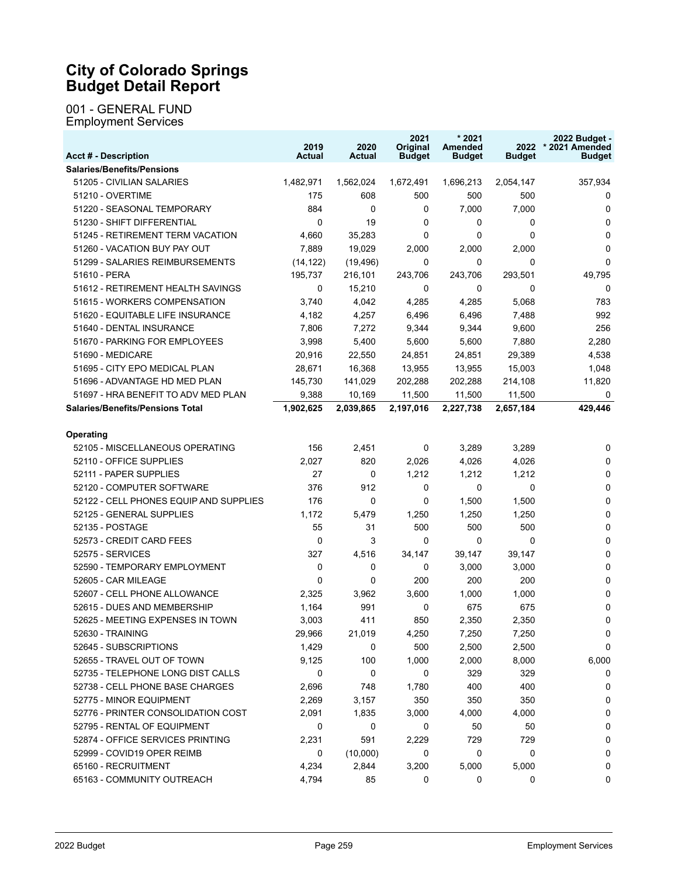#### **City of Colorado Springs Budget Detail Report**

#### 001 - GENERAL FUND Employment Services

| <b>Acct # - Description</b>             | 2019<br>Actual | 2020<br>Actual | 2021<br>Original<br><b>Budget</b> | $*2021$<br>Amended<br><b>Budget</b> | <b>Budget</b> | 2022 Budget -<br>2022 * 2021 Amended<br><b>Budget</b> |
|-----------------------------------------|----------------|----------------|-----------------------------------|-------------------------------------|---------------|-------------------------------------------------------|
| <b>Salaries/Benefits/Pensions</b>       |                |                |                                   |                                     |               |                                                       |
| 51205 - CIVILIAN SALARIES               | 1,482,971      | 1,562,024      | 1,672,491                         | 1,696,213                           | 2,054,147     | 357,934                                               |
| 51210 - OVERTIME                        | 175            | 608            | 500                               | 500                                 | 500           | 0                                                     |
| 51220 - SEASONAL TEMPORARY              | 884            | 0              | 0                                 | 7,000                               | 7,000         | 0                                                     |
| 51230 - SHIFT DIFFERENTIAL              | 0              | 19             | 0                                 | 0                                   | 0             | 0                                                     |
| 51245 - RETIREMENT TERM VACATION        | 4,660          | 35,283         | $\Omega$                          | 0                                   | 0             | $\mathbf 0$                                           |
| 51260 - VACATION BUY PAY OUT            | 7,889          | 19,029         | 2,000                             | 2,000                               | 2,000         | $\mathbf 0$                                           |
| 51299 - SALARIES REIMBURSEMENTS         | (14, 122)      | (19, 496)      | 0                                 | 0                                   | 0             | $\mathbf 0$                                           |
| 51610 - PERA                            | 195,737        | 216,101        | 243,706                           | 243,706                             | 293,501       | 49,795                                                |
| 51612 - RETIREMENT HEALTH SAVINGS       | 0              | 15,210         | 0                                 | 0                                   | 0             | 0                                                     |
| 51615 - WORKERS COMPENSATION            | 3,740          | 4,042          | 4,285                             | 4,285                               | 5,068         | 783                                                   |
| 51620 - EQUITABLE LIFE INSURANCE        | 4,182          | 4,257          | 6,496                             | 6,496                               | 7,488         | 992                                                   |
| 51640 - DENTAL INSURANCE                | 7,806          | 7,272          | 9,344                             | 9,344                               | 9,600         | 256                                                   |
| 51670 - PARKING FOR EMPLOYEES           | 3,998          | 5,400          | 5,600                             | 5,600                               | 7,880         | 2,280                                                 |
| 51690 - MEDICARE                        | 20,916         | 22,550         | 24,851                            | 24,851                              | 29,389        | 4,538                                                 |
| 51695 - CITY EPO MEDICAL PLAN           | 28,671         | 16,368         | 13,955                            | 13,955                              | 15,003        | 1,048                                                 |
| 51696 - ADVANTAGE HD MED PLAN           | 145,730        | 141,029        | 202,288                           | 202,288                             | 214,108       | 11,820                                                |
| 51697 - HRA BENEFIT TO ADV MED PLAN     | 9,388          | 10,169         | 11,500                            | 11,500                              | 11,500        | 0                                                     |
| <b>Salaries/Benefits/Pensions Total</b> | 1,902,625      | 2,039,865      | 2,197,016                         | 2,227,738                           | 2,657,184     | 429,446                                               |
|                                         |                |                |                                   |                                     |               |                                                       |
| Operating                               |                |                |                                   |                                     |               |                                                       |
| 52105 - MISCELLANEOUS OPERATING         | 156            | 2,451          | 0                                 | 3,289                               | 3,289         | 0                                                     |
| 52110 - OFFICE SUPPLIES                 | 2,027          | 820            | 2,026                             | 4,026                               | 4,026         | 0                                                     |
| 52111 - PAPER SUPPLIES                  | 27             | 0              | 1,212                             | 1,212                               | 1,212         | 0                                                     |
| 52120 - COMPUTER SOFTWARE               | 376            | 912            | 0                                 | 0                                   | 0             | $\mathbf 0$                                           |
| 52122 - CELL PHONES EQUIP AND SUPPLIES  | 176            | 0              | 0                                 | 1,500                               | 1,500         | $\mathbf 0$                                           |
| 52125 - GENERAL SUPPLIES                | 1,172          | 5,479          | 1,250                             | 1,250                               | 1,250         | $\mathbf 0$                                           |
| 52135 - POSTAGE                         | 55             | 31             | 500                               | 500                                 | 500           | $\mathbf 0$                                           |
| 52573 - CREDIT CARD FEES                | 0              | 3              | 0                                 | 0                                   | 0             | $\mathbf 0$                                           |
| 52575 - SERVICES                        | 327            | 4,516          | 34,147                            | 39,147                              | 39,147        | $\mathbf 0$                                           |
| 52590 - TEMPORARY EMPLOYMENT            | 0              | 0              | 0                                 | 3,000                               | 3,000         | $\mathbf 0$                                           |
| 52605 - CAR MILEAGE                     | 0              | 0              | 200                               | 200                                 | 200           | $\mathbf 0$                                           |
| 52607 - CELL PHONE ALLOWANCE            | 2,325          | 3,962          | 3,600                             | 1,000                               | 1,000         | 0                                                     |
| 52615 - DUES AND MEMBERSHIP             | 1,164          | 991            | 0                                 | 675                                 | 675           | $\mathbf 0$                                           |
| 52625 - MEETING EXPENSES IN TOWN        | 3,003          | 411            | 850                               | 2,350                               | 2.350         | $\Omega$                                              |
| 52630 - TRAINING                        | 29,966         | 21,019         | 4,250                             | 7,250                               | 7,250         | 0                                                     |
| 52645 - SUBSCRIPTIONS                   | 1,429          | 0              | 500                               | 2,500                               | 2,500         | 0                                                     |
| 52655 - TRAVEL OUT OF TOWN              | 9,125          | 100            | 1,000                             | 2,000                               | 8,000         | 6,000                                                 |
| 52735 - TELEPHONE LONG DIST CALLS       | $\mathbf 0$    | 0              | 0                                 | 329                                 | 329           | 0                                                     |
| 52738 - CELL PHONE BASE CHARGES         | 2,696          | 748            | 1,780                             | 400                                 | 400           | 0                                                     |
| 52775 - MINOR EQUIPMENT                 | 2,269          | 3,157          | 350                               | 350                                 | 350           | 0                                                     |
| 52776 - PRINTER CONSOLIDATION COST      | 2,091          | 1,835          | 3,000                             | 4,000                               | 4,000         | 0                                                     |
| 52795 - RENTAL OF EQUIPMENT             | 0              | 0              | 0                                 | 50                                  | 50            | 0                                                     |
| 52874 - OFFICE SERVICES PRINTING        | 2,231          | 591            | 2,229                             | 729                                 | 729           | 0                                                     |
| 52999 - COVID19 OPER REIMB              | 0              | (10,000)       | 0                                 | 0                                   | 0             | 0                                                     |
| 65160 - RECRUITMENT                     | 4,234          | 2,844          | 3,200                             | 5,000                               | 5,000         | 0                                                     |
| 65163 - COMMUNITY OUTREACH              | 4,794          | 85             | 0                                 | 0                                   | 0             | 0                                                     |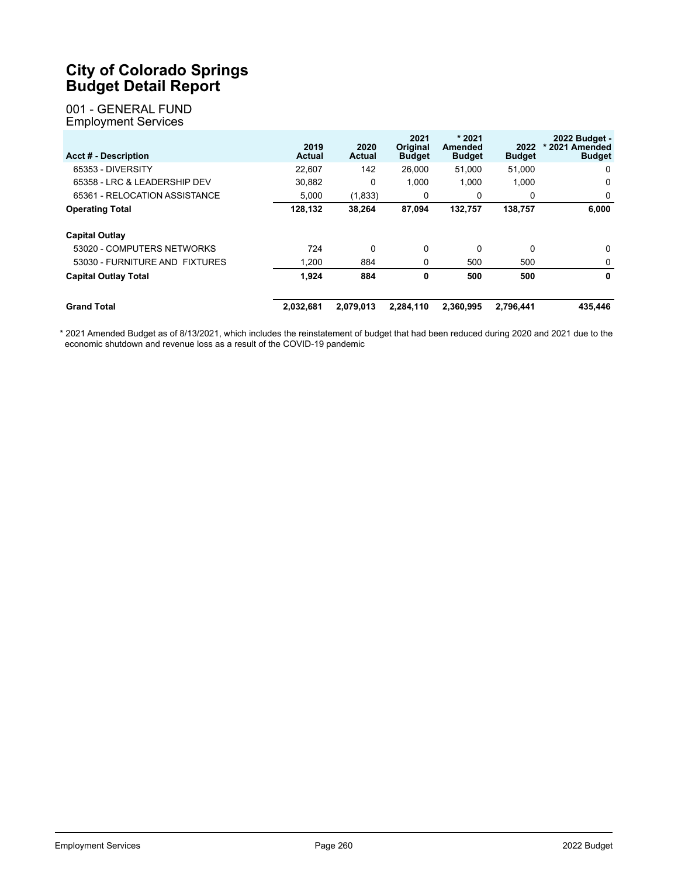#### **City of Colorado Springs Budget Detail Report**

#### 001 - GENERAL FUND Employment Services

| <b>Acct # - Description</b>    | 2019<br>Actual | 2020<br>Actual | 2021<br><b>Original</b><br><b>Budget</b> | $*2021$<br>Amended<br><b>Budget</b> | 2022<br><b>Budget</b> | 2022 Budget -<br>* 2021 Amended<br><b>Budget</b> |
|--------------------------------|----------------|----------------|------------------------------------------|-------------------------------------|-----------------------|--------------------------------------------------|
| 65353 - DIVERSITY              | 22.607         | 142            | 26,000                                   | 51.000                              | 51,000                | 0                                                |
| 65358 - LRC & LEADERSHIP DEV   | 30,882         | 0              | 1.000                                    | 1.000                               | 1,000                 | 0                                                |
| 65361 - RELOCATION ASSISTANCE  | 5.000          | (1,833)        | 0                                        | 0                                   | 0                     | 0                                                |
| <b>Operating Total</b>         | 128,132        | 38,264         | 87,094                                   | 132,757                             | 138,757               | 6,000                                            |
| <b>Capital Outlay</b>          |                |                |                                          |                                     |                       |                                                  |
| 53020 - COMPUTERS NETWORKS     | 724            | $\Omega$       | $\Omega$                                 | 0                                   | 0                     | 0                                                |
| 53030 - FURNITURE AND FIXTURES | 1.200          | 884            | 0                                        | 500                                 | 500                   | 0                                                |
| <b>Capital Outlay Total</b>    | 1,924          | 884            | 0                                        | 500                                 | 500                   | 0                                                |
| <b>Grand Total</b>             | 2,032,681      | 2,079,013      | 2,284,110                                | 2.360.995                           | 2,796,441             | 435,446                                          |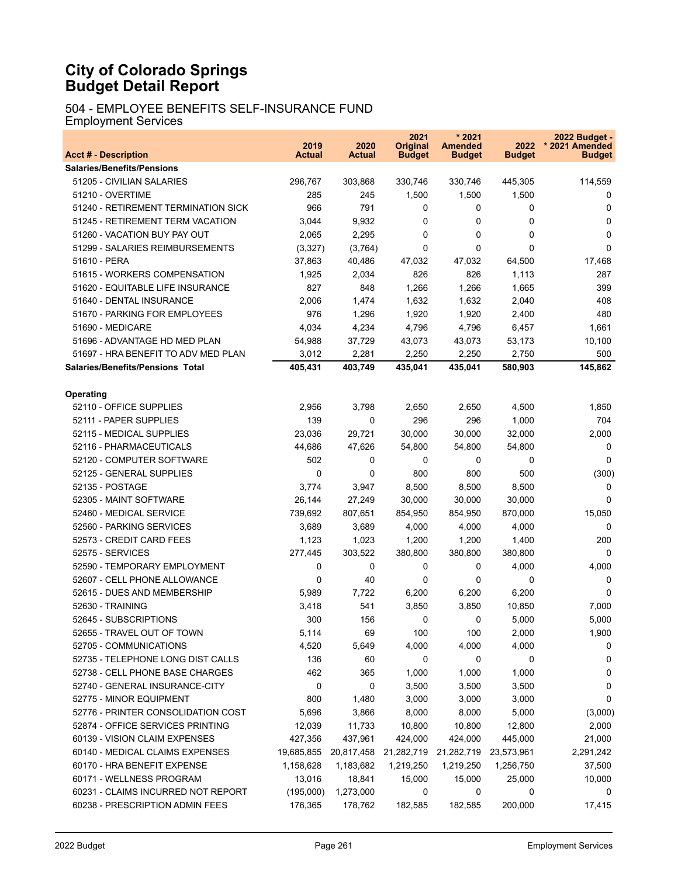# 504 - EMPLOYEE BENEFITS SELF-INSURANCE FUND

Employment Services

| <b>Acct # - Description</b>             | 2019<br><b>Actual</b> | 2020<br><b>Actual</b> | 2021<br><b>Original</b><br><b>Budget</b> | $*2021$<br><b>Amended</b><br><b>Budget</b> | 2022<br><b>Budget</b> | 2022 Budget -<br>* 2021 Amended<br><b>Budget</b> |
|-----------------------------------------|-----------------------|-----------------------|------------------------------------------|--------------------------------------------|-----------------------|--------------------------------------------------|
| <b>Salaries/Benefits/Pensions</b>       |                       |                       |                                          |                                            |                       |                                                  |
| 51205 - CIVILIAN SALARIES               | 296,767               | 303,868               | 330,746                                  | 330,746                                    | 445,305               | 114,559                                          |
| 51210 - OVERTIME                        | 285                   | 245                   | 1,500                                    | 1,500                                      | 1,500                 | 0                                                |
| 51240 - RETIREMENT TERMINATION SICK     | 966                   | 791                   | 0                                        | 0                                          | 0                     | 0                                                |
| 51245 - RETIREMENT TERM VACATION        | 3,044                 | 9,932                 | 0                                        | 0                                          | 0                     | 0                                                |
| 51260 - VACATION BUY PAY OUT            | 2,065                 | 2,295                 | 0                                        | 0                                          | 0                     | 0                                                |
| 51299 - SALARIES REIMBURSEMENTS         | (3,327)               | (3,764)               | 0                                        | 0                                          | $\Omega$              | $\Omega$                                         |
| 51610 - PERA                            | 37,863                | 40,486                | 47,032                                   | 47,032                                     | 64,500                | 17,468                                           |
| 51615 - WORKERS COMPENSATION            | 1,925                 | 2,034                 | 826                                      | 826                                        | 1,113                 | 287                                              |
| 51620 - EQUITABLE LIFE INSURANCE        | 827                   | 848                   | 1,266                                    | 1,266                                      | 1,665                 | 399                                              |
| 51640 - DENTAL INSURANCE                | 2,006                 | 1,474                 | 1,632                                    | 1,632                                      | 2,040                 | 408                                              |
| 51670 - PARKING FOR EMPLOYEES           | 976                   | 1,296                 | 1,920                                    | 1,920                                      | 2,400                 | 480                                              |
| 51690 - MEDICARE                        | 4,034                 | 4,234                 | 4,796                                    | 4,796                                      | 6,457                 | 1,661                                            |
| 51696 - ADVANTAGE HD MED PLAN           | 54,988                | 37,729                | 43,073                                   | 43,073                                     | 53,173                | 10,100                                           |
| 51697 - HRA BENEFIT TO ADV MED PLAN     | 3,012                 | 2,281                 | 2,250                                    | 2,250                                      | 2,750                 | 500                                              |
| <b>Salaries/Benefits/Pensions Total</b> | 405,431               | 403,749               | 435,041                                  | 435,041                                    | 580,903               | 145,862                                          |
|                                         |                       |                       |                                          |                                            |                       |                                                  |
| Operating                               |                       |                       |                                          |                                            |                       |                                                  |
| 52110 - OFFICE SUPPLIES                 | 2,956                 | 3,798                 | 2,650                                    | 2,650                                      | 4,500                 | 1,850                                            |
| 52111 - PAPER SUPPLIES                  | 139                   | 0                     | 296                                      | 296                                        | 1,000                 | 704                                              |
| 52115 - MEDICAL SUPPLIES                | 23,036                | 29.721                | 30,000                                   | 30,000                                     | 32,000                | 2,000                                            |
| 52116 - PHARMACEUTICALS                 | 44,686                | 47,626                | 54,800                                   | 54,800                                     | 54,800                | 0                                                |
| 52120 - COMPUTER SOFTWARE               | 502                   | 0                     | 0                                        | 0                                          | 0                     | 0                                                |
| 52125 - GENERAL SUPPLIES                | 0                     | 0                     | 800                                      | 800                                        | 500                   | (300)                                            |
| 52135 - POSTAGE                         | 3,774                 | 3,947                 | 8,500                                    | 8,500                                      | 8,500                 | 0                                                |
| 52305 - MAINT SOFTWARE                  | 26,144                | 27,249                | 30,000                                   | 30,000                                     | 30,000                | 0                                                |
| 52460 - MEDICAL SERVICE                 | 739,692               | 807,651               | 854,950                                  | 854,950                                    | 870,000               | 15,050                                           |
| 52560 - PARKING SERVICES                | 3,689                 | 3,689                 | 4,000                                    | 4,000                                      | 4,000                 | 0                                                |
| 52573 - CREDIT CARD FEES                | 1,123                 | 1,023                 | 1,200                                    | 1,200                                      | 1,400                 | 200                                              |
| 52575 - SERVICES                        | 277,445               | 303,522               | 380,800                                  | 380,800                                    | 380,800               | 0                                                |
| 52590 - TEMPORARY EMPLOYMENT            | 0                     | 0                     | 0                                        | 0                                          | 4,000                 | 4,000                                            |
| 52607 - CELL PHONE ALLOWANCE            | 0                     | 40                    | 0                                        | 0                                          | 0                     | 0                                                |
| 52615 - DUES AND MEMBERSHIP             | 5,989                 | 7,722                 | 6,200                                    | 6,200                                      | 6,200                 | 0                                                |
| 52630 - TRAINING                        | 3,418                 | 541                   | 3,850                                    | 3,850                                      | 10,850                | 7,000                                            |
| 52645 - SUBSCRIPTIONS                   | 300                   | 156                   | 0                                        | 0                                          | 5,000                 | 5,000                                            |
| 52655 - TRAVEL OUT OF TOWN              | 5,114                 | 69                    | 100                                      | 100                                        | 2,000                 | 1,900                                            |
| 52705 - COMMUNICATIONS                  | 4,520                 | 5,649                 | 4,000                                    | 4,000                                      | 4,000                 | 0                                                |
| 52735 - TELEPHONE LONG DIST CALLS       | 136                   | 60                    | 0                                        | 0                                          | 0                     | 0                                                |
| 52738 - CELL PHONE BASE CHARGES         | 462                   | 365                   | 1,000                                    | 1,000                                      | 1,000                 | 0                                                |
| 52740 - GENERAL INSURANCE-CITY          | 0                     | 0                     | 3,500                                    | 3,500                                      | 3,500                 | 0                                                |
| 52775 - MINOR EQUIPMENT                 | 800                   | 1,480                 | 3,000                                    | 3,000                                      | 3,000                 | 0                                                |
| 52776 - PRINTER CONSOLIDATION COST      | 5,696                 | 3,866                 | 8,000                                    | 8,000                                      | 5,000                 | (3,000)                                          |
| 52874 - OFFICE SERVICES PRINTING        | 12,039                | 11,733                | 10,800                                   | 10,800                                     | 12,800                | 2,000                                            |
| 60139 - VISION CLAIM EXPENSES           | 427,356               | 437,961               | 424,000                                  | 424,000                                    | 445,000               | 21,000                                           |
| 60140 - MEDICAL CLAIMS EXPENSES         | 19,685,855            | 20,817,458            | 21,282,719                               | 21,282,719                                 | 23,573,961            | 2,291,242                                        |
| 60170 - HRA BENEFIT EXPENSE             | 1,158,628             | 1,183,682             | 1,219,250                                | 1,219,250                                  | 1,256,750             | 37,500                                           |
| 60171 - WELLNESS PROGRAM                | 13,016                | 18,841                | 15,000                                   | 15,000                                     | 25,000                | 10,000                                           |
| 60231 - CLAIMS INCURRED NOT REPORT      | (195,000)             | 1,273,000             | 0                                        | 0                                          | 0                     | 0                                                |
| 60238 - PRESCRIPTION ADMIN FEES         | 176,365               | 178,762               | 182,585                                  | 182,585                                    | 200,000               | 17,415                                           |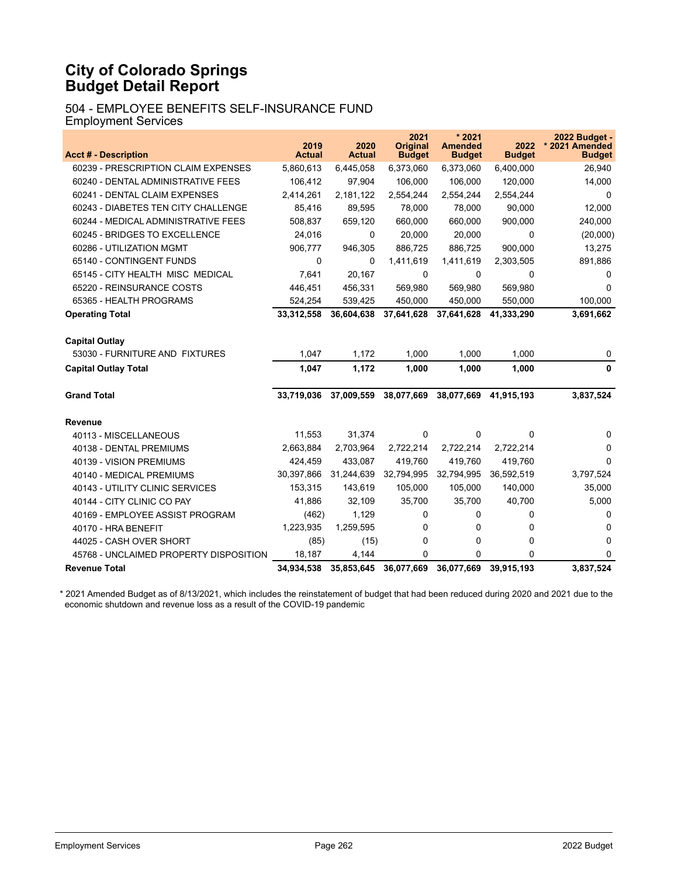# 504 - EMPLOYEE BENEFITS SELF-INSURANCE FUND

Employment Services

|                                        | 2019          | 2020          | 2021<br><b>Original</b> | $*2021$<br><b>Amended</b> | 2022          | 2022 Budget -<br>* 2021 Amended |
|----------------------------------------|---------------|---------------|-------------------------|---------------------------|---------------|---------------------------------|
| <b>Acct # - Description</b>            | <b>Actual</b> | <b>Actual</b> | <b>Budget</b>           | <b>Budget</b>             | <b>Budget</b> | <b>Budget</b>                   |
| 60239 - PRESCRIPTION CLAIM EXPENSES    | 5,860,613     | 6,445,058     | 6,373,060               | 6,373,060                 | 6,400,000     | 26,940                          |
| 60240 - DENTAL ADMINISTRATIVE FEES     | 106,412       | 97,904        | 106,000                 | 106,000                   | 120,000       | 14,000                          |
| 60241 - DENTAL CLAIM EXPENSES          | 2,414,261     | 2,181,122     | 2,554,244               | 2,554,244                 | 2,554,244     | 0                               |
| 60243 - DIABETES TEN CITY CHALLENGE    | 85,416        | 89,595        | 78,000                  | 78,000                    | 90,000        | 12,000                          |
| 60244 - MEDICAL ADMINISTRATIVE FEES    | 508,837       | 659,120       | 660,000                 | 660,000                   | 900,000       | 240,000                         |
| 60245 - BRIDGES TO EXCELLENCE          | 24,016        | 0             | 20,000                  | 20,000                    | 0             | (20,000)                        |
| 60286 - UTILIZATION MGMT               | 906,777       | 946,305       | 886,725                 | 886,725                   | 900,000       | 13,275                          |
| 65140 - CONTINGENT FUNDS               | $\mathbf 0$   | $\mathbf 0$   | 1,411,619               | 1,411,619                 | 2,303,505     | 891,886                         |
| 65145 - CITY HEALTH MISC MEDICAL       | 7,641         | 20,167        | $\mathbf 0$             | 0                         | 0             | 0                               |
| 65220 - REINSURANCE COSTS              | 446,451       | 456,331       | 569,980                 | 569,980                   | 569,980       | $\Omega$                        |
| 65365 - HEALTH PROGRAMS                | 524,254       | 539,425       | 450,000                 | 450,000                   | 550,000       | 100,000                         |
| <b>Operating Total</b>                 | 33,312,558    | 36,604,638    | 37,641,628              | 37,641,628                | 41,333,290    | 3,691,662                       |
|                                        |               |               |                         |                           |               |                                 |
| <b>Capital Outlay</b>                  |               |               |                         |                           |               |                                 |
| 53030 - FURNITURE AND FIXTURES         | 1,047         | 1,172         | 1,000                   | 1,000                     | 1,000         | 0                               |
| <b>Capital Outlay Total</b>            | 1,047         | 1,172         | 1,000                   | 1,000                     | 1,000         | $\bf{0}$                        |
| <b>Grand Total</b>                     | 33,719,036    | 37,009,559    | 38,077,669              | 38,077,669                | 41,915,193    | 3,837,524                       |
| Revenue                                |               |               |                         |                           |               |                                 |
| 40113 - MISCELLANEOUS                  | 11,553        | 31,374        | $\mathbf 0$             | 0                         | $\Omega$      | $\Omega$                        |
| 40138 - DENTAL PREMIUMS                | 2,663,884     | 2,703,964     | 2,722,214               | 2,722,214                 | 2,722,214     | 0                               |
| 40139 - VISION PREMIUMS                | 424,459       | 433,087       | 419,760                 | 419,760                   | 419,760       | 0                               |
| 40140 - MEDICAL PREMIUMS               | 30,397,866    | 31,244,639    | 32,794,995              | 32,794,995                | 36,592,519    | 3,797,524                       |
| 40143 - UTILITY CLINIC SERVICES        | 153,315       | 143,619       | 105,000                 | 105,000                   | 140,000       | 35,000                          |
| 40144 - CITY CLINIC CO PAY             | 41,886        | 32,109        | 35,700                  | 35,700                    | 40,700        | 5,000                           |
| 40169 - EMPLOYEE ASSIST PROGRAM        | (462)         | 1,129         | 0                       | 0                         | 0             | $\Omega$                        |
| 40170 - HRA BENEFIT                    | 1,223,935     | 1,259,595     | 0                       | 0                         | 0             | 0                               |
| 44025 - CASH OVER SHORT                | (85)          | (15)          | 0                       | 0                         | 0             | 0                               |
| 45768 - UNCLAIMED PROPERTY DISPOSITION | 18,187        | 4,144         | $\Omega$                | 0                         | 0             | $\Omega$                        |
| <b>Revenue Total</b>                   | 34,934,538    |               | 35,853,645 36,077,669   | 36,077,669                | 39,915,193    | 3,837,524                       |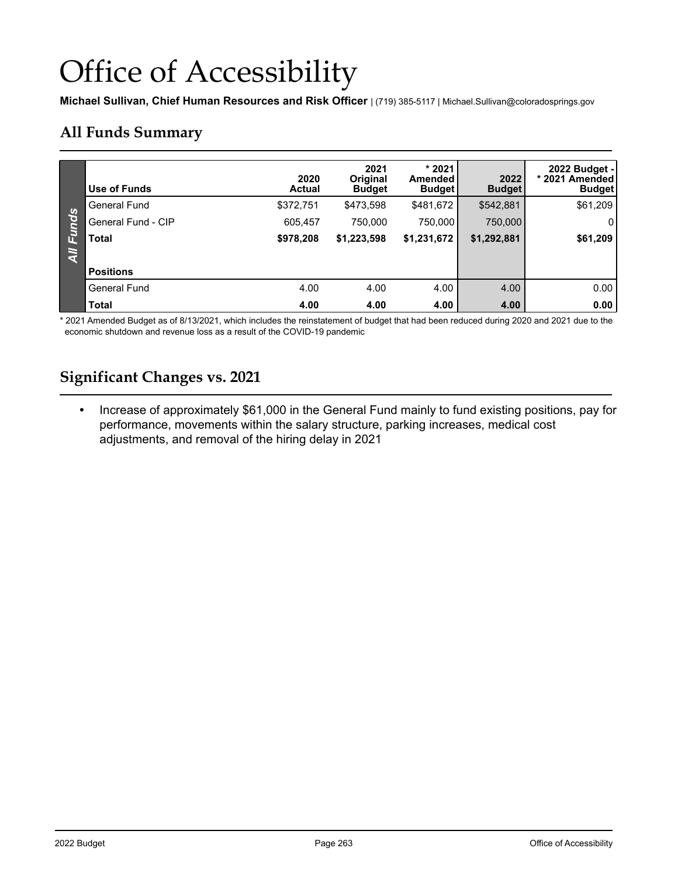# Office of Accessibility

**Michael Sullivan, Chief Human Resources and Risk Officer** | (719) 385-5117 | Michael.Sullivan@coloradosprings.gov

# **All Funds Summary**

|              | Use of Funds       | 2020<br><b>Actual</b> | 2021<br><b>Original</b><br><b>Budget</b> | $*2021$<br>Amended<br><b>Budget!</b> | 2022<br><b>Budget</b> | 2022 Budget -<br>* 2021 Amended<br><b>Budget</b> |
|--------------|--------------------|-----------------------|------------------------------------------|--------------------------------------|-----------------------|--------------------------------------------------|
|              | General Fund       | \$372,751             | \$473,598                                | \$481,672                            | \$542,881             | \$61,209                                         |
| <b>Funds</b> | General Fund - CIP | 605,457               | 750,000                                  | 750,000                              | 750,000               | $\Omega$                                         |
|              | <b>Total</b>       | \$978,208             | \$1,223,598                              | \$1,231,672                          | \$1,292,881           | \$61,209                                         |
| $\tilde{a}$  | <b>Positions</b>   |                       |                                          |                                      |                       |                                                  |
|              | General Fund       | 4.00                  | 4.00                                     | 4.00                                 | 4.00                  | 0.00                                             |
|              | <b>Total</b>       | 4.00                  | 4.00                                     | 4.00                                 | 4.00                  | 0.00                                             |

\* 2021 Amended Budget as of 8/13/2021, which includes the reinstatement of budget that had been reduced during 2020 and 2021 due to the economic shutdown and revenue loss as a result of the COVID-19 pandemic

# **Significant Changes vs. 2021**

**•** Increase of approximately \$61,000 in the General Fund mainly to fund existing positions, pay for performance, movements within the salary structure, parking increases, medical cost adjustments, and removal of the hiring delay in 2021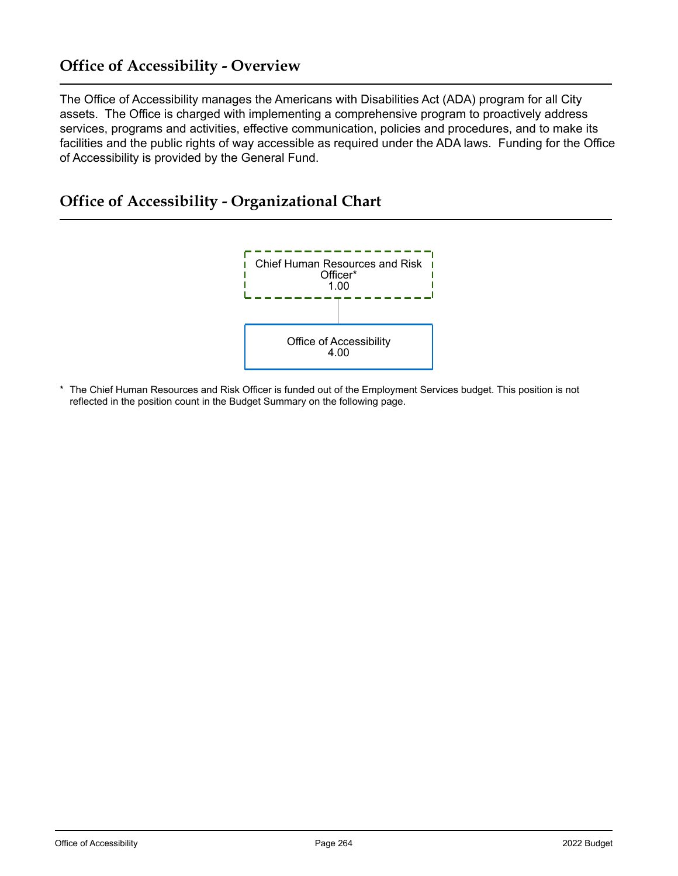# **Office of Accessibility - Overview**

The Office of Accessibility manages the Americans with Disabilities Act (ADA) program for all City assets. The Office is charged with implementing a comprehensive program to proactively address services, programs and activities, effective communication, policies and procedures, and to make its facilities and the public rights of way accessible as required under the ADA laws. Funding for the Office of Accessibility is provided by the General Fund.

# **Office of Accessibility - Organizational Chart**



The Chief Human Resources and Risk Officer is funded out of the Employment Services budget. This position is not reflected in the position count in the Budget Summary on the following page.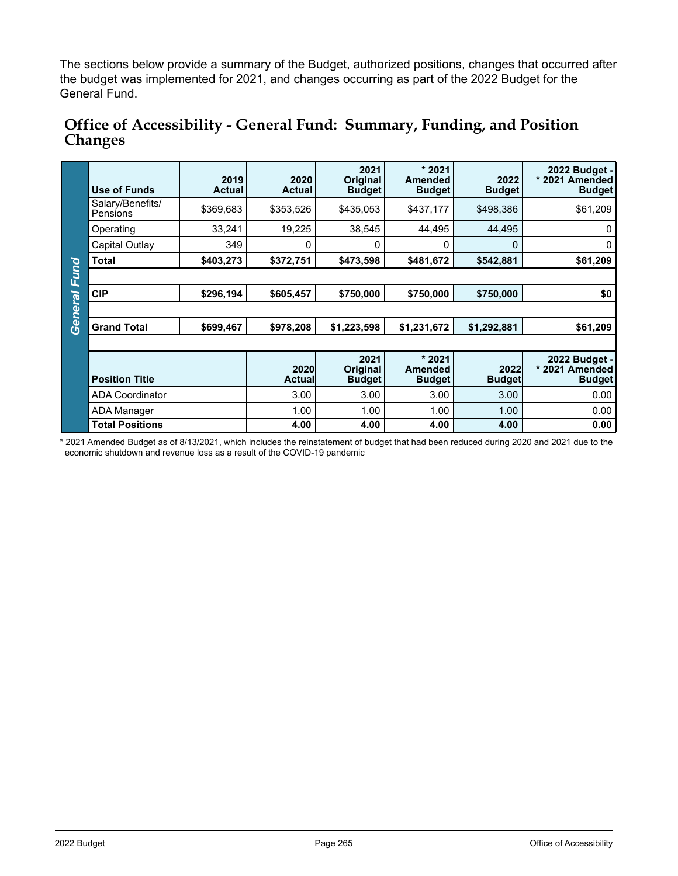The sections below provide a summary of the Budget, authorized positions, changes that occurred after the budget was implemented for 2021, and changes occurring as part of the 2022 Budget for the General Fund.

## **Office of Accessibility - General Fund: Summary, Funding, and Position Changes**

|         | <b>Use of Funds</b>          | 2019<br><b>Actual</b> | 2020<br><b>Actual</b> | 2021<br>Original<br><b>Budget</b>        | $*2021$<br><b>Amended</b><br><b>Budget</b> | 2022<br><b>Budget</b> | 2022 Budget -<br>* 2021 Amended<br><b>Budget</b> |
|---------|------------------------------|-----------------------|-----------------------|------------------------------------------|--------------------------------------------|-----------------------|--------------------------------------------------|
|         | Salary/Benefits/<br>Pensions | \$369,683             | \$353,526             | \$435,053                                | \$437,177                                  | \$498,386             | \$61,209                                         |
|         | Operating                    | 33,241                | 19,225                | 38,545                                   | 44,495                                     | 44,495                | 0                                                |
|         | Capital Outlay               | 349                   | 0                     | 0                                        | 0                                          | 0                     | 0                                                |
|         | <b>Total</b>                 | \$403,273             | \$372,751             | \$473,598                                | \$481,672                                  | \$542,881             | \$61,209                                         |
| Fund    |                              |                       |                       |                                          |                                            |                       |                                                  |
|         | <b>CIP</b>                   | \$296,194             | \$605,457             | \$750,000                                | \$750,000                                  | \$750,000             | \$0                                              |
| General |                              |                       |                       |                                          |                                            |                       |                                                  |
|         | <b>Grand Total</b>           | \$699,467             | \$978,208             | \$1,223,598                              | \$1,231,672                                | \$1,292,881           | \$61,209                                         |
|         |                              |                       |                       |                                          |                                            |                       |                                                  |
|         | <b>Position Title</b>        |                       | 2020<br><b>Actual</b> | 2021<br><b>Original</b><br><b>Budget</b> | $*2021$<br><b>Amended</b><br><b>Budget</b> | 2022<br><b>Budget</b> | 2022 Budget -<br>* 2021 Amended<br><b>Budget</b> |
|         | <b>ADA Coordinator</b>       |                       | 3.00                  | 3.00                                     | 3.00                                       | 3.00                  | 0.00                                             |
|         | ADA Manager                  |                       | 1.00                  | 1.00                                     | 1.00                                       | 1.00                  | 0.00                                             |
|         | <b>Total Positions</b>       |                       | 4.00                  | 4.00                                     | 4.00                                       | 4.00                  | 0.00                                             |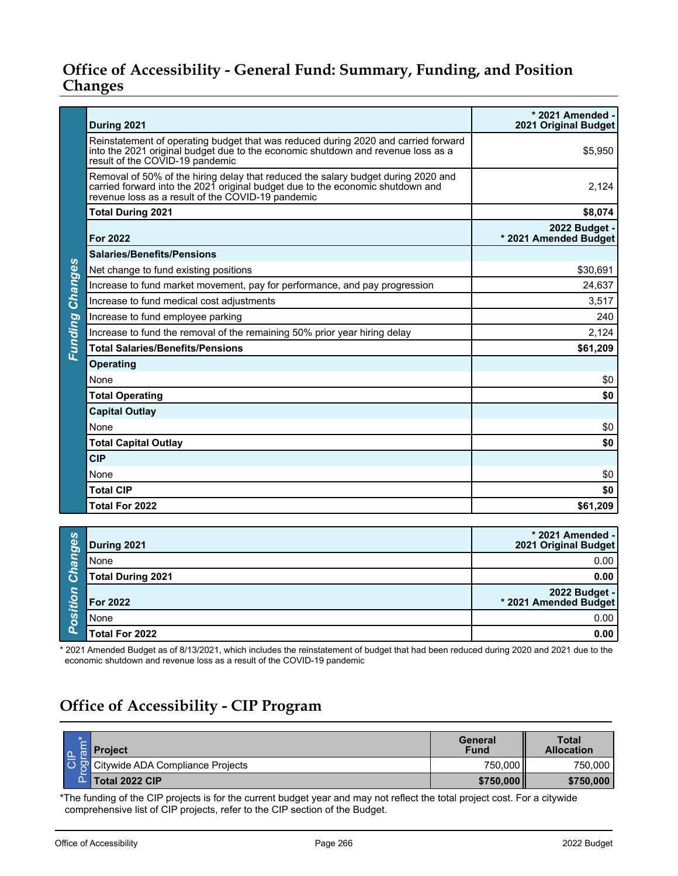# **Office of Accessibility - General Fund: Summary, Funding, and Position Changes**

|                | During 2021                                                                                                                                                                                                              | * 2021 Amended -<br>2021 Original Budget |
|----------------|--------------------------------------------------------------------------------------------------------------------------------------------------------------------------------------------------------------------------|------------------------------------------|
|                | Reinstatement of operating budget that was reduced during 2020 and carried forward<br>into the 2021 original budget due to the economic shutdown and revenue loss as a<br>result of the COVID-19 pandemic                | \$5,950                                  |
|                | Removal of 50% of the hiring delay that reduced the salary budget during 2020 and<br>carried forward into the 2021 original budget due to the economic shutdown and<br>revenue loss as a result of the COVID-19 pandemic | 2,124                                    |
|                | <b>Total During 2021</b>                                                                                                                                                                                                 | \$8,074                                  |
|                | For 2022                                                                                                                                                                                                                 | 2022 Budget -<br>* 2021 Amended Budget   |
|                | <b>Salaries/Benefits/Pensions</b>                                                                                                                                                                                        |                                          |
| Changes        | Net change to fund existing positions                                                                                                                                                                                    | \$30,691                                 |
|                | Increase to fund market movement, pay for performance, and pay progression                                                                                                                                               | 24,637                                   |
|                | Increase to fund medical cost adjustments                                                                                                                                                                                | 3,517                                    |
|                | Increase to fund employee parking                                                                                                                                                                                        | 240                                      |
|                | Increase to fund the removal of the remaining 50% prior year hiring delay                                                                                                                                                | 2,124                                    |
| <b>Eunding</b> | <b>Total Salaries/Benefits/Pensions</b>                                                                                                                                                                                  | \$61,209                                 |
|                | <b>Operating</b>                                                                                                                                                                                                         |                                          |
|                | None                                                                                                                                                                                                                     | \$0                                      |
|                | <b>Total Operating</b>                                                                                                                                                                                                   | \$0                                      |
|                | <b>Capital Outlay</b>                                                                                                                                                                                                    |                                          |
|                | <b>None</b>                                                                                                                                                                                                              | \$0                                      |
|                | <b>Total Capital Outlay</b>                                                                                                                                                                                              | \$0                                      |
|                | <b>CIP</b>                                                                                                                                                                                                               |                                          |
|                | None                                                                                                                                                                                                                     | \$0                                      |
|                | <b>Total CIP</b>                                                                                                                                                                                                         | \$0                                      |
|                | Total For 2022                                                                                                                                                                                                           | \$61,209                                 |

| n<br><u>ဖွ</u> | During 2021              | * 2021 Amended -<br>2021 Original Budget |
|----------------|--------------------------|------------------------------------------|
| $\sigma$       | None                     | 0.00                                     |
|                | <b>Total During 2021</b> | 0.00                                     |
| itio           | <b>For 2022</b>          | 2022 Budget -<br>* 2021 Amended Budget   |
| ပ္လိ           | l None                   | 0.00                                     |
|                | Total For 2022           | 0.00                                     |

\* 2021 Amended Budget as of 8/13/2021, which includes the reinstatement of budget that had been reduced during 2020 and 2021 due to the economic shutdown and revenue loss as a result of the COVID-19 pandemic

# **Office of Accessibility - CIP Program**

| <b>Project</b><br>ത<br>ட்                 | General<br><b>Fund</b> | Total<br><b>Allocation</b> |
|-------------------------------------------|------------------------|----------------------------|
| <b>S</b> Citywide ADA Compliance Projects | 750,000                | 750.000                    |
| $\sim$ Total 2022 CIP                     | \$750,000              | \$750,000                  |

\*The funding of the CIP projects is for the current budget year and may not reflect the total project cost. For a citywide comprehensive list of CIP projects, refer to the CIP section of the Budget.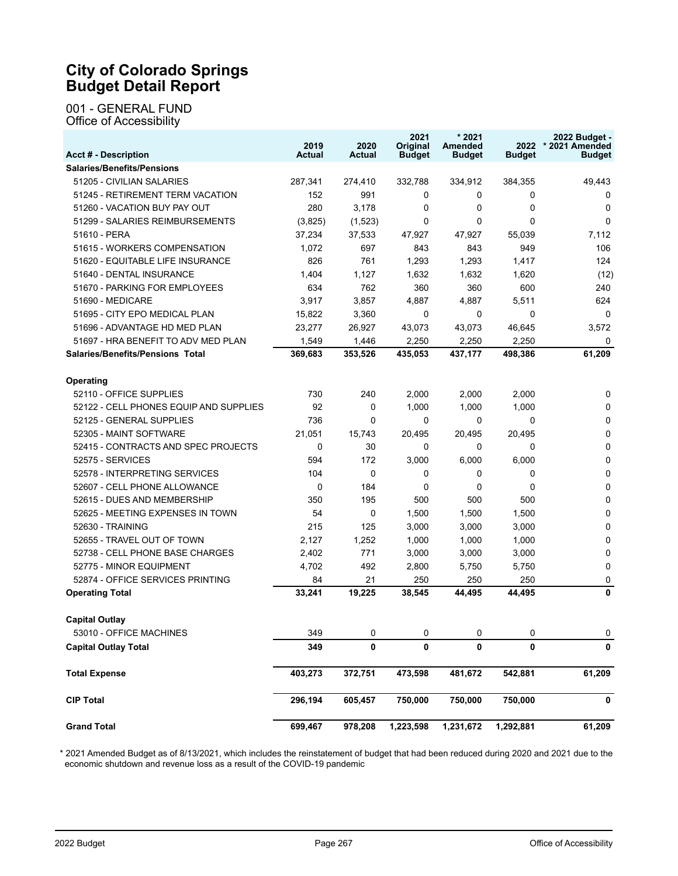#### 001 - GENERAL FUND Office of Accessibility

**Salaries/Benefits/Pensions** 51205 - CIVILIAN SALARIES 287,341 274,410 332,788 334,912 384,355 49,443 51245 - RETIREMENT TERM VACATION 152 991 0 0 0 0 51260 - VACATION BUY PAY OUT  $280$   $3,178$  0 0 0 0 0 0 51299 - SALARIES REIMBURSEMENTS (3,825) (1,523) 0 0 0 0 51610 - PERA 37,234 37,533 47,927 47,927 55,039 7,112 51615 - WORKERS COMPENSATION 1,072 697 843 843 949 106 51620 - EQUITABLE LIFE INSURANCE 826 761 1,293 1,293 1,417 124 51640 - DENTAL INSURANCE 1,404 1,127 1,632 1,632 1,620 (12) 51670 - PARKING FOR EMPLOYEES 634 762 360 360 600 240 51690 - MEDICARE 3,917 3,857 4,887 4,887 5,511 624 51695 - CITY EPO MEDICAL PLAN 15,822 3,360 0 0 0 0 51696 - ADVANTAGE HD MED PLAN 23,277 26,927 43,073 43,073 46,645 3,572 51697 - HRA BENEFIT TO ADV MED PLAN 1,549 1,446 2,250 2,250 2,250 0 **Salaries/Benefits/Pensions Total 369,683 353,526 435,053 437,177 498,386 61,209 Operating** 52110 - OFFICE SUPPLIES 730 240 2,000 2,000 2,000 0 52122 - CELL PHONES EQUIP AND SUPPLIES 92 0 1,000 1,000 1,000 0 52125 - GENERAL SUPPLIES 736 0 0 0 0 0 52305 - MAINT SOFTWARE 21,051 15,743 20,495 20,495 20,495 0 52415 - CONTRACTS AND SPEC PROJECTS 0 30 0 0 0 0 52575 - SERVICES 594 172 3,000 6,000 6,000 0 52578 - INTERPRETING SERVICES 104 0 0 0 0 0 52607 - CELL PHONE ALLOWANCE 0 184 0 0 0 0 52615 - DUES AND MEMBERSHIP 350 195 500 500 500 0 52625 - MEETING EXPENSES IN TOWN 54 0 1,500 1,500 1,500 0 52630 - TRAINING 215 125 3,000 3,000 3,000 0 52655 - TRAVEL OUT OF TOWN 2,127 1,252 1,000 1,000 1,000 0 52738 - CELL PHONE BASE CHARGES 2,402 771 3,000 3,000 3,000 0 52775 - MINOR EQUIPMENT 4,702 492 2,800 5,750 5,750 0 52874 - OFFICE SERVICES PRINTING 84 21 250 250 250 0 **Operating Total 33,241 19,225 38,545 44,495 44,495 0 Capital Outlay Acct # - Description 2019 Actual 2020 Actual 2021 Original Budget \* 2021 Amended Budget 2022 Budget 2022 Budget - \* 2021 Amended** 

53010 - OFFICE MACHINES 349 0 0 0 0 0 **Capital Outlay Total 349 0 0 0 0 0 Total Expense 403,273 372,751 473,598 481,672 542,881 61,209 CIP Total 296,194 605,457 750,000 750,000 750,000 0 Grand Total 699,467 978,208 1,223,598 1,231,672 1,292,881 61,209** 

\* 2021 Amended Budget as of 8/13/2021, which includes the reinstatement of budget that had been reduced during 2020 and 2021 due to the economic shutdown and revenue loss as a result of the COVID-19 pandemic

**Budget**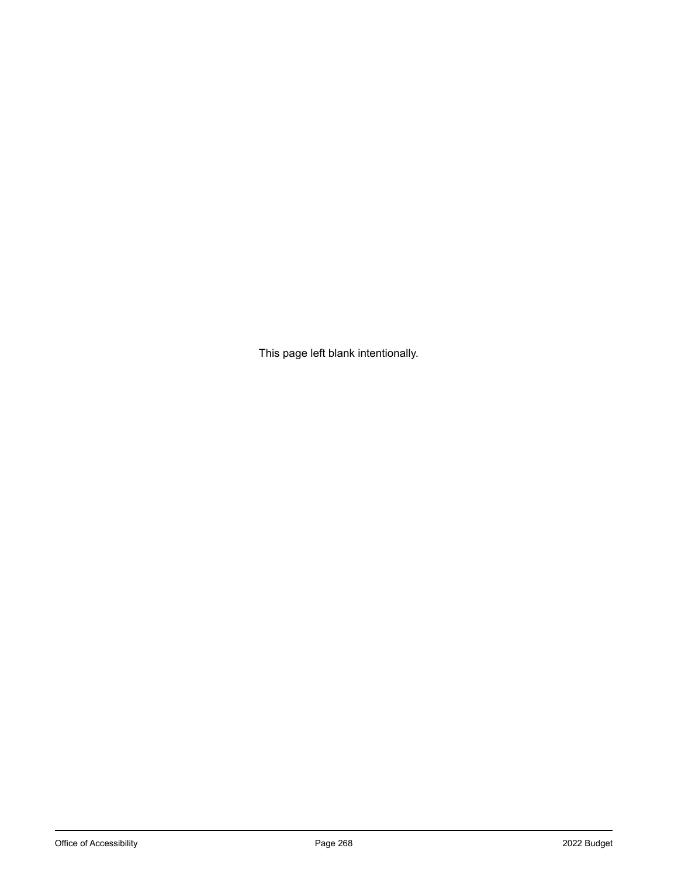This page left blank intentionally.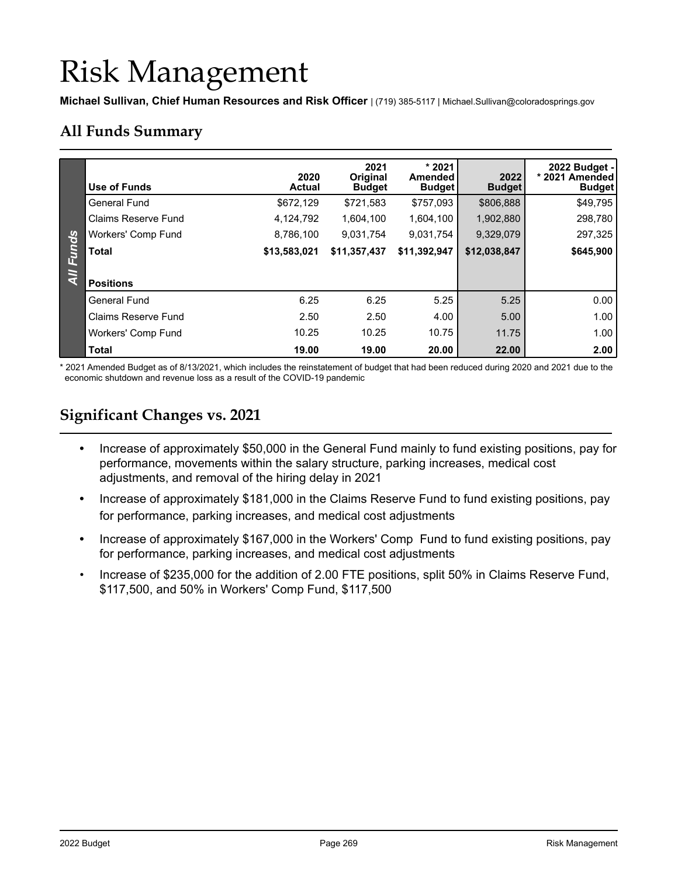# Risk Management

**Michael Sullivan, Chief Human Resources and Risk Officer** | (719) 385-5117 | Michael.Sullivan@coloradosprings.gov

# **All Funds Summary**

|       | Use of Funds               | 2020<br><b>Actual</b> | 2021<br><b>Original</b><br><b>Budget</b> | $*2021$<br><b>Amended</b><br><b>Budget</b> | 2022<br><b>Budget</b> | 2022 Budget -<br>* 2021 Amended<br><b>Budget</b> |
|-------|----------------------------|-----------------------|------------------------------------------|--------------------------------------------|-----------------------|--------------------------------------------------|
|       | General Fund               | \$672,129             | \$721,583                                | \$757,093                                  | \$806,888             | \$49,795                                         |
|       | Claims Reserve Fund        | 4,124,792             | 1,604,100                                | 1,604,100                                  | 1,902,880             | 298,780                                          |
|       | Workers' Comp Fund         | 8,786,100             | 9,031,754                                | 9,031,754                                  | 9,329,079             | 297,325                                          |
| Funds | <b>Total</b>               | \$13,583,021          | \$11,357,437                             | \$11,392,947                               | \$12,038,847          | \$645,900                                        |
| ミ     |                            |                       |                                          |                                            |                       |                                                  |
|       | <b>Positions</b>           |                       |                                          |                                            |                       |                                                  |
|       | General Fund               | 6.25                  | 6.25                                     | 5.25                                       | 5.25                  | 0.00                                             |
|       | <b>Claims Reserve Fund</b> | 2.50                  | 2.50                                     | 4.00                                       | 5.00                  | 1.00                                             |
|       | Workers' Comp Fund         | 10.25                 | 10.25                                    | 10.75                                      | 11.75                 | 1.00                                             |
|       | <b>Total</b>               | 19.00                 | 19.00                                    | 20.00                                      | 22.00                 | 2.00                                             |

\* 2021 Amended Budget as of 8/13/2021, which includes the reinstatement of budget that had been reduced during 2020 and 2021 due to the economic shutdown and revenue loss as a result of the COVID-19 pandemic

# **Significant Changes vs. 2021**

- **•** Increase of approximately \$50,000 in the General Fund mainly to fund existing positions, pay for performance, movements within the salary structure, parking increases, medical cost adjustments, and removal of the hiring delay in 2021
- **•** Increase of approximately \$181,000 in the Claims Reserve Fund to fund existing positions, pay for performance, parking increases, and medical cost adjustments
- **•** Increase of approximately \$167,000 in the Workers' Comp Fund to fund existing positions, pay for performance, parking increases, and medical cost adjustments
- Increase of \$235,000 for the addition of 2.00 FTE positions, split 50% in Claims Reserve Fund, \$117,500, and 50% in Workers' Comp Fund, \$117,500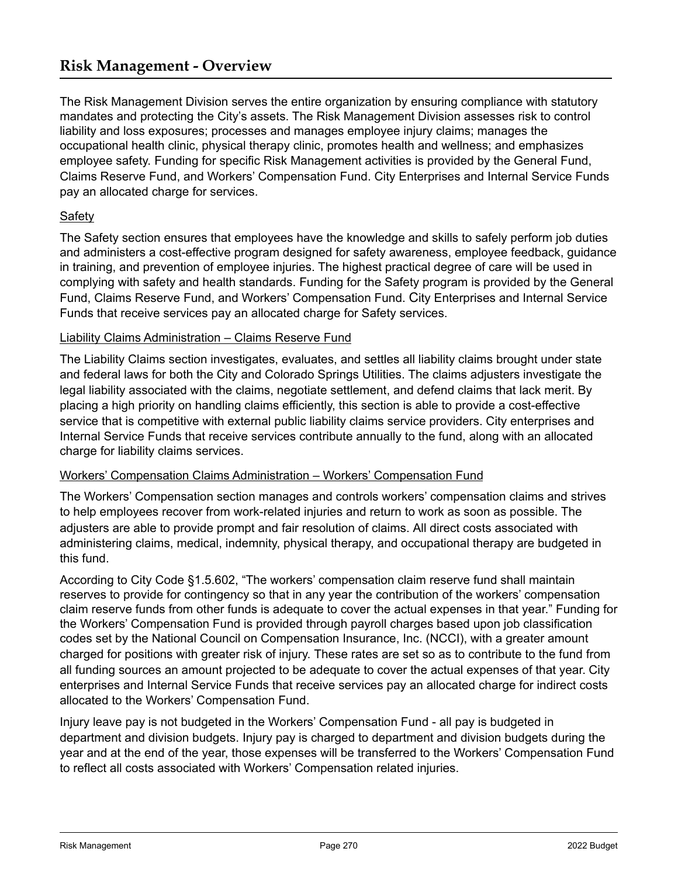# **Risk Management - Overview**

The Risk Management Division serves the entire organization by ensuring compliance with statutory mandates and protecting the City's assets. The Risk Management Division assesses risk to control liability and loss exposures; processes and manages employee injury claims; manages the occupational health clinic, physical therapy clinic, promotes health and wellness; and emphasizes employee safety. Funding for specific Risk Management activities is provided by the General Fund, Claims Reserve Fund, and Workers' Compensation Fund. City Enterprises and Internal Service Funds pay an allocated charge for services.

### Safety

The Safety section ensures that employees have the knowledge and skills to safely perform job duties and administers a cost-effective program designed for safety awareness, employee feedback, guidance in training, and prevention of employee injuries. The highest practical degree of care will be used in complying with safety and health standards. Funding for the Safety program is provided by the General Fund, Claims Reserve Fund, and Workers' Compensation Fund. City Enterprises and Internal Service Funds that receive services pay an allocated charge for Safety services.

### Liability Claims Administration – Claims Reserve Fund

The Liability Claims section investigates, evaluates, and settles all liability claims brought under state and federal laws for both the City and Colorado Springs Utilities. The claims adjusters investigate the legal liability associated with the claims, negotiate settlement, and defend claims that lack merit. By placing a high priority on handling claims efficiently, this section is able to provide a cost-effective service that is competitive with external public liability claims service providers. City enterprises and Internal Service Funds that receive services contribute annually to the fund, along with an allocated charge for liability claims services.

### Workers' Compensation Claims Administration – Workers' Compensation Fund

The Workers' Compensation section manages and controls workers' compensation claims and strives to help employees recover from work-related injuries and return to work as soon as possible. The adjusters are able to provide prompt and fair resolution of claims. All direct costs associated with administering claims, medical, indemnity, physical therapy, and occupational therapy are budgeted in this fund.

According to City Code §1.5.602, "The workers' compensation claim reserve fund shall maintain reserves to provide for contingency so that in any year the contribution of the workers' compensation claim reserve funds from other funds is adequate to cover the actual expenses in that year." Funding for the Workers' Compensation Fund is provided through payroll charges based upon job classification codes set by the National Council on Compensation Insurance, Inc. (NCCI), with a greater amount charged for positions with greater risk of injury. These rates are set so as to contribute to the fund from all funding sources an amount projected to be adequate to cover the actual expenses of that year. City enterprises and Internal Service Funds that receive services pay an allocated charge for indirect costs allocated to the Workers' Compensation Fund.

Injury leave pay is not budgeted in the Workers' Compensation Fund - all pay is budgeted in department and division budgets. Injury pay is charged to department and division budgets during the year and at the end of the year, those expenses will be transferred to the Workers' Compensation Fund to reflect all costs associated with Workers' Compensation related injuries.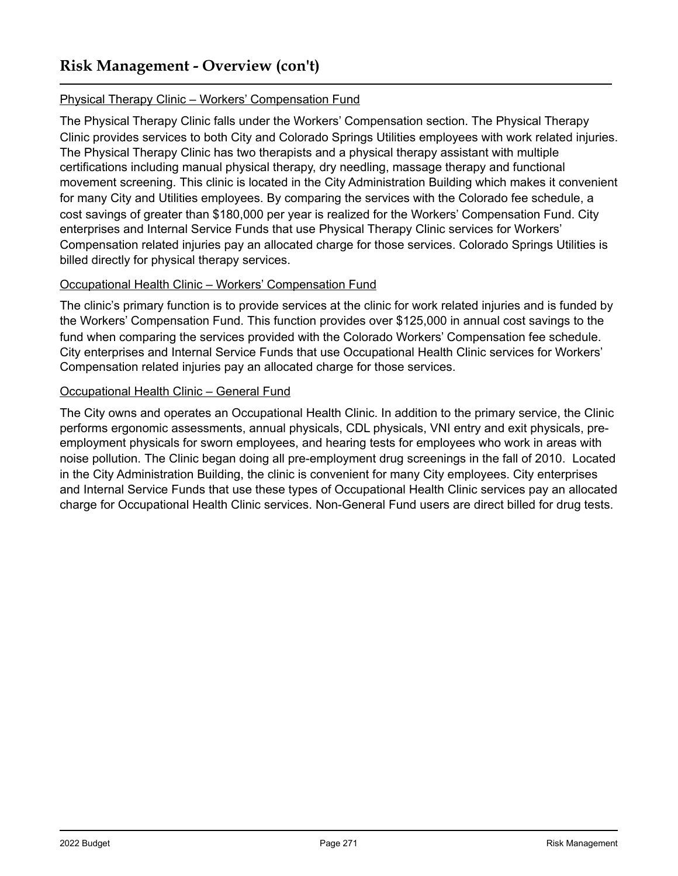## Physical Therapy Clinic – Workers' Compensation Fund

The Physical Therapy Clinic falls under the Workers' Compensation section. The Physical Therapy Clinic provides services to both City and Colorado Springs Utilities employees with work related injuries. The Physical Therapy Clinic has two therapists and a physical therapy assistant with multiple certifications including manual physical therapy, dry needling, massage therapy and functional movement screening. This clinic is located in the City Administration Building which makes it convenient for many City and Utilities employees. By comparing the services with the Colorado fee schedule, a cost savings of greater than \$180,000 per year is realized for the Workers' Compensation Fund. City enterprises and Internal Service Funds that use Physical Therapy Clinic services for Workers' Compensation related injuries pay an allocated charge for those services. Colorado Springs Utilities is billed directly for physical therapy services.

## Occupational Health Clinic – Workers' Compensation Fund

The clinic's primary function is to provide services at the clinic for work related injuries and is funded by the Workers' Compensation Fund. This function provides over \$125,000 in annual cost savings to the fund when comparing the services provided with the Colorado Workers' Compensation fee schedule. City enterprises and Internal Service Funds that use Occupational Health Clinic services for Workers' Compensation related injuries pay an allocated charge for those services.

## Occupational Health Clinic – General Fund

The City owns and operates an Occupational Health Clinic. In addition to the primary service, the Clinic performs ergonomic assessments, annual physicals, CDL physicals, VNI entry and exit physicals, preemployment physicals for sworn employees, and hearing tests for employees who work in areas with noise pollution. The Clinic began doing all pre-employment drug screenings in the fall of 2010. Located in the City Administration Building, the clinic is convenient for many City employees. City enterprises and Internal Service Funds that use these types of Occupational Health Clinic services pay an allocated charge for Occupational Health Clinic services. Non-General Fund users are direct billed for drug tests.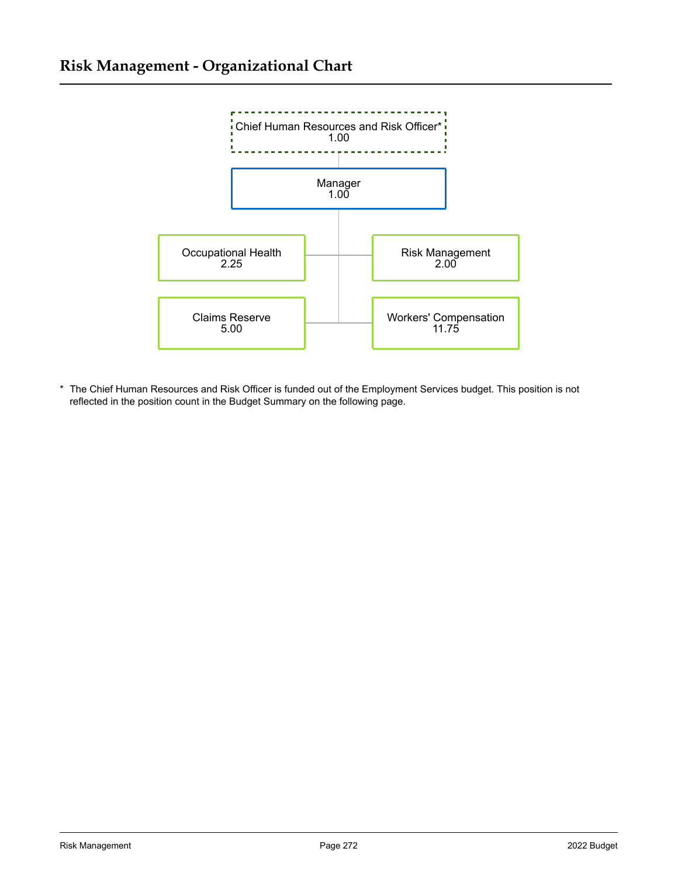# **Risk Management - Organizational Chart**



\* The Chief Human Resources and Risk Officer is funded out of the Employment Services budget. This position is not reflected in the position count in the Budget Summary on the following page.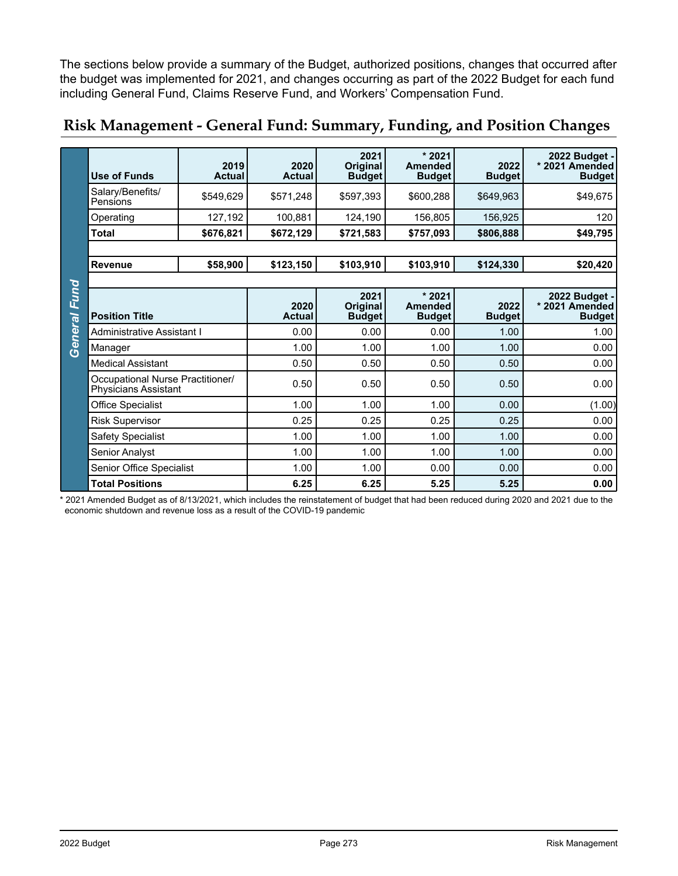The sections below provide a summary of the Budget, authorized positions, changes that occurred after the budget was implemented for 2021, and changes occurring as part of the 2022 Budget for each fund including General Fund, Claims Reserve Fund, and Workers' Compensation Fund.

|         | <b>Use of Funds</b>                                             | 2019<br><b>Actual</b> | 2020<br><b>Actual</b> | 2021<br><b>Original</b><br><b>Budget</b> | $*2021$<br><b>Amended</b><br><b>Budget</b> | 2022<br><b>Budget</b> | 2022 Budget -<br>* 2021 Amended<br><b>Budget</b> |
|---------|-----------------------------------------------------------------|-----------------------|-----------------------|------------------------------------------|--------------------------------------------|-----------------------|--------------------------------------------------|
|         | Salary/Benefits/<br>Pensions                                    | \$549,629             | \$571,248             | \$597,393                                | \$600,288                                  | \$649.963             | \$49.675                                         |
|         | Operating                                                       | 127,192               | 100,881               | 124,190                                  | 156,805                                    | 156,925               | 120                                              |
|         | <b>Total</b>                                                    | \$676,821             | \$672,129             | \$721,583                                | \$757,093                                  | \$806,888             | \$49,795                                         |
|         |                                                                 |                       |                       |                                          |                                            |                       |                                                  |
|         | <b>Revenue</b>                                                  | \$58,900              | \$123,150             | \$103,910                                | \$103,910                                  | \$124,330             | \$20,420                                         |
|         |                                                                 |                       |                       |                                          |                                            |                       |                                                  |
| Fund    | <b>Position Title</b>                                           |                       | 2020<br><b>Actual</b> | 2021<br><b>Original</b><br><b>Budget</b> | $*2021$<br><b>Amended</b><br><b>Budget</b> | 2022<br><b>Budget</b> | 2022 Budget -<br>* 2021 Amended<br><b>Budget</b> |
|         | Administrative Assistant I                                      |                       | 0.00                  | 0.00                                     | 0.00                                       | 1.00                  | 1.00                                             |
| General | Manager                                                         |                       | 1.00                  | 1.00                                     | 1.00                                       | 1.00                  | 0.00                                             |
|         | <b>Medical Assistant</b>                                        |                       | 0.50                  | 0.50                                     | 0.50                                       | 0.50                  | 0.00                                             |
|         | Occupational Nurse Practitioner/<br><b>Physicians Assistant</b> |                       | 0.50                  | 0.50                                     | 0.50                                       | 0.50                  | 0.00                                             |
|         | <b>Office Specialist</b>                                        |                       | 1.00                  | 1.00                                     | 1.00                                       | 0.00                  | (1.00)                                           |
|         | <b>Risk Supervisor</b>                                          |                       | 0.25                  | 0.25                                     | 0.25                                       | 0.25                  | 0.00                                             |
|         | <b>Safety Specialist</b>                                        |                       | 1.00                  | 1.00                                     | 1.00                                       | 1.00                  | 0.00                                             |
|         | Senior Analyst                                                  |                       | 1.00                  | 1.00                                     | 1.00                                       | 1.00                  | 0.00                                             |
|         | Senior Office Specialist                                        |                       | 1.00                  | 1.00                                     | 0.00                                       | 0.00                  | 0.00                                             |
|         | <b>Total Positions</b>                                          |                       | 6.25                  | 6.25                                     | 5.25                                       | 5.25                  | 0.00                                             |

# **Risk Management - General Fund: Summary, Funding, and Position Changes**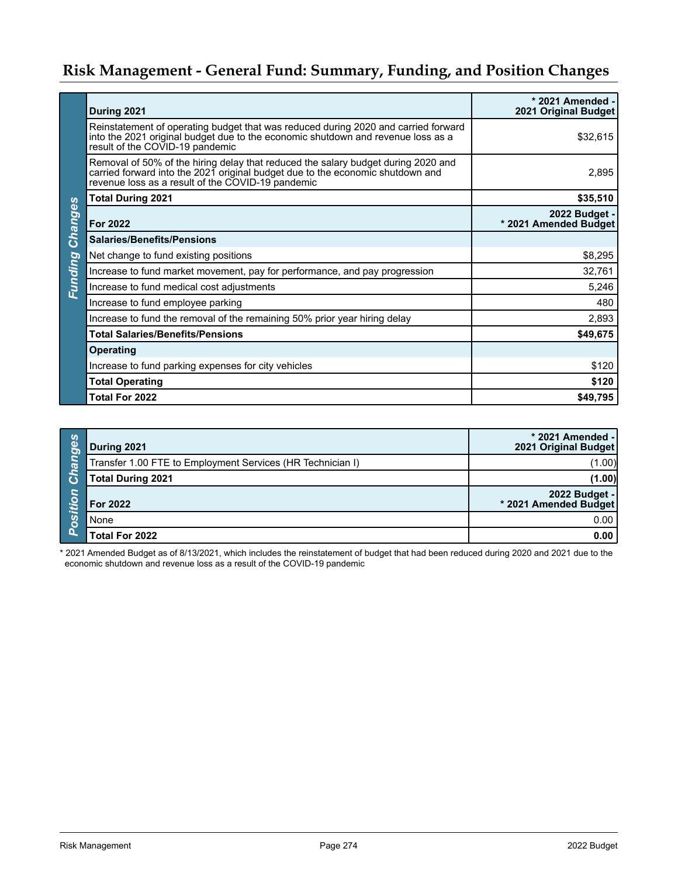# **Risk Management - General Fund: Summary, Funding, and Position Changes**

|                | During 2021                                                                                                                                                                                                              | * 2021 Amended -<br>2021 Original Budget |
|----------------|--------------------------------------------------------------------------------------------------------------------------------------------------------------------------------------------------------------------------|------------------------------------------|
|                | Reinstatement of operating budget that was reduced during 2020 and carried forward<br>into the 2021 original budget due to the economic shutdown and revenue loss as a<br>result of the COVID-19 pandemic                | \$32,615                                 |
|                | Removal of 50% of the hiring delay that reduced the salary budget during 2020 and<br>carried forward into the 2021 original budget due to the economic shutdown and<br>revenue loss as a result of the COVID-19 pandemic | 2,895                                    |
|                | <b>Total During 2021</b>                                                                                                                                                                                                 | \$35,510                                 |
| Changes        | <b>For 2022</b>                                                                                                                                                                                                          | 2022 Budget -<br>* 2021 Amended Budget   |
|                | <b>Salaries/Benefits/Pensions</b>                                                                                                                                                                                        |                                          |
|                | Net change to fund existing positions                                                                                                                                                                                    | \$8,295                                  |
| <b>Eunding</b> | Increase to fund market movement, pay for performance, and pay progression                                                                                                                                               | 32,761                                   |
|                | Increase to fund medical cost adjustments                                                                                                                                                                                | 5,246                                    |
|                | Increase to fund employee parking                                                                                                                                                                                        | 480                                      |
|                | Increase to fund the removal of the remaining 50% prior year hiring delay                                                                                                                                                | 2,893                                    |
|                | <b>Total Salaries/Benefits/Pensions</b>                                                                                                                                                                                  | \$49,675                                 |
|                | Operating                                                                                                                                                                                                                |                                          |
|                | Increase to fund parking expenses for city vehicles                                                                                                                                                                      | \$120                                    |
|                | <b>Total Operating</b>                                                                                                                                                                                                   | \$120                                    |
|                | <b>Total For 2022</b>                                                                                                                                                                                                    | \$49,795                                 |

| ဖိ<br>ত | During 2021                                                | * 2021 Amended -<br>2021 Original Budget |
|---------|------------------------------------------------------------|------------------------------------------|
| ue      | Transfer 1.00 FTE to Employment Services (HR Technician I) | (1.00)                                   |
|         | <b>Total During 2021</b>                                   | (1.00)                                   |
|         | For 2022                                                   | 2022 Budget -<br>* 2021 Amended Budget   |
| ທັ<br>Ö | None                                                       | 0.00                                     |
|         | Total For 2022                                             | 0.00                                     |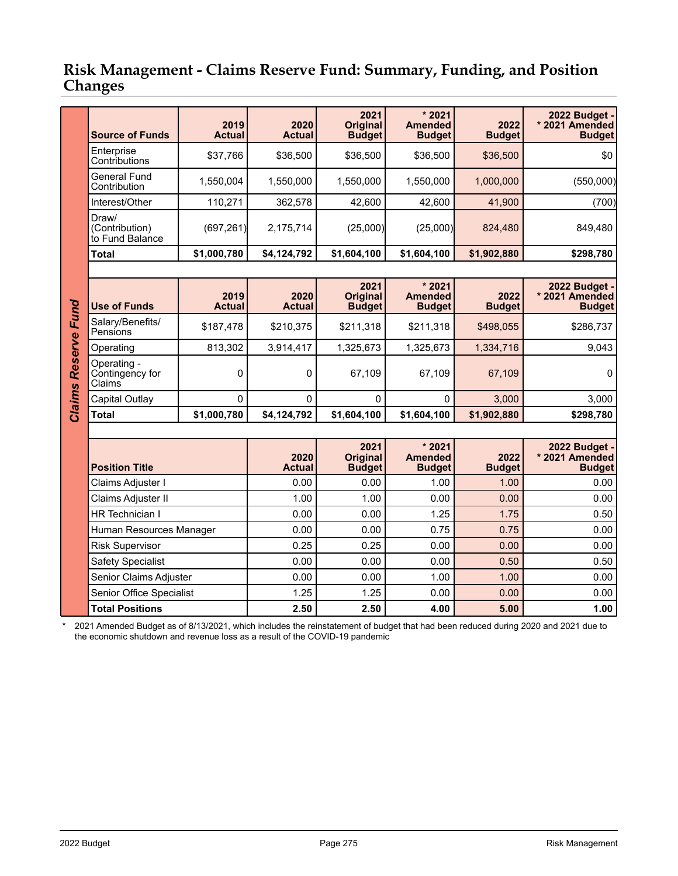# **Risk Management - Claims Reserve Fund: Summary, Funding, and Position Changes**

|                     | <b>Source of Funds</b>                     | 2019<br><b>Actual</b> | 2020<br><b>Actual</b> | 2021<br><b>Original</b><br><b>Budget</b> | $*2021$<br><b>Amended</b><br><b>Budget</b> | 2022<br><b>Budget</b> | 2022 Budget -<br>* 2021 Amended<br><b>Budget</b>        |  |  |
|---------------------|--------------------------------------------|-----------------------|-----------------------|------------------------------------------|--------------------------------------------|-----------------------|---------------------------------------------------------|--|--|
|                     | Enterprise<br>Contributions                | \$37,766              | \$36,500              | \$36,500                                 | \$36,500                                   | \$36,500              | \$0                                                     |  |  |
|                     | <b>General Fund</b><br>Contribution        | 1,550,004             | 1,550,000             | 1,550,000                                | 1,550,000                                  | 1,000,000             | (550,000)                                               |  |  |
|                     | Interest/Other                             | 110,271               | 362,578               | 42,600                                   | 42,600                                     | 41,900                | (700)                                                   |  |  |
|                     | Draw/<br>(Contribution)<br>to Fund Balance | (697, 261)            | 2,175,714             | (25,000)                                 | (25,000)                                   | 824,480               | 849,480                                                 |  |  |
|                     | <b>Total</b>                               | \$1,000,780           | \$4,124,792           | \$1,604,100                              | \$1,604,100                                | \$1,902,880           | \$298,780                                               |  |  |
|                     |                                            |                       |                       |                                          |                                            |                       |                                                         |  |  |
|                     | <b>Use of Funds</b>                        | 2019<br><b>Actual</b> | 2020<br><b>Actual</b> | 2021<br><b>Original</b><br><b>Budget</b> | $*2021$<br><b>Amended</b><br><b>Budget</b> | 2022<br><b>Budget</b> | <b>2022 Budget -</b><br>* 2021 Amended<br><b>Budget</b> |  |  |
|                     | Salary/Benefits/<br>Pensions               | \$187,478             | \$210,375             | \$211,318                                | \$211,318                                  | \$498,055             | \$286,737                                               |  |  |
|                     | Operating                                  | 813,302               | 3,914,417             | 1,325,673                                | 1,325,673                                  | 1,334,716             | 9,043                                                   |  |  |
| Claims Reserve Fund | Operating -<br>Contingency for<br>Claims   | 0                     | 0                     | 67,109                                   | 67,109                                     | 67,109                | $\Omega$                                                |  |  |
|                     | Capital Outlay                             | 0                     | $\Omega$              | $\Omega$                                 | $\Omega$                                   | 3,000                 | 3,000                                                   |  |  |
|                     | <b>Total</b>                               | \$1,000,780           | \$4,124,792           | \$1,604,100                              | \$1,604,100                                | \$1,902,880           | \$298,780                                               |  |  |
|                     |                                            |                       |                       |                                          |                                            |                       |                                                         |  |  |
|                     | <b>Position Title</b>                      |                       | 2020<br><b>Actual</b> | 2021<br><b>Original</b><br><b>Budget</b> | $*2021$<br><b>Amended</b><br><b>Budget</b> | 2022<br><b>Budget</b> | <b>2022 Budget -</b><br>* 2021 Amended<br><b>Budget</b> |  |  |
|                     | Claims Adjuster I                          |                       | 0.00                  | 0.00                                     | 1.00                                       | 1.00                  | 0.00                                                    |  |  |
|                     | Claims Adjuster II                         |                       | 1.00                  | 1.00                                     | 0.00                                       | 0.00                  | 0.00                                                    |  |  |
|                     | <b>HR Technician I</b>                     |                       | 0.00                  | 0.00                                     | 1.25                                       | 1.75                  | 0.50                                                    |  |  |
|                     | Human Resources Manager                    |                       | 0.00                  | 0.00                                     | 0.75                                       | 0.75                  | 0.00                                                    |  |  |
|                     | <b>Risk Supervisor</b>                     |                       | 0.25                  | 0.25                                     | 0.00                                       | 0.00                  | 0.00                                                    |  |  |
|                     | <b>Safety Specialist</b>                   |                       | 0.00                  | 0.00                                     | 0.00                                       | 0.50                  | 0.50                                                    |  |  |
|                     | Senior Claims Adjuster                     |                       | 0.00                  | 0.00                                     | 1.00                                       | 1.00                  | 0.00                                                    |  |  |
|                     | Senior Office Specialist                   |                       | 1.25                  | 1.25                                     | 0.00                                       | 0.00                  | 0.00                                                    |  |  |
|                     | <b>Total Positions</b>                     |                       | 2.50                  | 2.50                                     | 4.00                                       | 5.00                  | 1.00                                                    |  |  |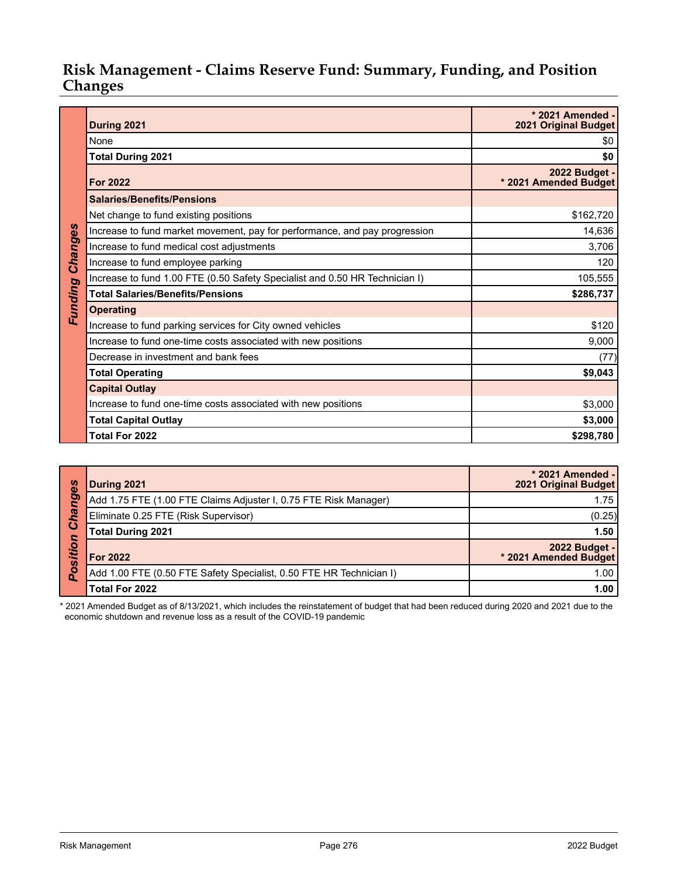# **Risk Management - Claims Reserve Fund: Summary, Funding, and Position Changes**

|                | During 2021                                                                 | * 2021 Amended -<br>2021 Original Budget |
|----------------|-----------------------------------------------------------------------------|------------------------------------------|
|                | None                                                                        | \$0                                      |
|                | <b>Total During 2021</b>                                                    | \$0                                      |
|                | <b>For 2022</b>                                                             | 2022 Budget -<br>* 2021 Amended Budget   |
|                | <b>Salaries/Benefits/Pensions</b>                                           |                                          |
|                | Net change to fund existing positions                                       | \$162,720                                |
|                | Increase to fund market movement, pay for performance, and pay progression  | 14,636                                   |
| Changes        | Increase to fund medical cost adjustments                                   | 3,706                                    |
|                | Increase to fund employee parking                                           | 120                                      |
|                | Increase to fund 1.00 FTE (0.50 Safety Specialist and 0.50 HR Technician I) | 105,555                                  |
|                | <b>Total Salaries/Benefits/Pensions</b>                                     | \$286,737                                |
| <b>Funding</b> | <b>Operating</b>                                                            |                                          |
|                | Increase to fund parking services for City owned vehicles                   | \$120                                    |
|                | Increase to fund one-time costs associated with new positions               | 9,000                                    |
|                | Decrease in investment and bank fees                                        | (77)                                     |
|                | <b>Total Operating</b>                                                      | \$9,043                                  |
|                | <b>Capital Outlay</b>                                                       |                                          |
|                | Increase to fund one-time costs associated with new positions               | \$3,000                                  |
|                | <b>Total Capital Outlay</b>                                                 | \$3,000                                  |
|                | <b>Total For 2022</b>                                                       | \$298,780                                |

|        | During 2021                                                         | * 2021 Amended -<br>2021 Original Budget |
|--------|---------------------------------------------------------------------|------------------------------------------|
| hanges | Add 1.75 FTE (1.00 FTE Claims Adjuster I, 0.75 FTE Risk Manager)    | 1.75                                     |
|        | Eliminate 0.25 FTE (Risk Supervisor)                                | (0.25)                                   |
| O      | <b>Total During 2021</b>                                            | 1.50                                     |
| ition  | <b>For 2022</b>                                                     | 2022 Budget -<br>* 2021 Amended Budget   |
| Posi   | Add 1.00 FTE (0.50 FTE Safety Specialist, 0.50 FTE HR Technician I) | 1.00                                     |
|        | Total For 2022                                                      | 1.00                                     |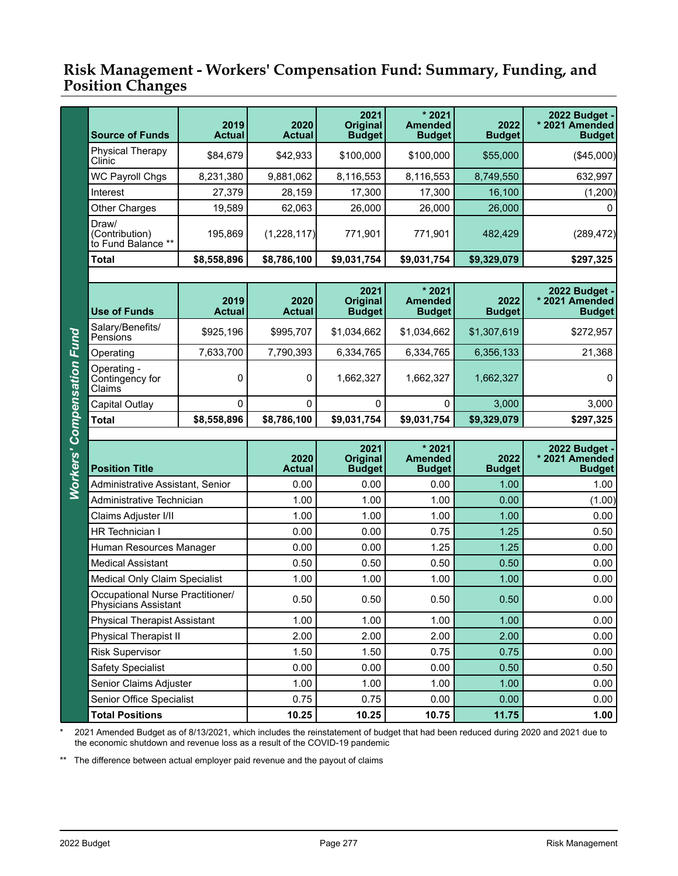# **Risk Management - Workers' Compensation Fund: Summary, Funding, and Position Changes**

|                              | <b>Source of Funds</b>                                   | 2019<br><b>Actual</b> | 2020<br><b>Actual</b> | 2021<br><b>Original</b><br><b>Budget</b> | $*2021$<br><b>Amended</b><br><b>Budget</b> | 2022<br><b>Budget</b> | 2022 Budget -<br>* 2021 Amended<br><b>Budget</b>        |
|------------------------------|----------------------------------------------------------|-----------------------|-----------------------|------------------------------------------|--------------------------------------------|-----------------------|---------------------------------------------------------|
|                              | <b>Physical Therapy</b><br>Clinic                        | \$84,679              | \$42,933              | \$100,000                                | \$100,000                                  | \$55,000              | (\$45,000)                                              |
|                              | <b>WC Payroll Chgs</b>                                   | 8,231,380             | 9,881,062             | 8,116,553                                | 8,116,553                                  | 8,749,550             | 632,997                                                 |
|                              | Interest                                                 | 27,379                | 28,159                | 17,300                                   | 17,300                                     | 16,100                | (1,200)                                                 |
|                              | Other Charges                                            | 19,589                | 62,063                | 26,000                                   | 26,000                                     | 26,000                | $\mathbf{0}$                                            |
|                              | Draw/<br>(Contribution)<br>to Fund Balance **            | 195,869               | (1,228,117)           | 771,901                                  | 771,901                                    | 482,429               | (289, 472)                                              |
|                              | <b>Total</b>                                             | \$8,558,896           | \$8,786,100           | \$9,031,754                              | \$9,031,754                                | \$9,329,079           | \$297,325                                               |
|                              |                                                          |                       |                       |                                          |                                            |                       |                                                         |
|                              | <b>Use of Funds</b>                                      | 2019<br><b>Actual</b> | 2020<br><b>Actual</b> | 2021<br><b>Original</b><br><b>Budget</b> | $*2021$<br><b>Amended</b><br><b>Budget</b> | 2022<br><b>Budget</b> | <b>2022 Budget -</b><br>* 2021 Amended<br><b>Budget</b> |
| Fund                         | Salary/Benefits/<br>Pensions                             | \$925,196             | \$995,707             | \$1,034,662                              | \$1,034,662                                | \$1,307,619           | \$272,957                                               |
|                              | Operating                                                | 7,633,700             | 7,790,393             | 6,334,765                                | 6,334,765                                  | 6,356,133             | 21,368                                                  |
|                              | Operating -<br>Contingency for<br>Claims                 | 0                     | 0                     | 1,662,327                                | 1,662,327                                  | 1,662,327             | 0                                                       |
|                              | Capital Outlay                                           | 0                     | 0                     | 0                                        | 0                                          | 3,000                 | 3,000                                                   |
|                              | <b>Total</b>                                             | \$8,558,896           | \$8,786,100           | \$9,031,754                              | \$9,031,754                                | \$9,329,079           | \$297,325                                               |
|                              |                                                          |                       |                       |                                          |                                            |                       |                                                         |
|                              |                                                          |                       |                       |                                          |                                            |                       |                                                         |
|                              | <b>Position Title</b>                                    |                       | 2020<br><b>Actual</b> | 2021<br><b>Original</b><br><b>Budget</b> | $*2021$<br><b>Amended</b><br><b>Budget</b> | 2022<br><b>Budget</b> | 2022 Budget -<br>* 2021 Amended<br><b>Budget</b>        |
|                              | Administrative Assistant, Senior                         |                       | 0.00                  | 0.00                                     | 0.00                                       | 1.00                  | 1.00                                                    |
| <b>Norkers' Compensation</b> | Administrative Technician                                |                       | 1.00                  | 1.00                                     | 1.00                                       | 0.00                  | (1.00)                                                  |
|                              | Claims Adjuster I/II                                     |                       | 1.00                  | 1.00                                     | 1.00                                       | 1.00                  | 0.00                                                    |
|                              | HR Technician I                                          |                       | 0.00                  | 0.00                                     | 0.75                                       | 1.25                  | 0.50                                                    |
|                              | Human Resources Manager                                  |                       | 0.00                  | 0.00                                     | 1.25                                       | 1.25                  | 0.00                                                    |
|                              | <b>Medical Assistant</b>                                 |                       | 0.50                  | 0.50                                     | 0.50                                       | 0.50                  | 0.00                                                    |
|                              | Medical Only Claim Specialist                            |                       | 1.00                  | 1.00                                     | 1.00                                       | 1.00                  | 0.00                                                    |
|                              | Occupational Nurse Practitioner/<br>Physicians Assistant |                       | 0.50                  | 0.50                                     | 0.50                                       | 0.50                  | 0.00                                                    |
|                              | <b>Physical Therapist Assistant</b>                      |                       | 1.00                  | 1.00                                     | 1.00                                       | 1.00                  | 0.00                                                    |
|                              | <b>Physical Therapist II</b>                             |                       | 2.00                  | 2.00                                     | 2.00                                       | 2.00                  | 0.00                                                    |
|                              | <b>Risk Supervisor</b>                                   |                       | 1.50                  | 1.50                                     | 0.75                                       | 0.75                  | 0.00                                                    |
|                              | <b>Safety Specialist</b>                                 |                       | 0.00                  | 0.00                                     | 0.00                                       | 0.50                  | 0.50                                                    |
|                              | Senior Claims Adjuster                                   |                       | 1.00                  | 1.00                                     | 1.00                                       | 1.00                  | 0.00                                                    |
|                              | Senior Office Specialist<br><b>Total Positions</b>       |                       | 0.75<br>10.25         | 0.75<br>10.25                            | 0.00<br>10.75                              | 0.00<br>11.75         | 0.00<br>1.00                                            |

\* 2021 Amended Budget as of 8/13/2021, which includes the reinstatement of budget that had been reduced during 2020 and 2021 due to the economic shutdown and revenue loss as a result of the COVID-19 pandemic

\*\* The difference between actual employer paid revenue and the payout of claims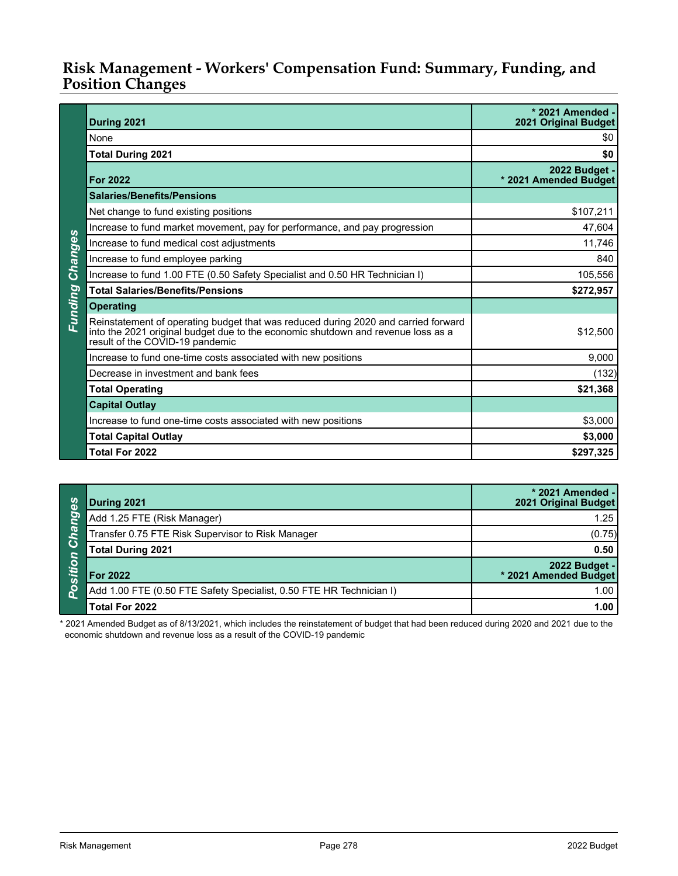## **Risk Management - Workers' Compensation Fund: Summary, Funding, and Position Changes**

| During 2021                 |                                                                                                                                                                                                           | * 2021 Amended -<br>2021 Original Budget |
|-----------------------------|-----------------------------------------------------------------------------------------------------------------------------------------------------------------------------------------------------------|------------------------------------------|
| None                        |                                                                                                                                                                                                           | \$0                                      |
| <b>Total During 2021</b>    |                                                                                                                                                                                                           | \$0                                      |
| <b>For 2022</b>             |                                                                                                                                                                                                           | 2022 Budget -<br>* 2021 Amended Budget   |
|                             | <b>Salaries/Benefits/Pensions</b>                                                                                                                                                                         |                                          |
|                             | Net change to fund existing positions                                                                                                                                                                     | \$107,211                                |
|                             | Increase to fund market movement, pay for performance, and pay progression                                                                                                                                | 47,604                                   |
|                             | Increase to fund medical cost adjustments                                                                                                                                                                 | 11,746                                   |
| Changes                     | Increase to fund employee parking                                                                                                                                                                         | 840                                      |
|                             | Increase to fund 1.00 FTE (0.50 Safety Specialist and 0.50 HR Technician I)                                                                                                                               | 105,556                                  |
|                             | <b>Total Salaries/Benefits/Pensions</b>                                                                                                                                                                   | \$272,957                                |
| <b>Operating</b>            |                                                                                                                                                                                                           |                                          |
| <u>Eunding</u>              | Reinstatement of operating budget that was reduced during 2020 and carried forward<br>into the 2021 original budget due to the economic shutdown and revenue loss as a<br>result of the COVID-19 pandemic | \$12,500                                 |
|                             | Increase to fund one-time costs associated with new positions                                                                                                                                             | 9,000                                    |
|                             | Decrease in investment and bank fees                                                                                                                                                                      | (132)                                    |
| <b>Total Operating</b>      |                                                                                                                                                                                                           | \$21,368                                 |
| <b>Capital Outlay</b>       |                                                                                                                                                                                                           |                                          |
|                             | Increase to fund one-time costs associated with new positions                                                                                                                                             | \$3,000                                  |
| <b>Total Capital Outlay</b> |                                                                                                                                                                                                           | \$3,000                                  |
| <b>Total For 2022</b>       |                                                                                                                                                                                                           | \$297,325                                |

| 89             | During 2021                                                         | * 2021 Amended -<br>2021 Original Budget |
|----------------|---------------------------------------------------------------------|------------------------------------------|
| ğ              | Add 1.25 FTE (Risk Manager)                                         | 1.25                                     |
| <b>PU</b>      | Transfer 0.75 FTE Risk Supervisor to Risk Manager                   | (0.75)                                   |
| ပ<br>e         | <b>Total During 2021</b>                                            | 0.50                                     |
| <u>io</u><br>n | For 2022                                                            | 2022 Budget -<br>* 2021 Amended Budget   |
| Ö              | Add 1.00 FTE (0.50 FTE Safety Specialist, 0.50 FTE HR Technician I) | 1.00                                     |
|                | Total For 2022                                                      | 1.00                                     |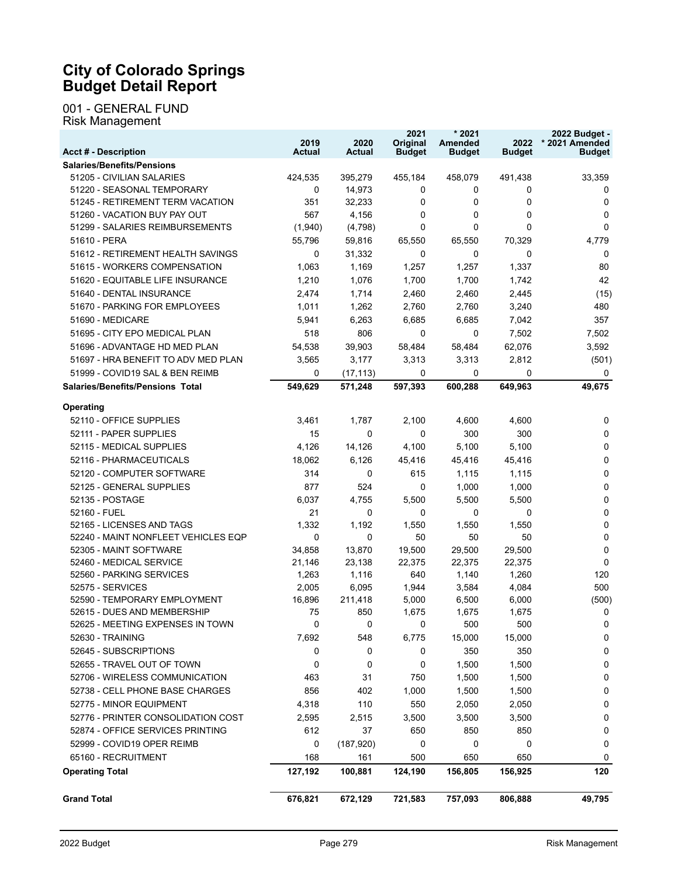# 001 - GENERAL FUND

Risk Management

| <b>Acct # - Description</b>             | 2019<br><b>Actual</b> | 2020<br>Actual | 2021<br>Original<br><b>Budget</b> | * 2021<br>Amended<br><b>Budget</b> | 2022<br><b>Budget</b> | 2022 Budget -<br>* 2021 Amended |
|-----------------------------------------|-----------------------|----------------|-----------------------------------|------------------------------------|-----------------------|---------------------------------|
| <b>Salaries/Benefits/Pensions</b>       |                       |                |                                   |                                    |                       | <b>Budget</b>                   |
| 51205 - CIVILIAN SALARIES               | 424,535               | 395,279        | 455,184                           | 458,079                            | 491,438               | 33,359                          |
| 51220 - SEASONAL TEMPORARY              | 0                     | 14,973         | 0                                 | 0                                  | 0                     | 0                               |
| 51245 - RETIREMENT TERM VACATION        | 351                   | 32,233         | 0                                 | 0                                  | 0                     | 0                               |
| 51260 - VACATION BUY PAY OUT            | 567                   | 4,156          | 0                                 | 0                                  | 0                     | 0                               |
| 51299 - SALARIES REIMBURSEMENTS         | (1,940)               | (4, 798)       | 0                                 | 0                                  | 0                     | 0                               |
| 51610 - PERA                            | 55,796                | 59,816         | 65,550                            | 65,550                             | 70,329                | 4,779                           |
| 51612 - RETIREMENT HEALTH SAVINGS       | 0                     | 31,332         | 0                                 | 0                                  | 0                     | 0                               |
| 51615 - WORKERS COMPENSATION            | 1,063                 | 1,169          | 1,257                             | 1,257                              | 1,337                 | 80                              |
| 51620 - EQUITABLE LIFE INSURANCE        | 1,210                 | 1,076          | 1,700                             | 1,700                              | 1,742                 | 42                              |
| 51640 - DENTAL INSURANCE                | 2,474                 | 1,714          | 2,460                             | 2,460                              | 2,445                 | (15)                            |
| 51670 - PARKING FOR EMPLOYEES           | 1,011                 | 1,262          | 2,760                             | 2,760                              | 3,240                 | 480                             |
|                                         |                       |                |                                   |                                    |                       |                                 |
| 51690 - MEDICARE                        | 5,941                 | 6,263          | 6,685                             | 6,685                              | 7,042                 | 357                             |
| 51695 - CITY EPO MEDICAL PLAN           | 518                   | 806            | 0                                 | 0                                  | 7,502                 | 7,502                           |
| 51696 - ADVANTAGE HD MED PLAN           | 54,538                | 39,903         | 58,484                            | 58,484                             | 62,076                | 3,592                           |
| 51697 - HRA BENEFIT TO ADV MED PLAN     | 3,565                 | 3,177          | 3,313                             | 3,313                              | 2,812                 | (501)                           |
| 51999 - COVID19 SAL & BEN REIMB         | 0                     | (17, 113)      | 0                                 | 0                                  | 0                     | 0                               |
| <b>Salaries/Benefits/Pensions Total</b> | 549,629               | 571,248        | 597,393                           | 600.288                            | 649,963               | 49,675                          |
| <b>Operating</b>                        |                       |                |                                   |                                    |                       |                                 |
| 52110 - OFFICE SUPPLIES                 | 3,461                 | 1,787          | 2,100                             | 4,600                              | 4,600                 | 0                               |
| 52111 - PAPER SUPPLIES                  | 15                    | 0              | 0                                 | 300                                | 300                   | 0                               |
| 52115 - MEDICAL SUPPLIES                | 4,126                 | 14,126         | 4,100                             | 5,100                              | 5,100                 | 0                               |
| 52116 - PHARMACEUTICALS                 | 18,062                | 6,126          | 45,416                            | 45,416                             | 45,416                | 0                               |
| 52120 - COMPUTER SOFTWARE               | 314                   | 0              | 615                               | 1,115                              | 1,115                 | 0                               |
| 52125 - GENERAL SUPPLIES                | 877                   | 524            | 0                                 | 1,000                              | 1,000                 | 0                               |
| 52135 - POSTAGE                         | 6,037                 | 4,755          | 5,500                             | 5,500                              | 5,500                 | 0                               |
| 52160 - FUEL                            | 21                    | 0              | 0                                 | 0                                  | 0                     | 0                               |
| 52165 - LICENSES AND TAGS               | 1,332                 | 1,192          | 1,550                             | 1,550                              | 1,550                 | 0                               |
| 52240 - MAINT NONFLEET VEHICLES EQP     | 0                     | 0              | 50                                | 50                                 | 50                    | 0                               |
| 52305 - MAINT SOFTWARE                  | 34,858                | 13,870         | 19,500                            | 29,500                             | 29,500                | $\mathbf 0$                     |
| 52460 - MEDICAL SERVICE                 | 21,146                | 23,138         | 22,375                            | 22,375                             | 22,375                | 0                               |
| 52560 - PARKING SERVICES                | 1,263                 | 1,116          | 640                               | 1,140                              | 1,260                 | 120                             |
| 52575 - SERVICES                        | 2,005                 | 6,095          | 1,944                             | 3,584                              | 4,084                 | 500                             |
| 52590 - TEMPORARY EMPLOYMENT            | 16,896                | 211,418        | 5,000                             | 6,500                              | 6,000                 | (500)                           |
| 52615 - DUES AND MEMBERSHIP             | 75                    | 850            | 1,675                             | 1,675                              | 1,675                 | 0                               |
| 52625 - MEETING EXPENSES IN TOWN        | 0                     | 0              | 0                                 | 500                                | 500                   | $\Omega$                        |
| 52630 - TRAINING                        | 7,692                 | 548            | 6,775                             | 15,000                             | 15,000                | 0                               |
| 52645 - SUBSCRIPTIONS                   | 0                     | 0              | 0                                 | 350                                | 350                   | 0                               |
| 52655 - TRAVEL OUT OF TOWN              | 0                     | 0              | 0                                 | 1,500                              | 1,500                 | 0                               |
| 52706 - WIRELESS COMMUNICATION          | 463                   | 31             | 750                               | 1,500                              | 1,500                 | 0                               |
| 52738 - CELL PHONE BASE CHARGES         | 856                   | 402            | 1,000                             | 1,500                              | 1,500                 | 0                               |
| 52775 - MINOR EQUIPMENT                 | 4,318                 | 110            | 550                               | 2,050                              | 2,050                 | 0                               |
| 52776 - PRINTER CONSOLIDATION COST      | 2,595                 | 2,515          | 3,500                             | 3,500                              | 3,500                 | 0                               |
| 52874 - OFFICE SERVICES PRINTING        | 612                   | 37             | 650                               | 850                                | 850                   | 0                               |
| 52999 - COVID19 OPER REIMB              | 0                     | (187, 920)     | 0                                 | 0                                  | 0                     | 0                               |
| 65160 - RECRUITMENT                     | 168                   | 161            | 500                               | 650                                | 650                   | 0                               |
| <b>Operating Total</b>                  | 127,192               | 100,881        | 124,190                           | 156,805                            | 156,925               | 120                             |
|                                         |                       |                |                                   |                                    |                       |                                 |
| <b>Grand Total</b>                      | 676,821               | 672,129        | 721,583                           | 757,093                            | 806,888               | 49,795                          |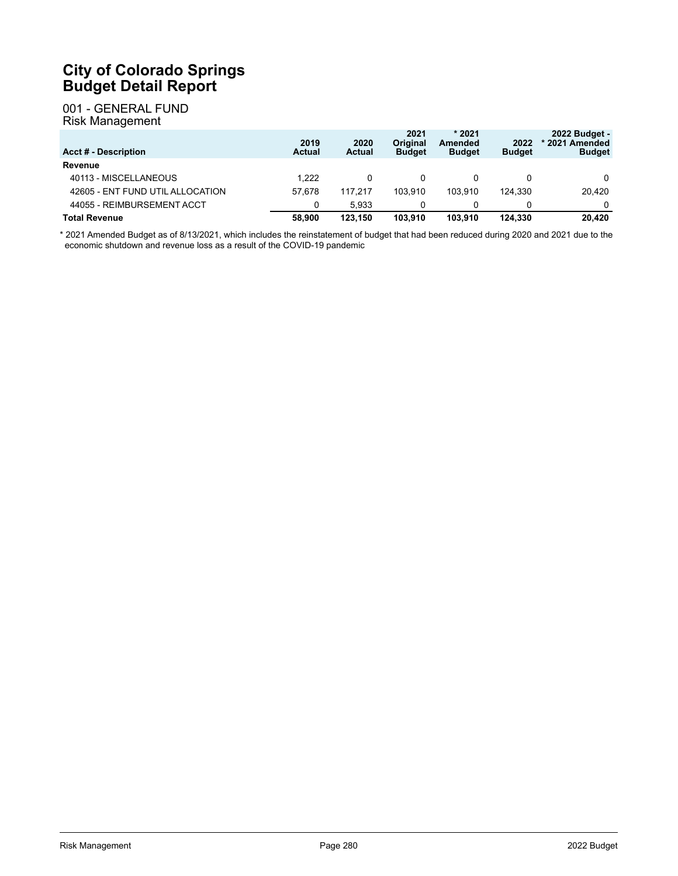# 001 - GENERAL FUND

Risk Management

| <b>Acct # - Description</b>      | 2019<br>Actual | 2020<br>Actual | 2021<br><b>Original</b><br><b>Budget</b> | $*2021$<br>Amended<br><b>Budget</b> | 2022<br><b>Budget</b> | 2022 Budget -<br>* 2021 Amended<br><b>Budget</b> |
|----------------------------------|----------------|----------------|------------------------------------------|-------------------------------------|-----------------------|--------------------------------------------------|
| Revenue                          |                |                |                                          |                                     |                       |                                                  |
| 40113 - MISCELLANEOUS            | 1.222          |                |                                          |                                     |                       | 0                                                |
| 42605 - ENT FUND UTIL ALLOCATION | 57.678         | 117.217        | 103.910                                  | 103.910                             | 124.330               | 20.420                                           |
| 44055 - REIMBURSEMENT ACCT       |                | 5.933          |                                          |                                     |                       | 0                                                |
| <b>Total Revenue</b>             | 58,900         | 123.150        | 103.910                                  | 103.910                             | 124.330               | 20.420                                           |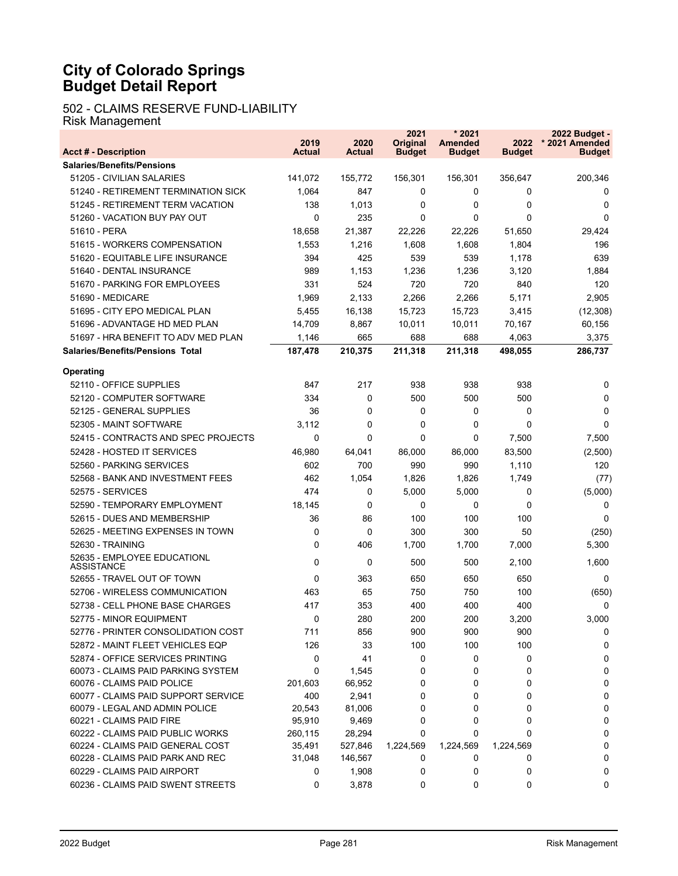#### 502 - CLAIMS RESERVE FUND-LIABILITY Risk Management

|                                                  | 2019        | 2020          | 2021<br>Original | $*2021$<br>Amended | 2022          | 2022 Budget -<br>* 2021 Amended |
|--------------------------------------------------|-------------|---------------|------------------|--------------------|---------------|---------------------------------|
| <b>Acct # - Description</b>                      | Actual      | <b>Actual</b> | <b>Budget</b>    | <b>Budget</b>      | <b>Budget</b> | <b>Budget</b>                   |
| <b>Salaries/Benefits/Pensions</b>                |             |               |                  |                    |               |                                 |
| 51205 - CIVILIAN SALARIES                        | 141,072     | 155,772       | 156,301          | 156,301            | 356,647       | 200,346                         |
| 51240 - RETIREMENT TERMINATION SICK              | 1,064       | 847           | 0                | 0                  | 0             | 0                               |
| 51245 - RETIREMENT TERM VACATION                 | 138         | 1,013         | 0                | 0                  | 0             | 0                               |
| 51260 - VACATION BUY PAY OUT                     | 0           | 235           | 0                | 0                  | $\mathbf{0}$  | $\Omega$                        |
| 51610 - PERA                                     | 18,658      | 21,387        | 22,226           | 22,226             | 51,650        | 29,424                          |
| 51615 - WORKERS COMPENSATION                     | 1,553       | 1,216         | 1,608            | 1,608              | 1,804         | 196                             |
| 51620 - EQUITABLE LIFE INSURANCE                 | 394         | 425           | 539              | 539                | 1,178         | 639                             |
| 51640 - DENTAL INSURANCE                         | 989         | 1,153         | 1,236            | 1,236              | 3,120         | 1,884                           |
| 51670 - PARKING FOR EMPLOYEES                    | 331         | 524           | 720              | 720                | 840           | 120                             |
| 51690 - MEDICARE                                 | 1,969       | 2,133         | 2,266            | 2,266              | 5,171         | 2,905                           |
| 51695 - CITY EPO MEDICAL PLAN                    | 5,455       | 16,138        | 15,723           | 15,723             | 3,415         | (12, 308)                       |
| 51696 - ADVANTAGE HD MED PLAN                    | 14,709      | 8,867         | 10,011           | 10,011             | 70,167        | 60,156                          |
| 51697 - HRA BENEFIT TO ADV MED PLAN              | 1,146       | 665           | 688              | 688                | 4,063         | 3,375                           |
| <b>Salaries/Benefits/Pensions Total</b>          | 187,478     | 210,375       | 211,318          | 211,318            | 498,055       | 286,737                         |
| Operating                                        |             |               |                  |                    |               |                                 |
| 52110 - OFFICE SUPPLIES                          | 847         | 217           | 938              | 938                | 938           | 0                               |
| 52120 - COMPUTER SOFTWARE                        | 334         | 0             | 500              | 500                | 500           | 0                               |
| 52125 - GENERAL SUPPLIES                         | 36          | 0             | 0                | 0                  | 0             | 0                               |
| 52305 - MAINT SOFTWARE                           | 3,112       | 0             | 0                | 0                  | $\Omega$      | $\Omega$                        |
| 52415 - CONTRACTS AND SPEC PROJECTS              | $\mathbf 0$ | $\mathbf{0}$  | 0                | 0                  | 7,500         | 7,500                           |
| 52428 - HOSTED IT SERVICES                       |             |               |                  |                    |               |                                 |
|                                                  | 46,980      | 64,041        | 86,000           | 86,000             | 83,500        | (2,500)                         |
| 52560 - PARKING SERVICES                         | 602         | 700           | 990              | 990                | 1,110         | 120                             |
| 52568 - BANK AND INVESTMENT FEES                 | 462         | 1,054         | 1,826            | 1,826              | 1,749         | (77)                            |
| 52575 - SERVICES                                 | 474         | 0             | 5,000            | 5,000              | 0             | (5,000)                         |
| 52590 - TEMPORARY EMPLOYMENT                     | 18,145      | 0             | 0                | 0                  | 0             | 0                               |
| 52615 - DUES AND MEMBERSHIP                      | 36          | 86            | 100              | 100                | 100           | 0                               |
| 52625 - MEETING EXPENSES IN TOWN                 | 0           | $\Omega$      | 300              | 300                | 50            | (250)                           |
| 52630 - TRAINING                                 | 0           | 406           | 1,700            | 1,700              | 7,000         | 5,300                           |
| 52635 - EMPLOYEE EDUCATIONL<br><b>ASSISTANCE</b> | $\mathbf 0$ | 0             | 500              | 500                | 2,100         | 1,600                           |
| 52655 - TRAVEL OUT OF TOWN                       | 0           | 363           | 650              | 650                | 650           | 0                               |
| 52706 - WIRELESS COMMUNICATION                   | 463         | 65            | 750              | 750                | 100           | (650)                           |
| 52738 - CELL PHONE BASE CHARGES                  | 417         | 353           | 400              | 400                | 400           | 0                               |
| 52775 - MINOR EQUIPMENT                          | $\mathbf 0$ | 280           | 200              | 200                | 3,200         | 3,000                           |
| 52776 - PRINTER CONSOLIDATION COST               | 711         | 856           | 900              | 900                | 900           | 0                               |
| 52872 - MAINT FLEET VEHICLES EQP                 | 126         | 33            | 100              | 100                | 100           | 0                               |
| 52874 - OFFICE SERVICES PRINTING                 | $\mathbf 0$ | 41            | 0                | 0                  | 0             | 0                               |
| 60073 - CLAIMS PAID PARKING SYSTEM               | $\mathbf 0$ | 1,545         | 0                | 0                  | 0             | 0                               |
| 60076 - CLAIMS PAID POLICE                       | 201,603     | 66,952        | 0                | 0                  | 0             | 0                               |
| 60077 - CLAIMS PAID SUPPORT SERVICE              | 400         | 2,941         | 0                | 0                  | 0             | 0                               |
| 60079 - LEGAL AND ADMIN POLICE                   | 20,543      | 81,006        | 0                | 0                  | 0             | 0                               |
| 60221 - CLAIMS PAID FIRE                         | 95,910      | 9,469         | 0                | 0                  | 0             | 0                               |
| 60222 - CLAIMS PAID PUBLIC WORKS                 | 260,115     | 28,294        | 0                | 0                  | 0             | 0                               |
| 60224 - CLAIMS PAID GENERAL COST                 | 35,491      | 527,846       | 1,224,569        | 1,224,569          | 1,224,569     | 0                               |
| 60228 - CLAIMS PAID PARK AND REC                 | 31,048      | 146,567       | 0                | 0                  | 0             | 0                               |
| 60229 - CLAIMS PAID AIRPORT                      | 0           | 1,908         | 0                | 0                  | 0             | 0                               |
| 60236 - CLAIMS PAID SWENT STREETS                | 0           | 3,878         | 0                | 0                  | 0             | 0                               |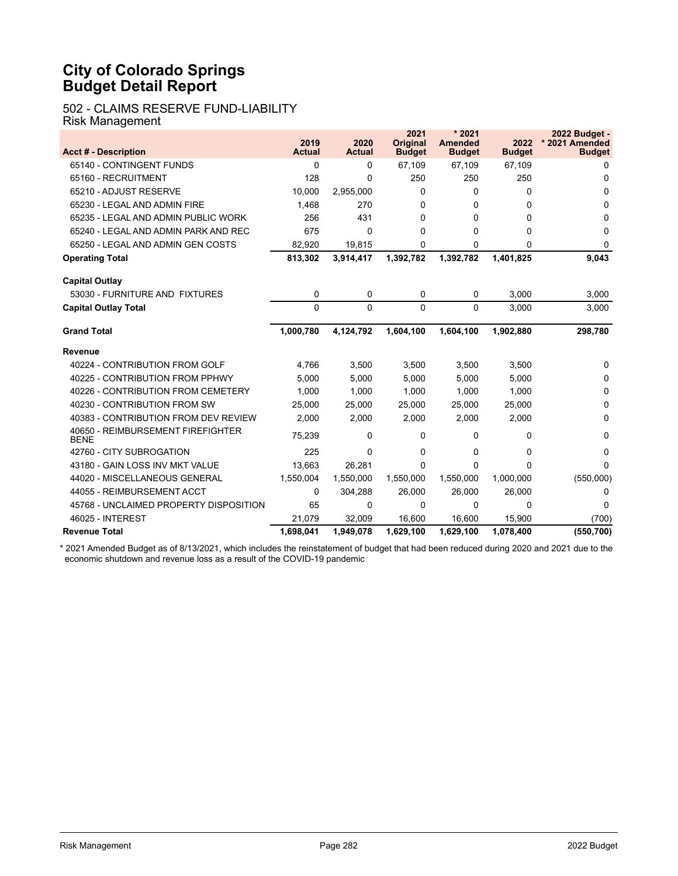### 502 - CLAIMS RESERVE FUND-LIABILITY Risk Management

| <b>Acct # - Description</b>                      | 2019<br>Actual | 2020<br>Actual | 2021<br><b>Original</b><br><b>Budget</b> | $*2021$<br><b>Amended</b><br><b>Budget</b> | 2022<br><b>Budget</b> | 2022 Budget -<br>* 2021 Amended<br><b>Budget</b> |
|--------------------------------------------------|----------------|----------------|------------------------------------------|--------------------------------------------|-----------------------|--------------------------------------------------|
| 65140 - CONTINGENT FUNDS                         | $\Omega$       | $\Omega$       | 67,109                                   | 67,109                                     | 67,109                | $\Omega$                                         |
| 65160 - RECRUITMENT                              | 128            | 0              | 250                                      | 250                                        | 250                   | 0                                                |
| 65210 - ADJUST RESERVE                           | 10.000         | 2,955,000      | 0                                        | 0                                          | 0                     | 0                                                |
| 65230 - LEGAL AND ADMIN FIRE                     | 1,468          | 270            | 0                                        | 0                                          | 0                     | $\Omega$                                         |
| 65235 - LEGAL AND ADMIN PUBLIC WORK              | 256            | 431            | 0                                        | 0                                          | 0                     | $\Omega$                                         |
| 65240 - LEGAL AND ADMIN PARK AND REC             | 675            | $\Omega$       | 0                                        | 0                                          | $\mathbf{0}$          | 0                                                |
| 65250 - LEGAL AND ADMIN GEN COSTS                | 82,920         | 19,815         | 0                                        | 0                                          | 0                     | 0                                                |
| <b>Operating Total</b>                           | 813,302        | 3,914,417      | 1,392,782                                | 1,392,782                                  | 1.401.825             | 9,043                                            |
| <b>Capital Outlay</b>                            |                |                |                                          |                                            |                       |                                                  |
| 53030 - FURNITURE AND FIXTURES                   | 0              | 0              | 0                                        | 0                                          | 3,000                 | 3,000                                            |
| <b>Capital Outlay Total</b>                      | $\Omega$       | $\Omega$       | $\Omega$                                 | 0                                          | 3.000                 | 3,000                                            |
| <b>Grand Total</b>                               | 1,000,780      | 4,124,792      | 1,604,100                                | 1,604,100                                  | 1,902,880             | 298,780                                          |
| <b>Revenue</b>                                   |                |                |                                          |                                            |                       |                                                  |
| 40224 - CONTRIBUTION FROM GOLF                   | 4.766          | 3.500          | 3,500                                    | 3,500                                      | 3,500                 | $\Omega$                                         |
| 40225 - CONTRIBUTION FROM PPHWY                  | 5,000          | 5,000          | 5,000                                    | 5,000                                      | 5,000                 | $\Omega$                                         |
| 40226 - CONTRIBUTION FROM CEMETERY               | 1,000          | 1,000          | 1,000                                    | 1,000                                      | 1,000                 | $\Omega$                                         |
| 40230 - CONTRIBUTION FROM SW                     | 25,000         | 25,000         | 25,000                                   | 25,000                                     | 25,000                | $\Omega$                                         |
| 40383 - CONTRIBUTION FROM DEV REVIEW             | 2,000          | 2,000          | 2,000                                    | 2,000                                      | 2,000                 | $\Omega$                                         |
| 40650 - REIMBURSEMENT FIREFIGHTER<br><b>BENE</b> | 75,239         | $\Omega$       | $\Omega$                                 | 0                                          | $\mathbf{0}$          | $\Omega$                                         |
| 42760 - CITY SUBROGATION                         | 225            | 0              | 0                                        | 0                                          | 0                     | 0                                                |
| 43180 - GAIN LOSS INV MKT VALUE                  | 13,663         | 26,281         | 0                                        | 0                                          | $\mathbf{0}$          | $\Omega$                                         |
| 44020 - MISCELLANEOUS GENERAL                    | 1,550,004      | 1,550,000      | 1,550,000                                | 1,550,000                                  | 1,000,000             | (550,000)                                        |
| 44055 - REIMBURSEMENT ACCT                       | 0              | 304,288        | 26,000                                   | 26,000                                     | 26,000                | 0                                                |
| 45768 - UNCLAIMED PROPERTY DISPOSITION           | 65             | 0              | 0                                        | 0                                          | 0                     | 0                                                |
| 46025 - INTEREST                                 | 21,079         | 32,009         | 16,600                                   | 16,600                                     | 15,900                | (700)                                            |
| <b>Revenue Total</b>                             | 1.698,041      | 1.949.078      | 1,629,100                                | 1.629.100                                  | 1.078.400             | (550, 700)                                       |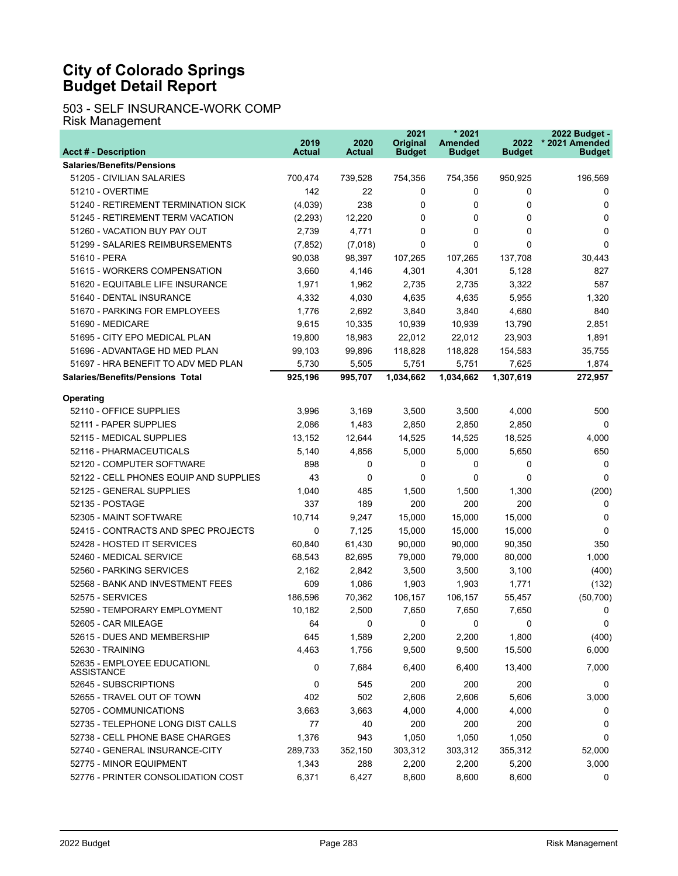#### 503 - SELF INSURANCE-WORK COMP Risk Management

|                                           | 2019          | 2020          | 2021<br>Original | $*2021$<br>Amended | 2022          | 2022 Budget -<br>* 2021 Amended |
|-------------------------------------------|---------------|---------------|------------------|--------------------|---------------|---------------------------------|
| <b>Acct # - Description</b>               | <b>Actual</b> | <b>Actual</b> | <b>Budget</b>    | <b>Budget</b>      | <b>Budget</b> | <b>Budget</b>                   |
| <b>Salaries/Benefits/Pensions</b>         |               |               |                  |                    |               |                                 |
| 51205 - CIVILIAN SALARIES                 | 700,474       | 739,528       | 754,356          | 754,356            | 950,925       | 196,569                         |
| 51210 - OVERTIME                          | 142           | 22            | 0                | 0                  | 0             | 0                               |
| 51240 - RETIREMENT TERMINATION SICK       | (4,039)       | 238           | 0                | 0                  | 0             | 0                               |
| 51245 - RETIREMENT TERM VACATION          | (2,293)       | 12,220        | 0                | 0                  | 0             | 0                               |
| 51260 - VACATION BUY PAY OUT              | 2,739         | 4,771         | 0                | 0                  | 0             | $\Omega$                        |
| 51299 - SALARIES REIMBURSEMENTS           | (7, 852)      | (7,018)       | 0                | 0                  | 0             | $\Omega$                        |
| 51610 - PERA                              | 90,038        | 98,397        | 107,265          | 107,265            | 137,708       | 30,443                          |
| 51615 - WORKERS COMPENSATION              | 3,660         | 4,146         | 4,301            | 4,301              | 5,128         | 827                             |
| 51620 - EQUITABLE LIFE INSURANCE          | 1,971         | 1,962         | 2,735            | 2,735              | 3,322         | 587                             |
| 51640 - DENTAL INSURANCE                  | 4,332         | 4,030         | 4,635            | 4,635              | 5,955         | 1,320                           |
| 51670 - PARKING FOR EMPLOYEES             | 1,776         | 2,692         | 3,840            | 3,840              | 4,680         | 840                             |
| 51690 - MEDICARE                          | 9,615         | 10,335        | 10,939           | 10,939             | 13,790        | 2,851                           |
| 51695 - CITY EPO MEDICAL PLAN             | 19,800        | 18,983        | 22,012           | 22,012             | 23,903        | 1,891                           |
| 51696 - ADVANTAGE HD MED PLAN             | 99,103        | 99,896        | 118,828          | 118,828            | 154,583       | 35,755                          |
| 51697 - HRA BENEFIT TO ADV MED PLAN       | 5,730         | 5,505         | 5,751            | 5,751              | 7,625         | 1,874                           |
| <b>Salaries/Benefits/Pensions Total</b>   | 925,196       | 995,707       | 1,034,662        | 1,034,662          | 1,307,619     | 272,957                         |
|                                           |               |               |                  |                    |               |                                 |
| Operating                                 |               |               |                  |                    |               |                                 |
| 52110 - OFFICE SUPPLIES                   | 3,996         | 3,169         | 3,500            | 3,500              | 4,000         | 500                             |
| 52111 - PAPER SUPPLIES                    | 2,086         | 1,483         | 2,850            | 2,850              | 2,850         | $\Omega$                        |
| 52115 - MEDICAL SUPPLIES                  | 13,152        | 12,644        | 14,525           | 14,525             | 18,525        | 4,000                           |
| 52116 - PHARMACEUTICALS                   | 5,140         | 4,856         | 5,000            | 5,000              | 5,650         | 650                             |
| 52120 - COMPUTER SOFTWARE                 | 898           | 0             | 0                | 0                  | 0             | 0                               |
| 52122 - CELL PHONES EQUIP AND SUPPLIES    | 43            | 0             | 0                | 0                  | $\mathbf{0}$  | $\Omega$                        |
| 52125 - GENERAL SUPPLIES                  | 1,040         | 485           | 1,500            | 1,500              | 1,300         | (200)                           |
| 52135 - POSTAGE                           | 337           | 189           | 200              | 200                | 200           | 0                               |
| 52305 - MAINT SOFTWARE                    | 10,714        | 9,247         | 15,000           | 15,000             | 15,000        | 0                               |
| 52415 - CONTRACTS AND SPEC PROJECTS       | 0             | 7,125         | 15,000           | 15,000             | 15,000        | 0                               |
| 52428 - HOSTED IT SERVICES                | 60,840        | 61,430        | 90,000           | 90,000             | 90,350        | 350                             |
| 52460 - MEDICAL SERVICE                   | 68,543        | 82,695        | 79,000           | 79,000             | 80,000        | 1,000                           |
| 52560 - PARKING SERVICES                  | 2,162         | 2,842         | 3,500            | 3,500              | 3,100         | (400)                           |
| 52568 - BANK AND INVESTMENT FEES          | 609           | 1,086         | 1,903            | 1,903              | 1,771         | (132)                           |
| 52575 - SERVICES                          | 186,596       | 70,362        | 106,157          | 106,157            | 55,457        | (50, 700)                       |
| 52590 - TEMPORARY EMPLOYMENT              | 10,182        | 2,500         | 7,650            | 7,650              | 7,650         | 0                               |
| 52605 - CAR MILEAGE                       | 64            | $\Omega$      | $\mathbf{0}$     | 0                  | <sup>0</sup>  | 0                               |
| 52615 - DUES AND MEMBERSHIP               | 645           | 1,589         | 2,200            | 2,200              | 1,800         | (400)                           |
| 52630 - TRAINING                          | 4,463         | 1,756         | 9,500            | 9,500              | 15,500        | 6,000                           |
| 52635 - EMPLOYEE EDUCATIONL<br>ASSISTANCE | 0             | 7,684         | 6,400            | 6,400              | 13,400        | 7,000                           |
| 52645 - SUBSCRIPTIONS                     | 0             | 545           | 200              | 200                | 200           | 0                               |
| 52655 - TRAVEL OUT OF TOWN                | 402           | 502           | 2,606            | 2,606              | 5,606         | 3,000                           |
| 52705 - COMMUNICATIONS                    | 3,663         | 3,663         | 4,000            | 4,000              | 4,000         | 0                               |
| 52735 - TELEPHONE LONG DIST CALLS         | 77            | 40            | 200              | 200                | 200           | 0                               |
| 52738 - CELL PHONE BASE CHARGES           | 1,376         | 943           | 1,050            | 1,050              | 1,050         | 0                               |
| 52740 - GENERAL INSURANCE-CITY            | 289,733       | 352,150       | 303,312          | 303,312            | 355,312       | 52,000                          |
| 52775 - MINOR EQUIPMENT                   | 1,343         | 288           | 2,200            | 2,200              | 5,200         | 3,000                           |
| 52776 - PRINTER CONSOLIDATION COST        | 6,371         | 6,427         | 8,600            | 8,600              | 8,600         | 0                               |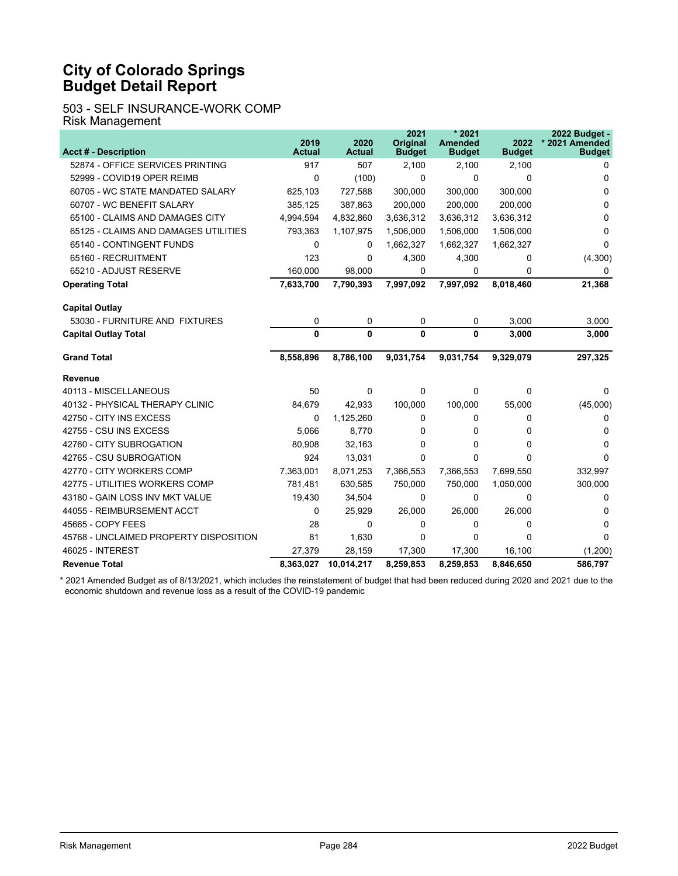### 503 - SELF INSURANCE-WORK COMP Risk Management

| <b>Acct # - Description</b>            | 2019<br><b>Actual</b> | 2020<br><b>Actual</b> | 2021<br>Original<br><b>Budget</b> | $*2021$<br><b>Amended</b><br><b>Budget</b> | 2022<br><b>Budget</b> | 2022 Budget -<br>* 2021 Amended<br><b>Budget</b> |
|----------------------------------------|-----------------------|-----------------------|-----------------------------------|--------------------------------------------|-----------------------|--------------------------------------------------|
| 52874 - OFFICE SERVICES PRINTING       | 917                   | 507                   | 2,100                             | 2,100                                      | 2,100                 | 0                                                |
| 52999 - COVID19 OPER REIMB             | $\mathbf 0$           | (100)                 | 0                                 | 0                                          | $\Omega$              | 0                                                |
| 60705 - WC STATE MANDATED SALARY       | 625,103               | 727,588               | 300,000                           | 300,000                                    | 300,000               | $\Omega$                                         |
| 60707 - WC BENEFIT SALARY              | 385,125               | 387,863               | 200,000                           | 200,000                                    | 200,000               | 0                                                |
| 65100 - CLAIMS AND DAMAGES CITY        | 4,994,594             | 4,832,860             | 3,636,312                         | 3,636,312                                  | 3,636,312             | 0                                                |
| 65125 - CLAIMS AND DAMAGES UTILITIES   | 793,363               | 1,107,975             | 1,506,000                         | 1,506,000                                  | 1,506,000             | $\Omega$                                         |
| 65140 - CONTINGENT FUNDS               | 0                     | $\Omega$              | 1,662,327                         | 1,662,327                                  | 1,662,327             | $\Omega$                                         |
| 65160 - RECRUITMENT                    | 123                   | 0                     | 4,300                             | 4,300                                      | 0                     | (4,300)                                          |
| 65210 - ADJUST RESERVE                 | 160.000               | 98,000                | 0                                 | $\Omega$                                   | $\Omega$              | 0                                                |
| <b>Operating Total</b>                 | 7,633,700             | 7,790,393             | 7,997,092                         | 7,997,092                                  | 8,018,460             | 21,368                                           |
| <b>Capital Outlay</b>                  |                       |                       |                                   |                                            |                       |                                                  |
| 53030 - FURNITURE AND FIXTURES         | $\mathbf 0$           | 0                     | 0                                 | 0                                          | 3,000                 | 3,000                                            |
| <b>Capital Outlay Total</b>            | $\mathbf{0}$          | $\mathbf{0}$          | 0                                 | $\mathbf{0}$                               | 3,000                 | 3,000                                            |
| <b>Grand Total</b>                     | 8,558,896             | 8,786,100             | 9,031,754                         | 9,031,754                                  | 9,329,079             | 297,325                                          |
| Revenue                                |                       |                       |                                   |                                            |                       |                                                  |
| 40113 - MISCELLANEOUS                  | 50                    | $\Omega$              | 0                                 | 0                                          | $\Omega$              | 0                                                |
| 40132 - PHYSICAL THERAPY CLINIC        | 84,679                | 42,933                | 100,000                           | 100,000                                    | 55,000                | (45,000)                                         |
| 42750 - CITY INS EXCESS                | 0                     | 1,125,260             | 0                                 | 0                                          | 0                     | 0                                                |
| 42755 - CSU INS EXCESS                 | 5,066                 | 8,770                 | 0                                 | $\Omega$                                   | 0                     | 0                                                |
| 42760 - CITY SUBROGATION               | 80,908                | 32,163                | 0                                 | 0                                          | $\mathbf{0}$          | $\Omega$                                         |
| 42765 - CSU SUBROGATION                | 924                   | 13,031                | 0                                 | 0                                          | $\Omega$              | 0                                                |
| 42770 - CITY WORKERS COMP              | 7,363,001             | 8,071,253             | 7,366,553                         | 7,366,553                                  | 7,699,550             | 332,997                                          |
| 42775 - UTILITIES WORKERS COMP         | 781,481               | 630,585               | 750,000                           | 750,000                                    | 1,050,000             | 300,000                                          |
| 43180 - GAIN LOSS INV MKT VALUE        | 19,430                | 34,504                | 0                                 | $\Omega$                                   | $\Omega$              | 0                                                |
| 44055 - REIMBURSEMENT ACCT             | 0                     | 25,929                | 26,000                            | 26,000                                     | 26,000                | 0                                                |
| 45665 - COPY FEES                      | 28                    | $\Omega$              | 0                                 | $\Omega$                                   | $\Omega$              | $\Omega$                                         |
| 45768 - UNCLAIMED PROPERTY DISPOSITION | 81                    | 1,630                 | 0                                 | $\Omega$                                   | $\Omega$              | $\Omega$                                         |
| 46025 - INTEREST                       | 27,379                | 28,159                | 17,300                            | 17,300                                     | 16,100                | (1,200)                                          |
| <b>Revenue Total</b>                   | 8,363,027             | 10,014,217            | 8,259,853                         | 8,259,853                                  | 8,846,650             | 586,797                                          |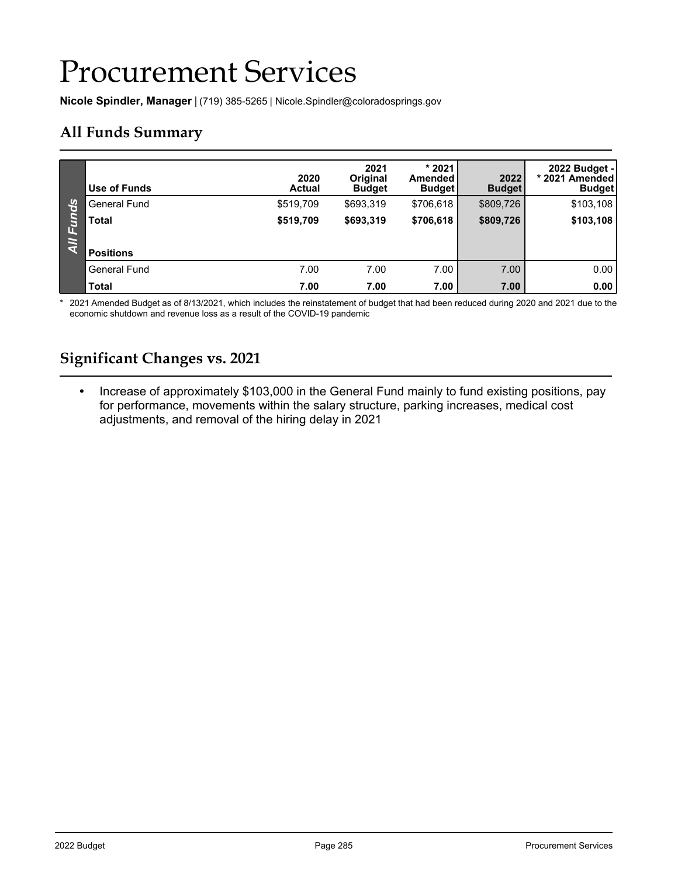# Procurement Services

**Nicole Spindler, Manager** | (719) 385-5265 | Nicole.Spindler@coloradosprings.gov

# **All Funds Summary**

|              | Use of Funds        | 2020<br><b>Actual</b> | 2021<br><b>Original</b><br><b>Budget</b> | $*2021$<br>Amended<br><b>Budget</b> | 2022<br><b>Budget</b> | 2022 Budget -<br>* 2021 Amended<br><b>Budget</b> |
|--------------|---------------------|-----------------------|------------------------------------------|-------------------------------------|-----------------------|--------------------------------------------------|
|              | <b>General Fund</b> | \$519,709             | \$693,319                                | \$706,618                           | \$809,726             | \$103,108                                        |
| <b>Funds</b> | <b>Total</b>        | \$519,709             | \$693,319                                | \$706,618                           | \$809,726             | \$103,108                                        |
| ÷.           | <b>Positions</b>    |                       |                                          |                                     |                       |                                                  |
|              | <b>General Fund</b> | 7.00                  | 7.00                                     | 7.00                                | 7.00                  | 0.00                                             |
|              | <b>Total</b>        | 7.00                  | 7.00                                     | 7.00                                | 7.00                  | 0.00                                             |

\* 2021 Amended Budget as of 8/13/2021, which includes the reinstatement of budget that had been reduced during 2020 and 2021 due to the economic shutdown and revenue loss as a result of the COVID-19 pandemic

# **Significant Changes vs. 2021**

**•** Increase of approximately \$103,000 in the General Fund mainly to fund existing positions, pay for performance, movements within the salary structure, parking increases, medical cost adjustments, and removal of the hiring delay in 2021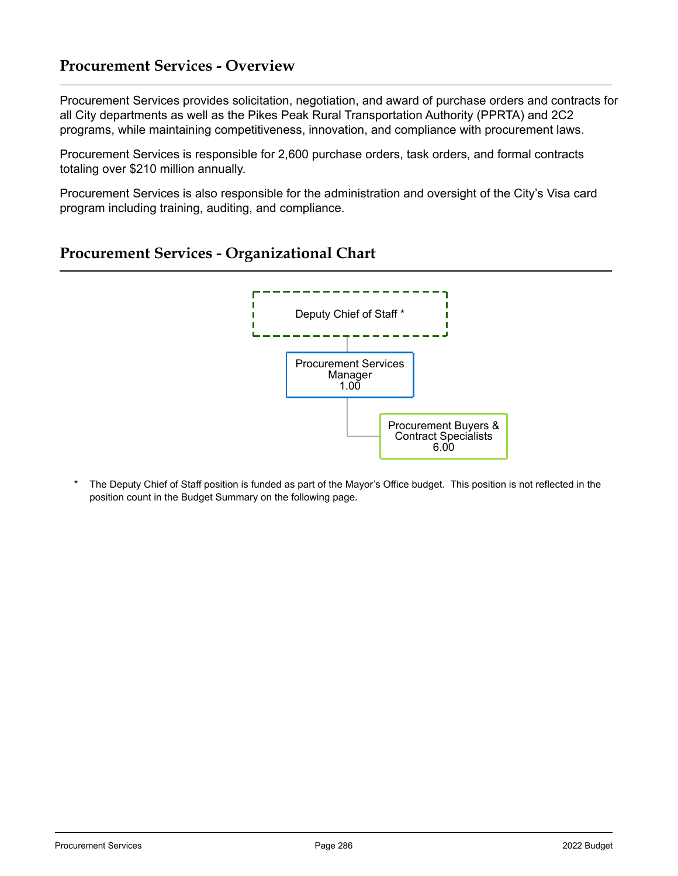# **Procurement Services - Overview**

Procurement Services provides solicitation, negotiation, and award of purchase orders and contracts for all City departments as well as the Pikes Peak Rural Transportation Authority (PPRTA) and 2C2 programs, while maintaining competitiveness, innovation, and compliance with procurement laws.

Procurement Services is responsible for 2,600 purchase orders, task orders, and formal contracts totaling over \$210 million annually.

Procurement Services is also responsible for the administration and oversight of the City's Visa card program including training, auditing, and compliance.

# **Procurement Services - Organizational Chart**



 \* The Deputy Chief of Staff position is funded as part of the Mayor's Office budget. This position is not reflected in the position count in the Budget Summary on the following page.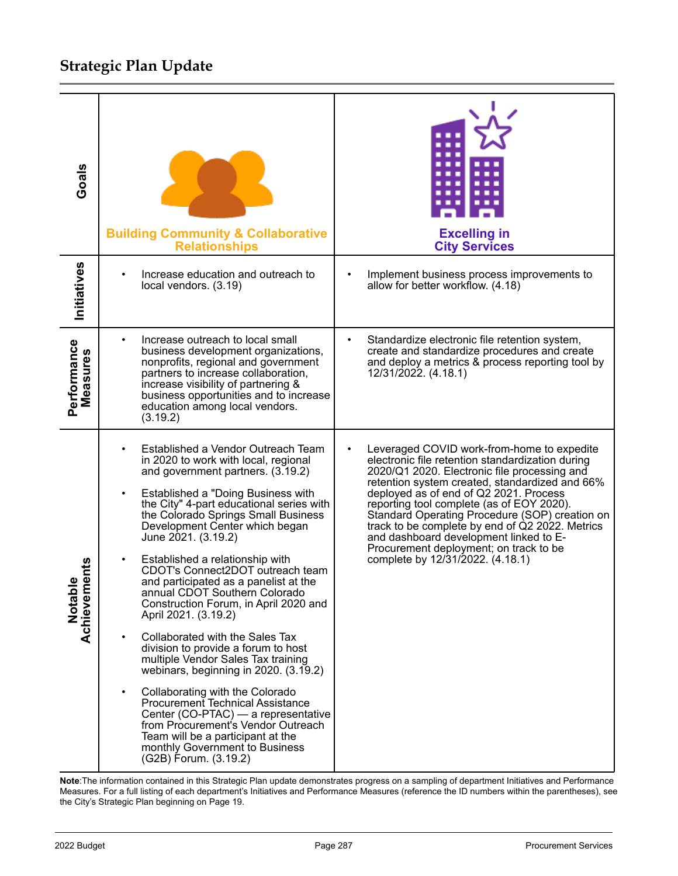# **Strategic Plan Update**

| Goals                            | <b>Building Community &amp; Collaborative</b><br><b>Relationships</b>                                                                                                                                                                                                                                                                                                                                                                                                                                                                                                                                                                                                                                                                                                                                                                                                                                                                                                                             | <b>Excelling in</b><br><b>City Services</b>                                                                                                                                                                                                                                                                                                                                                                                                                                                                          |  |  |  |  |
|----------------------------------|---------------------------------------------------------------------------------------------------------------------------------------------------------------------------------------------------------------------------------------------------------------------------------------------------------------------------------------------------------------------------------------------------------------------------------------------------------------------------------------------------------------------------------------------------------------------------------------------------------------------------------------------------------------------------------------------------------------------------------------------------------------------------------------------------------------------------------------------------------------------------------------------------------------------------------------------------------------------------------------------------|----------------------------------------------------------------------------------------------------------------------------------------------------------------------------------------------------------------------------------------------------------------------------------------------------------------------------------------------------------------------------------------------------------------------------------------------------------------------------------------------------------------------|--|--|--|--|
| Initiatives                      | Increase education and outreach to<br>local vendors. (3.19)                                                                                                                                                                                                                                                                                                                                                                                                                                                                                                                                                                                                                                                                                                                                                                                                                                                                                                                                       | Implement business process improvements to<br>allow for better workflow. (4.18)                                                                                                                                                                                                                                                                                                                                                                                                                                      |  |  |  |  |
| Performance<br>Measures          | Increase outreach to local small<br>$\bullet$<br>business development organizations,<br>nonprofits, regional and government<br>partners to increase collaboration,<br>increase visibility of partnering &<br>business opportunities and to increase<br>education among local vendors.<br>(3.19.2)                                                                                                                                                                                                                                                                                                                                                                                                                                                                                                                                                                                                                                                                                                 | Standardize electronic file retention system,<br>$\bullet$<br>create and standardize procedures and create<br>and deploy a metrics & process reporting tool by<br>12/31/2022. (4.18.1)                                                                                                                                                                                                                                                                                                                               |  |  |  |  |
| ents<br>മ<br>Notable<br>Achievem | Established a Vendor Outreach Team<br>$\bullet$<br>in 2020 to work with local, regional<br>and government partners. (3.19.2)<br>Established a "Doing Business with<br>$\bullet$<br>the City" 4-part educational series with<br>the Colorado Springs Small Business<br>Development Center which began<br>June 2021. (3.19.2)<br>Established a relationship with<br>$\bullet$<br>CDOT's Connect2DOT outreach team<br>and participated as a panelist at the<br>annual CDOT Southern Colorado<br>Construction Forum, in April 2020 and<br>April 2021. (3.19.2)<br>Collaborated with the Sales Tax<br>$\bullet$<br>division to provide a forum to host<br>multiple Vendor Sales Tax training<br>webinars, beginning in 2020. (3.19.2)<br>Collaborating with the Colorado<br>$\bullet$<br>Procurement Technical Assistance<br>Center (CO-PTAC) - a representative<br>from Procurement's Vendor Outreach<br>Team will be a participant at the<br>monthly Government to Business<br>(G2B) Forum. (3.19.2) | Leveraged COVID work-from-home to expedite<br>electronic file retention standardization during<br>2020/Q1 2020. Electronic file processing and<br>retention system created, standardized and 66%<br>deployed as of end of Q2 2021. Process<br>reporting tool complete (as of EOY 2020).<br>Standard Operating Procedure (SOP) creation on<br>track to be complete by end of Q2 2022. Metrics<br>and dashboard development linked to E-<br>Procurement deployment; on track to be<br>complete by 12/31/2022. (4.18.1) |  |  |  |  |

**Note**:The information contained in this Strategic Plan update demonstrates progress on a sampling of department Initiatives and Performance Measures. For a full listing of each department's Initiatives and Performance Measures (reference the ID numbers within the parentheses), see the City's Strategic Plan beginning on Page 19.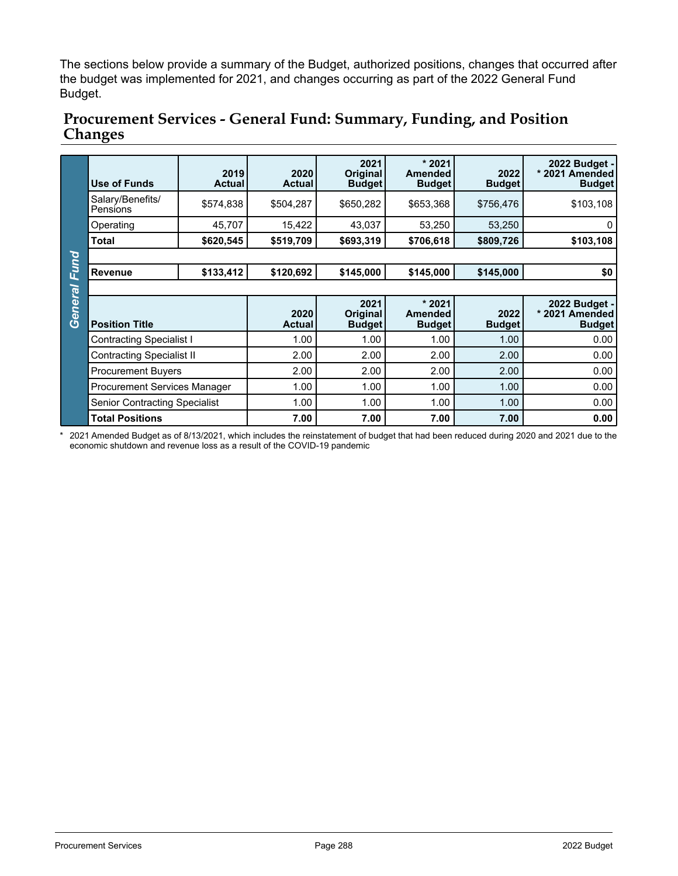The sections below provide a summary of the Budget, authorized positions, changes that occurred after the budget was implemented for 2021, and changes occurring as part of the 2022 General Fund Budget.

# **Procurement Services - General Fund: Summary, Funding, and Position Changes**

|         | Use of Funds                         | 2019<br><b>Actual</b> | 2020<br><b>Actual</b> | 2021<br>Original<br><b>Budget</b> | $*2021$<br>Amended<br><b>Budget</b>        | 2022<br><b>Budget</b> | 2022 Budget -<br>* 2021 Amended<br><b>Budget</b> |  |  |
|---------|--------------------------------------|-----------------------|-----------------------|-----------------------------------|--------------------------------------------|-----------------------|--------------------------------------------------|--|--|
|         | Salary/Benefits/<br>Pensions         | \$574,838             | \$504,287             | \$650,282                         | \$653,368                                  | \$756,476             | \$103,108                                        |  |  |
|         | Operating                            | 45,707                | 15,422                | 43,037                            | 53,250                                     | 53,250                | 0                                                |  |  |
|         | <b>Total</b>                         | \$620,545             | \$519,709             | \$693,319                         | \$706,618                                  | \$809,726             | \$103,108                                        |  |  |
|         |                                      |                       |                       |                                   |                                            |                       |                                                  |  |  |
| Fund    | <b>Revenue</b>                       | \$133,412             | \$120,692             | \$145,000                         | \$145,000                                  | \$145,000             | \$0                                              |  |  |
|         |                                      |                       |                       |                                   |                                            |                       |                                                  |  |  |
| General | <b>Position Title</b>                |                       | 2020<br><b>Actual</b> | 2021<br>Original<br><b>Budget</b> | $*2021$<br><b>Amended</b><br><b>Budget</b> | 2022<br><b>Budget</b> | 2022 Budget -<br>* 2021 Amended<br><b>Budget</b> |  |  |
|         | <b>Contracting Specialist I</b>      |                       | 1.00                  | 1.00                              | 1.00                                       | 1.00                  | 0.00                                             |  |  |
|         | <b>Contracting Specialist II</b>     |                       | 2.00                  | 2.00                              | 2.00                                       | 2.00                  | 0.00                                             |  |  |
|         | <b>Procurement Buyers</b>            |                       | 2.00                  | 2.00                              | 2.00                                       | 2.00                  | 0.00                                             |  |  |
|         | <b>Procurement Services Manager</b>  |                       | 1.00                  | 1.00                              | 1.00                                       | 1.00                  | 0.00                                             |  |  |
|         | <b>Senior Contracting Specialist</b> |                       | 1.00                  | 1.00                              | 1.00                                       | 1.00                  | 0.00                                             |  |  |
|         | <b>Total Positions</b>               |                       | 7.00                  | 7.00                              | 7.00                                       | 7.00                  | 0.00                                             |  |  |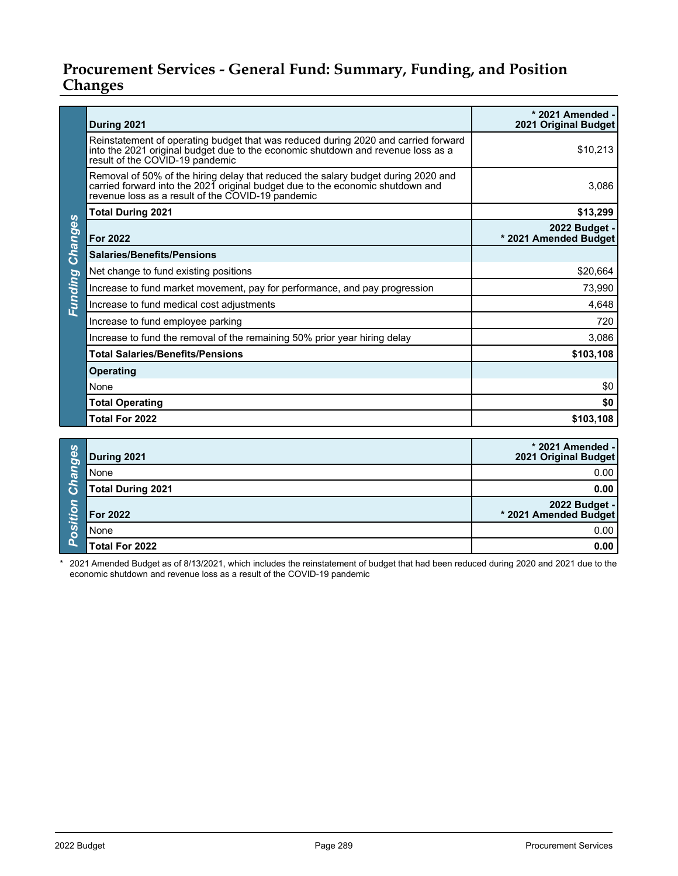# **Procurement Services - General Fund: Summary, Funding, and Position Changes**

|                | During 2021                                                                                                                                                                                                              | * 2021 Amended -<br>2021 Original Budget |
|----------------|--------------------------------------------------------------------------------------------------------------------------------------------------------------------------------------------------------------------------|------------------------------------------|
|                | Reinstatement of operating budget that was reduced during 2020 and carried forward<br>into the 2021 original budget due to the economic shutdown and revenue loss as a<br>result of the COVID-19 pandemic                | \$10,213                                 |
|                | Removal of 50% of the hiring delay that reduced the salary budget during 2020 and<br>carried forward into the 2021 original budget due to the economic shutdown and<br>revenue loss as a result of the COVID-19 pandemic | 3,086                                    |
|                | <b>Total During 2021</b>                                                                                                                                                                                                 | \$13,299                                 |
| Changes        | For 2022                                                                                                                                                                                                                 | 2022 Budget -<br>* 2021 Amended Budget   |
|                | <b>Salaries/Benefits/Pensions</b>                                                                                                                                                                                        |                                          |
|                | Net change to fund existing positions                                                                                                                                                                                    | \$20,664                                 |
| <b>Funding</b> | Increase to fund market movement, pay for performance, and pay progression                                                                                                                                               | 73,990                                   |
|                | Increase to fund medical cost adjustments                                                                                                                                                                                | 4,648                                    |
|                | Increase to fund employee parking                                                                                                                                                                                        | 720                                      |
|                | Increase to fund the removal of the remaining 50% prior year hiring delay                                                                                                                                                | 3,086                                    |
|                | <b>Total Salaries/Benefits/Pensions</b>                                                                                                                                                                                  | \$103,108                                |
|                | <b>Operating</b>                                                                                                                                                                                                         |                                          |
|                | None                                                                                                                                                                                                                     | \$0                                      |
|                | <b>Total Operating</b>                                                                                                                                                                                                   | \$0                                      |
|                | Total For 2022                                                                                                                                                                                                           | \$103,108                                |

| ges               | During 2021              | * 2021 Amended -<br>2021 Original Budget |
|-------------------|--------------------------|------------------------------------------|
| ueu               | l None                   | 0.00                                     |
| G                 | <b>Total During 2021</b> | 0.00                                     |
| itio<br><b>OS</b> | For 2022                 | 2022 Budget -<br>* 2021 Amended Budget   |
|                   | None                     | 0.00                                     |
| ດ                 | Total For 2022           | 0.00                                     |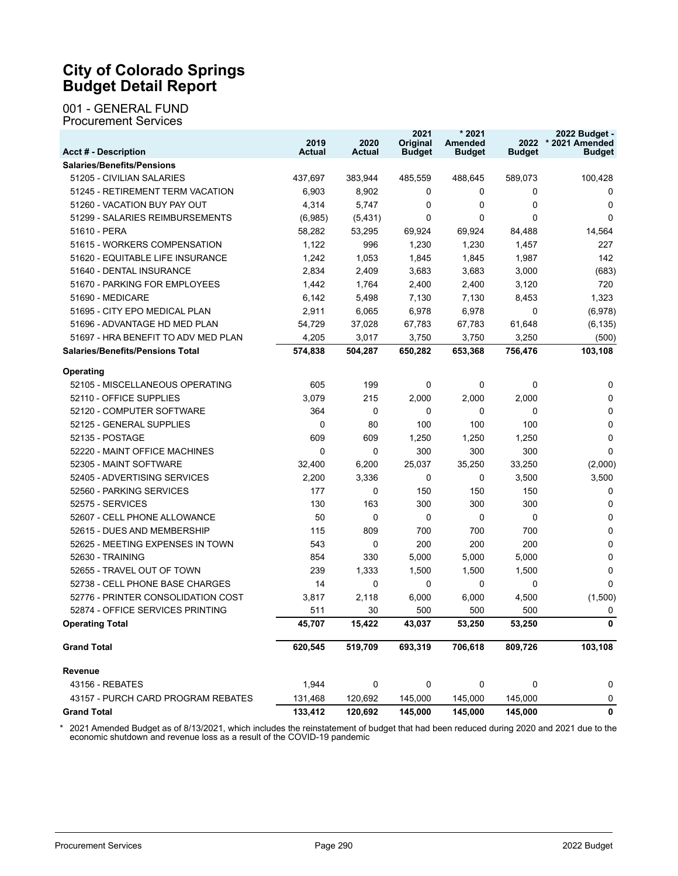001 - GENERAL FUND Procurement Services

| <b>Acct # - Description</b>             | 2019<br>Actual | 2020<br><b>Actual</b> | 2021<br><b>Original</b><br><b>Budget</b> | $*2021$<br>Amended<br><b>Budget</b> | <b>Budget</b> | 2022 Budget -<br>2022 * 2021 Amended<br><b>Budget</b> |
|-----------------------------------------|----------------|-----------------------|------------------------------------------|-------------------------------------|---------------|-------------------------------------------------------|
| <b>Salaries/Benefits/Pensions</b>       |                |                       |                                          |                                     |               |                                                       |
| 51205 - CIVILIAN SALARIES               | 437,697        | 383,944               | 485,559                                  | 488,645                             | 589,073       | 100,428                                               |
| 51245 - RETIREMENT TERM VACATION        | 6,903          | 8,902                 | 0                                        | 0                                   | 0             | 0                                                     |
| 51260 - VACATION BUY PAY OUT            | 4,314          | 5,747                 | 0                                        | 0                                   | 0             | 0                                                     |
| 51299 - SALARIES REIMBURSEMENTS         | (6,985)        | (5,431)               | 0                                        | 0                                   | 0             | 0                                                     |
| 51610 - PERA                            | 58,282         | 53,295                | 69,924                                   | 69,924                              | 84,488        | 14,564                                                |
| 51615 - WORKERS COMPENSATION            | 1,122          | 996                   | 1,230                                    | 1,230                               | 1,457         | 227                                                   |
| 51620 - EQUITABLE LIFE INSURANCE        | 1,242          | 1,053                 | 1,845                                    | 1,845                               | 1,987         | 142                                                   |
| 51640 - DENTAL INSURANCE                | 2,834          | 2,409                 | 3,683                                    | 3,683                               | 3,000         | (683)                                                 |
| 51670 - PARKING FOR EMPLOYEES           | 1,442          | 1,764                 | 2,400                                    | 2,400                               | 3,120         | 720                                                   |
| 51690 - MEDICARE                        | 6,142          | 5,498                 | 7,130                                    | 7,130                               | 8,453         | 1,323                                                 |
| 51695 - CITY EPO MEDICAL PLAN           | 2,911          | 6,065                 | 6,978                                    | 6,978                               | 0             | (6,978)                                               |
| 51696 - ADVANTAGE HD MED PLAN           | 54,729         | 37,028                | 67,783                                   | 67,783                              | 61,648        | (6, 135)                                              |
| 51697 - HRA BENEFIT TO ADV MED PLAN     | 4,205          | 3,017                 | 3,750                                    | 3,750                               | 3,250         | (500)                                                 |
| <b>Salaries/Benefits/Pensions Total</b> | 574,838        | 504,287               | 650,282                                  | 653,368                             | 756,476       | 103,108                                               |
| <b>Operating</b>                        |                |                       |                                          |                                     |               |                                                       |
| 52105 - MISCELLANEOUS OPERATING         | 605            | 199                   | 0                                        | 0                                   | 0             | 0                                                     |
| 52110 - OFFICE SUPPLIES                 | 3,079          | 215                   | 2,000                                    | 2,000                               | 2,000         | 0                                                     |
| 52120 - COMPUTER SOFTWARE               | 364            | 0                     | 0                                        | 0                                   | 0             | 0                                                     |
| 52125 - GENERAL SUPPLIES                | 0              | 80                    | 100                                      | 100                                 | 100           | 0                                                     |
| 52135 - POSTAGE                         | 609            | 609                   | 1,250                                    | 1,250                               | 1,250         | 0                                                     |
| 52220 - MAINT OFFICE MACHINES           | 0              | 0                     | 300                                      | 300                                 | 300           | $\Omega$                                              |
| 52305 - MAINT SOFTWARE                  | 32,400         | 6,200                 | 25,037                                   | 35,250                              | 33,250        | (2,000)                                               |
| 52405 - ADVERTISING SERVICES            | 2,200          | 3,336                 | 0                                        | 0                                   | 3,500         | 3,500                                                 |
| 52560 - PARKING SERVICES                | 177            | 0                     | 150                                      | 150                                 | 150           | 0                                                     |
| 52575 - SERVICES                        | 130            | 163                   | 300                                      | 300                                 | 300           | 0                                                     |
| 52607 - CELL PHONE ALLOWANCE            | 50             | 0                     | 0                                        | 0                                   | 0             | 0                                                     |
| 52615 - DUES AND MEMBERSHIP             | 115            | 809                   | 700                                      | 700                                 | 700           | $\mathbf 0$                                           |
| 52625 - MEETING EXPENSES IN TOWN        | 543            | 0                     | 200                                      | 200                                 | 200           | 0                                                     |
| 52630 - TRAINING                        | 854            | 330                   | 5,000                                    | 5,000                               | 5,000         | 0                                                     |
| 52655 - TRAVEL OUT OF TOWN              | 239            | 1,333                 | 1,500                                    | 1,500                               | 1,500         | 0                                                     |
| 52738 - CELL PHONE BASE CHARGES         | 14             | 0                     | 0                                        | 0                                   | 0             | $\Omega$                                              |
| 52776 - PRINTER CONSOLIDATION COST      | 3,817          | 2,118                 | 6,000                                    | 6,000                               | 4,500         | (1,500)                                               |
| 52874 - OFFICE SERVICES PRINTING        | 511            | 30                    | 500                                      | 500                                 | 500           | 0                                                     |
| <b>Operating Total</b>                  | 45,707         | 15,422                | 43,037                                   | 53,250                              | 53,250        | $\bf{0}$                                              |
| <b>Grand Total</b>                      | 620,545        | 519,709               | 693,319                                  | 706,618                             | 809,726       | 103,108                                               |
| Revenue                                 |                |                       |                                          |                                     |               |                                                       |
| 43156 - REBATES                         | 1,944          | 0                     | 0                                        | 0                                   | 0             | 0                                                     |
| 43157 - PURCH CARD PROGRAM REBATES      | 131,468        | 120,692               | 145,000                                  | 145,000                             | 145,000       | 0                                                     |
| <b>Grand Total</b>                      | 133,412        | 120,692               | 145,000                                  | 145,000                             | 145,000       | $\mathbf 0$                                           |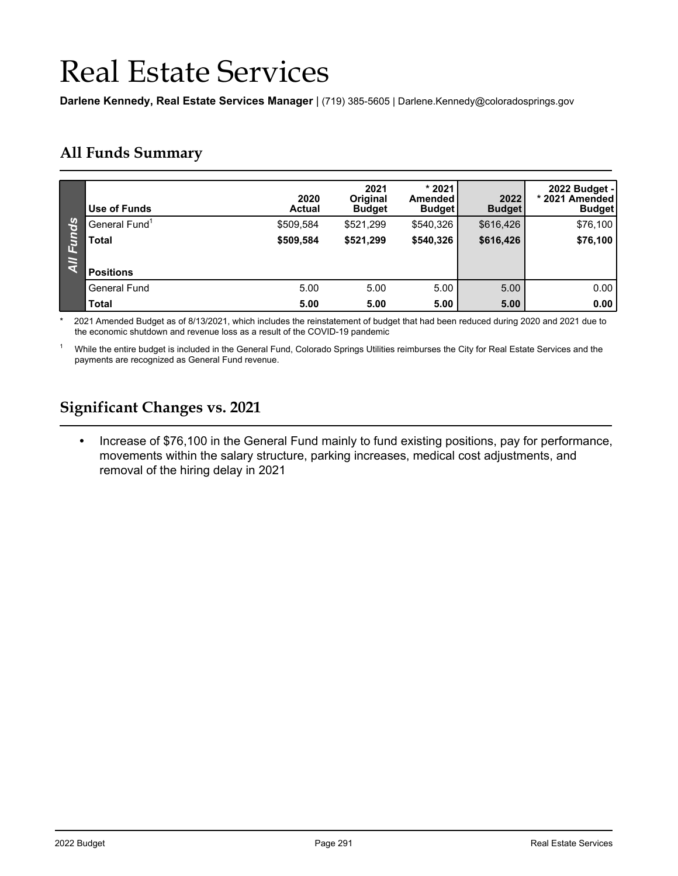# Real Estate Services

**Darlene Kennedy, Real Estate Services Manager** | (719) 385-5605 | Darlene.Kennedy@coloradosprings.gov

# **All Funds Summary**

|              | Use of Funds              | 2020<br><b>Actual</b> | 2021<br><b>Original</b><br><b>Budget</b> | $*2021$<br><b>Amended</b><br><b>Budget</b> | 2022<br><b>Budget</b> | 2022 Budget -<br>* 2021 Amended<br><b>Budget</b> |
|--------------|---------------------------|-----------------------|------------------------------------------|--------------------------------------------|-----------------------|--------------------------------------------------|
|              | General Fund <sup>1</sup> | \$509,584             | \$521,299                                | \$540,326                                  | \$616,426             | \$76,100                                         |
| <b>Funds</b> | Total                     | \$509,584             | \$521,299                                | \$540,326                                  | \$616,426             | \$76,100                                         |
| 57           | <b>Positions</b>          |                       |                                          |                                            |                       |                                                  |
|              | <b>General Fund</b>       | 5.00                  | 5.00                                     | 5.00                                       | 5.00                  | 0.00                                             |
|              | Total                     | 5.00                  | 5.00                                     | 5.00                                       | 5.00                  | 0.00                                             |

\* 2021 Amended Budget as of 8/13/2021, which includes the reinstatement of budget that had been reduced during 2020 and 2021 due to the economic shutdown and revenue loss as a result of the COVID-19 pandemic

1 While the entire budget is included in the General Fund, Colorado Springs Utilities reimburses the City for Real Estate Services and the payments are recognized as General Fund revenue.

# **Significant Changes vs. 2021**

**•** Increase of \$76,100 in the General Fund mainly to fund existing positions, pay for performance, movements within the salary structure, parking increases, medical cost adjustments, and removal of the hiring delay in 2021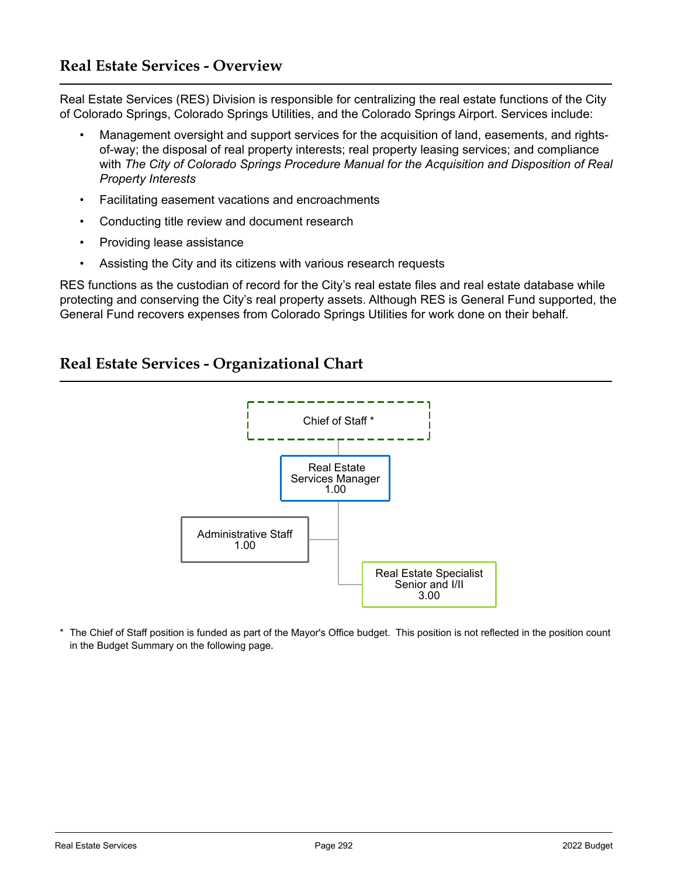# **Real Estate Services - Overview**

Real Estate Services (RES) Division is responsible for centralizing the real estate functions of the City of Colorado Springs, Colorado Springs Utilities, and the Colorado Springs Airport. Services include:

- Management oversight and support services for the acquisition of land, easements, and rightsof-way; the disposal of real property interests; real property leasing services; and compliance with *The City of Colorado Springs Procedure Manual for the Acquisition and Disposition of Real Property Interests*
- Facilitating easement vacations and encroachments
- Conducting title review and document research
- Providing lease assistance
- Assisting the City and its citizens with various research requests

RES functions as the custodian of record for the City's real estate files and real estate database while protecting and conserving the City's real property assets. Although RES is General Fund supported, the General Fund recovers expenses from Colorado Springs Utilities for work done on their behalf.

## **Real Estate Services - Organizational Chart**



The Chief of Staff position is funded as part of the Mayor's Office budget. This position is not reflected in the position count in the Budget Summary on the following page.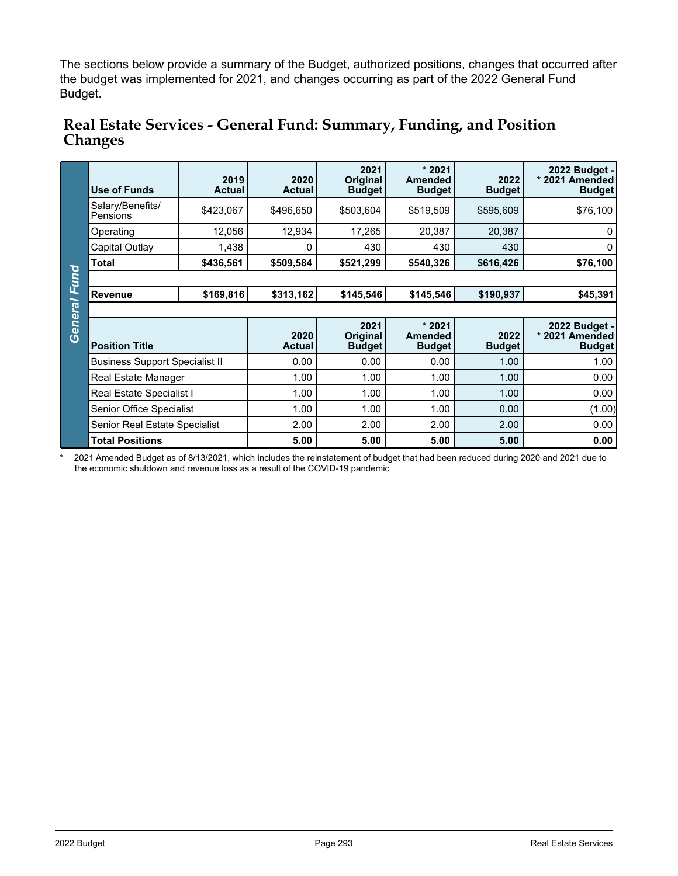The sections below provide a summary of the Budget, authorized positions, changes that occurred after the budget was implemented for 2021, and changes occurring as part of the 2022 General Fund Budget.

| Real Estate Services - General Fund: Summary, Funding, and Position |  |  |
|---------------------------------------------------------------------|--|--|
| <b>Changes</b>                                                      |  |  |

|         | Use of Funds                          | 2019<br><b>Actual</b> | 2020<br><b>Actual</b> | 2021<br>Original<br><b>Budget</b> | $*2021$<br><b>Amended</b><br><b>Budget</b> | 2022<br><b>Budget</b> | 2022 Budget -<br>* 2021 Amended<br><b>Budget</b> |  |  |
|---------|---------------------------------------|-----------------------|-----------------------|-----------------------------------|--------------------------------------------|-----------------------|--------------------------------------------------|--|--|
|         | Salary/Benefits/<br>Pensions          | \$423,067             | \$496,650             | \$503,604                         | \$519,509                                  | \$595,609             | \$76,100                                         |  |  |
|         | Operating                             | 12,056                | 12,934                | 17,265                            | 20,387                                     | 20,387                | 0                                                |  |  |
|         | Capital Outlay                        | 1,438                 | 0                     | 430                               | 430                                        | 430                   | 0                                                |  |  |
|         | <b>Total</b>                          | \$436,561             | \$509,584             | \$521,299                         | \$540,326                                  | \$616,426             | \$76,100                                         |  |  |
| Fund    |                                       |                       |                       |                                   |                                            |                       |                                                  |  |  |
|         | <b>Revenue</b>                        | \$169,816             | \$313,162             | \$145,546                         | \$145,546                                  | \$190,937             | \$45,391                                         |  |  |
|         |                                       |                       |                       |                                   |                                            |                       |                                                  |  |  |
| General | <b>Position Title</b>                 |                       | 2020<br><b>Actual</b> | 2021<br>Original<br><b>Budget</b> | $*2021$<br><b>Amended</b><br><b>Budget</b> | 2022<br><b>Budget</b> | 2022 Budget -<br>* 2021 Amended<br><b>Budget</b> |  |  |
|         | <b>Business Support Specialist II</b> |                       | 0.00                  | 0.00                              | 0.00                                       | 1.00                  | 1.00                                             |  |  |
|         | Real Estate Manager                   |                       | 1.00                  | 1.00                              | 1.00                                       | 1.00                  | 0.00                                             |  |  |
|         | Real Estate Specialist I              |                       | 1.00                  | 1.00                              | 1.00                                       | 1.00                  | 0.00                                             |  |  |
|         | Senior Office Specialist              |                       | 1.00                  | 1.00                              | 1.00                                       | 0.00                  | (1.00)                                           |  |  |
|         | Senior Real Estate Specialist         |                       | 2.00                  | 2.00                              | 2.00                                       | 2.00                  | 0.00                                             |  |  |
|         | <b>Total Positions</b>                |                       | 5.00                  | 5.00                              | 5.00                                       | 5.00                  | 0.00                                             |  |  |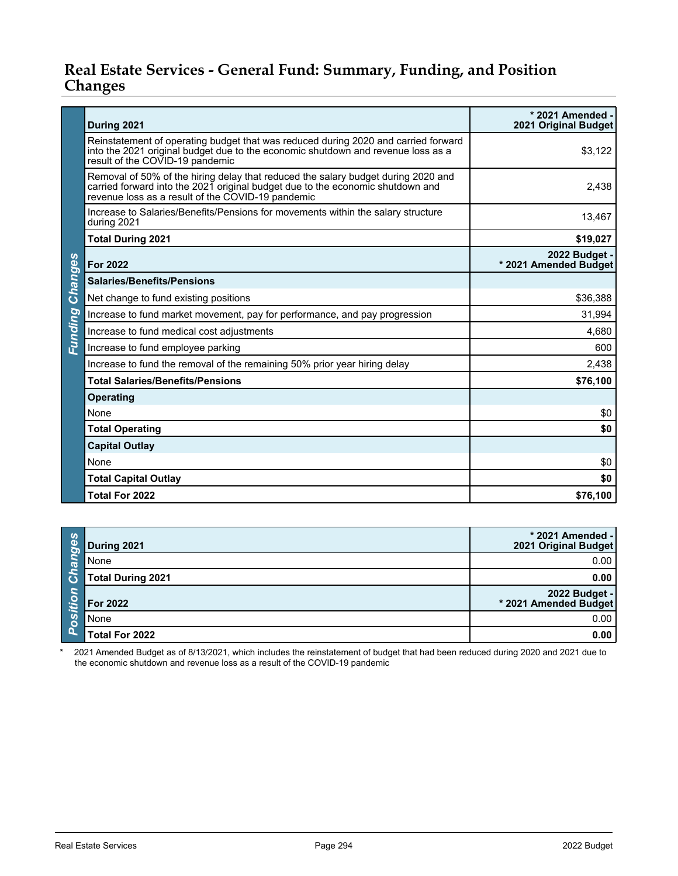# **Real Estate Services - General Fund: Summary, Funding, and Position Changes**

|         | During 2021                                                                                                                                                                                                              | * 2021 Amended -<br>2021 Original Budget |
|---------|--------------------------------------------------------------------------------------------------------------------------------------------------------------------------------------------------------------------------|------------------------------------------|
|         | Reinstatement of operating budget that was reduced during 2020 and carried forward<br>into the 2021 original budget due to the economic shutdown and revenue loss as a<br>result of the COVID-19 pandemic                | \$3,122                                  |
|         | Removal of 50% of the hiring delay that reduced the salary budget during 2020 and<br>carried forward into the 2021 original budget due to the economic shutdown and<br>revenue loss as a result of the COVID-19 pandemic | 2,438                                    |
|         | Increase to Salaries/Benefits/Pensions for movements within the salary structure<br>during 2021                                                                                                                          | 13,467                                   |
|         | <b>Total During 2021</b>                                                                                                                                                                                                 | \$19,027                                 |
| Changes | <b>For 2022</b>                                                                                                                                                                                                          | 2022 Budget -<br>* 2021 Amended Budget   |
|         | <b>Salaries/Benefits/Pensions</b>                                                                                                                                                                                        |                                          |
|         | Net change to fund existing positions                                                                                                                                                                                    | \$36,388                                 |
| Funding | Increase to fund market movement, pay for performance, and pay progression                                                                                                                                               | 31,994                                   |
|         | Increase to fund medical cost adjustments                                                                                                                                                                                | 4.680                                    |
|         | Increase to fund employee parking                                                                                                                                                                                        | 600                                      |
|         | Increase to fund the removal of the remaining 50% prior year hiring delay                                                                                                                                                | 2,438                                    |
|         | <b>Total Salaries/Benefits/Pensions</b>                                                                                                                                                                                  | \$76,100                                 |
|         | <b>Operating</b>                                                                                                                                                                                                         |                                          |
|         | None                                                                                                                                                                                                                     | \$0                                      |
|         | <b>Total Operating</b>                                                                                                                                                                                                   | \$0                                      |
|         | <b>Capital Outlay</b>                                                                                                                                                                                                    |                                          |
|         | None                                                                                                                                                                                                                     | \$0                                      |
|         | <b>Total Capital Outlay</b>                                                                                                                                                                                              | \$0                                      |
|         | Total For 2022                                                                                                                                                                                                           | \$76,100                                 |

| ges            | During 2021       | * 2021 Amended -<br>2021 Original Budget |
|----------------|-------------------|------------------------------------------|
| $\overline{a}$ | l None            | 0.00                                     |
|                | Total During 2021 | 0.00                                     |
| tio            | <b>For 2022</b>   | 2022 Budget -<br>* 2021 Amended Budget   |
| ပ္က            | None              | 0.00                                     |
|                | Total For 2022    | 0.00                                     |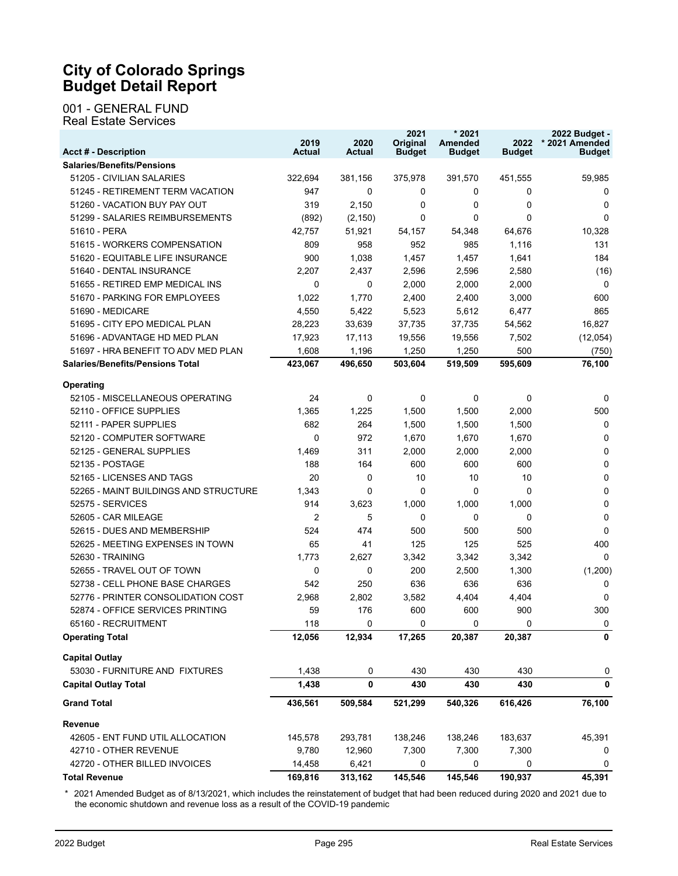### 001 - GENERAL FUND Real Estate Services

| <b>Acct # - Description</b>             | 2019<br><b>Actual</b> | 2020<br><b>Actual</b> | 2021<br>Original<br><b>Budget</b> | $*2021$<br>Amended<br><b>Budget</b> | 2022<br><b>Budget</b> | 2022 Budget -<br>* 2021 Amended<br><b>Budget</b> |
|-----------------------------------------|-----------------------|-----------------------|-----------------------------------|-------------------------------------|-----------------------|--------------------------------------------------|
| <b>Salaries/Benefits/Pensions</b>       |                       |                       |                                   |                                     |                       |                                                  |
| 51205 - CIVILIAN SALARIES               | 322,694               | 381,156               | 375,978                           | 391,570                             | 451,555               | 59,985                                           |
| 51245 - RETIREMENT TERM VACATION        | 947                   | 0                     | 0                                 | 0                                   | 0                     | 0                                                |
| 51260 - VACATION BUY PAY OUT            | 319                   | 2,150                 | $\Omega$                          | 0                                   | $\Omega$              | 0                                                |
| 51299 - SALARIES REIMBURSEMENTS         | (892)                 | (2, 150)              | $\Omega$                          | 0                                   | $\mathbf{0}$          | $\Omega$                                         |
| 51610 - PERA                            | 42,757                | 51,921                | 54,157                            | 54,348                              | 64,676                | 10,328                                           |
| 51615 - WORKERS COMPENSATION            | 809                   | 958                   | 952                               | 985                                 | 1,116                 | 131                                              |
| 51620 - EQUITABLE LIFE INSURANCE        | 900                   | 1,038                 | 1,457                             | 1,457                               | 1,641                 | 184                                              |
| 51640 - DENTAL INSURANCE                | 2,207                 | 2,437                 | 2,596                             | 2,596                               | 2,580                 | (16)                                             |
| 51655 - RETIRED EMP MEDICAL INS         | 0                     | 0                     | 2,000                             | 2,000                               | 2,000                 | 0                                                |
| 51670 - PARKING FOR EMPLOYEES           | 1,022                 | 1,770                 | 2,400                             | 2,400                               | 3,000                 | 600                                              |
| 51690 - MEDICARE                        | 4,550                 | 5,422                 | 5,523                             | 5,612                               | 6,477                 | 865                                              |
| 51695 - CITY EPO MEDICAL PLAN           | 28,223                | 33,639                | 37,735                            | 37,735                              | 54,562                | 16,827                                           |
| 51696 - ADVANTAGE HD MED PLAN           | 17,923                | 17,113                | 19,556                            | 19,556                              | 7,502                 | (12,054)                                         |
| 51697 - HRA BENEFIT TO ADV MED PLAN     | 1,608                 | 1,196                 | 1,250                             | 1,250                               | 500                   | (750)                                            |
| <b>Salaries/Benefits/Pensions Total</b> | 423,067               | 496,650               | 503,604                           | 519,509                             | 595,609               | 76,100                                           |
| Operating                               |                       |                       |                                   |                                     |                       |                                                  |
| 52105 - MISCELLANEOUS OPERATING         | 24                    | 0                     | 0                                 | 0                                   | $\mathbf 0$           | 0                                                |
| 52110 - OFFICE SUPPLIES                 | 1,365                 | 1,225                 | 1,500                             | 1,500                               | 2,000                 | 500                                              |
| 52111 - PAPER SUPPLIES                  | 682                   | 264                   | 1,500                             | 1,500                               | 1,500                 | 0                                                |
| 52120 - COMPUTER SOFTWARE               | 0                     | 972                   | 1,670                             | 1,670                               | 1,670                 | 0                                                |
| 52125 - GENERAL SUPPLIES                | 1,469                 | 311                   | 2,000                             | 2,000                               | 2,000                 | 0                                                |
| 52135 - POSTAGE                         | 188                   | 164                   | 600                               | 600                                 | 600                   | 0                                                |
| 52165 - LICENSES AND TAGS               | 20                    | 0                     | 10                                | 10                                  | 10                    | 0                                                |
| 52265 - MAINT BUILDINGS AND STRUCTURE   | 1,343                 | 0                     | 0                                 | 0                                   | $\Omega$              | 0                                                |
| 52575 - SERVICES                        | 914                   | 3,623                 | 1,000                             | 1,000                               | 1,000                 | 0                                                |
| 52605 - CAR MILEAGE                     | $\overline{2}$        | 5                     | 0                                 | 0                                   | 0                     | 0                                                |
| 52615 - DUES AND MEMBERSHIP             | 524                   | 474                   | 500                               | 500                                 | 500                   | 0                                                |
| 52625 - MEETING EXPENSES IN TOWN        | 65                    | 41                    | 125                               | 125                                 | 525                   | 400                                              |
| 52630 - TRAINING                        | 1,773                 | 2,627                 | 3,342                             | 3,342                               | 3,342                 | $\Omega$                                         |
| 52655 - TRAVEL OUT OF TOWN              | 0                     | 0                     | 200                               | 2,500                               | 1,300                 | (1,200)                                          |
| 52738 - CELL PHONE BASE CHARGES         | 542                   | 250                   | 636                               | 636                                 | 636                   | 0                                                |
| 52776 - PRINTER CONSOLIDATION COST      | 2,968                 | 2,802                 | 3,582                             | 4,404                               | 4,404                 | 0                                                |
| 52874 - OFFICE SERVICES PRINTING        | 59                    | 176                   | 600                               | 600                                 | 900                   | 300                                              |
| 65160 - RECRUITMENT                     | 118                   | 0                     | 0                                 | 0                                   | 0                     | 0                                                |
| <b>Operating Total</b>                  | 12,056                | 12,934                | 17,265                            | 20,387                              | 20,387                | 0                                                |
| <b>Capital Outlay</b>                   |                       |                       |                                   |                                     |                       |                                                  |
| 53030 - FURNITURE AND FIXTURES          | 1,438                 | 0                     | 430                               | 430                                 | 430                   | 0                                                |
| <b>Capital Outlay Total</b>             | 1,438                 | 0                     | 430                               | 430                                 | 430                   | $\bf{0}$                                         |
| <b>Grand Total</b>                      | 436,561               | 509,584               | 521,299                           | 540,326                             | 616,426               | 76,100                                           |
| Revenue                                 |                       |                       |                                   |                                     |                       |                                                  |
| 42605 - ENT FUND UTIL ALLOCATION        | 145,578               | 293,781               | 138,246                           | 138,246                             | 183,637               | 45,391                                           |
| 42710 - OTHER REVENUE                   | 9,780                 | 12,960                | 7,300                             | 7,300                               | 7,300                 | 0                                                |
| 42720 - OTHER BILLED INVOICES           | 14,458                | 6,421                 | 0                                 | 0                                   | 0                     | 0                                                |
| <b>Total Revenue</b>                    | 169,816               | 313,162               | 145,546                           | 145,546                             | 190,937               | 45,391                                           |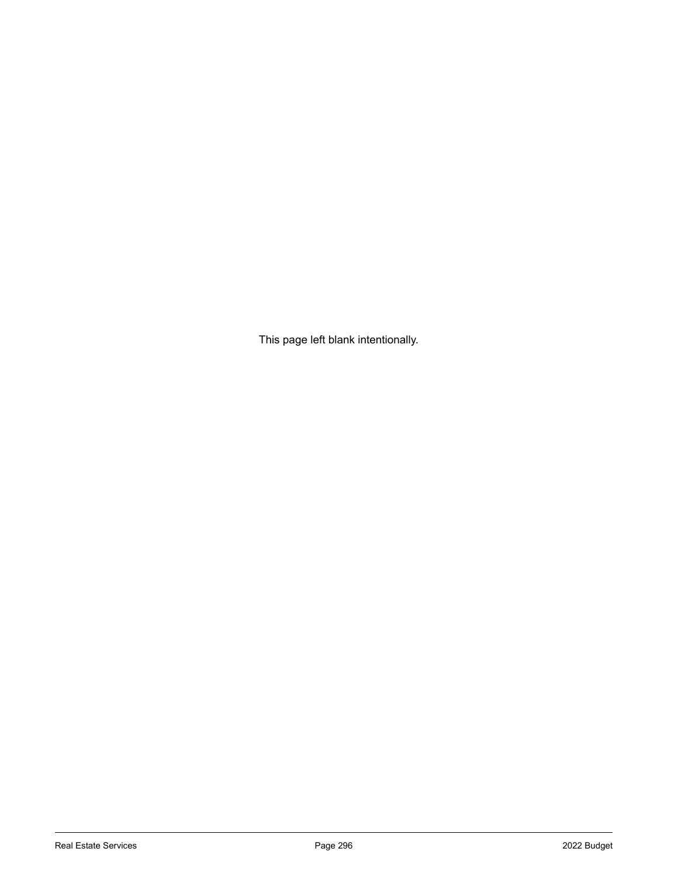This page left blank intentionally.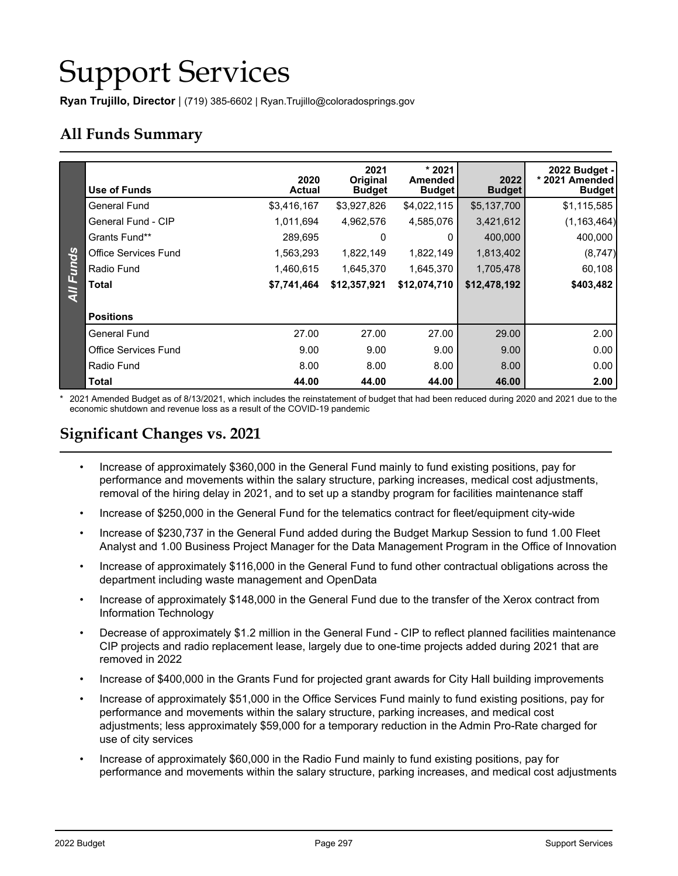# Support Services

**Ryan Trujillo, Director** | (719) 385-6602 | Ryan.Trujillo@coloradosprings.gov

## **All Funds Summary**

|                | Use of Funds                | 2020<br><b>Actual</b> | 2021<br>Original<br><b>Budget</b> | * 2021<br><b>Amended</b><br><b>Budget</b> | 2022<br><b>Budget</b> | 2022 Budget -<br>* 2021 Amended<br><b>Budget</b> |
|----------------|-----------------------------|-----------------------|-----------------------------------|-------------------------------------------|-----------------------|--------------------------------------------------|
|                | <b>General Fund</b>         | \$3,416,167           | \$3,927,826                       | \$4,022,115                               | \$5,137,700           | \$1,115,585                                      |
|                | General Fund - CIP          | 1,011,694             | 4,962,576                         | 4,585,076                                 | 3,421,612             | (1, 163, 464)                                    |
|                | Grants Fund**               | 289,695               | 0                                 | 0                                         | 400,000               | 400,000                                          |
|                | Office Services Fund        | 1,563,293             | 1,822,149                         | 1,822,149                                 | 1,813,402             | (8,747)                                          |
| <b>Funds</b>   | Radio Fund                  | 1.460.615             | 1,645,370                         | 1,645,370                                 | 1,705,478             | 60,108                                           |
|                | <b>Total</b>                | \$7,741,464           | \$12,357,921                      | \$12,074,710                              | \$12,478,192          | \$403,482                                        |
| $\overline{M}$ |                             |                       |                                   |                                           |                       |                                                  |
|                | <b>Positions</b>            |                       |                                   |                                           |                       |                                                  |
|                | <b>General Fund</b>         | 27.00                 | 27.00                             | 27.00                                     | 29.00                 | 2.00                                             |
|                | <b>Office Services Fund</b> | 9.00                  | 9.00                              | 9.00                                      | 9.00                  | 0.00                                             |
|                | Radio Fund                  | 8.00                  | 8.00                              | 8.00                                      | 8.00                  | 0.00                                             |
|                | <b>Total</b>                | 44.00                 | 44.00                             | 44.00                                     | 46.00                 | 2.00                                             |

\* 2021 Amended Budget as of 8/13/2021, which includes the reinstatement of budget that had been reduced during 2020 and 2021 due to the economic shutdown and revenue loss as a result of the COVID-19 pandemic

## **Significant Changes vs. 2021**

- Increase of approximately \$360,000 in the General Fund mainly to fund existing positions, pay for performance and movements within the salary structure, parking increases, medical cost adjustments, removal of the hiring delay in 2021, and to set up a standby program for facilities maintenance staff
- Increase of \$250,000 in the General Fund for the telematics contract for fleet/equipment city-wide
- Increase of \$230,737 in the General Fund added during the Budget Markup Session to fund 1.00 Fleet Analyst and 1.00 Business Project Manager for the Data Management Program in the Office of Innovation
- Increase of approximately \$116,000 in the General Fund to fund other contractual obligations across the department including waste management and OpenData
- Increase of approximately \$148,000 in the General Fund due to the transfer of the Xerox contract from Information Technology
- Decrease of approximately \$1.2 million in the General Fund CIP to reflect planned facilities maintenance CIP projects and radio replacement lease, largely due to one-time projects added during 2021 that are removed in 2022
- Increase of \$400,000 in the Grants Fund for projected grant awards for City Hall building improvements
- Increase of approximately \$51,000 in the Office Services Fund mainly to fund existing positions, pay for performance and movements within the salary structure, parking increases, and medical cost adjustments; less approximately \$59,000 for a temporary reduction in the Admin Pro-Rate charged for use of city services
- Increase of approximately \$60,000 in the Radio Fund mainly to fund existing positions, pay for performance and movements within the salary structure, parking increases, and medical cost adjustments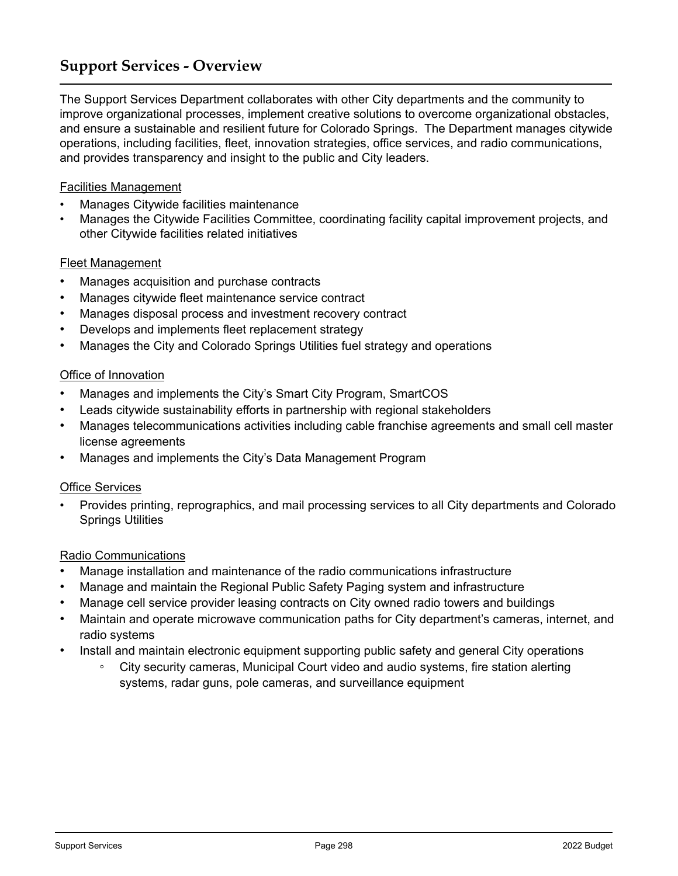## **Support Services - Overview**

The Support Services Department collaborates with other City departments and the community to improve organizational processes, implement creative solutions to overcome organizational obstacles, and ensure a sustainable and resilient future for Colorado Springs. The Department manages citywide operations, including facilities, fleet, innovation strategies, office services, and radio communications, and provides transparency and insight to the public and City leaders.

#### Facilities Management

- Manages Citywide facilities maintenance
- Manages the Citywide Facilities Committee, coordinating facility capital improvement projects, and other Citywide facilities related initiatives

#### Fleet Management

- Manages acquisition and purchase contracts
- Manages citywide fleet maintenance service contract
- Manages disposal process and investment recovery contract
- Develops and implements fleet replacement strategy
- Manages the City and Colorado Springs Utilities fuel strategy and operations

#### Office of Innovation

- Manages and implements the City's Smart City Program, SmartCOS
- Leads citywide sustainability efforts in partnership with regional stakeholders
- Manages telecommunications activities including cable franchise agreements and small cell master license agreements
- Manages and implements the City's Data Management Program

#### Office Services

• Provides printing, reprographics, and mail processing services to all City departments and Colorado Springs Utilities

#### Radio Communications

- Manage installation and maintenance of the radio communications infrastructure
- Manage and maintain the Regional Public Safety Paging system and infrastructure
- Manage cell service provider leasing contracts on City owned radio towers and buildings
- Maintain and operate microwave communication paths for City department's cameras, internet, and radio systems
- Install and maintain electronic equipment supporting public safety and general City operations
	- City security cameras, Municipal Court video and audio systems, fire station alerting systems, radar guns, pole cameras, and surveillance equipment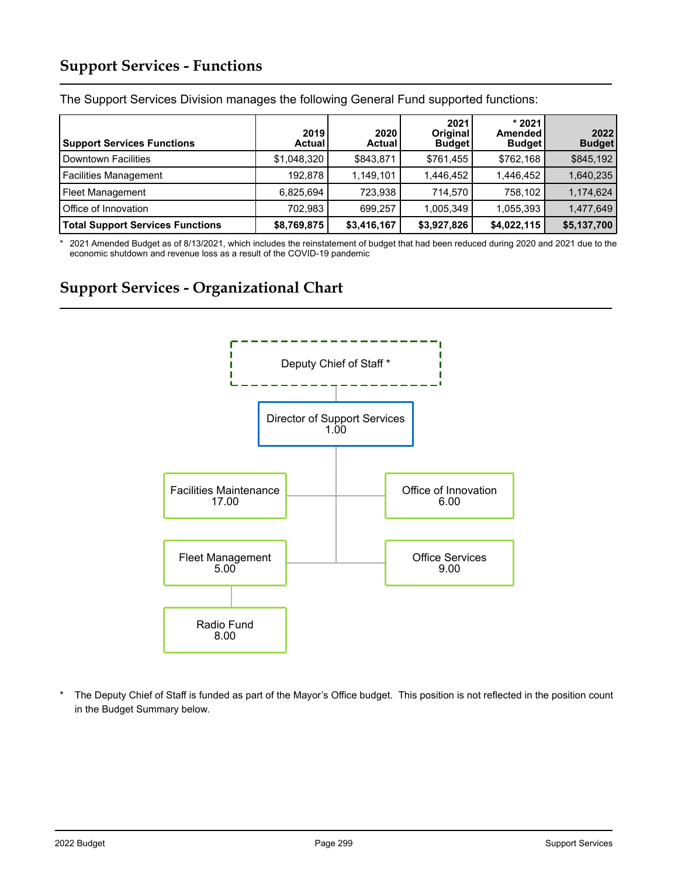## **Support Services - Functions**

The Support Services Division manages the following General Fund supported functions:

| <b>Support Services Functions</b>       | 2019<br><b>Actual</b> | 2020<br><b>Actual</b> | 2021<br>Original<br><b>Budget</b> | $*2021$<br>Amended I<br><b>Budget</b> | 2022<br><b>Budget</b> |
|-----------------------------------------|-----------------------|-----------------------|-----------------------------------|---------------------------------------|-----------------------|
| Downtown Facilities                     | \$1,048,320           | \$843.871             | \$761,455                         | \$762.168                             | \$845,192             |
| Facilities Management                   | 192.878               | 1.149.101             | 1.446.452                         | 1.446.452                             | 1,640,235             |
| Fleet Management                        | 6.825.694             | 723.938               | 714.570                           | 758.102                               | 1,174,624             |
| Office of Innovation                    | 702.983               | 699.257               | 1.005.349                         | 1.055.393                             | 1,477,649             |
| <b>Total Support Services Functions</b> | \$8,769,875           | \$3,416,167           | \$3,927,826                       | \$4,022,115                           | \$5,137,700           |

\* 2021 Amended Budget as of 8/13/2021, which includes the reinstatement of budget that had been reduced during 2020 and 2021 due to the economic shutdown and revenue loss as a result of the COVID-19 pandemic

## **Support Services - Organizational Chart**



\* The Deputy Chief of Staff is funded as part of the Mayor's Office budget. This position is not reflected in the position count in the Budget Summary below.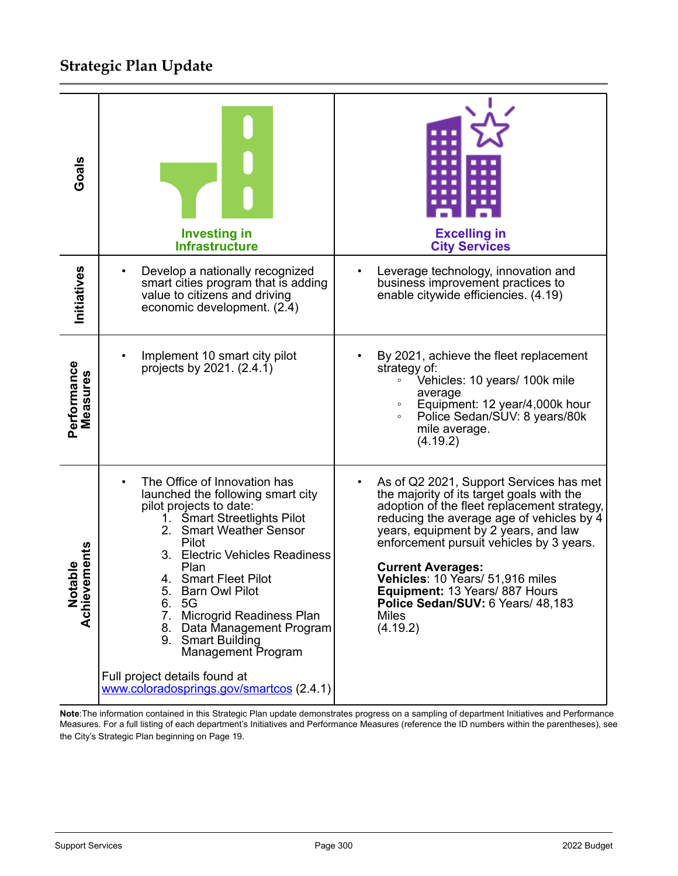# **Strategic Plan Update**

| Goals                             | <b>Investing in</b><br><b>Infrastructure</b>                                                                                                                                                                                                                                                                                                                                                                                                                                                          | <b>Excelling in</b><br><b>City Services</b>                                                                                                                                                                                                                                                                                                                                                                                                          |
|-----------------------------------|-------------------------------------------------------------------------------------------------------------------------------------------------------------------------------------------------------------------------------------------------------------------------------------------------------------------------------------------------------------------------------------------------------------------------------------------------------------------------------------------------------|------------------------------------------------------------------------------------------------------------------------------------------------------------------------------------------------------------------------------------------------------------------------------------------------------------------------------------------------------------------------------------------------------------------------------------------------------|
| Initiatives                       | Develop a nationally recognized<br>$\bullet$<br>smart cities program that is adding<br>value to citizens and driving<br>economic development. (2.4)                                                                                                                                                                                                                                                                                                                                                   | Leverage technology, innovation and<br>٠<br>business improvement practices to<br>enable citywide efficiencies. (4.19)                                                                                                                                                                                                                                                                                                                                |
| Performance<br><b>Measures</b>    | Implement 10 smart city pilot<br>projects by 2021. $(2.4.1)$                                                                                                                                                                                                                                                                                                                                                                                                                                          | By 2021, achieve the fleet replacement<br>strategy of:<br>Vehicles: 10 years/ 100k mile<br>$\circ$<br>average<br>Equipment: 12 year/4,000k hour<br>$\circ$<br>Police Sedan/SUV: 8 years/80k<br>$\circ$<br>mile average.<br>(4.19.2)                                                                                                                                                                                                                  |
| ements<br>able<br>Nota<br>Achieve | The Office of Innovation has<br>$\bullet$<br>launched the following smart city<br>pilot projects to date:<br>1. Smart Streetlights Pilot<br>2. Smart Weather Sensor<br>Pilot<br>3. Electric Vehicles Readiness<br>Plan<br><b>Smart Fleet Pilot</b><br>4.<br><b>Barn Owl Pilot</b><br>5.<br>6.<br>5G<br>7.<br><b>Microgrid Readiness Plan</b><br>8.<br>Data Management Program<br>9. Smart Building<br>Management Program<br>Full project details found at<br>www.coloradosprings.gov/smartcos (2.4.1) | As of Q2 2021, Support Services has met<br>$\bullet$<br>the majority of its target goals with the<br>adoption of the fleet replacement strategy,<br>reducing the average age of vehicles by 4<br>years, equipment by 2 years, and law<br>enforcement pursuit vehicles by 3 years.<br><b>Current Averages:</b><br>Vehicles: 10 Years/ 51,916 miles<br>Equipment: 13 Years/ 887 Hours<br>Police Sedan/SUV: 6 Years/ 48,183<br><b>Miles</b><br>(4.19.2) |

**Note**:The information contained in this Strategic Plan update demonstrates progress on a sampling of department Initiatives and Performance Measures. For a full listing of each department's Initiatives and Performance Measures (reference the ID numbers within the parentheses), see the City's Strategic Plan beginning on Page 19.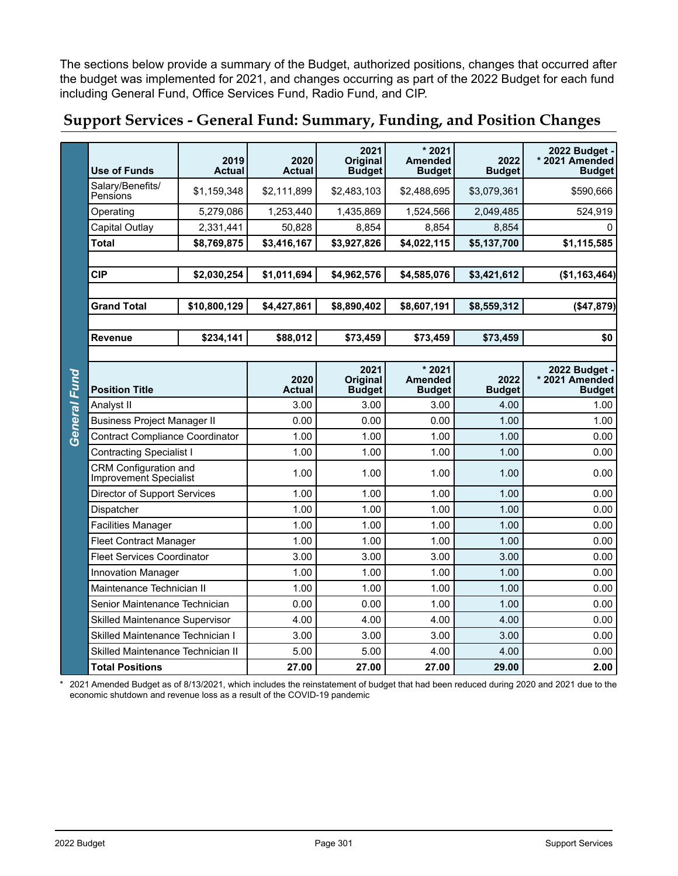The sections below provide a summary of the Budget, authorized positions, changes that occurred after the budget was implemented for 2021, and changes occurring as part of the 2022 Budget for each fund including General Fund, Office Services Fund, Radio Fund, and CIP.

|                     | <b>Use of Funds</b>                             | 2019<br><b>Actual</b> | 2020<br><b>Actual</b> | 2021<br>Original<br><b>Budget</b>        | $*2021$<br><b>Amended</b><br><b>Budget</b> | 2022<br><b>Budget</b> | 2022 Budget -<br>* 2021 Amended<br><b>Budget</b> |
|---------------------|-------------------------------------------------|-----------------------|-----------------------|------------------------------------------|--------------------------------------------|-----------------------|--------------------------------------------------|
|                     | Salary/Benefits/<br>Pensions                    | \$1,159,348           | \$2,111,899           | \$2,483,103                              | \$2,488,695                                | \$3,079,361           | \$590,666                                        |
|                     | Operating                                       | 5,279,086             | 1,253,440             | 1,435,869                                | 1,524,566                                  | 2,049,485             | 524,919                                          |
|                     | Capital Outlay                                  | 2,331,441             | 50,828                | 8,854                                    | 8,854                                      | 8,854                 | $\Omega$                                         |
|                     | <b>Total</b>                                    | \$8,769,875           | \$3,416,167           | \$3,927,826                              | \$4,022,115                                | \$5,137,700           | \$1,115,585                                      |
|                     |                                                 |                       |                       |                                          |                                            |                       |                                                  |
|                     | <b>CIP</b>                                      | \$2,030,254           | \$1,011,694           | \$4,962,576                              | \$4,585,076                                | \$3,421,612           | (\$1,163,464)                                    |
|                     |                                                 |                       |                       |                                          |                                            |                       |                                                  |
|                     | <b>Grand Total</b>                              | \$10,800,129          | \$4,427,861           | \$8,890,402                              | \$8,607,191                                | \$8,559,312           | (\$47,879)                                       |
|                     |                                                 |                       |                       |                                          |                                            |                       |                                                  |
|                     | <b>Revenue</b>                                  | \$234,141             | \$88,012              | \$73,459                                 | \$73,459                                   | \$73,459              | \$0                                              |
|                     |                                                 |                       |                       |                                          |                                            |                       |                                                  |
| <b>General Fund</b> | <b>Position Title</b>                           |                       | 2020<br><b>Actual</b> | 2021<br><b>Original</b><br><b>Budget</b> | $*2021$<br><b>Amended</b><br><b>Budget</b> | 2022<br><b>Budget</b> | 2022 Budget -<br>* 2021 Amended<br><b>Budget</b> |
|                     | Analyst II                                      |                       | 3.00                  | 3.00                                     | 3.00                                       | 4.00                  | 1.00                                             |
|                     | <b>Business Project Manager II</b>              |                       | 0.00                  | 0.00                                     | 0.00                                       | 1.00                  | 1.00                                             |
|                     | <b>Contract Compliance Coordinator</b>          |                       | 1.00                  | 1.00                                     | 1.00                                       | 1.00                  | 0.00                                             |
|                     | <b>Contracting Specialist I</b>                 |                       | 1.00                  | 1.00                                     | 1.00                                       | 1.00                  | 0.00                                             |
|                     | CRM Configuration and<br>Improvement Specialist |                       | 1.00                  | 1.00                                     | 1.00                                       | 1.00                  | 0.00                                             |
|                     | <b>Director of Support Services</b>             |                       | 1.00                  | 1.00                                     | 1.00                                       | 1.00                  | 0.00                                             |
|                     | Dispatcher                                      |                       | 1.00                  | 1.00                                     | 1.00                                       | 1.00                  | 0.00                                             |
|                     | <b>Facilities Manager</b>                       |                       | 1.00                  | 1.00                                     | 1.00                                       | 1.00                  | 0.00                                             |
|                     | <b>Fleet Contract Manager</b>                   |                       | 1.00                  | 1.00                                     | 1.00                                       | 1.00                  | 0.00                                             |
|                     | <b>Fleet Services Coordinator</b>               |                       | 3.00                  | 3.00                                     | 3.00                                       | 3.00                  | 0.00                                             |
|                     | Innovation Manager                              |                       | 1.00                  | 1.00                                     | 1.00                                       | 1.00                  | 0.00                                             |
|                     | Maintenance Technician II                       |                       | 1.00                  | 1.00                                     | 1.00                                       | 1.00                  | 0.00                                             |
|                     | Senior Maintenance Technician                   |                       | 0.00                  | 0.00                                     | 1.00                                       | 1.00                  | 0.00                                             |
|                     | Skilled Maintenance Supervisor                  |                       | 4.00                  | 4.00                                     | 4.00                                       | 4.00                  | 0.00                                             |
|                     | Skilled Maintenance Technician I                |                       | 3.00                  | 3.00                                     | 3.00                                       | 3.00                  | 0.00                                             |
|                     | Skilled Maintenance Technician II               |                       | 5.00                  | 5.00                                     | 4.00                                       | 4.00                  | 0.00                                             |
|                     | <b>Total Positions</b>                          |                       | 27.00                 | 27.00                                    | 27.00                                      | 29.00                 | 2.00                                             |

### **Support Services - General Fund: Summary, Funding, and Position Changes**

\* 2021 Amended Budget as of 8/13/2021, which includes the reinstatement of budget that had been reduced during 2020 and 2021 due to the economic shutdown and revenue loss as a result of the COVID-19 pandemic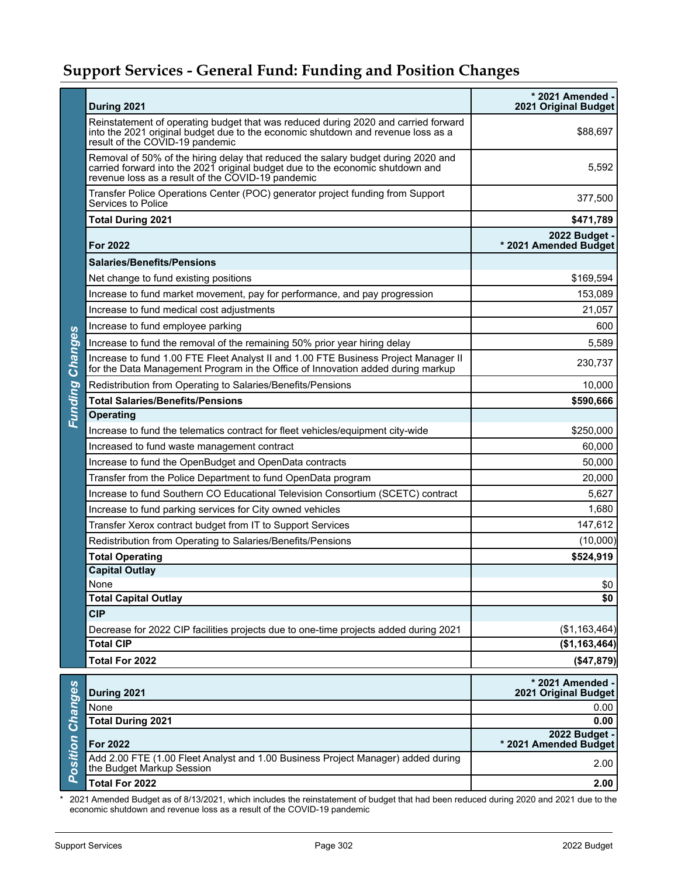# **Support Services - General Fund: Funding and Position Changes**

|                         | During 2021                                                                                                                                                                                                              | * 2021 Amended -<br>2021 Original Budget |
|-------------------------|--------------------------------------------------------------------------------------------------------------------------------------------------------------------------------------------------------------------------|------------------------------------------|
|                         | Reinstatement of operating budget that was reduced during 2020 and carried forward<br>into the 2021 original budget due to the economic shutdown and revenue loss as a<br>result of the COVID-19 pandemic                | \$88,697                                 |
|                         | Removal of 50% of the hiring delay that reduced the salary budget during 2020 and<br>carried forward into the 2021 original budget due to the economic shutdown and<br>revenue loss as a result of the COVID-19 pandemic | 5,592                                    |
|                         | Transfer Police Operations Center (POC) generator project funding from Support<br>Services to Police                                                                                                                     | 377,500                                  |
|                         | <b>Total During 2021</b>                                                                                                                                                                                                 | \$471,789                                |
|                         | For 2022                                                                                                                                                                                                                 | 2022 Budget -<br>* 2021 Amended Budget   |
|                         | <b>Salaries/Benefits/Pensions</b>                                                                                                                                                                                        |                                          |
|                         | Net change to fund existing positions                                                                                                                                                                                    | \$169,594                                |
|                         | Increase to fund market movement, pay for performance, and pay progression                                                                                                                                               | 153,089                                  |
|                         | Increase to fund medical cost adjustments                                                                                                                                                                                | 21,057                                   |
|                         | Increase to fund employee parking                                                                                                                                                                                        | 600                                      |
|                         | Increase to fund the removal of the remaining 50% prior year hiring delay                                                                                                                                                | 5,589                                    |
| <b>Funding Changes</b>  | Increase to fund 1.00 FTE Fleet Analyst II and 1.00 FTE Business Project Manager II<br>for the Data Management Program in the Office of Innovation added during markup                                                   | 230,737                                  |
|                         | Redistribution from Operating to Salaries/Benefits/Pensions                                                                                                                                                              | 10,000                                   |
|                         | <b>Total Salaries/Benefits/Pensions</b>                                                                                                                                                                                  | \$590,666                                |
|                         | <b>Operating</b>                                                                                                                                                                                                         |                                          |
|                         | Increase to fund the telematics contract for fleet vehicles/equipment city-wide                                                                                                                                          | \$250,000                                |
|                         | Increased to fund waste management contract                                                                                                                                                                              | 60,000                                   |
|                         | Increase to fund the OpenBudget and OpenData contracts                                                                                                                                                                   | 50,000                                   |
|                         | Transfer from the Police Department to fund OpenData program                                                                                                                                                             | 20,000                                   |
|                         | Increase to fund Southern CO Educational Television Consortium (SCETC) contract                                                                                                                                          | 5,627                                    |
|                         | Increase to fund parking services for City owned vehicles                                                                                                                                                                | 1,680                                    |
|                         | Transfer Xerox contract budget from IT to Support Services                                                                                                                                                               | 147,612                                  |
|                         | Redistribution from Operating to Salaries/Benefits/Pensions                                                                                                                                                              | (10,000)                                 |
|                         | <b>Total Operating</b>                                                                                                                                                                                                   | \$524,919                                |
|                         | <b>Capital Outlay</b>                                                                                                                                                                                                    |                                          |
|                         | None                                                                                                                                                                                                                     | \$0                                      |
|                         | <b>Total Capital Outlay</b>                                                                                                                                                                                              | \$0                                      |
|                         | <b>CIP</b>                                                                                                                                                                                                               |                                          |
|                         | Decrease for 2022 CIP facilities projects due to one-time projects added during 2021                                                                                                                                     | (\$1,163,464)                            |
|                         | <b>Total CIP</b>                                                                                                                                                                                                         | (\$1,163,464)                            |
|                         | Total For 2022                                                                                                                                                                                                           | (\$47,879)                               |
|                         | During 2021                                                                                                                                                                                                              | * 2021 Amended -<br>2021 Original Budget |
|                         | None                                                                                                                                                                                                                     | 0.00                                     |
|                         | <b>Total During 2021</b>                                                                                                                                                                                                 | 0.00                                     |
| <b>Position Changes</b> | For 2022                                                                                                                                                                                                                 | 2022 Budget -<br>* 2021 Amended Budget   |
|                         | Add 2.00 FTE (1.00 Fleet Analyst and 1.00 Business Project Manager) added during<br>the Budget Markup Session                                                                                                            | 2.00                                     |
|                         | Total For 2022                                                                                                                                                                                                           | 2.00                                     |

\* 2021 Amended Budget as of 8/13/2021, which includes the reinstatement of budget that had been reduced during 2020 and 2021 due to the economic shutdown and revenue loss as a result of the COVID-19 pandemic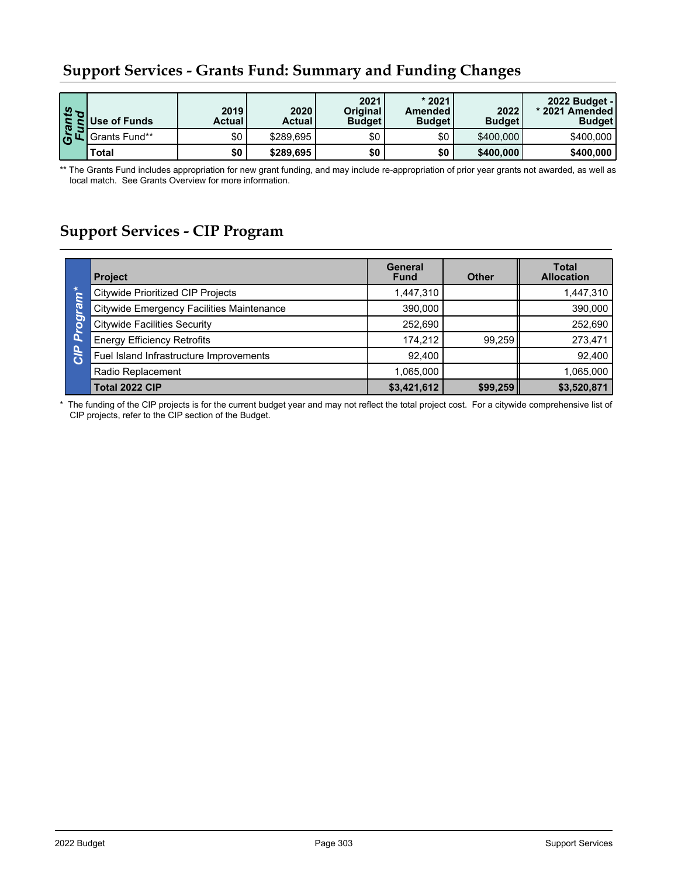# **Support Services - Grants Fund: Summary and Funding Changes**

| ra 2 | $\left \begin{smallmatrix} \omega & \omega \\ \omega & \omega \\ \omega & \omega \end{smallmatrix}\right $ Use of Funds | 2019<br><b>Actual</b> | 2020<br><b>Actual</b> | 2021<br><b>Original</b><br><b>Budget</b> | $*2021$<br>Amended I<br><b>Budget</b> | 2022<br><b>Budget</b> | 2022 Budget -<br>* 2021 Amended<br><b>Budget</b> |
|------|-------------------------------------------------------------------------------------------------------------------------|-----------------------|-----------------------|------------------------------------------|---------------------------------------|-----------------------|--------------------------------------------------|
|      | Grants Fund**                                                                                                           | \$0                   | \$289.695             | \$0                                      | \$0                                   | \$400,000             | \$400,000                                        |
|      | Total                                                                                                                   | \$0                   | \$289.695             | \$0                                      | \$0                                   | \$400,000             | \$400,000                                        |

\*\* The Grants Fund includes appropriation for new grant funding, and may include re-appropriation of prior year grants not awarded, as well as local match. See Grants Overview for more information.

## **Support Services - CIP Program**

|         | <b>Project</b>                            | General<br><b>Fund</b> | <b>Other</b> | <b>Total</b><br><b>Allocation</b> |
|---------|-------------------------------------------|------------------------|--------------|-----------------------------------|
| $m^*$   | <b>Citywide Prioritized CIP Projects</b>  | 1,447,310              |              | 1,447,310                         |
|         | Citywide Emergency Facilities Maintenance | 390,000                |              | 390,000                           |
| Progran | <b>Citywide Facilities Security</b>       | 252,690                |              | 252,690                           |
|         | <b>Energy Efficiency Retrofits</b>        | 174.212                | 99.259       | 273,471                           |
| CIP     | Fuel Island Infrastructure Improvements   | 92.400                 |              | 92,400                            |
|         | Radio Replacement                         | 1,065,000              |              | 1,065,000                         |
|         | Total 2022 CIP                            | \$3,421,612            | \$99,259     | \$3,520,871                       |

\* The funding of the CIP projects is for the current budget year and may not reflect the total project cost. For a citywide comprehensive list of CIP projects, refer to the CIP section of the Budget.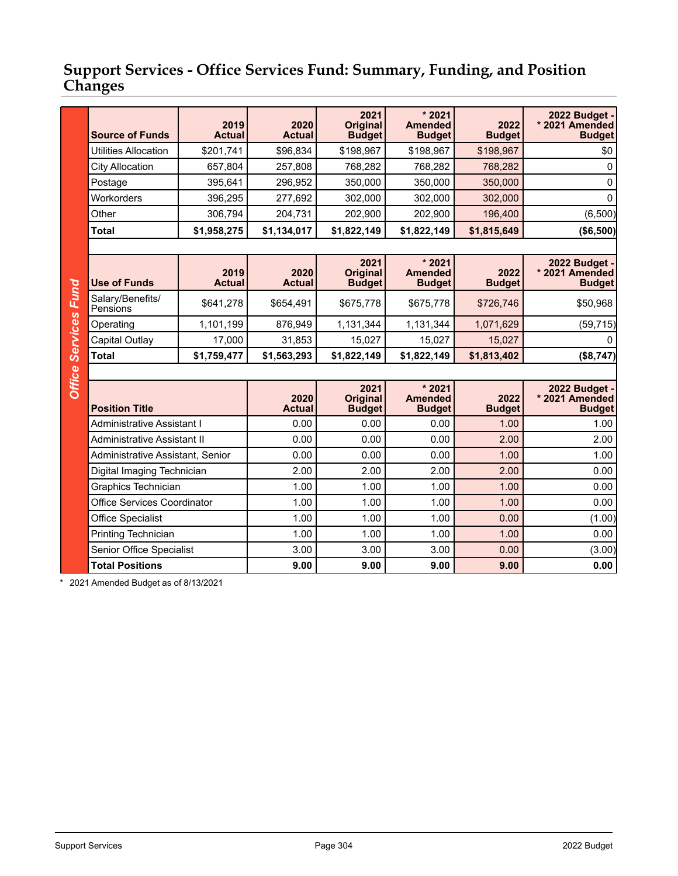## **Support Services - Office Services Fund: Summary, Funding, and Position Changes**

|                      | <b>Source of Funds</b>            | 2019<br><b>Actual</b> | 2020<br><b>Actual</b> | 2021<br><b>Original</b><br><b>Budget</b> | $*2021$<br><b>Amended</b><br><b>Budget</b> | 2022<br><b>Budget</b> | 2022 Budget -<br>* 2021 Amended<br><b>Budget</b> |
|----------------------|-----------------------------------|-----------------------|-----------------------|------------------------------------------|--------------------------------------------|-----------------------|--------------------------------------------------|
|                      | <b>Utilities Allocation</b>       | \$201,741             | \$96.834              | \$198,967                                | \$198,967                                  | \$198,967             | \$0                                              |
|                      | <b>City Allocation</b>            | 657,804               | 257,808               | 768,282                                  | 768,282                                    | 768,282               | $\mathbf 0$                                      |
|                      | Postage                           | 395,641               | 296,952               | 350,000                                  | 350,000                                    | 350,000               | 0                                                |
|                      | Workorders                        | 396,295               | 277,692               | 302,000                                  | 302,000                                    | 302,000               | 0                                                |
|                      | Other                             | 306,794               | 204,731               | 202,900                                  | 202,900                                    | 196,400               | (6,500)                                          |
|                      | <b>Total</b>                      | \$1,958,275           | \$1,134,017           | \$1,822,149                              | \$1,822,149                                | \$1,815,649           | (\$6,500)                                        |
|                      |                                   |                       |                       |                                          |                                            |                       |                                                  |
|                      | <b>Use of Funds</b>               | 2019<br><b>Actual</b> | 2020<br><b>Actual</b> | 2021<br><b>Original</b><br><b>Budget</b> | $*2021$<br><b>Amended</b><br><b>Budget</b> | 2022<br><b>Budget</b> | 2022 Budget -<br>* 2021 Amended<br><b>Budget</b> |
| Office Services Fund | Salary/Benefits/<br>Pensions      | \$641,278             | \$654,491             | \$675,778                                | \$675,778                                  | \$726,746             | \$50,968                                         |
|                      | Operating                         | 1,101,199             | 876,949               | 1,131,344                                | 1,131,344                                  | 1,071,629             | (59, 715)                                        |
|                      | Capital Outlay                    | 17,000                | 31,853                | 15,027                                   | 15,027                                     | 15,027                | $\Omega$                                         |
|                      | <b>Total</b>                      | \$1,759,477           | \$1,563,293           | \$1,822,149                              | \$1,822,149                                | \$1,813,402           | (\$8,747)                                        |
|                      |                                   |                       |                       |                                          |                                            |                       |                                                  |
|                      | <b>Position Title</b>             |                       | 2020<br><b>Actual</b> | 2021<br><b>Original</b><br><b>Budget</b> | $*2021$<br><b>Amended</b><br><b>Budget</b> | 2022<br><b>Budget</b> | 2022 Budget -<br>* 2021 Amended<br><b>Budget</b> |
|                      | <b>Administrative Assistant I</b> |                       | 0.00                  | 0.00                                     | 0.00                                       | 1.00                  | 1.00                                             |
|                      | Administrative Assistant II       |                       | 0.00                  | 0.00                                     | 0.00                                       | 2.00                  | 2.00                                             |
|                      | Administrative Assistant, Senior  |                       | 0.00                  | 0.00                                     | 0.00                                       | 1.00                  | 1.00                                             |
|                      | Digital Imaging Technician        |                       | 2.00                  | 2.00                                     | 2.00                                       | 2.00                  | 0.00                                             |
|                      | Graphics Technician               |                       | 1.00                  | 1.00                                     | 1.00                                       | 1.00                  | 0.00                                             |
|                      | Office Services Coordinator       |                       | 1.00                  | 1.00                                     | 1.00                                       | 1.00                  | 0.00                                             |
|                      | <b>Office Specialist</b>          |                       | 1.00                  | 1.00                                     | 1.00                                       | 0.00                  | (1.00)                                           |
|                      | Printing Technician               |                       | 1.00                  | 1.00                                     | 1.00                                       | 1.00                  | 0.00                                             |
|                      | Senior Office Specialist          |                       | 3.00                  | 3.00                                     | 3.00                                       | 0.00                  | (3.00)                                           |
|                      | <b>Total Positions</b>            |                       | 9.00                  | 9.00                                     | 9.00                                       | 9.00                  | 0.00                                             |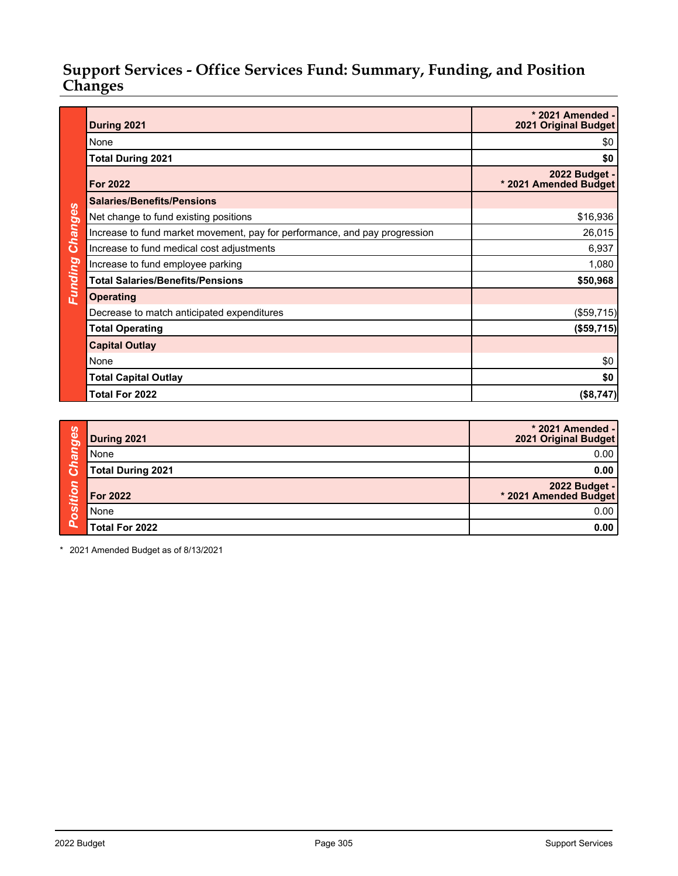## **Support Services - Office Services Fund: Summary, Funding, and Position Changes**

|                | During 2021                                                                | * 2021 Amended -<br>2021 Original Budget |
|----------------|----------------------------------------------------------------------------|------------------------------------------|
|                | None                                                                       | \$0                                      |
|                | <b>Total During 2021</b>                                                   | \$0                                      |
|                | <b>For 2022</b>                                                            | 2022 Budget -<br>* 2021 Amended Budget   |
|                | <b>Salaries/Benefits/Pensions</b>                                          |                                          |
|                | Net change to fund existing positions                                      | \$16,936                                 |
| Changes        | Increase to fund market movement, pay for performance, and pay progression | 26,015                                   |
|                | Increase to fund medical cost adjustments                                  | 6,937                                    |
|                | Increase to fund employee parking                                          | 1,080                                    |
| <b>Eunding</b> | <b>Total Salaries/Benefits/Pensions</b>                                    | \$50,968                                 |
|                | <b>Operating</b>                                                           |                                          |
|                | Decrease to match anticipated expenditures                                 | (\$59,715)                               |
|                | <b>Total Operating</b>                                                     | (\$59,715)                               |
|                | <b>Capital Outlay</b>                                                      |                                          |
|                | None                                                                       | \$0                                      |
|                | <b>Total Capital Outlay</b>                                                | \$0                                      |
|                | <b>Total For 2022</b>                                                      | (\$8,747)                                |

| anges     | During 2021              | * 2021 Amended -<br>2021 Original Budget |
|-----------|--------------------------|------------------------------------------|
|           | None                     | 0.00                                     |
|           | <b>Total During 2021</b> | 0.00                                     |
| ition     | <b>For 2022</b>          | 2022 Budget -<br>* 2021 Amended Budget   |
| <b>SO</b> | None                     | 0.00                                     |
|           | Total For 2022           | 0.00                                     |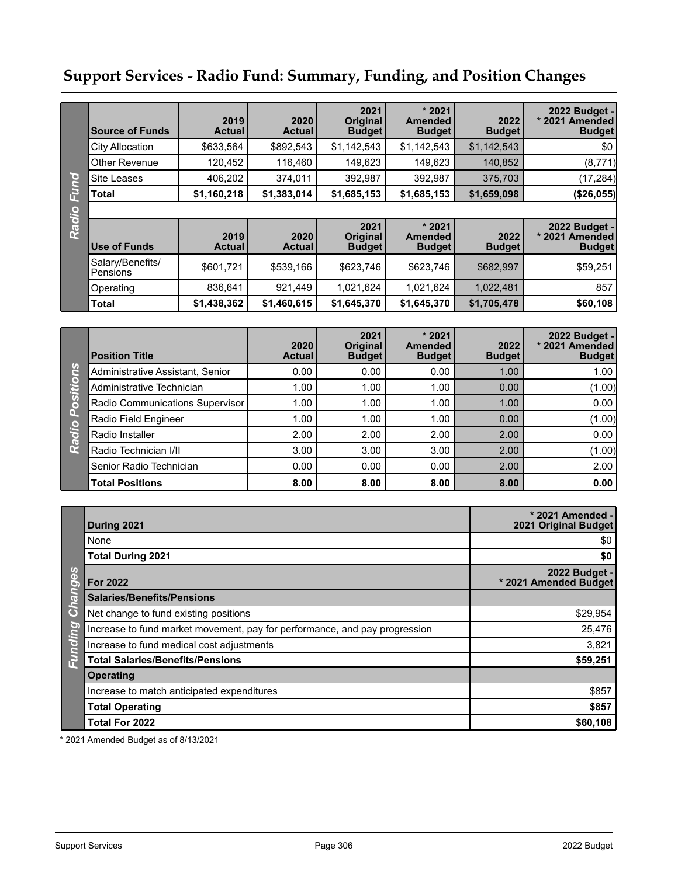# **Support Services - Radio Fund: Summary, Funding, and Position Changes**

|       | <b>Source of Funds</b>       | 2019<br><b>Actual</b> | 2020<br><b>Actual</b> | 2021<br>Original<br><b>Budget</b>        | $*2021$<br>Amended<br><b>Budget</b>        | 2022<br><b>Budget</b> | <b>2022 Budget -</b><br>* 2021 Amended<br><b>Budget</b> |
|-------|------------------------------|-----------------------|-----------------------|------------------------------------------|--------------------------------------------|-----------------------|---------------------------------------------------------|
|       | City Allocation              | \$633,564             | \$892,543             | \$1,142,543                              | \$1,142,543                                | \$1,142,543           | \$0                                                     |
|       | <b>Other Revenue</b>         | 120,452               | 116,460               | 149,623                                  | 149,623                                    | 140,852               | (8,771)                                                 |
| pr    | <b>Site Leases</b>           | 406,202               | 374,011               | 392,987                                  | 392,987                                    | 375,703               | (17, 284)                                               |
| fi    | <b>Total</b>                 | \$1,160,218           | \$1,383,014           | \$1,685,153                              | \$1,685,153                                | \$1,659,098           | (\$26,055)                                              |
|       |                              |                       |                       |                                          |                                            |                       |                                                         |
| Radio | <b>Use of Funds</b>          | 2019<br><b>Actual</b> | 2020<br><b>Actual</b> | 2021<br><b>Original</b><br><b>Budget</b> | $*2021$<br><b>Amended</b><br><b>Budget</b> | 2022<br><b>Budget</b> | <b>2022 Budget -</b><br>* 2021 Amended<br><b>Budget</b> |
|       | Salary/Benefits/<br>Pensions | \$601,721             | \$539,166             | \$623,746                                | \$623.746                                  | \$682,997             | \$59,251                                                |
|       | Operating                    | 836,641               | 921,449               | 1,021,624                                | 1,021,624                                  | 1,022,481             | 857                                                     |
|       | <b>Total</b>                 | \$1,438,362           | \$1,460,615           | \$1,645,370                              | \$1,645,370                                | \$1,705,478           | \$60,108                                                |

|                | <b>Position Title</b>            | 2020<br><b>Actual</b> | 2021<br><b>Original</b><br><b>Budget</b> | $*2021$<br><b>Amended</b><br><b>Budget</b> | 2022<br><b>Budget</b> | 2022 Budget -<br>* 2021 Amended<br><b>Budget</b> |
|----------------|----------------------------------|-----------------------|------------------------------------------|--------------------------------------------|-----------------------|--------------------------------------------------|
| <b>Su</b>      | Administrative Assistant, Senior | 0.00                  | 0.00                                     | 0.00                                       | 1.00                  | 1.00                                             |
| itio           | Administrative Technician        | 1.00                  | 1.00                                     | 1.00                                       | 0.00                  | (1.00)                                           |
| <b>SO</b><br>จ | Radio Communications Supervisor  | 1.00                  | 1.00                                     | 1.00                                       | 1.00                  | 0.00                                             |
|                | Radio Field Engineer             | 1.00                  | 1.00                                     | 1.00                                       | 0.00                  | (1.00)                                           |
| dio            | Radio Installer                  | 2.00                  | 2.00                                     | 2.00                                       | 2.00                  | 0.00                                             |
| Ra             | Radio Technician I/II            | 3.00                  | 3.00                                     | 3.00                                       | 2.00                  | (1.00)                                           |
|                | Senior Radio Technician          | 0.00                  | 0.00                                     | 0.00                                       | 2.00                  | 2.00                                             |
|                | <b>Total Positions</b>           | 8.00                  | 8.00                                     | 8.00                                       | 8.00                  | 0.00                                             |

|                | During 2021                                                                | * 2021 Amended -<br>2021 Original Budget |  |  |  |
|----------------|----------------------------------------------------------------------------|------------------------------------------|--|--|--|
|                | None                                                                       | \$0                                      |  |  |  |
|                | <b>Total During 2021</b>                                                   | \$0                                      |  |  |  |
| Changes        | <b>For 2022</b>                                                            | 2022 Budget -<br>* 2021 Amended Budget   |  |  |  |
|                | <b>Salaries/Benefits/Pensions</b>                                          |                                          |  |  |  |
|                | Net change to fund existing positions                                      | \$29,954                                 |  |  |  |
|                | Increase to fund market movement, pay for performance, and pay progression | 25,476                                   |  |  |  |
| <b>Funding</b> | Increase to fund medical cost adjustments                                  | 3,821                                    |  |  |  |
|                | <b>Total Salaries/Benefits/Pensions</b>                                    | \$59,251                                 |  |  |  |
|                | <b>Operating</b>                                                           |                                          |  |  |  |
|                | Increase to match anticipated expenditures                                 | \$857                                    |  |  |  |
|                | <b>Total Operating</b>                                                     | \$857                                    |  |  |  |
|                | <b>Total For 2022</b>                                                      | \$60,108                                 |  |  |  |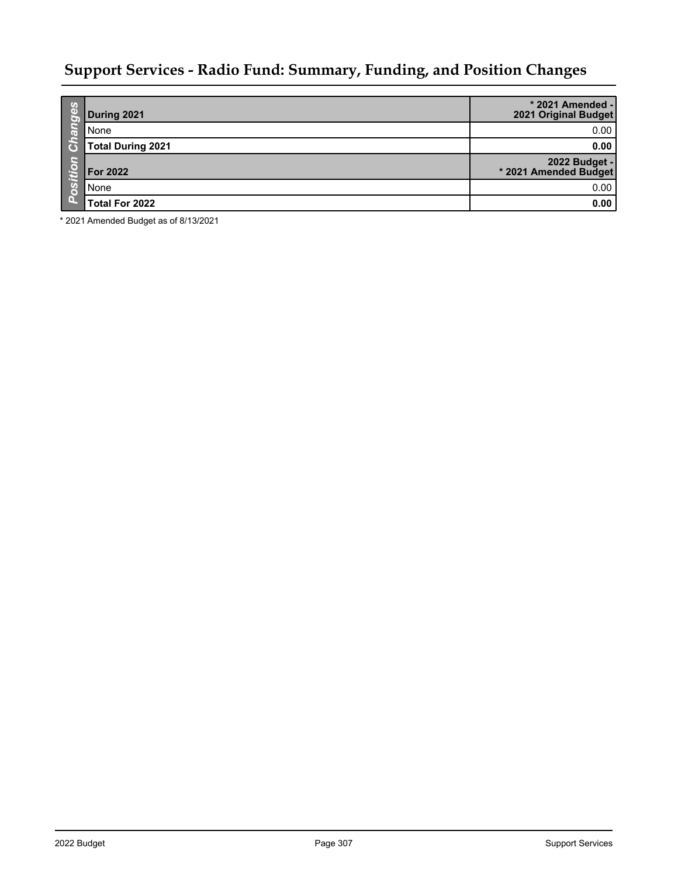# **Support Services - Radio Fund: Summary, Funding, and Position Changes**

| n<br>$\mathbf{r}$<br>$\left( \bullet \right)$ | During 2021              | * 2021 Amended -<br>2021 Original Budget |
|-----------------------------------------------|--------------------------|------------------------------------------|
| $\overline{v}$                                | None                     | 0.00                                     |
|                                               | <b>Total During 2021</b> | 0.00                                     |
| (⊜<br>F                                       | <b>For 2022</b>          | - 2022 Budget<br>2021 Amended Budget     |
| U)<br>õ                                       | None                     | 0.00                                     |
|                                               | Total For 2022           | 0.00                                     |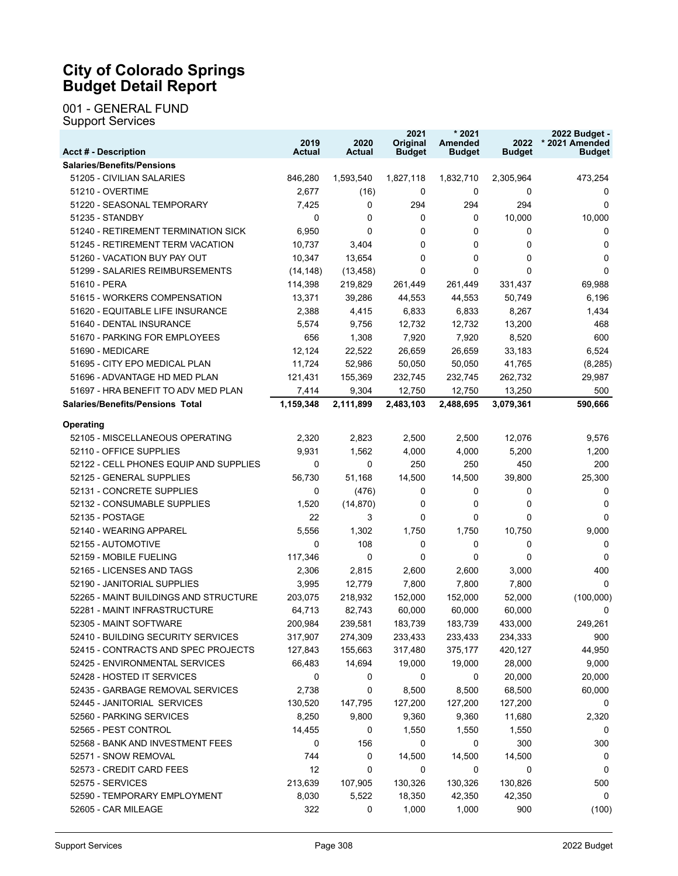#### 001 - GENERAL FUND Support Services

| <b>Acct # - Description</b>                                    | 2019      | 2020      | 2021<br>Original<br><b>Budget</b> | * 2021<br>Amended<br><b>Budget</b> | 2022          | 2022 Budget -<br>* 2021 Amended |
|----------------------------------------------------------------|-----------|-----------|-----------------------------------|------------------------------------|---------------|---------------------------------|
|                                                                | Actual    | Actual    |                                   |                                    | <b>Budget</b> | <b>Budget</b>                   |
| <b>Salaries/Benefits/Pensions</b><br>51205 - CIVILIAN SALARIES |           |           |                                   |                                    |               |                                 |
|                                                                | 846,280   | 1,593,540 | 1,827,118                         | 1,832,710                          | 2,305,964     | 473,254                         |
| 51210 - OVERTIME                                               | 2,677     | (16)      | 0                                 | 0                                  | 0             | 0                               |
| 51220 - SEASONAL TEMPORARY                                     | 7,425     | 0         | 294                               | 294                                | 294           | 0                               |
| 51235 - STANDBY                                                | 0         | 0         | 0                                 | 0                                  | 10,000        | 10,000                          |
| 51240 - RETIREMENT TERMINATION SICK                            | 6,950     | 0         | 0                                 | 0                                  | 0             | 0                               |
| 51245 - RETIREMENT TERM VACATION                               | 10,737    | 3,404     | 0                                 | 0                                  | 0             | 0                               |
| 51260 - VACATION BUY PAY OUT                                   | 10,347    | 13.654    | $\Omega$                          | 0                                  | $\Omega$      | $\Omega$                        |
| 51299 - SALARIES REIMBURSEMENTS                                | (14, 148) | (13, 458) | 0                                 | 0                                  | 0             | $\Omega$                        |
| 51610 - PERA                                                   | 114,398   | 219,829   | 261,449                           | 261,449                            | 331,437       | 69,988                          |
| 51615 - WORKERS COMPENSATION                                   | 13,371    | 39,286    | 44,553                            | 44,553                             | 50,749        | 6,196                           |
| 51620 - EQUITABLE LIFE INSURANCE                               | 2,388     | 4,415     | 6,833                             | 6,833                              | 8,267         | 1,434                           |
| 51640 - DENTAL INSURANCE                                       | 5,574     | 9,756     | 12,732                            | 12,732                             | 13,200        | 468                             |
| 51670 - PARKING FOR EMPLOYEES                                  | 656       | 1,308     | 7,920                             | 7,920                              | 8,520         | 600                             |
| 51690 - MEDICARE                                               | 12,124    | 22,522    | 26,659                            | 26,659                             | 33,183        | 6,524                           |
| 51695 - CITY EPO MEDICAL PLAN                                  | 11,724    | 52,986    | 50,050                            | 50,050                             | 41,765        | (8, 285)                        |
| 51696 - ADVANTAGE HD MED PLAN                                  | 121,431   | 155,369   | 232,745                           | 232,745                            | 262,732       | 29,987                          |
| 51697 - HRA BENEFIT TO ADV MED PLAN                            | 7,414     | 9,304     | 12,750                            | 12,750                             | 13,250        | 500                             |
| <b>Salaries/Benefits/Pensions Total</b>                        | 1,159,348 | 2,111,899 | 2,483,103                         | 2,488,695                          | 3,079,361     | 590,666                         |
| Operating                                                      |           |           |                                   |                                    |               |                                 |
| 52105 - MISCELLANEOUS OPERATING                                | 2,320     | 2,823     | 2,500                             | 2,500                              | 12,076        | 9,576                           |
| 52110 - OFFICE SUPPLIES                                        | 9,931     | 1,562     | 4,000                             | 4,000                              | 5,200         | 1,200                           |
| 52122 - CELL PHONES EQUIP AND SUPPLIES                         | 0         | 0         | 250                               | 250                                | 450           | 200                             |
| 52125 - GENERAL SUPPLIES                                       | 56,730    |           | 14,500                            | 14,500                             | 39,800        | 25,300                          |
| 52131 - CONCRETE SUPPLIES                                      |           | 51,168    | 0                                 |                                    | 0             |                                 |
|                                                                | 0         | (476)     |                                   | 0                                  |               | 0                               |
| 52132 - CONSUMABLE SUPPLIES                                    | 1,520     | (14, 870) | 0                                 | 0                                  | 0<br>$\Omega$ | 0<br>$\Omega$                   |
| 52135 - POSTAGE                                                | 22        | 3         | 0                                 | 0                                  |               |                                 |
| 52140 - WEARING APPAREL                                        | 5,556     | 1,302     | 1,750                             | 1,750                              | 10,750        | 9,000                           |
| 52155 - AUTOMOTIVE                                             | 0         | 108       | 0                                 | 0                                  | 0             | 0                               |
| 52159 - MOBILE FUELING                                         | 117,346   | 0         | 0                                 | 0                                  | 0             | $\Omega$                        |
| 52165 - LICENSES AND TAGS                                      | 2,306     | 2,815     | 2,600                             | 2,600                              | 3,000         | 400                             |
| 52190 - JANITORIAL SUPPLIES                                    | 3,995     | 12,779    | 7,800                             | 7,800                              | 7,800         | 0                               |
| 52265 - MAINT BUILDINGS AND STRUCTURE                          | 203,075   | 218,932   | 152,000                           | 152,000                            | 52,000        | (100,000)                       |
| 52281 - MAINT INFRASTRUCTURE                                   | 64,713    | 82,743    | 60,000                            | 60,000                             | 60,000        | 0                               |
| 52305 - MAINT SOFTWARE                                         | 200,984   | 239,581   | 183,739                           | 183,739                            | 433,000       | 249,261                         |
| 52410 - BUILDING SECURITY SERVICES                             | 317,907   | 274,309   | 233,433                           | 233,433                            | 234,333       | 900                             |
| 52415 - CONTRACTS AND SPEC PROJECTS                            | 127,843   | 155,663   | 317,480                           | 375,177                            | 420,127       | 44,950                          |
| 52425 - ENVIRONMENTAL SERVICES                                 | 66,483    | 14,694    | 19,000                            | 19,000                             | 28,000        | 9,000                           |
| 52428 - HOSTED IT SERVICES                                     | 0         | 0         | 0                                 | 0                                  | 20,000        | 20,000                          |
| 52435 - GARBAGE REMOVAL SERVICES                               | 2,738     | 0         | 8,500                             | 8,500                              | 68,500        | 60,000                          |
| 52445 - JANITORIAL SERVICES                                    | 130,520   | 147,795   | 127,200                           | 127,200                            | 127,200       | 0                               |
| 52560 - PARKING SERVICES                                       | 8,250     | 9,800     | 9,360                             | 9,360                              | 11,680        | 2,320                           |
| 52565 - PEST CONTROL                                           | 14,455    | 0         | 1,550                             | 1,550                              | 1,550         | 0                               |
| 52568 - BANK AND INVESTMENT FEES                               | 0         | 156       | 0                                 | 0                                  | 300           | 300                             |
| 52571 - SNOW REMOVAL                                           | 744       | 0         | 14,500                            | 14,500                             | 14,500        | 0                               |
| 52573 - CREDIT CARD FEES                                       | 12        | 0         | 0                                 | 0                                  | 0             | 0                               |
| 52575 - SERVICES                                               | 213,639   | 107,905   | 130,326                           | 130,326                            | 130,826       | 500                             |
| 52590 - TEMPORARY EMPLOYMENT                                   | 8,030     | 5,522     | 18,350                            | 42,350                             | 42,350        | 0                               |
| 52605 - CAR MILEAGE                                            | 322       | 0         | 1,000                             | 1,000                              | 900           | (100)                           |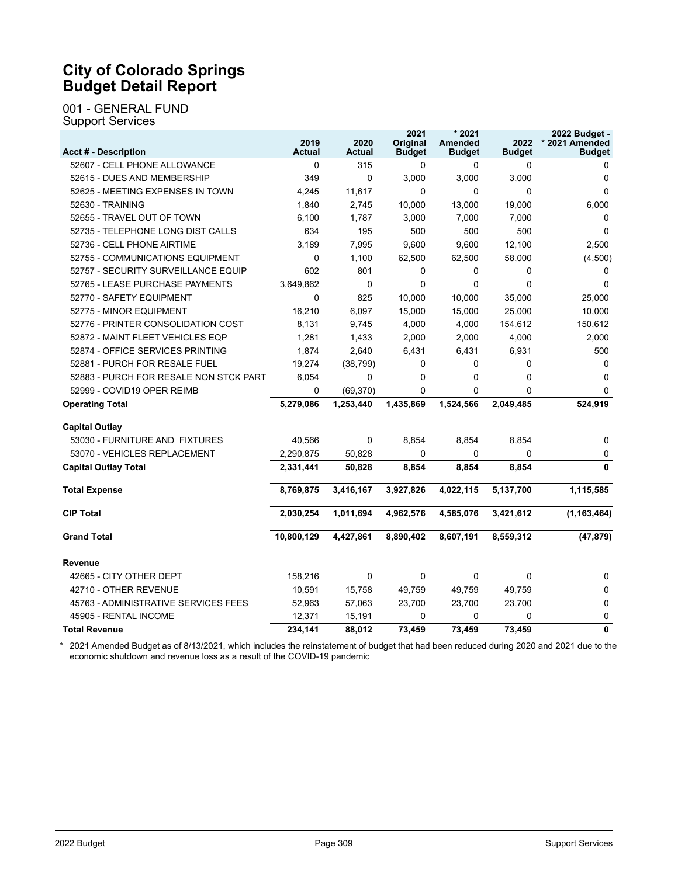#### 001 - GENERAL FUND Support Services

| <b>Acct # - Description</b>            | 2019<br>Actual | 2020<br>Actual | 2021<br>Original<br><b>Budget</b> | $*2021$<br>Amended<br><b>Budget</b> | 2022<br><b>Budget</b> | 2022 Budget -<br>* 2021 Amended<br><b>Budget</b> |
|----------------------------------------|----------------|----------------|-----------------------------------|-------------------------------------|-----------------------|--------------------------------------------------|
| 52607 - CELL PHONE ALLOWANCE           | $\mathbf 0$    | 315            | 0                                 | 0                                   | 0                     | 0                                                |
| 52615 - DUES AND MEMBERSHIP            | 349            | $\Omega$       | 3,000                             | 3.000                               | 3,000                 | $\mathbf{0}$                                     |
| 52625 - MEETING EXPENSES IN TOWN       | 4,245          | 11,617         | 0                                 | 0                                   | $\mathbf{0}$          | $\Omega$                                         |
| 52630 - TRAINING                       | 1,840          | 2,745          | 10,000                            | 13,000                              | 19,000                | 6,000                                            |
| 52655 - TRAVEL OUT OF TOWN             | 6,100          | 1.787          | 3,000                             | 7,000                               | 7,000                 | $\Omega$                                         |
| 52735 - TELEPHONE LONG DIST CALLS      | 634            | 195            | 500                               | 500                                 | 500                   | $\Omega$                                         |
| 52736 - CELL PHONE AIRTIME             | 3,189          | 7,995          | 9,600                             | 9,600                               | 12,100                | 2,500                                            |
| 52755 - COMMUNICATIONS EQUIPMENT       | 0              | 1,100          | 62,500                            | 62,500                              | 58,000                | (4,500)                                          |
| 52757 - SECURITY SURVEILLANCE EQUIP    | 602            | 801            | $\Omega$                          | 0                                   | 0                     | 0                                                |
| 52765 - LEASE PURCHASE PAYMENTS        | 3,649,862      | $\mathbf 0$    | 0                                 | 0                                   | $\Omega$              | $\Omega$                                         |
| 52770 - SAFETY EQUIPMENT               | $\mathbf{0}$   | 825            | 10,000                            | 10.000                              | 35,000                | 25,000                                           |
| 52775 - MINOR EQUIPMENT                | 16,210         | 6,097          | 15,000                            | 15,000                              | 25,000                | 10,000                                           |
| 52776 - PRINTER CONSOLIDATION COST     | 8,131          | 9,745          | 4,000                             | 4,000                               | 154,612               | 150,612                                          |
| 52872 - MAINT FLEET VEHICLES EQP       | 1,281          | 1,433          | 2,000                             | 2,000                               | 4,000                 | 2,000                                            |
| 52874 - OFFICE SERVICES PRINTING       | 1,874          | 2,640          | 6,431                             | 6,431                               | 6,931                 | 500                                              |
| 52881 - PURCH FOR RESALE FUEL          | 19,274         | (38, 799)      | 0                                 | 0                                   | 0                     | 0                                                |
| 52883 - PURCH FOR RESALE NON STCK PART | 6,054          | 0              | 0                                 | 0                                   | 0                     | 0                                                |
| 52999 - COVID19 OPER REIMB             | $\mathbf{0}$   | (69, 370)      | 0                                 | 0                                   | 0                     | $\Omega$                                         |
| <b>Operating Total</b>                 | 5,279,086      | 1,253,440      | 1,435,869                         | 1,524,566                           | 2,049,485             | 524,919                                          |
| <b>Capital Outlay</b>                  |                |                |                                   |                                     |                       |                                                  |
| 53030 - FURNITURE AND FIXTURES         | 40,566         | 0              | 8,854                             | 8,854                               | 8,854                 | 0                                                |
| 53070 - VEHICLES REPLACEMENT           | 2,290,875      | 50.828         | 0                                 | 0                                   | $\mathbf{0}$          | 0                                                |
| <b>Capital Outlay Total</b>            | 2,331,441      | 50,828         | 8,854                             | 8,854                               | 8,854                 | $\mathbf{0}$                                     |
| <b>Total Expense</b>                   | 8,769,875      | 3,416,167      | 3,927,826                         | 4,022,115                           | 5,137,700             | 1,115,585                                        |
| <b>CIP Total</b>                       | 2,030,254      | 1,011,694      | 4,962,576                         | 4,585,076                           | 3,421,612             | (1, 163, 464)                                    |
| <b>Grand Total</b>                     | 10,800,129     | 4,427,861      | 8,890,402                         | 8,607,191                           | 8,559,312             | (47, 879)                                        |
| <b>Revenue</b>                         |                |                |                                   |                                     |                       |                                                  |
| 42665 - CITY OTHER DEPT                | 158,216        | $\mathbf 0$    | 0                                 | 0                                   | $\mathbf 0$           | 0                                                |
| 42710 - OTHER REVENUE                  | 10,591         | 15,758         | 49,759                            | 49,759                              | 49,759                | $\Omega$                                         |
| 45763 - ADMINISTRATIVE SERVICES FEES   | 52,963         | 57,063         | 23,700                            | 23,700                              | 23,700                | 0                                                |
| 45905 - RENTAL INCOME                  | 12,371         | 15,191         | 0                                 | 0                                   | 0                     | $\mathbf 0$                                      |
| <b>Total Revenue</b>                   | 234.141        | 88.012         | 73.459                            | 73.459                              | 73.459                | $\mathbf{0}$                                     |

\* 2021 Amended Budget as of 8/13/2021, which includes the reinstatement of budget that had been reduced during 2020 and 2021 due to the economic shutdown and revenue loss as a result of the COVID-19 pandemic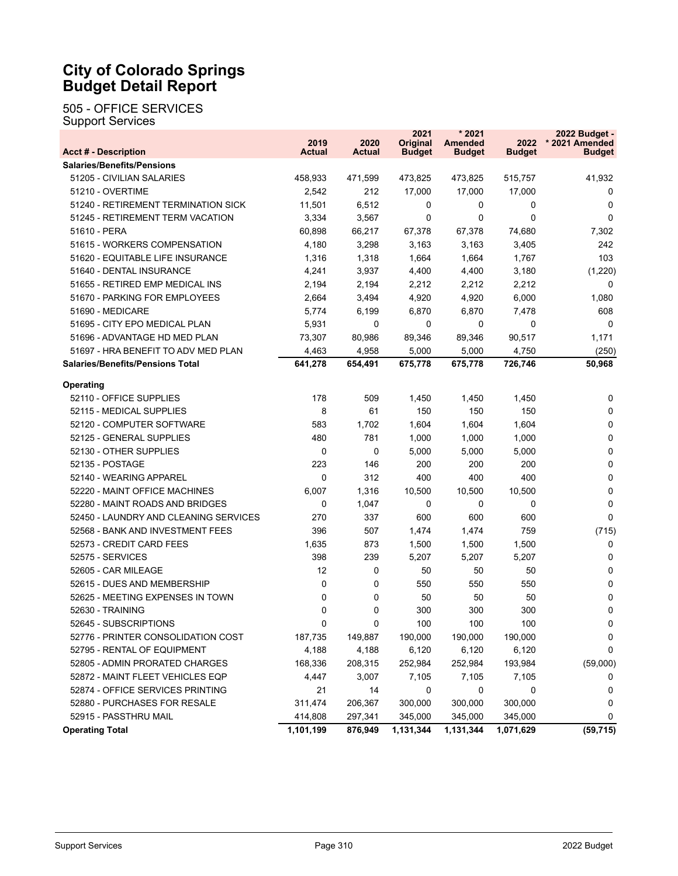#### 505 - OFFICE SERVICES Support Services

| <b>Acct # - Description</b>             | 2019<br><b>Actual</b> | 2020<br><b>Actual</b> | 2021<br>Original<br><b>Budget</b> | $*2021$<br><b>Amended</b><br><b>Budget</b> | 2022<br><b>Budget</b> | 2022 Budget -<br>* 2021 Amended<br><b>Budget</b> |
|-----------------------------------------|-----------------------|-----------------------|-----------------------------------|--------------------------------------------|-----------------------|--------------------------------------------------|
| <b>Salaries/Benefits/Pensions</b>       |                       |                       |                                   |                                            |                       |                                                  |
| 51205 - CIVILIAN SALARIES               | 458,933               | 471,599               | 473,825                           | 473,825                                    | 515,757               | 41,932                                           |
| 51210 - OVERTIME                        | 2,542                 | 212                   | 17,000                            | 17,000                                     | 17,000                | 0                                                |
| 51240 - RETIREMENT TERMINATION SICK     | 11,501                | 6,512                 | 0                                 | 0                                          | 0                     | 0                                                |
| 51245 - RETIREMENT TERM VACATION        | 3,334                 | 3,567                 | $\Omega$                          | 0                                          | $\Omega$              | $\Omega$                                         |
| 51610 - PERA                            | 60,898                | 66,217                | 67,378                            | 67,378                                     | 74,680                | 7,302                                            |
| 51615 - WORKERS COMPENSATION            | 4,180                 | 3,298                 | 3,163                             | 3,163                                      | 3,405                 | 242                                              |
| 51620 - EQUITABLE LIFE INSURANCE        | 1,316                 | 1,318                 | 1,664                             | 1,664                                      | 1,767                 | 103                                              |
| 51640 - DENTAL INSURANCE                | 4,241                 | 3,937                 | 4,400                             | 4,400                                      | 3,180                 | (1,220)                                          |
| 51655 - RETIRED EMP MEDICAL INS         | 2,194                 | 2,194                 | 2,212                             | 2,212                                      | 2,212                 | 0                                                |
| 51670 - PARKING FOR EMPLOYEES           | 2,664                 | 3,494                 | 4,920                             | 4,920                                      | 6,000                 | 1,080                                            |
| 51690 - MEDICARE                        | 5,774                 | 6,199                 | 6,870                             | 6,870                                      | 7,478                 | 608                                              |
| 51695 - CITY EPO MEDICAL PLAN           | 5,931                 | 0                     | 0                                 | 0                                          | 0                     | $\Omega$                                         |
| 51696 - ADVANTAGE HD MED PLAN           | 73,307                | 80,986                | 89,346                            | 89,346                                     | 90,517                | 1,171                                            |
| 51697 - HRA BENEFIT TO ADV MED PLAN     | 4,463                 | 4,958                 | 5,000                             | 5,000                                      | 4,750                 | (250)                                            |
| <b>Salaries/Benefits/Pensions Total</b> | 641,278               | 654,491               | 675,778                           | 675,778                                    | 726,746               | 50,968                                           |
| Operating                               |                       |                       |                                   |                                            |                       |                                                  |
| 52110 - OFFICE SUPPLIES                 | 178                   | 509                   | 1,450                             | 1,450                                      | 1,450                 | 0                                                |
| 52115 - MEDICAL SUPPLIES                | 8                     | 61                    | 150                               | 150                                        | 150                   | 0                                                |
| 52120 - COMPUTER SOFTWARE               | 583                   | 1,702                 | 1,604                             | 1,604                                      | 1,604                 | 0                                                |
| 52125 - GENERAL SUPPLIES                | 480                   | 781                   | 1,000                             | 1,000                                      | 1,000                 | 0                                                |
| 52130 - OTHER SUPPLIES                  | 0                     | 0                     | 5,000                             | 5,000                                      | 5,000                 | 0                                                |
| 52135 - POSTAGE                         | 223                   | 146                   | 200                               | 200                                        | 200                   | $\mathbf 0$                                      |
| 52140 - WEARING APPAREL                 | 0                     | 312                   | 400                               | 400                                        | 400                   | 0                                                |
| 52220 - MAINT OFFICE MACHINES           | 6,007                 | 1,316                 | 10,500                            | 10,500                                     | 10,500                | $\mathbf 0$                                      |
| 52280 - MAINT ROADS AND BRIDGES         | 0                     | 1,047                 | 0                                 | 0                                          | 0                     | 0                                                |
| 52450 - LAUNDRY AND CLEANING SERVICES   | 270                   | 337                   | 600                               | 600                                        | 600                   | 0                                                |
| 52568 - BANK AND INVESTMENT FEES        | 396                   | 507                   | 1,474                             | 1,474                                      | 759                   | (715)                                            |
| 52573 - CREDIT CARD FEES                | 1,635                 | 873                   | 1,500                             | 1,500                                      | 1,500                 | 0                                                |
| 52575 - SERVICES                        | 398                   | 239                   | 5,207                             | 5,207                                      | 5,207                 | 0                                                |
| 52605 - CAR MILEAGE                     | 12                    | 0                     | 50                                | 50                                         | 50                    | 0                                                |
| 52615 - DUES AND MEMBERSHIP             | 0                     | 0                     | 550                               | 550                                        | 550                   | 0                                                |
| 52625 - MEETING EXPENSES IN TOWN        | 0                     | 0                     | 50                                | 50                                         | 50                    | 0                                                |
| 52630 - TRAINING                        | 0                     | 0                     | 300                               | 300                                        | 300                   | 0                                                |
| 52645 - SUBSCRIPTIONS                   | 0                     | 0                     | 100                               | 100                                        | 100                   | 0                                                |
| 52776 - PRINTER CONSOLIDATION COST      | 187,735               | 149,887               | 190,000                           | 190,000                                    | 190,000               | 0                                                |
| 52795 - RENTAL OF EQUIPMENT             | 4,188                 | 4,188                 | 6,120                             | 6,120                                      | 6,120                 | 0                                                |
| 52805 - ADMIN PRORATED CHARGES          | 168,336               | 208,315               | 252,984                           | 252,984                                    | 193,984               | (59,000)                                         |
| 52872 - MAINT FLEET VEHICLES EQP        | 4,447                 | 3,007                 | 7,105                             | 7,105                                      | 7,105                 | 0                                                |
| 52874 - OFFICE SERVICES PRINTING        | 21                    | 14                    | 0                                 | 0                                          | 0                     | 0                                                |
| 52880 - PURCHASES FOR RESALE            | 311,474               | 206,367               | 300,000                           | 300,000                                    | 300,000               | 0                                                |
| 52915 - PASSTHRU MAIL                   | 414,808               | 297,341               | 345,000                           | 345,000                                    | 345,000               | 0                                                |
| <b>Operating Total</b>                  | 1,101,199             | 876,949               | 1,131,344                         | 1,131,344                                  | 1,071,629             | (59, 715)                                        |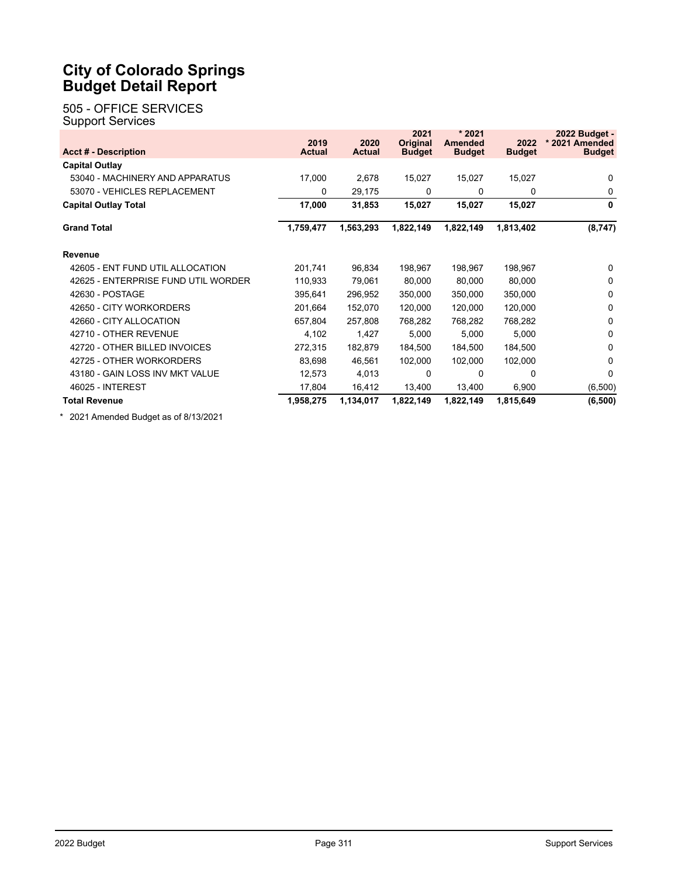#### 505 - OFFICE SERVICES Support Services

|                                     | 2019      | 2020      | 2021<br><b>Original</b> | $*2021$<br><b>Amended</b> | 2022          | 2022 Budget -<br>* 2021 Amended |
|-------------------------------------|-----------|-----------|-------------------------|---------------------------|---------------|---------------------------------|
| <b>Acct # - Description</b>         | Actual    | Actual    | <b>Budget</b>           | <b>Budget</b>             | <b>Budget</b> | <b>Budget</b>                   |
| <b>Capital Outlay</b>               |           |           |                         |                           |               |                                 |
| 53040 - MACHINERY AND APPARATUS     | 17,000    | 2,678     | 15,027                  | 15,027                    | 15,027        | $\Omega$                        |
| 53070 - VEHICLES REPLACEMENT        | 0         | 29,175    | 0                       | 0                         | 0             | 0                               |
| <b>Capital Outlay Total</b>         | 17,000    | 31,853    | 15,027                  | 15,027                    | 15,027        | $\bf{0}$                        |
| <b>Grand Total</b>                  | 1,759,477 | 1,563,293 | 1,822,149               | 1,822,149                 | 1,813,402     | (8,747)                         |
| Revenue                             |           |           |                         |                           |               |                                 |
| 42605 - ENT FUND UTIL ALLOCATION    | 201,741   | 96,834    | 198,967                 | 198,967                   | 198,967       | $\Omega$                        |
| 42625 - ENTERPRISE FUND UTIL WORDER | 110,933   | 79,061    | 80,000                  | 80,000                    | 80,000        | $\Omega$                        |
| 42630 - POSTAGE                     | 395,641   | 296,952   | 350,000                 | 350,000                   | 350,000       | $\Omega$                        |
| 42650 - CITY WORKORDERS             | 201,664   | 152,070   | 120,000                 | 120,000                   | 120,000       | 0                               |
| 42660 - CITY ALLOCATION             | 657,804   | 257,808   | 768,282                 | 768,282                   | 768,282       | $\Omega$                        |
| 42710 - OTHER REVENUE               | 4,102     | 1,427     | 5,000                   | 5,000                     | 5,000         | $\Omega$                        |
| 42720 - OTHER BILLED INVOICES       | 272,315   | 182,879   | 184,500                 | 184,500                   | 184,500       | $\Omega$                        |
| 42725 - OTHER WORKORDERS            | 83,698    | 46,561    | 102,000                 | 102,000                   | 102,000       | 0                               |
| 43180 - GAIN LOSS INV MKT VALUE     | 12,573    | 4,013     | $\Omega$                | $\Omega$                  | $\Omega$      | $\Omega$                        |
| 46025 - INTEREST                    | 17,804    | 16,412    | 13,400                  | 13,400                    | 6,900         | (6,500)                         |
| <b>Total Revenue</b>                | 1,958,275 | 1,134,017 | 1,822,149               | 1,822,149                 | 1,815,649     | (6,500)                         |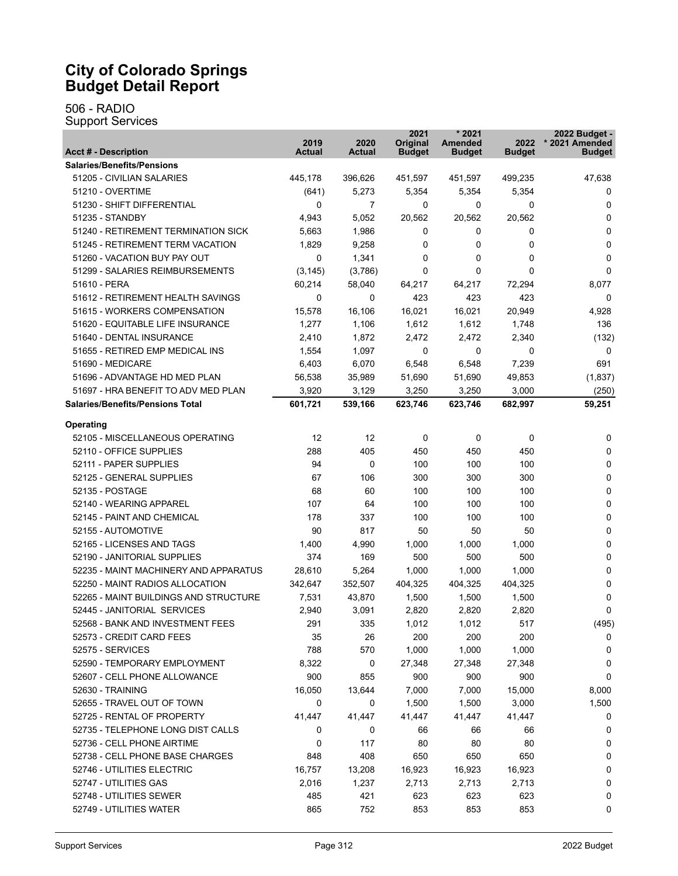#### 506 - RADIO

Support Services

| <b>Acct # - Description</b>             | 2019<br><b>Actual</b> | 2020<br><b>Actual</b> | 2021<br>Original<br><b>Budget</b> | $*2021$<br><b>Amended</b><br><b>Budget</b> | 2022<br><b>Budget</b> | 2022 Budget -<br>* 2021 Amended<br><b>Budget</b> |
|-----------------------------------------|-----------------------|-----------------------|-----------------------------------|--------------------------------------------|-----------------------|--------------------------------------------------|
| <b>Salaries/Benefits/Pensions</b>       |                       |                       |                                   |                                            |                       |                                                  |
| 51205 - CIVILIAN SALARIES               | 445,178               | 396,626               | 451,597                           | 451,597                                    | 499,235               | 47,638                                           |
| 51210 - OVERTIME                        | (641)                 | 5,273                 | 5,354                             | 5,354                                      | 5,354                 | 0                                                |
| 51230 - SHIFT DIFFERENTIAL              | 0                     | 7                     | 0                                 | 0                                          | 0                     | 0                                                |
| 51235 - STANDBY                         | 4,943                 | 5,052                 | 20,562                            | 20,562                                     | 20,562                | 0                                                |
| 51240 - RETIREMENT TERMINATION SICK     | 5,663                 | 1,986                 | 0                                 |                                            | 0                     | 0                                                |
|                                         |                       |                       |                                   | 0                                          |                       | 0                                                |
| 51245 - RETIREMENT TERM VACATION        | 1,829                 | 9,258                 | 0                                 | 0                                          | 0                     | $\mathbf{0}$                                     |
| 51260 - VACATION BUY PAY OUT            | 0                     | 1,341                 | 0                                 | 0                                          | 0                     |                                                  |
| 51299 - SALARIES REIMBURSEMENTS         | (3, 145)              | (3,786)               | 0                                 | 0                                          | $\mathbf{0}$          | $\Omega$                                         |
| 51610 - PERA                            | 60,214                | 58,040                | 64,217                            | 64,217                                     | 72,294                | 8,077                                            |
| 51612 - RETIREMENT HEALTH SAVINGS       | 0                     | 0                     | 423                               | 423                                        | 423                   | 0                                                |
| 51615 - WORKERS COMPENSATION            | 15,578                | 16,106                | 16,021                            | 16,021                                     | 20,949                | 4,928                                            |
| 51620 - EQUITABLE LIFE INSURANCE        | 1,277                 | 1,106                 | 1,612                             | 1,612                                      | 1,748                 | 136                                              |
| 51640 - DENTAL INSURANCE                | 2,410                 | 1,872                 | 2,472                             | 2,472                                      | 2,340                 | (132)                                            |
| 51655 - RETIRED EMP MEDICAL INS         | 1,554                 | 1,097                 | 0                                 | 0                                          | 0                     | 0                                                |
| 51690 - MEDICARE                        | 6,403                 | 6,070                 | 6,548                             | 6,548                                      | 7,239                 | 691                                              |
| 51696 - ADVANTAGE HD MED PLAN           | 56,538                | 35,989                | 51,690                            | 51,690                                     | 49,853                | (1,837)                                          |
| 51697 - HRA BENEFIT TO ADV MED PLAN     | 3,920                 | 3,129                 | 3,250                             | 3,250                                      | 3,000                 | (250)                                            |
| <b>Salaries/Benefits/Pensions Total</b> | 601,721               | 539,166               | 623,746                           | 623,746                                    | 682,997               | 59,251                                           |
| Operating                               |                       |                       |                                   |                                            |                       |                                                  |
| 52105 - MISCELLANEOUS OPERATING         | 12                    | 12                    | 0                                 | 0                                          | 0                     | 0                                                |
| 52110 - OFFICE SUPPLIES                 | 288                   | 405                   | 450                               | 450                                        | 450                   | 0                                                |
| 52111 - PAPER SUPPLIES                  | 94                    | 0                     | 100                               | 100                                        | 100                   | 0                                                |
| 52125 - GENERAL SUPPLIES                | 67                    | 106                   | 300                               | 300                                        | 300                   | 0                                                |
| 52135 - POSTAGE                         | 68                    | 60                    | 100                               | 100                                        | 100                   | 0                                                |
| 52140 - WEARING APPAREL                 | 107                   | 64                    | 100                               | 100                                        | 100                   | 0                                                |
| 52145 - PAINT AND CHEMICAL              | 178                   | 337                   | 100                               | 100                                        | 100                   | 0                                                |
| 52155 - AUTOMOTIVE                      | 90                    | 817                   | 50                                | 50                                         | 50                    | 0                                                |
| 52165 - LICENSES AND TAGS               | 1,400                 | 4,990                 | 1,000                             |                                            | 1,000                 | 0                                                |
| 52190 - JANITORIAL SUPPLIES             | 374                   | 169                   | 500                               | 1,000<br>500                               | 500                   | 0                                                |
| 52235 - MAINT MACHINERY AND APPARATUS   |                       |                       | 1,000                             |                                            | 1,000                 | 0                                                |
|                                         | 28,610                | 5,264                 |                                   | 1,000                                      |                       |                                                  |
| 52250 - MAINT RADIOS ALLOCATION         | 342,647               | 352,507               | 404,325                           | 404,325                                    | 404,325               | 0                                                |
| 52265 - MAINT BUILDINGS AND STRUCTURE   | 7,531                 | 43,870                | 1,500                             | 1,500                                      | 1,500                 | 0                                                |
| 52445 - JANITORIAL SERVICES             | 2,940                 | 3,091                 | 2,820                             | 2,820                                      | 2,820                 | 0                                                |
| 52568 - BANK AND INVESTMENT FEES        | 291                   | 335                   | 1,012                             | 1,012                                      | 517                   | (495)                                            |
| 52573 - CREDIT CARD FEES                | 35                    | 26                    | 200                               | 200                                        | 200                   | 0                                                |
| 52575 - SERVICES                        | 788                   | 570                   | 1,000                             | 1,000                                      | 1,000                 | 0                                                |
| 52590 - TEMPORARY EMPLOYMENT            | 8,322                 | 0                     | 27,348                            | 27,348                                     | 27,348                | 0                                                |
| 52607 - CELL PHONE ALLOWANCE            | 900                   | 855                   | 900                               | 900                                        | 900                   | 0                                                |
| 52630 - TRAINING                        | 16,050                | 13,644                | 7,000                             | 7,000                                      | 15,000                | 8,000                                            |
| 52655 - TRAVEL OUT OF TOWN              | 0                     | 0                     | 1,500                             | 1,500                                      | 3,000                 | 1,500                                            |
| 52725 - RENTAL OF PROPERTY              | 41,447                | 41,447                | 41,447                            | 41,447                                     | 41,447                | 0                                                |
| 52735 - TELEPHONE LONG DIST CALLS       | 0                     | 0                     | 66                                | 66                                         | 66                    | 0                                                |
| 52736 - CELL PHONE AIRTIME              | 0                     | 117                   | 80                                | 80                                         | 80                    | 0                                                |
| 52738 - CELL PHONE BASE CHARGES         | 848                   | 408                   | 650                               | 650                                        | 650                   | 0                                                |
| 52746 - UTILITIES ELECTRIC              | 16,757                | 13,208                | 16,923                            | 16,923                                     | 16,923                | 0                                                |
| 52747 - UTILITIES GAS                   | 2,016                 | 1,237                 | 2,713                             | 2,713                                      | 2,713                 | 0                                                |
| 52748 - UTILITIES SEWER                 | 485                   | 421                   | 623                               | 623                                        | 623                   | 0                                                |
| 52749 - UTILITIES WATER                 | 865                   | 752                   | 853                               | 853                                        | 853                   | 0                                                |
|                                         |                       |                       |                                   |                                            |                       |                                                  |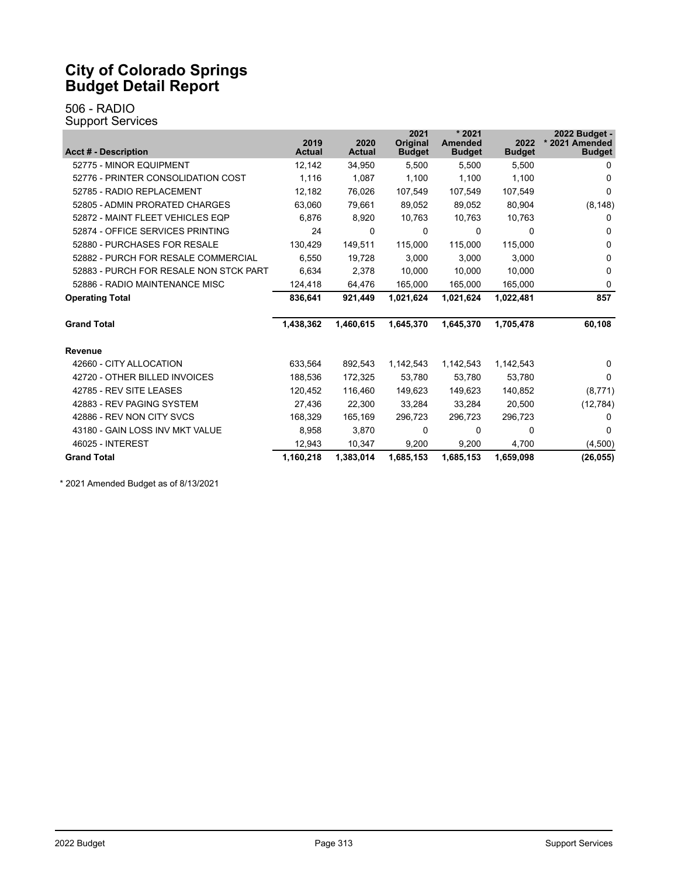#### 506 - RADIO

Support Services

| <b>Acct # - Description</b>            | 2019<br><b>Actual</b> | 2020<br><b>Actual</b> | 2021<br><b>Original</b><br><b>Budget</b> | $*2021$<br><b>Amended</b><br><b>Budget</b> | 2022<br><b>Budget</b> | 2022 Budget -<br>* 2021 Amended<br><b>Budget</b> |
|----------------------------------------|-----------------------|-----------------------|------------------------------------------|--------------------------------------------|-----------------------|--------------------------------------------------|
| 52775 - MINOR EQUIPMENT                | 12,142                | 34,950                | 5,500                                    | 5,500                                      | 5,500                 | 0                                                |
| 52776 - PRINTER CONSOLIDATION COST     | 1,116                 | 1,087                 | 1,100                                    | 1,100                                      | 1,100                 | $\Omega$                                         |
| 52785 - RADIO REPLACEMENT              | 12.182                | 76,026                | 107,549                                  | 107,549                                    | 107,549               | 0                                                |
| 52805 - ADMIN PRORATED CHARGES         | 63.060                | 79.661                | 89,052                                   | 89.052                                     | 80,904                | (8, 148)                                         |
| 52872 - MAINT FLEET VEHICLES EQP       | 6,876                 | 8,920                 | 10,763                                   | 10,763                                     | 10,763                | 0                                                |
| 52874 - OFFICE SERVICES PRINTING       | 24                    | $\Omega$              | $\Omega$                                 | 0                                          | 0                     | 0                                                |
| 52880 - PURCHASES FOR RESALE           | 130.429               | 149.511               | 115.000                                  | 115,000                                    | 115,000               | 0                                                |
| 52882 - PURCH FOR RESALE COMMERCIAL    | 6.550                 | 19.728                | 3,000                                    | 3.000                                      | 3,000                 | $\Omega$                                         |
| 52883 - PURCH FOR RESALE NON STCK PART | 6,634                 | 2,378                 | 10,000                                   | 10,000                                     | 10,000                | $\Omega$                                         |
| 52886 - RADIO MAINTENANCE MISC         | 124,418               | 64,476                | 165.000                                  | 165.000                                    | 165,000               | 0                                                |
| <b>Operating Total</b>                 | 836.641               | 921,449               | 1,021,624                                | 1,021,624                                  | 1,022,481             | 857                                              |
| <b>Grand Total</b>                     | 1,438,362             | 1,460,615             | 1,645,370                                | 1,645,370                                  | 1,705,478             | 60,108                                           |
| <b>Revenue</b>                         |                       |                       |                                          |                                            |                       |                                                  |
| 42660 - CITY ALLOCATION                | 633,564               | 892,543               | 1,142,543                                | 1,142,543                                  | 1,142,543             | $\Omega$                                         |
| 42720 - OTHER BILLED INVOICES          | 188,536               | 172,325               | 53,780                                   | 53,780                                     | 53,780                | 0                                                |
| 42785 - REV SITE LEASES                | 120,452               | 116,460               | 149,623                                  | 149,623                                    | 140,852               | (8,771)                                          |
| 42883 - REV PAGING SYSTEM              | 27,436                | 22,300                | 33,284                                   | 33,284                                     | 20,500                | (12, 784)                                        |
| 42886 - REV NON CITY SVCS              | 168,329               | 165,169               | 296,723                                  | 296,723                                    | 296,723               | 0                                                |
| 43180 - GAIN LOSS INV MKT VALUE        | 8,958                 | 3.870                 | 0                                        | 0                                          | 0                     | $\Omega$                                         |
| 46025 - INTEREST                       | 12,943                | 10,347                | 9,200                                    | 9,200                                      | 4,700                 | (4,500)                                          |
| <b>Grand Total</b>                     | 1,160,218             | 1,383,014             | 1,685,153                                | 1,685,153                                  | 1,659,098             | (26, 055)                                        |